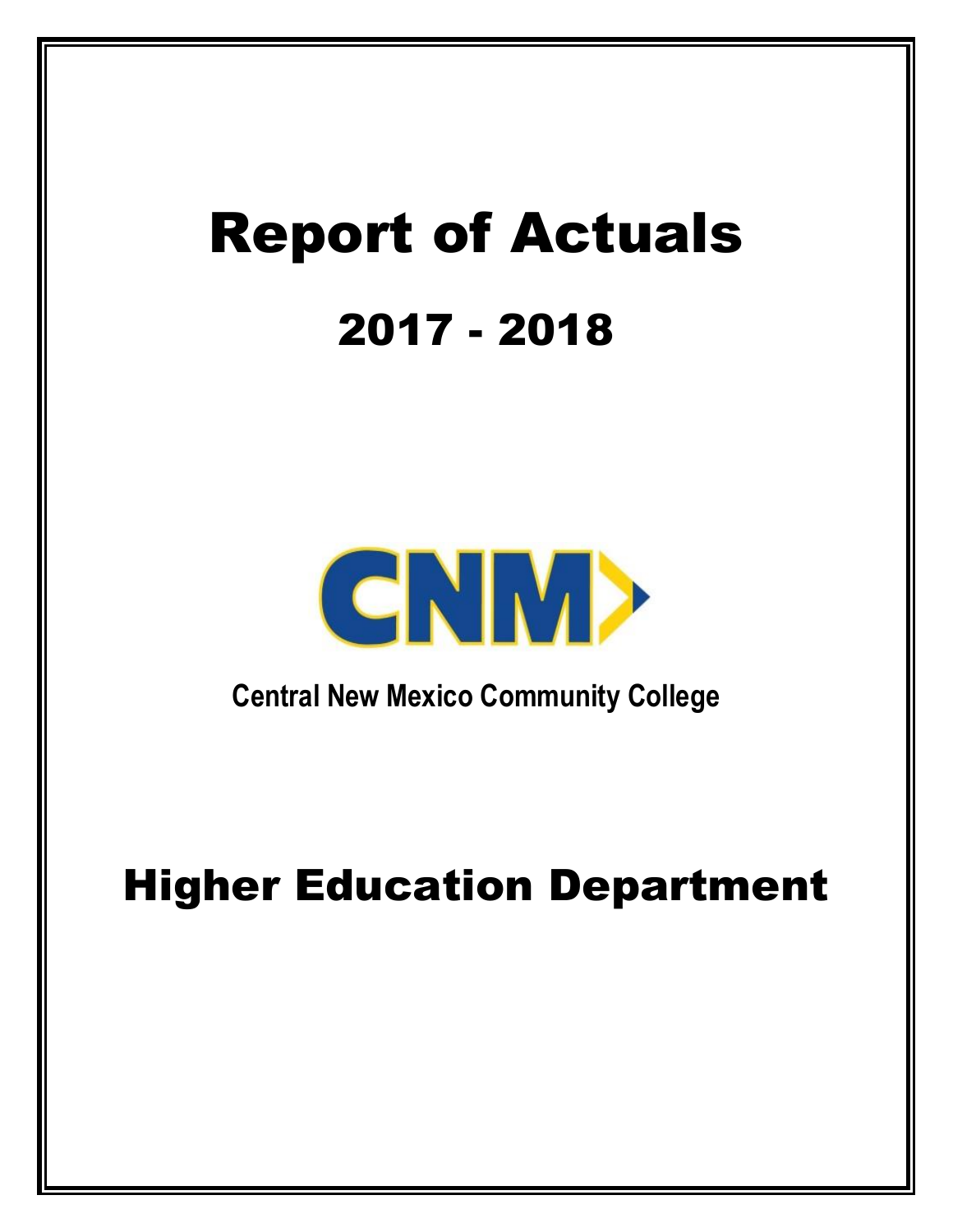# Report of Actuals 2017 - 2018



**Central New Mexico Community College**

## Higher Education Department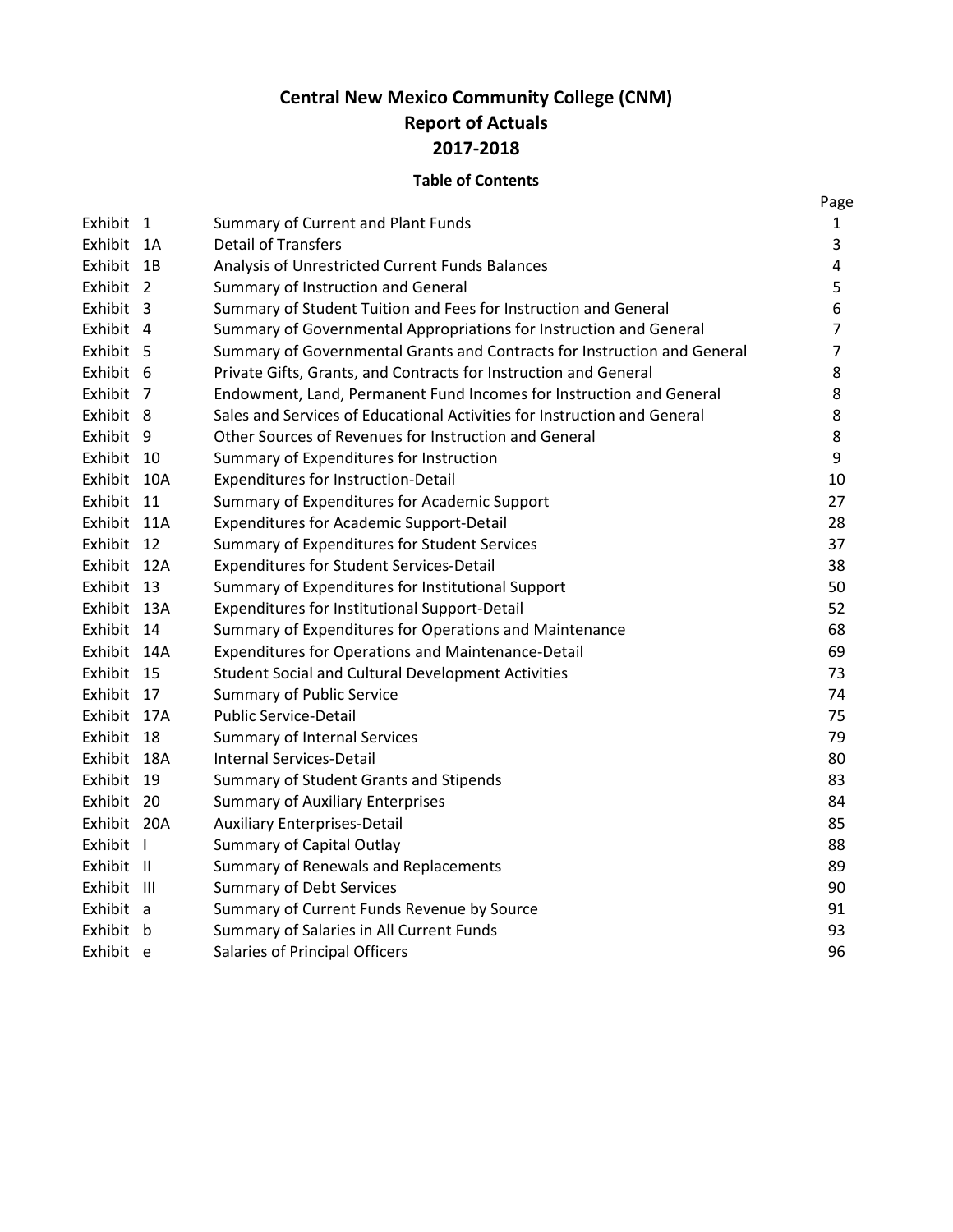### **Central New Mexico Community College (CNM) Report of Actuals 2017-2018**

#### **Table of Contents**

|             |                                                                          | Page           |
|-------------|--------------------------------------------------------------------------|----------------|
| Exhibit 1   | Summary of Current and Plant Funds                                       | 1              |
| Exhibit 1A  | <b>Detail of Transfers</b>                                               | 3              |
| Exhibit 1B  | Analysis of Unrestricted Current Funds Balances                          | 4              |
| Exhibit 2   | Summary of Instruction and General                                       | 5              |
| Exhibit 3   | Summary of Student Tuition and Fees for Instruction and General          | 6              |
| Exhibit 4   | Summary of Governmental Appropriations for Instruction and General       | $\overline{7}$ |
| Exhibit 5   | Summary of Governmental Grants and Contracts for Instruction and General | 7              |
| Exhibit 6   | Private Gifts, Grants, and Contracts for Instruction and General         | 8              |
| Exhibit 7   | Endowment, Land, Permanent Fund Incomes for Instruction and General      | 8              |
| Exhibit 8   | Sales and Services of Educational Activities for Instruction and General | 8              |
| Exhibit 9   | Other Sources of Revenues for Instruction and General                    | 8              |
| Exhibit 10  | Summary of Expenditures for Instruction                                  | 9              |
| Exhibit 10A | <b>Expenditures for Instruction-Detail</b>                               | 10             |
| Exhibit 11  | Summary of Expenditures for Academic Support                             | 27             |
| Exhibit 11A | <b>Expenditures for Academic Support-Detail</b>                          | 28             |
| Exhibit 12  | Summary of Expenditures for Student Services                             | 37             |
| Exhibit 12A | <b>Expenditures for Student Services-Detail</b>                          | 38             |
| Exhibit 13  | Summary of Expenditures for Institutional Support                        | 50             |
| Exhibit 13A | Expenditures for Institutional Support-Detail                            | 52             |
| Exhibit 14  | Summary of Expenditures for Operations and Maintenance                   | 68             |
| Exhibit 14A | <b>Expenditures for Operations and Maintenance-Detail</b>                | 69             |
| Exhibit 15  | <b>Student Social and Cultural Development Activities</b>                | 73             |
| Exhibit 17  | <b>Summary of Public Service</b>                                         | 74             |
| Exhibit 17A | <b>Public Service-Detail</b>                                             | 75             |
| Exhibit 18  | <b>Summary of Internal Services</b>                                      | 79             |
| Exhibit 18A | Internal Services-Detail                                                 | 80             |
| Exhibit 19  | Summary of Student Grants and Stipends                                   | 83             |
| Exhibit 20  | <b>Summary of Auxiliary Enterprises</b>                                  | 84             |
| Exhibit 20A | <b>Auxiliary Enterprises-Detail</b>                                      | 85             |
| Exhibit I   | Summary of Capital Outlay                                                | 88             |
| Exhibit II  | Summary of Renewals and Replacements                                     | 89             |
| Exhibit III | <b>Summary of Debt Services</b>                                          | 90             |
| Exhibit a   | Summary of Current Funds Revenue by Source                               | 91             |
| Exhibit b   | Summary of Salaries in All Current Funds                                 | 93             |
| Exhibit e   | <b>Salaries of Principal Officers</b>                                    | 96             |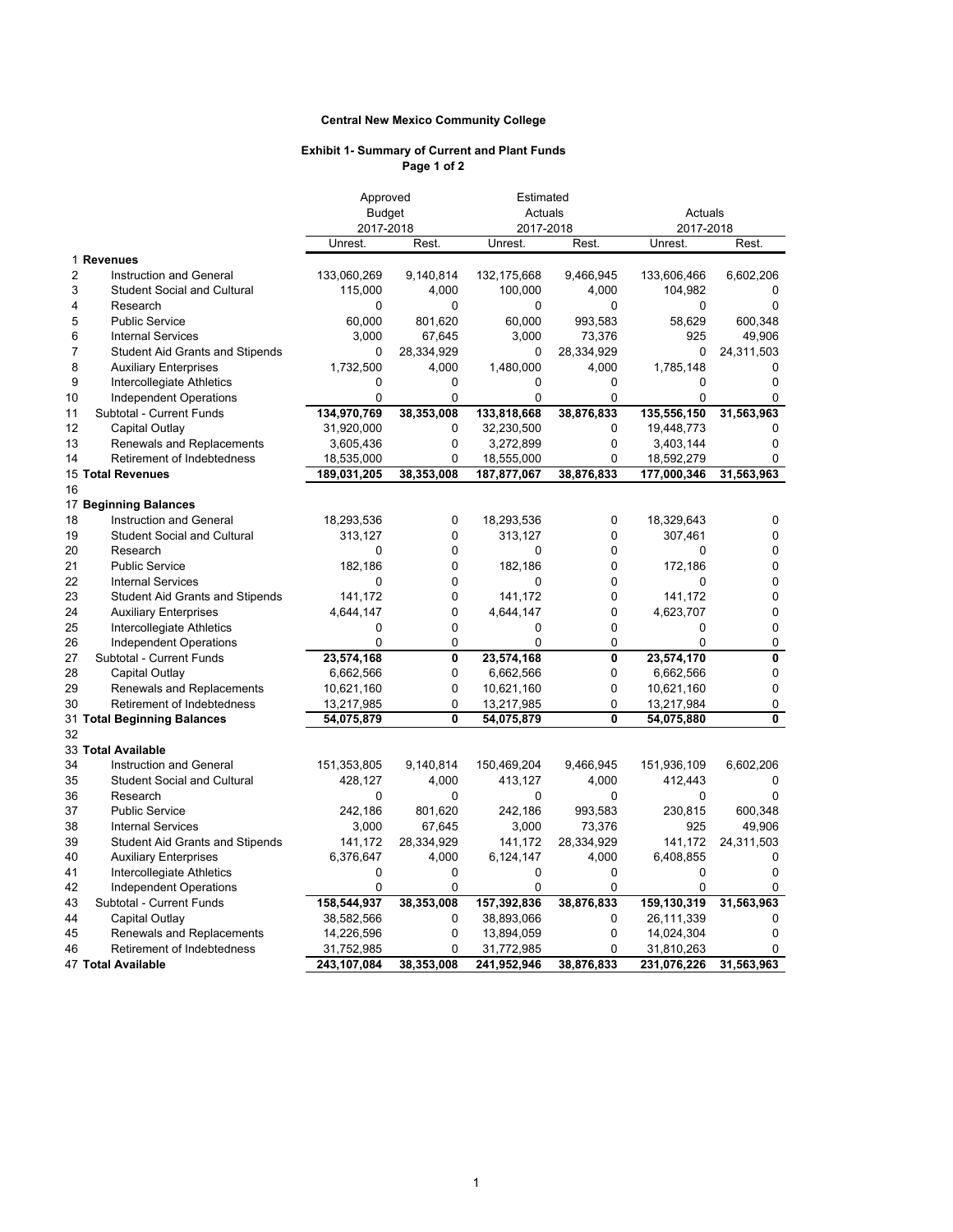#### **Central New Mexico Community College**

#### **Exhibit 1- Summary of Current and Plant Funds Page 1 of 2**

|                |                                        | Approved      | Estimated   |               |                         |             |                         |
|----------------|----------------------------------------|---------------|-------------|---------------|-------------------------|-------------|-------------------------|
|                |                                        | <b>Budget</b> |             | Actuals       |                         | Actuals     |                         |
|                |                                        | 2017-2018     |             | 2017-2018     |                         | 2017-2018   |                         |
|                |                                        | Unrest.       | Rest.       | Unrest.       | Rest.                   | Unrest.     | Rest.                   |
|                | 1 Revenues                             |               |             |               |                         |             |                         |
| $\overline{2}$ | Instruction and General                | 133,060,269   | 9,140,814   | 132, 175, 668 | 9,466,945               | 133,606,466 | 6,602,206               |
| 3              | <b>Student Social and Cultural</b>     | 115,000       | 4,000       | 100,000       | 4,000                   | 104,982     | 0                       |
| 4              | Research                               | $\Omega$      | $\Omega$    | $\Omega$      | $\Omega$                | 0           | 0                       |
| 5              | <b>Public Service</b>                  | 60,000        | 801,620     | 60,000        | 993,583                 | 58,629      | 600,348                 |
| 6              | <b>Internal Services</b>               | 3,000         | 67,645      | 3,000         | 73,376                  | 925         | 49,906                  |
| $\overline{7}$ | <b>Student Aid Grants and Stipends</b> | 0             | 28,334,929  | 0             | 28,334,929              | 0           | 24,311,503              |
| 8              | <b>Auxiliary Enterprises</b>           | 1,732,500     | 4,000       | 1,480,000     | 4,000                   | 1,785,148   | 0                       |
| 9              | Intercollegiate Athletics              | 0             | 0           | 0             | 0                       | 0           | 0                       |
| 10             | <b>Independent Operations</b>          | 0             | 0           | 0             | 0                       | 0           | 0                       |
| 11             | Subtotal - Current Funds               | 134,970,769   | 38,353,008  | 133,818,668   | 38,876,833              | 135,556,150 | 31,563,963              |
| 12             | Capital Outlay                         | 31,920,000    | 0           | 32,230,500    | 0                       | 19,448,773  | 0                       |
| 13             | Renewals and Replacements              | 3,605,436     | 0           | 3,272,899     | 0                       | 3,403,144   | 0                       |
| 14             | Retirement of Indebtedness             | 18,535,000    | 0           | 18,555,000    | 0                       | 18,592,279  | 0                       |
|                | 15 Total Revenues                      | 189,031,205   | 38,353,008  | 187,877,067   | 38,876,833              | 177,000,346 | 31,563,963              |
| 16             |                                        |               |             |               |                         |             |                         |
|                | 17 Beginning Balances                  |               |             |               |                         |             |                         |
| 18             | Instruction and General                | 18,293,536    | 0           | 18,293,536    | 0                       | 18,329,643  | 0                       |
| 19             | <b>Student Social and Cultural</b>     | 313,127       | 0           | 313,127       | 0                       | 307,461     | 0                       |
| 20             | Research                               | 0             | 0           | $\Omega$      | 0                       | $\Omega$    | 0                       |
| 21             | <b>Public Service</b>                  | 182,186       | 0           | 182,186       | 0                       | 172,186     | 0                       |
| 22             | <b>Internal Services</b>               | 0             | 0           | 0             | 0                       | 0           | 0                       |
| 23             | <b>Student Aid Grants and Stipends</b> | 141,172       | 0           | 141,172       | 0                       | 141,172     | 0                       |
| 24             | <b>Auxiliary Enterprises</b>           | 4,644,147     | 0           | 4,644,147     | 0                       | 4,623,707   | 0                       |
| 25             | Intercollegiate Athletics              | 0             | $\mathbf 0$ | 0             | 0                       | 0           | 0                       |
| 26             | Independent Operations                 | 0             | 0           | 0             | 0                       | 0           | 0                       |
| 27             | Subtotal - Current Funds               | 23,574,168    | 0           | 23,574,168    | $\overline{\mathbf{0}}$ | 23,574,170  | 0                       |
| 28             | Capital Outlay                         | 6,662,566     | 0           | 6,662,566     | 0                       | 6,662,566   | $\pmb{0}$               |
| 29             | Renewals and Replacements              | 10,621,160    | 0           | 10,621,160    | 0                       | 10,621,160  | 0                       |
| 30             | Retirement of Indebtedness             | 13,217,985    | 0           | 13,217,985    | 0                       | 13,217,984  | 0                       |
|                | 31 Total Beginning Balances            | 54,075,879    | 0           | 54,075,879    | 0                       | 54,075,880  | $\overline{\mathbf{0}}$ |
| 32             |                                        |               |             |               |                         |             |                         |
|                | 33 Total Available                     |               |             |               |                         |             |                         |
| 34             | <b>Instruction and General</b>         | 151,353,805   | 9,140,814   | 150,469,204   | 9,466,945               | 151,936,109 | 6,602,206               |
| 35             | <b>Student Social and Cultural</b>     | 428,127       | 4,000       | 413,127       | 4,000                   | 412,443     | 0                       |
| 36             | Research                               | 0             | $\Omega$    | 0             | 0                       | 0           | $\Omega$                |
| 37             | <b>Public Service</b>                  | 242,186       | 801,620     | 242,186       | 993,583                 | 230,815     | 600,348                 |
| 38             | <b>Internal Services</b>               | 3,000         | 67,645      | 3,000         | 73,376                  | 925         | 49,906                  |
| 39             | <b>Student Aid Grants and Stipends</b> | 141,172       | 28,334,929  | 141,172       | 28,334,929              | 141,172     | 24,311,503              |
| 40             | <b>Auxiliary Enterprises</b>           | 6,376,647     | 4,000       | 6,124,147     | 4,000                   | 6,408,855   | 0                       |
| 41             | Intercollegiate Athletics              | $\mathbf 0$   | $\mathbf 0$ | 0             | 0                       | 0           | $\mathbf 0$             |
| 42             | <b>Independent Operations</b>          | 0             | 0           | 0             | 0                       | 0           | 0                       |
| 43             | Subtotal - Current Funds               | 158,544,937   | 38,353,008  | 157,392,836   | 38,876,833              | 159,130,319 | 31,563,963              |
| 44             | Capital Outlay                         | 38,582,566    | 0           | 38,893,066    | 0                       | 26,111,339  | 0                       |
| 45             | Renewals and Replacements              | 14,226,596    | 0           | 13,894,059    | 0                       | 14,024,304  | 0                       |
| 46             | Retirement of Indebtedness             | 31,752,985    | $\Omega$    | 31,772,985    | 0                       | 31,810,263  | 0                       |
|                | 47 Total Available                     | 243,107,084   | 38,353,008  | 241,952,946   | 38,876,833              | 231,076,226 | 31,563,963              |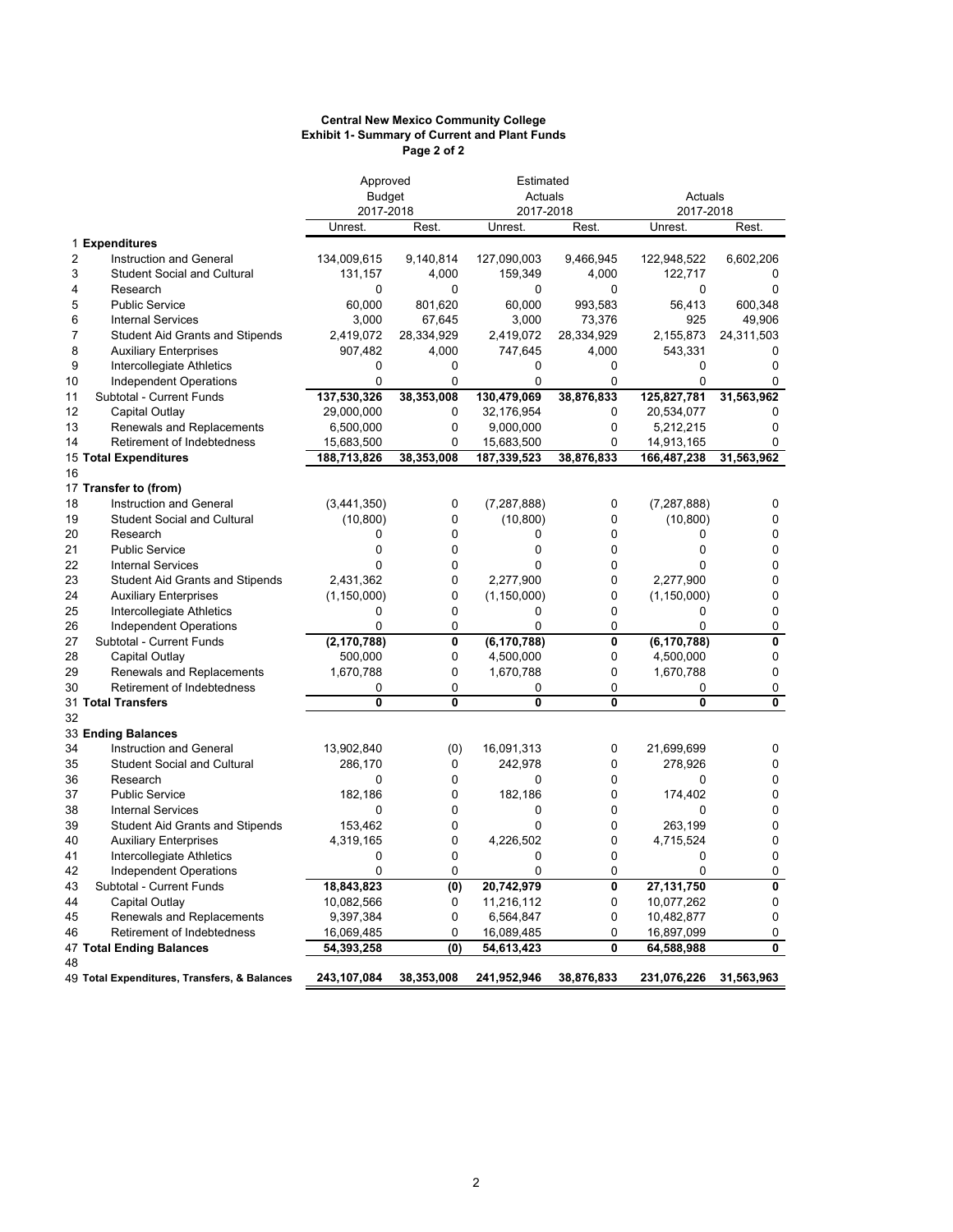#### **Exhibit 1- Summary of Current and Plant Funds Page 2 of 2 Central New Mexico Community College**

| Approved       |                                              | Estimated     |               |               |             |               |            |  |
|----------------|----------------------------------------------|---------------|---------------|---------------|-------------|---------------|------------|--|
|                |                                              |               | <b>Budget</b> |               | Actuals     | Actuals       |            |  |
|                |                                              | 2017-2018     |               | 2017-2018     |             | 2017-2018     |            |  |
|                |                                              | Unrest.       | Rest.         | Unrest.       | Rest.       | Unrest.       | Rest.      |  |
|                | 1 Expenditures                               |               |               |               |             |               |            |  |
| $\overline{2}$ | Instruction and General                      | 134,009,615   | 9,140,814     | 127,090,003   | 9,466,945   | 122,948,522   | 6,602,206  |  |
| 3              | <b>Student Social and Cultural</b>           | 131,157       | 4,000         | 159,349       | 4,000       | 122,717       | 0          |  |
| 4              | Research                                     | 0             | $\Omega$      | $\Omega$      | $\Omega$    | 0             | 0          |  |
| 5              | <b>Public Service</b>                        | 60,000        | 801,620       | 60,000        | 993,583     | 56,413        | 600,348    |  |
| 6              | <b>Internal Services</b>                     | 3,000         | 67,645        | 3,000         | 73,376      | 925           | 49,906     |  |
| 7              | <b>Student Aid Grants and Stipends</b>       | 2,419,072     | 28,334,929    | 2,419,072     | 28,334,929  | 2,155,873     | 24,311,503 |  |
| 8              | <b>Auxiliary Enterprises</b>                 | 907,482       | 4,000         | 747,645       | 4,000       | 543,331       | 0          |  |
| 9              | Intercollegiate Athletics                    | 0             | $\mathbf 0$   | 0             | 0           | 0             | 0          |  |
| 10             | Independent Operations                       | 0             | $\Omega$      | 0             | 0           | 0             | 0          |  |
| 11             | Subtotal - Current Funds                     | 137,530,326   | 38,353,008    | 130,479,069   | 38,876,833  | 125,827,781   | 31,563,962 |  |
| 12             | Capital Outlay                               | 29,000,000    | 0             | 32,176,954    | 0           | 20,534,077    | 0          |  |
| 13             | Renewals and Replacements                    | 6,500,000     | 0             | 9,000,000     | $\mathbf 0$ | 5,212,215     | 0          |  |
| 14             | Retirement of Indebtedness                   | 15,683,500    | $\Omega$      | 15,683,500    | $\Omega$    | 14,913,165    | $\Omega$   |  |
|                | 15 Total Expenditures                        | 188,713,826   | 38,353,008    | 187,339,523   | 38,876,833  | 166,487,238   | 31,563,962 |  |
| 16             |                                              |               |               |               |             |               |            |  |
|                | 17 Transfer to (from)                        |               |               |               |             |               |            |  |
| 18             | Instruction and General                      | (3,441,350)   | 0             | (7, 287, 888) | 0           | (7, 287, 888) | 0          |  |
| 19             | <b>Student Social and Cultural</b>           | (10, 800)     | $\mathbf{0}$  | (10, 800)     | $\mathbf 0$ | (10, 800)     | 0          |  |
| 20             | Research                                     | 0             | 0             | 0             | 0           | 0             | 0          |  |
| 21             | <b>Public Service</b>                        | 0             | $\Omega$      | 0             | $\Omega$    | 0             | 0          |  |
| 22             | <b>Internal Services</b>                     | 0             | 0             | 0             | $\mathbf 0$ | 0             | 0          |  |
| 23             | <b>Student Aid Grants and Stipends</b>       | 2,431,362     | $\Omega$      | 2,277,900     | $\Omega$    | 2,277,900     | 0          |  |
| 24             | <b>Auxiliary Enterprises</b>                 | (1, 150, 000) | 0             | (1, 150, 000) | $\mathbf 0$ | (1, 150, 000) | 0          |  |
| 25             | Intercollegiate Athletics                    | 0             | 0             | 0             | $\mathbf 0$ | 0             | 0          |  |
| 26             | Independent Operations                       | 0             | $\Omega$      | 0             | $\Omega$    | 0             | 0          |  |
| 27             | Subtotal - Current Funds                     | (2, 170, 788) | 0             | (6, 170, 788) | 0           | (6, 170, 788) | 0          |  |
| 28             | <b>Capital Outlay</b>                        | 500,000       | 0             | 4,500,000     | 0           | 4,500,000     | 0          |  |
| 29             | Renewals and Replacements                    | 1,670,788     | 0             | 1,670,788     | $\mathbf 0$ | 1,670,788     | 0          |  |
| 30             | Retirement of Indebtedness                   | 0             | 0             | 0             | 0           | 0             | 0          |  |
|                | 31 Total Transfers                           | 0             | 0             | $\mathbf{0}$  | 0           | 0             | 0          |  |
| 32             |                                              |               |               |               |             |               |            |  |
|                | 33 Ending Balances                           |               |               |               |             |               |            |  |
| 34             | Instruction and General                      | 13,902,840    | (0)           | 16,091,313    | 0           | 21,699,699    | 0          |  |
| 35             | <b>Student Social and Cultural</b>           | 286,170       | 0             | 242,978       | $\mathbf 0$ | 278,926       | 0          |  |
| 36             | Research                                     | 0             | $\mathbf{0}$  | 0             | $\mathbf 0$ | 0             | 0          |  |
| 37             | <b>Public Service</b>                        | 182,186       | 0             | 182,186       | $\mathbf 0$ | 174,402       | 0          |  |
| 38             | <b>Internal Services</b>                     | 0             | $\Omega$      | $\Omega$      | $\Omega$    | 0             | 0          |  |
| 39             | <b>Student Aid Grants and Stipends</b>       | 153,462       | 0             | 0             | $\mathbf 0$ | 263,199       | 0          |  |
| 40             | <b>Auxiliary Enterprises</b>                 | 4,319,165     | 0             | 4,226,502     | $\Omega$    | 4,715,524     | 0          |  |
| 41             | Intercollegiate Athletics                    | 0             | $\mathbf{0}$  | 0             | $\mathbf 0$ | 0             | 0          |  |
| 42             | Independent Operations                       | 0             | $\mathbf 0$   | 0             | 0           | 0             | 0          |  |
| 43             | Subtotal - Current Funds                     | 18,843,823    | (0)           | 20,742,979    | 0           | 27,131,750    | 0          |  |
| 44             | Capital Outlay                               | 10,082,566    | 0             | 11,216,112    | 0           | 10,077,262    | 0          |  |
| 45             | Renewals and Replacements                    | 9,397,384     | 0             | 6,564,847     | $\mathbf 0$ | 10,482,877    | 0          |  |
| 46             | Retirement of Indebtedness                   | 16,069,485    | 0             | 16,089,485    | 0           | 16,897,099    | 0          |  |
|                | 47 Total Ending Balances                     | 54,393,258    | (0)           | 54,613,423    | 0           | 64,588,988    | 0          |  |
| 48             |                                              |               |               |               |             |               |            |  |
|                | 49 Total Expenditures, Transfers, & Balances | 243,107,084   | 38,353,008    | 241,952,946   | 38,876,833  | 231,076,226   | 31,563,963 |  |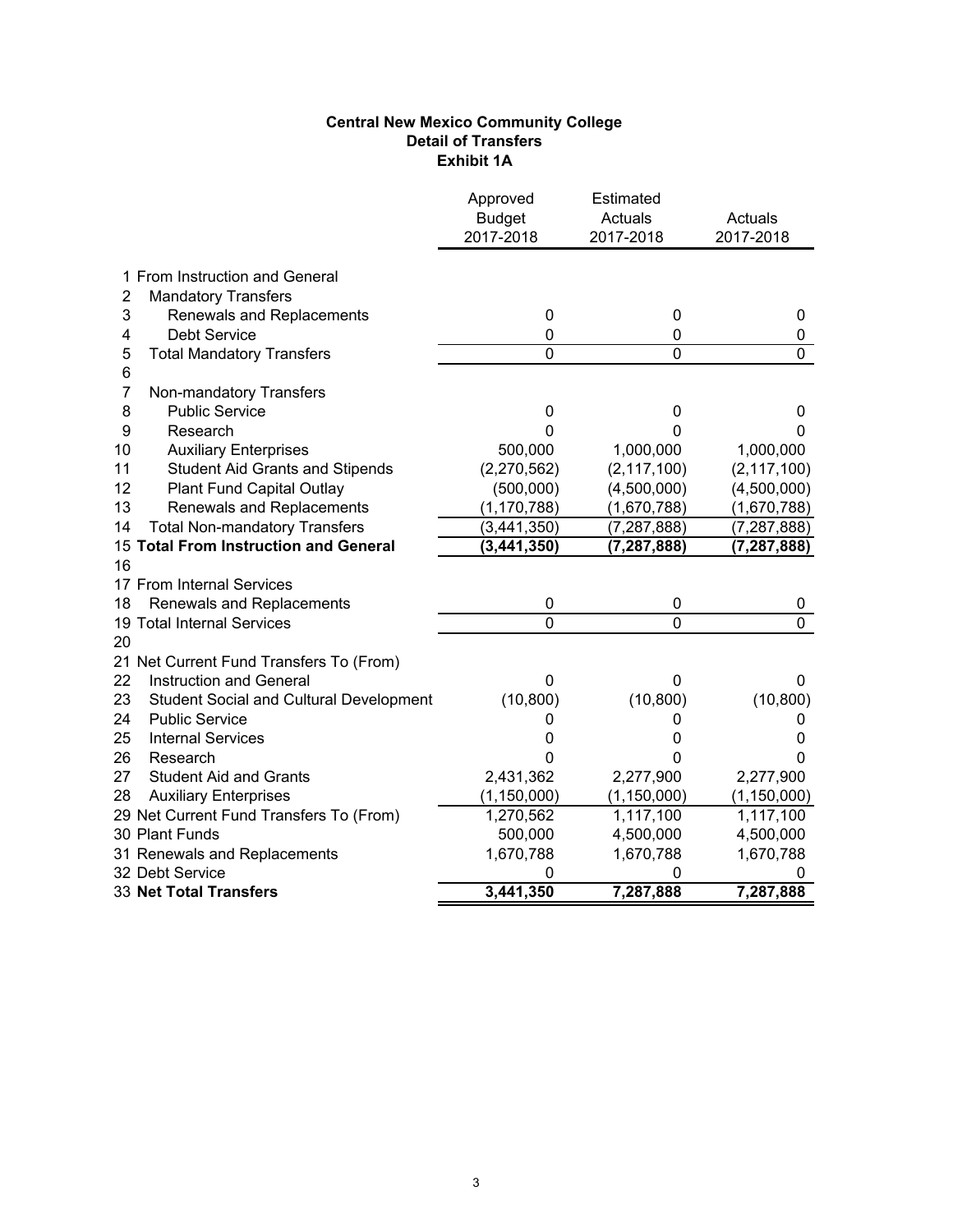#### **Central New Mexico Community College Detail of Transfers Exhibit 1A**

|                                                      | Approved<br><b>Budget</b><br>2017-2018 | Estimated<br>Actuals<br>2017-2018 | Actuals<br>2017-2018 |
|------------------------------------------------------|----------------------------------------|-----------------------------------|----------------------|
| 1 From Instruction and General                       |                                        |                                   |                      |
| 2<br><b>Mandatory Transfers</b>                      |                                        |                                   |                      |
| 3<br>Renewals and Replacements                       | 0                                      | 0                                 | 0                    |
| <b>Debt Service</b><br>4                             | 0                                      | 0                                 | 0                    |
| 5<br><b>Total Mandatory Transfers</b><br>6           | $\mathbf{0}$                           | 0                                 | 0                    |
| 7<br>Non-mandatory Transfers                         |                                        |                                   |                      |
| 8<br><b>Public Service</b>                           | 0                                      | 0                                 | 0                    |
| 9<br>Research                                        | 0                                      | 0                                 | 0                    |
| <b>Auxiliary Enterprises</b><br>10                   | 500,000                                | 1,000,000                         | 1,000,000            |
| 11<br><b>Student Aid Grants and Stipends</b>         | (2,270,562)                            | (2, 117, 100)                     | (2, 117, 100)        |
| 12<br>Plant Fund Capital Outlay                      | (500,000)                              | (4,500,000)                       | (4,500,000)          |
| 13<br>Renewals and Replacements                      | (1, 170, 788)                          | (1,670,788)                       | (1,670,788)          |
| <b>Total Non-mandatory Transfers</b><br>14           | (3, 441, 350)                          | (7, 287, 888)                     | (7, 287, 888)        |
| 15 Total From Instruction and General                | (3, 441, 350)                          | (7, 287, 888)                     | (7, 287, 888)        |
| 16                                                   |                                        |                                   |                      |
| 17 From Internal Services                            |                                        |                                   |                      |
| Renewals and Replacements<br>18                      | 0                                      | 0                                 | 0                    |
| 19 Total Internal Services<br>20                     | $\overline{0}$                         | $\overline{0}$                    | $\overline{0}$       |
| 21 Net Current Fund Transfers To (From)              |                                        |                                   |                      |
| 22<br>Instruction and General                        | 0                                      | 0                                 | 0                    |
| 23<br><b>Student Social and Cultural Development</b> | (10, 800)                              | (10, 800)                         | (10, 800)            |
| 24<br><b>Public Service</b>                          | 0                                      | 0                                 | 0                    |
| 25<br><b>Internal Services</b>                       | 0                                      | 0                                 | 0                    |
| 26<br>Research                                       | 0                                      | 0                                 | 0                    |
| 27<br><b>Student Aid and Grants</b>                  | 2,431,362                              | 2,277,900                         | 2,277,900            |
| 28<br><b>Auxiliary Enterprises</b>                   | (1, 150, 000)                          | (1, 150, 000)                     | (1, 150, 000)        |
| 29 Net Current Fund Transfers To (From)              | 1,270,562                              | 1,117,100                         | 1,117,100            |
| 30 Plant Funds                                       | 500,000                                | 4,500,000                         | 4,500,000            |
| 31 Renewals and Replacements                         | 1,670,788                              | 1,670,788                         | 1,670,788            |
| 32 Debt Service                                      | 0                                      | 0                                 | 0                    |
| <b>33 Net Total Transfers</b>                        | 3,441,350                              | 7,287,888                         | 7,287,888            |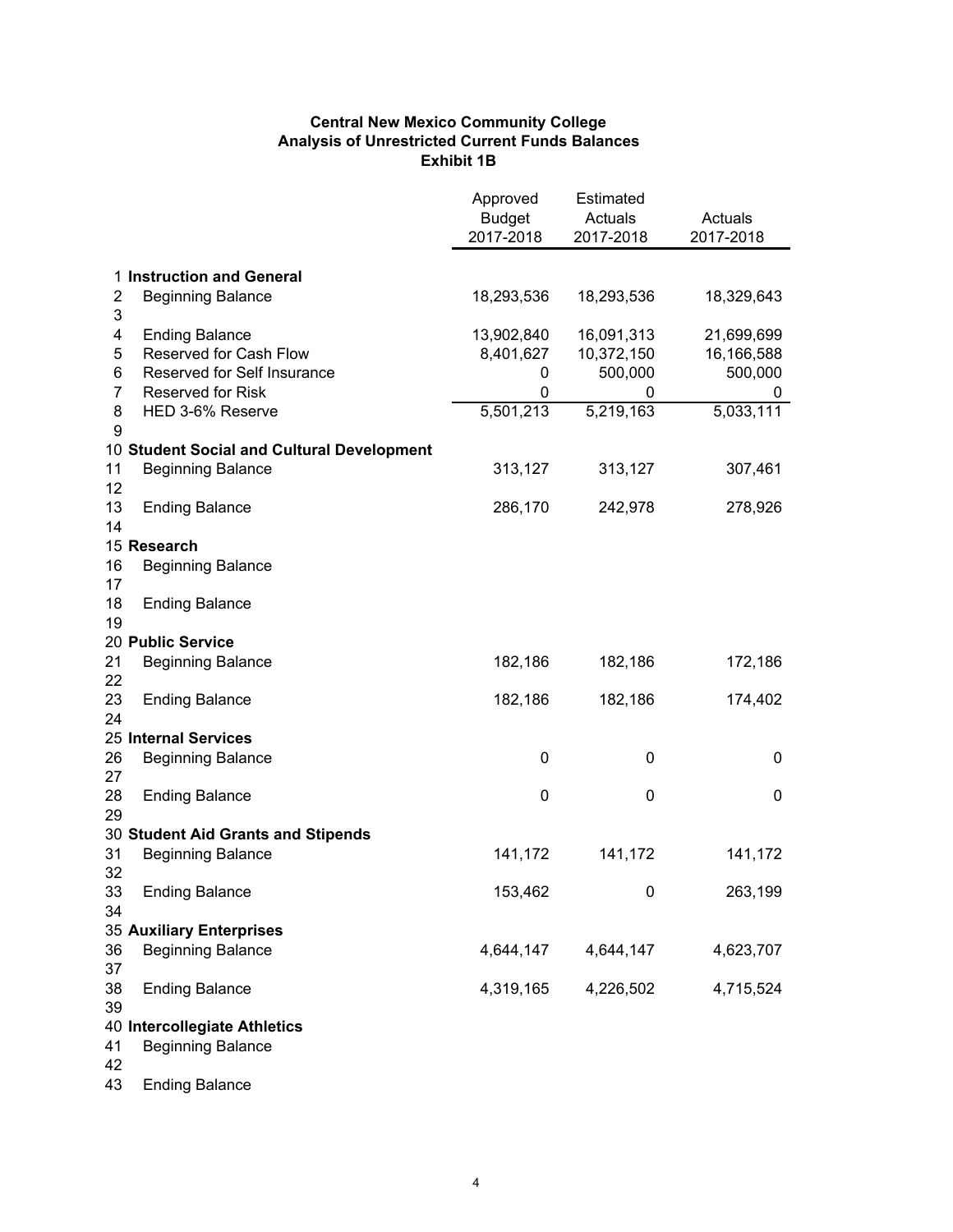#### **Central New Mexico Community College Analysis of Unrestricted Current Funds Balances Exhibit 1B**

|                |                                            | Approved<br><b>Budget</b><br>2017-2018 | Estimated<br>Actuals<br>2017-2018 | Actuals<br>2017-2018 |
|----------------|--------------------------------------------|----------------------------------------|-----------------------------------|----------------------|
|                | 1 Instruction and General                  |                                        |                                   |                      |
| 2<br>3         | <b>Beginning Balance</b>                   | 18,293,536                             | 18,293,536                        | 18,329,643           |
| 4              | <b>Ending Balance</b>                      | 13,902,840                             | 16,091,313                        | 21,699,699           |
| 5              | Reserved for Cash Flow                     | 8,401,627                              | 10,372,150                        | 16,166,588           |
| 6              | Reserved for Self Insurance                | 0                                      | 500,000                           | 500,000              |
| $\overline{7}$ | <b>Reserved for Risk</b>                   | 0                                      | 0                                 | 0                    |
| 8<br>9         | HED 3-6% Reserve                           | 5,501,213                              | 5,219,163                         | 5,033,111            |
|                | 10 Student Social and Cultural Development |                                        |                                   |                      |
| 11<br>12       | <b>Beginning Balance</b>                   | 313,127                                | 313,127                           | 307,461              |
| 13<br>14       | <b>Ending Balance</b>                      | 286,170                                | 242,978                           | 278,926              |
|                | 15 Research                                |                                        |                                   |                      |
| 16<br>17       | <b>Beginning Balance</b>                   |                                        |                                   |                      |
| 18<br>19       | <b>Ending Balance</b>                      |                                        |                                   |                      |
|                | 20 Public Service                          |                                        |                                   |                      |
| 21<br>22       | <b>Beginning Balance</b>                   | 182,186                                | 182,186                           | 172,186              |
| 23<br>24       | <b>Ending Balance</b>                      | 182,186                                | 182,186                           | 174,402              |
|                | 25 Internal Services                       |                                        |                                   |                      |
| 26<br>27       | <b>Beginning Balance</b>                   | 0                                      | 0                                 | 0                    |
| 28<br>29       | <b>Ending Balance</b>                      | 0                                      | 0                                 | 0                    |
|                | 30 Student Aid Grants and Stipends         |                                        |                                   |                      |
| 31<br>32       | <b>Beginning Balance</b>                   | 141,172                                | 141,172                           | 141,172              |
| 33<br>34       | <b>Ending Balance</b>                      | 153,462                                | 0                                 | 263,199              |
|                | <b>35 Auxiliary Enterprises</b>            |                                        |                                   |                      |
| 36<br>37       | <b>Beginning Balance</b>                   | 4,644,147                              | 4,644,147                         | 4,623,707            |
| 38<br>39       | <b>Ending Balance</b>                      | 4,319,165                              | 4,226,502                         | 4,715,524            |
|                | 40 Intercollegiate Athletics               |                                        |                                   |                      |
| 41<br>42       | <b>Beginning Balance</b>                   |                                        |                                   |                      |
| 43             | <b>Ending Balance</b>                      |                                        |                                   |                      |

4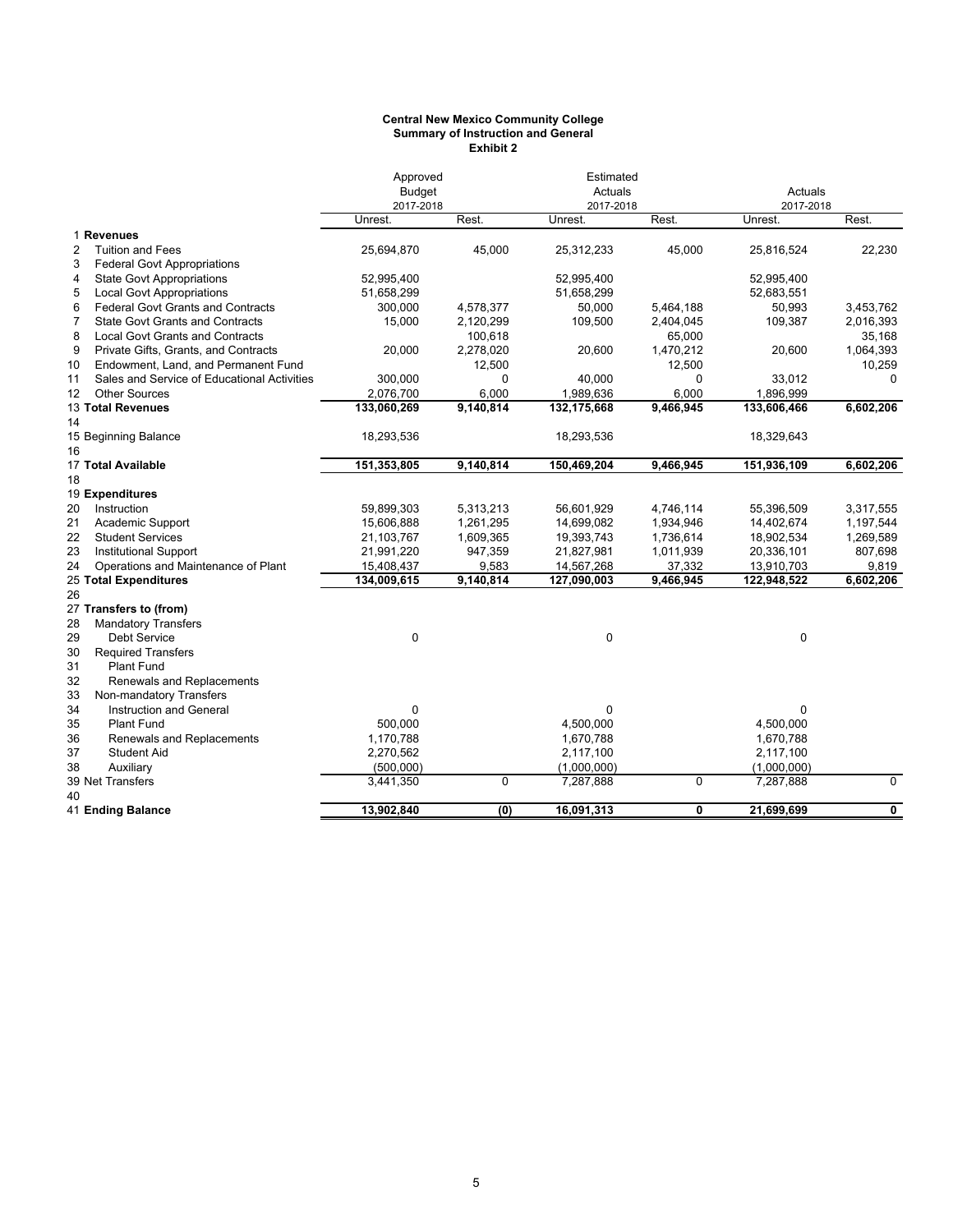#### **Central New Mexico Community College Summary of Instruction and General Exhibit 2**

|              |                                             |             | Estimated<br>Approved<br><b>Budget</b><br>Actuals |             |             | Actuals     |             |
|--------------|---------------------------------------------|-------------|---------------------------------------------------|-------------|-------------|-------------|-------------|
|              |                                             | 2017-2018   |                                                   | 2017-2018   |             | 2017-2018   |             |
|              |                                             | Unrest.     | Rest.                                             | Unrest.     | Rest.       | Unrest.     | Rest.       |
|              | 1 Revenues                                  |             |                                                   |             |             |             |             |
| $\mathbf{2}$ | <b>Tuition and Fees</b>                     | 25,694,870  | 45,000                                            | 25,312,233  | 45,000      | 25,816,524  | 22,230      |
| 3            | <b>Federal Govt Appropriations</b>          |             |                                                   |             |             |             |             |
| 4            | <b>State Govt Appropriations</b>            | 52,995,400  |                                                   | 52,995,400  |             | 52,995,400  |             |
| 5            | <b>Local Govt Appropriations</b>            | 51,658,299  |                                                   | 51,658,299  |             | 52,683,551  |             |
| 6            | <b>Federal Govt Grants and Contracts</b>    | 300,000     | 4,578,377                                         | 50,000      | 5,464,188   | 50,993      | 3,453,762   |
| 7            | <b>State Govt Grants and Contracts</b>      | 15,000      | 2,120,299                                         | 109,500     | 2,404,045   | 109,387     | 2,016,393   |
| 8            | <b>Local Govt Grants and Contracts</b>      |             | 100,618                                           |             | 65,000      |             | 35,168      |
| 9            | Private Gifts, Grants, and Contracts        | 20,000      | 2,278,020                                         | 20,600      | 1,470,212   | 20,600      | 1,064,393   |
| 10           | Endowment, Land, and Permanent Fund         |             | 12,500                                            |             | 12,500      |             | 10,259      |
| 11           | Sales and Service of Educational Activities | 300,000     | 0                                                 | 40,000      | 0           | 33,012      | $\Omega$    |
| 12           | <b>Other Sources</b>                        | 2,076,700   | 6,000                                             | 1,989,636   | 6,000       | 1,896,999   |             |
|              | 13 Total Revenues                           | 133,060,269 | 9,140,814                                         | 132,175,668 | 9,466,945   | 133,606,466 | 6,602,206   |
| 14           |                                             |             |                                                   |             |             |             |             |
|              | 15 Beginning Balance                        | 18,293,536  |                                                   | 18,293,536  |             | 18,329,643  |             |
| 16           |                                             |             |                                                   |             |             |             |             |
|              | 17 Total Available                          | 151,353,805 | 9,140,814                                         | 150,469,204 | 9,466,945   | 151,936,109 | 6,602,206   |
| 18           |                                             |             |                                                   |             |             |             |             |
|              | 19 Expenditures                             |             |                                                   |             |             |             |             |
| 20           | Instruction                                 | 59,899,303  | 5,313,213                                         | 56,601,929  | 4,746,114   | 55,396,509  | 3,317,555   |
| 21           | Academic Support                            | 15,606,888  | 1,261,295                                         | 14,699,082  | 1,934,946   | 14,402,674  | 1,197,544   |
| 22           | <b>Student Services</b>                     | 21,103,767  | 1,609,365                                         | 19,393,743  | 1,736,614   | 18,902,534  | 1,269,589   |
| 23           | <b>Institutional Support</b>                | 21,991,220  | 947,359                                           | 21,827,981  | 1,011,939   | 20,336,101  | 807,698     |
| 24           | Operations and Maintenance of Plant         | 15,408,437  | 9,583                                             | 14,567,268  | 37,332      | 13,910,703  | 9,819       |
|              | 25 Total Expenditures                       | 134,009,615 | 9,140,814                                         | 127,090,003 | 9,466,945   | 122,948,522 | 6,602,206   |
| 26           |                                             |             |                                                   |             |             |             |             |
|              | 27 Transfers to (from)                      |             |                                                   |             |             |             |             |
| 28           | <b>Mandatory Transfers</b>                  |             |                                                   |             |             |             |             |
| 29           | Debt Service                                | 0           |                                                   | $\mathbf 0$ |             | $\mathbf 0$ |             |
| 30           | <b>Required Transfers</b>                   |             |                                                   |             |             |             |             |
| 31           | <b>Plant Fund</b>                           |             |                                                   |             |             |             |             |
| 32           | Renewals and Replacements                   |             |                                                   |             |             |             |             |
| 33           | Non-mandatory Transfers                     |             |                                                   |             |             |             |             |
| 34           | Instruction and General                     | 0           |                                                   | 0           |             | 0           |             |
| 35           | <b>Plant Fund</b>                           | 500,000     |                                                   | 4,500,000   |             | 4,500,000   |             |
| 36           | Renewals and Replacements                   | 1,170,788   |                                                   | 1,670,788   |             | 1,670,788   |             |
| 37           | <b>Student Aid</b>                          | 2,270,562   |                                                   | 2,117,100   |             | 2,117,100   |             |
| 38           | Auxiliary                                   | (500,000)   |                                                   | (1,000,000) |             | (1,000,000) |             |
|              | 39 Net Transfers                            | 3,441,350   | 0                                                 | 7,287,888   | $\mathbf 0$ | 7,287,888   | $\mathbf 0$ |
| 40           |                                             |             |                                                   |             |             |             |             |
|              | 41 Ending Balance                           | 13,902,840  | (0)                                               | 16,091,313  | 0           | 21,699,699  | $\mathbf 0$ |
|              |                                             |             |                                                   |             |             |             |             |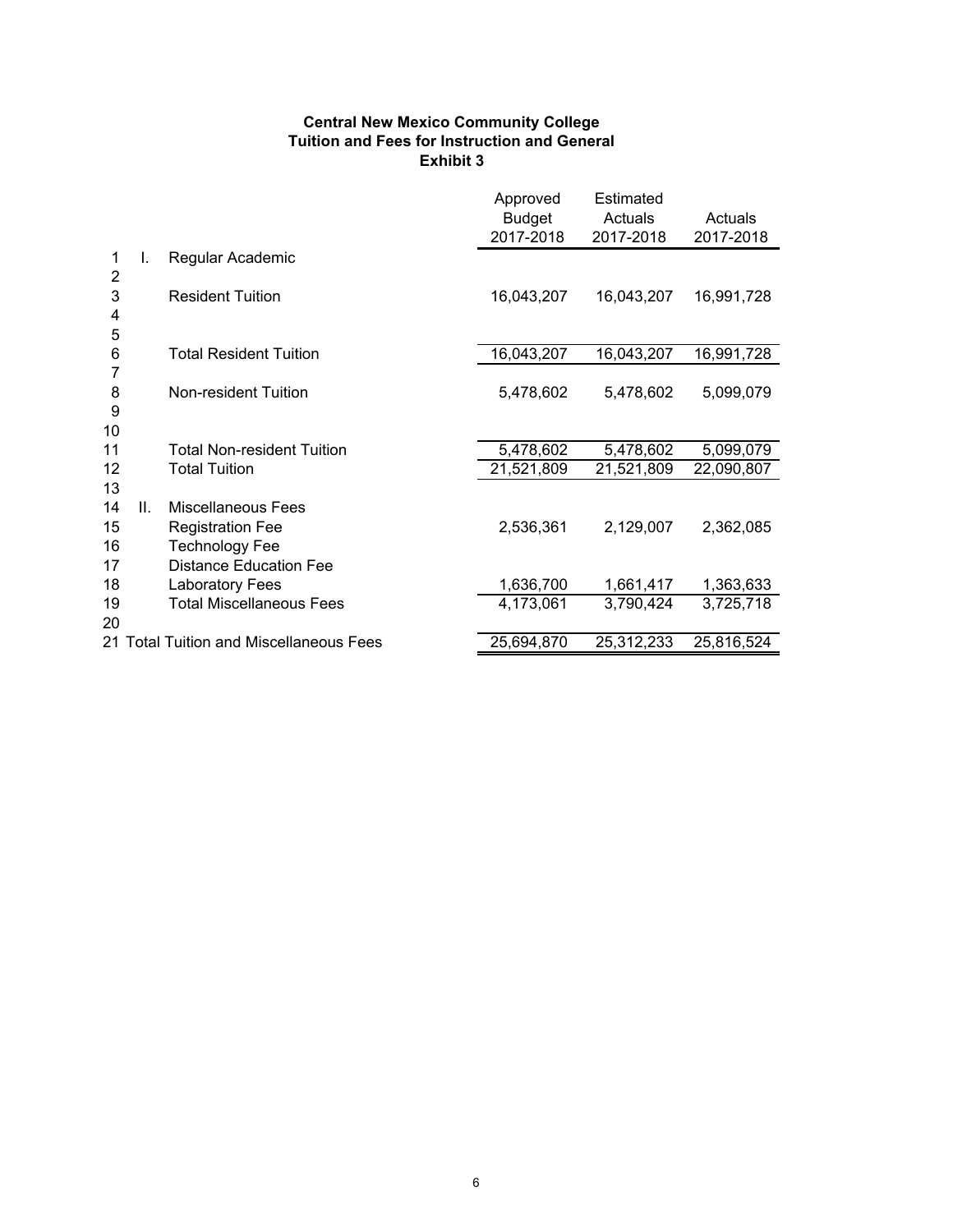#### **Central New Mexico Community College Tuition and Fees for Instruction and General Exhibit 3**

|                            |    |                                                                                                         | Approved<br><b>Budget</b><br>2017-2018 | Estimated<br>Actuals<br>2017-2018 | Actuals<br>2017-2018 |
|----------------------------|----|---------------------------------------------------------------------------------------------------------|----------------------------------------|-----------------------------------|----------------------|
| 1<br>$\overline{2}$        | I. | Regular Academic                                                                                        |                                        |                                   |                      |
| 3<br>4<br>5                |    | <b>Resident Tuition</b>                                                                                 | 16,043,207                             | 16,043,207                        | 16,991,728           |
| 6                          |    | <b>Total Resident Tuition</b>                                                                           | 16,043,207                             | 16,043,207                        | 16,991,728           |
| 7<br>8<br>9<br>10          |    | Non-resident Tuition                                                                                    | 5,478,602                              | 5,478,602                         | 5,099,079            |
| 11                         |    | <b>Total Non-resident Tuition</b>                                                                       | 5,478,602                              | 5,478,602                         | 5,099,079            |
| 12                         |    | <b>Total Tuition</b>                                                                                    | 21,521,809                             | 21,521,809                        | 22,090,807           |
| 13<br>14<br>15<br>16<br>17 | Ш. | Miscellaneous Fees<br><b>Registration Fee</b><br><b>Technology Fee</b><br><b>Distance Education Fee</b> | 2,536,361                              | 2,129,007                         | 2,362,085            |
| 18                         |    | <b>Laboratory Fees</b>                                                                                  | 1,636,700                              | 1,661,417                         | 1,363,633            |
| 19<br>20                   |    | <b>Total Miscellaneous Fees</b>                                                                         | 4,173,061                              | 3,790,424                         | 3,725,718            |
|                            |    | 21 Total Tuition and Miscellaneous Fees                                                                 | 25,694,870                             | 25,312,233                        | 25,816,524           |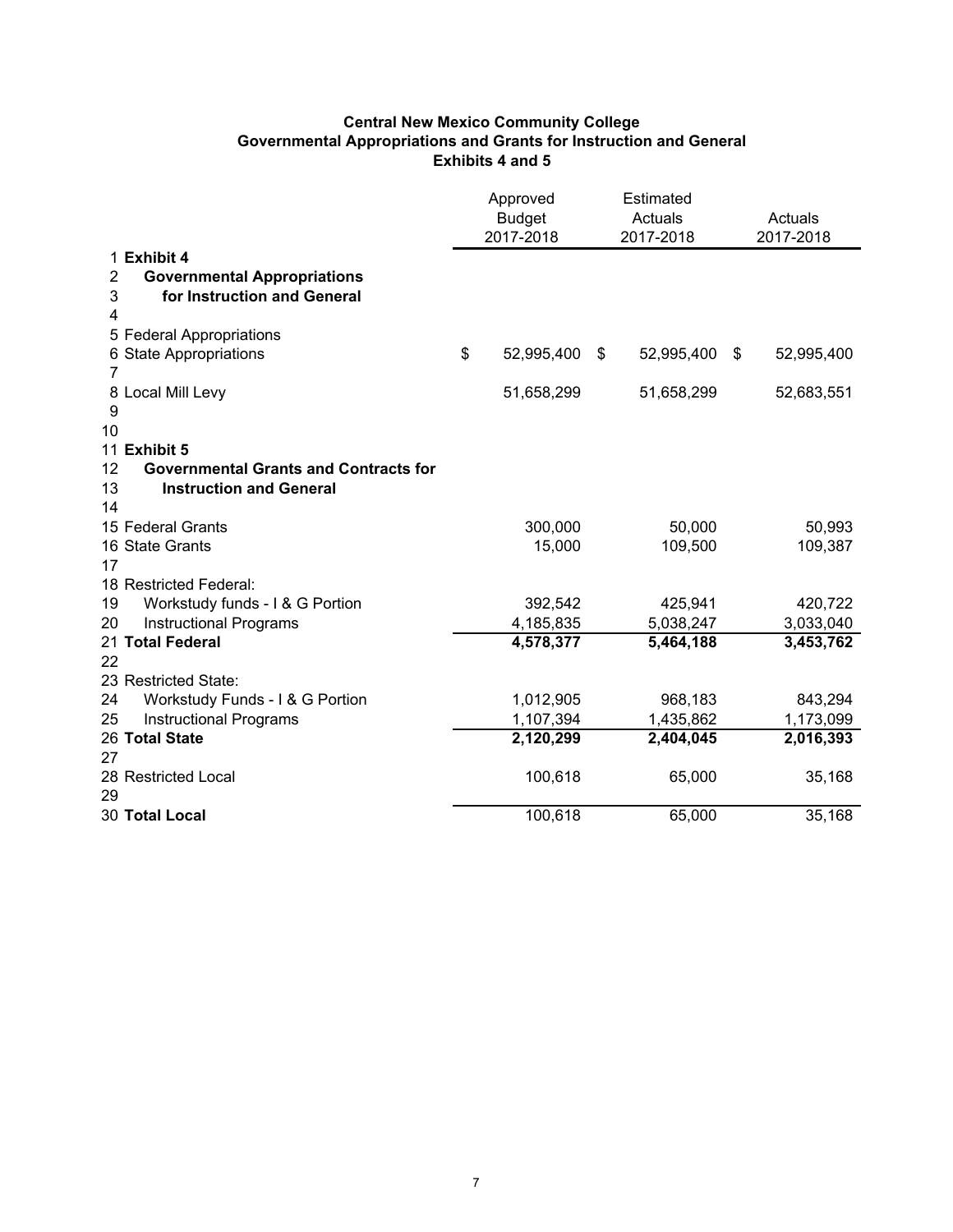#### **Central New Mexico Community College Governmental Appropriations and Grants for Instruction and General Exhibits 4 and 5**

|                |                                              | Approved<br><b>Budget</b><br>2017-2018 | Estimated<br>Actuals<br>2017-2018 |            | Actuals<br>2017-2018 |  |
|----------------|----------------------------------------------|----------------------------------------|-----------------------------------|------------|----------------------|--|
|                | 1 Exhibit 4                                  |                                        |                                   |            |                      |  |
| $\overline{2}$ | <b>Governmental Appropriations</b>           |                                        |                                   |            |                      |  |
| 3              | for Instruction and General                  |                                        |                                   |            |                      |  |
| 4              |                                              |                                        |                                   |            |                      |  |
|                | 5 Federal Appropriations                     |                                        |                                   |            |                      |  |
|                | 6 State Appropriations                       | \$<br>52,995,400                       | \$                                | 52,995,400 | \$<br>52,995,400     |  |
| 7              |                                              |                                        |                                   |            |                      |  |
|                | 8 Local Mill Levy                            | 51,658,299                             |                                   | 51,658,299 | 52,683,551           |  |
| 9              |                                              |                                        |                                   |            |                      |  |
| 10             |                                              |                                        |                                   |            |                      |  |
|                | 11 Exhibit 5                                 |                                        |                                   |            |                      |  |
| 12             | <b>Governmental Grants and Contracts for</b> |                                        |                                   |            |                      |  |
| 13             | <b>Instruction and General</b>               |                                        |                                   |            |                      |  |
| 14             | 15 Federal Grants                            | 300,000                                |                                   | 50,000     | 50,993               |  |
|                | 16 State Grants                              | 15,000                                 |                                   | 109,500    | 109,387              |  |
| 17             |                                              |                                        |                                   |            |                      |  |
|                | 18 Restricted Federal:                       |                                        |                                   |            |                      |  |
| 19             | Workstudy funds - I & G Portion              | 392,542                                |                                   | 425,941    | 420,722              |  |
| 20             | <b>Instructional Programs</b>                | 4,185,835                              |                                   | 5,038,247  | 3,033,040            |  |
|                | 21 Total Federal                             | 4,578,377                              |                                   | 5,464,188  | 3,453,762            |  |
| 22             |                                              |                                        |                                   |            |                      |  |
|                | 23 Restricted State:                         |                                        |                                   |            |                      |  |
| 24             | Workstudy Funds - I & G Portion              | 1,012,905                              |                                   | 968,183    | 843,294              |  |
| 25             | <b>Instructional Programs</b>                | 1,107,394                              |                                   | 1,435,862  | 1,173,099            |  |
|                | 26 Total State                               | 2,120,299                              |                                   | 2,404,045  | 2,016,393            |  |
| 27             |                                              |                                        |                                   |            |                      |  |
|                | 28 Restricted Local                          | 100,618                                |                                   | 65,000     | 35,168               |  |
| 29             |                                              |                                        |                                   |            |                      |  |
|                | 30 Total Local                               | 100,618                                |                                   | 65,000     | 35,168               |  |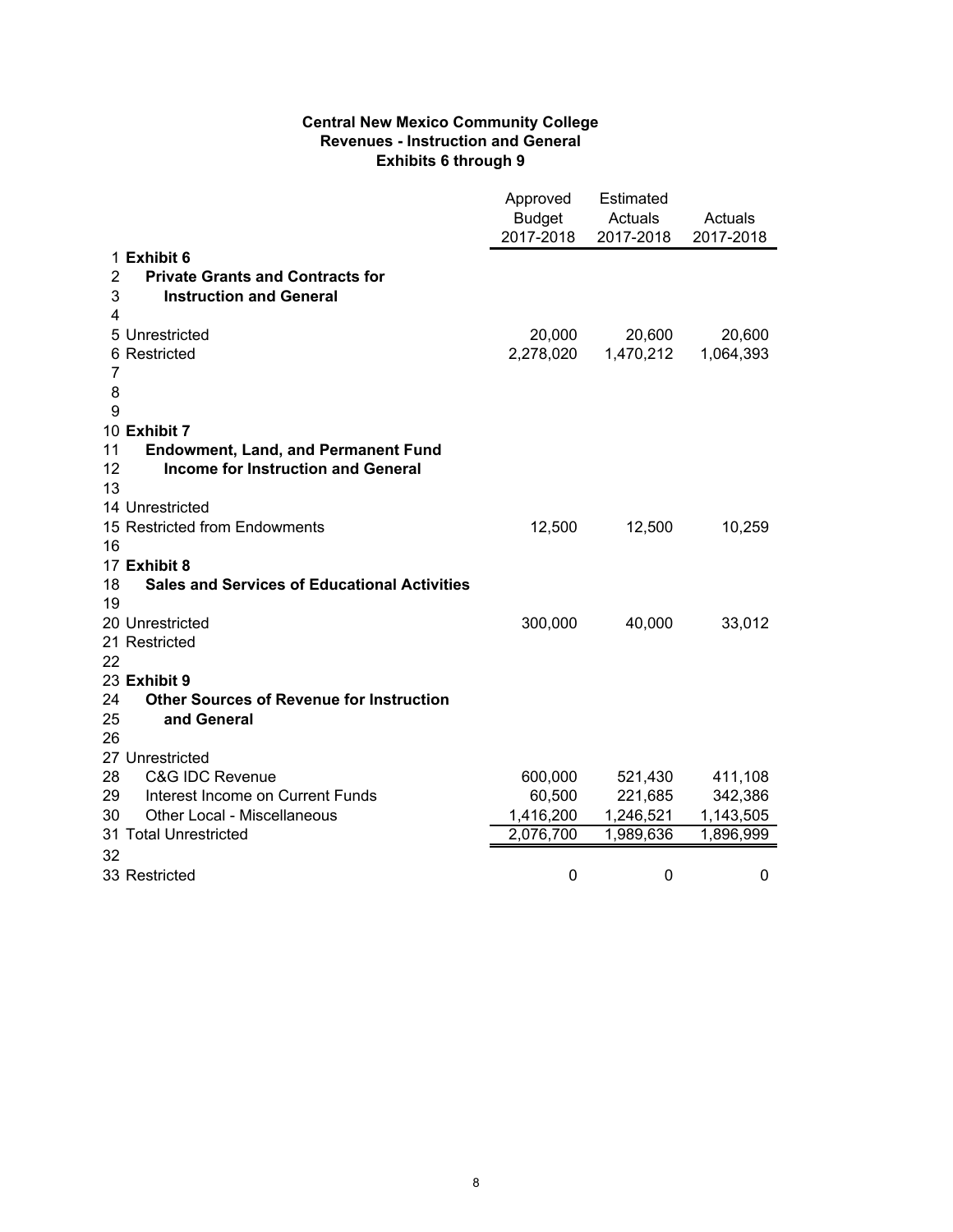#### **Central New Mexico Community College Revenues - Instruction and General Exhibits 6 through 9**

|                                                           | Approved<br><b>Budget</b><br>2017-2018 | Estimated<br>Actuals<br>2017-2018 | Actuals<br>2017-2018 |
|-----------------------------------------------------------|----------------------------------------|-----------------------------------|----------------------|
| 1 Exhibit 6                                               |                                        |                                   |                      |
| $\overline{2}$<br><b>Private Grants and Contracts for</b> |                                        |                                   |                      |
| 3<br><b>Instruction and General</b>                       |                                        |                                   |                      |
| 4                                                         |                                        |                                   |                      |
| 5 Unrestricted                                            | 20,000                                 | 20,600                            | 20,600               |
| 6 Restricted                                              | 2,278,020                              | 1,470,212                         | 1,064,393            |
| 7                                                         |                                        |                                   |                      |
| 8                                                         |                                        |                                   |                      |
| 9                                                         |                                        |                                   |                      |
| 10 Exhibit 7                                              |                                        |                                   |                      |
| 11<br><b>Endowment, Land, and Permanent Fund</b>          |                                        |                                   |                      |
| 12<br><b>Income for Instruction and General</b>           |                                        |                                   |                      |
| 13                                                        |                                        |                                   |                      |
| 14 Unrestricted                                           |                                        |                                   |                      |
| 15 Restricted from Endowments                             | 12,500                                 | 12,500                            | 10,259               |
| 16<br>17 Exhibit 8                                        |                                        |                                   |                      |
| 18<br><b>Sales and Services of Educational Activities</b> |                                        |                                   |                      |
| 19                                                        |                                        |                                   |                      |
| 20 Unrestricted                                           | 300,000                                | 40,000                            | 33,012               |
| 21 Restricted                                             |                                        |                                   |                      |
| 22                                                        |                                        |                                   |                      |
| 23 Exhibit 9                                              |                                        |                                   |                      |
| 24<br><b>Other Sources of Revenue for Instruction</b>     |                                        |                                   |                      |
| 25<br>and General                                         |                                        |                                   |                      |
| 26                                                        |                                        |                                   |                      |
| 27 Unrestricted                                           |                                        |                                   |                      |
| 28<br><b>C&amp;G IDC Revenue</b>                          | 600,000                                | 521,430                           | 411,108              |
| 29<br>Interest Income on Current Funds                    | 60,500                                 | 221,685                           | 342,386              |
| 30<br>Other Local - Miscellaneous                         | 1,416,200                              | 1,246,521                         | 1,143,505            |
| 31 Total Unrestricted                                     | 2,076,700                              | 1,989,636                         | 1,896,999            |
| 32                                                        |                                        |                                   |                      |
| 33 Restricted                                             | 0                                      | 0                                 | 0                    |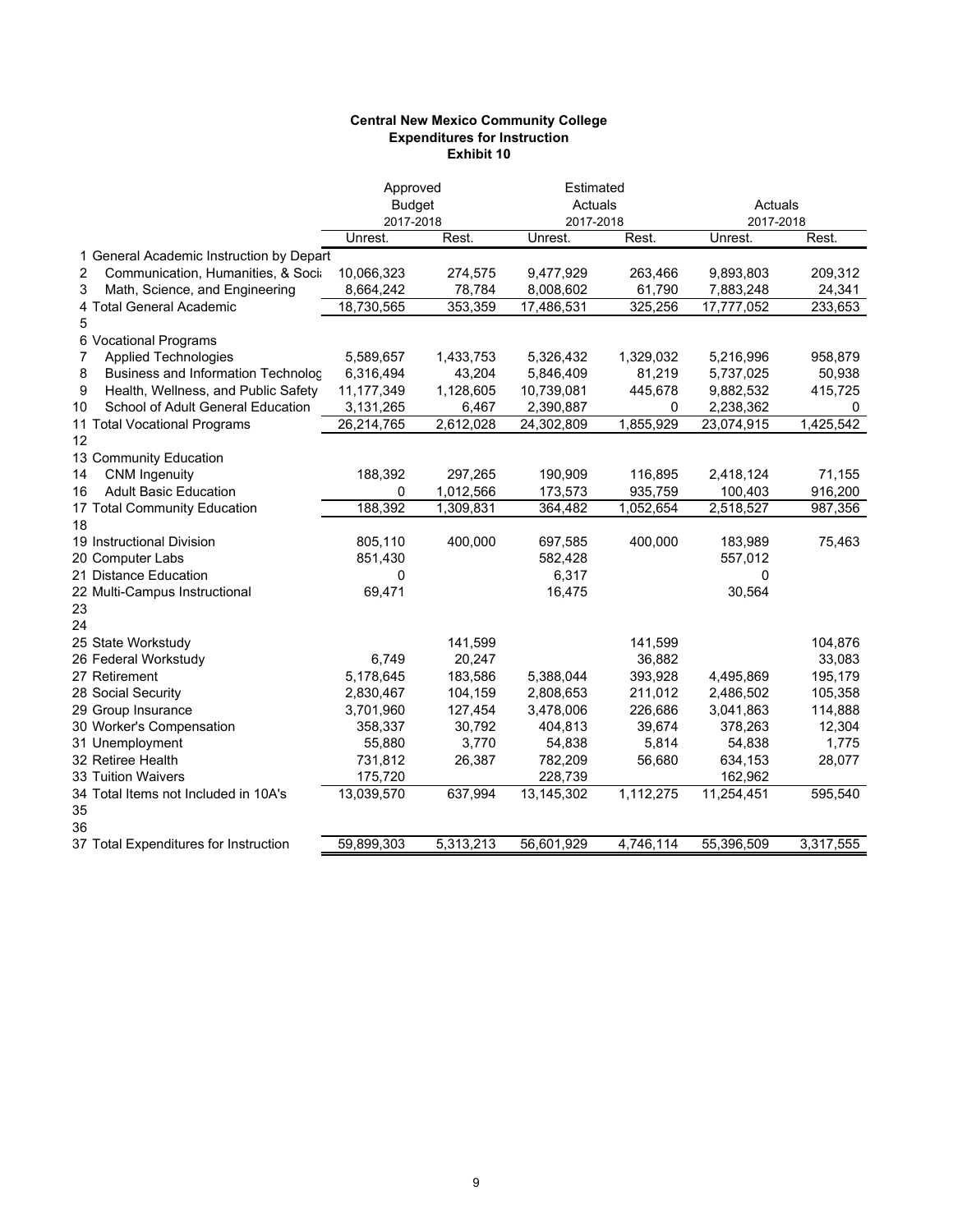#### **Central New Mexico Community College Expenditures for Instruction Exhibit 10**

|                                          | Approved<br><b>Budget</b><br>2017-2018 |           | Estimated<br>Actuals<br>2017-2018 |           |            | Actuals<br>2017-2018 |  |
|------------------------------------------|----------------------------------------|-----------|-----------------------------------|-----------|------------|----------------------|--|
|                                          | Unrest.                                | Rest.     | Unrest.                           | Rest.     | Unrest.    | Rest.                |  |
| 1 General Academic Instruction by Depart |                                        |           |                                   |           |            |                      |  |
| Communication, Humanities, & Socia<br>2  | 10,066,323                             | 274,575   | 9,477,929                         | 263,466   | 9,893,803  | 209,312              |  |
| Math, Science, and Engineering<br>3      | 8,664,242                              | 78,784    | 8,008,602                         | 61,790    | 7,883,248  | 24,341               |  |
| 4 Total General Academic                 | 18,730,565                             | 353,359   | 17,486,531                        | 325,256   | 17,777,052 | 233,653              |  |
| 5                                        |                                        |           |                                   |           |            |                      |  |
| 6 Vocational Programs                    |                                        |           |                                   |           |            |                      |  |
| <b>Applied Technologies</b><br>7         | 5,589,657                              | 1,433,753 | 5,326,432                         | 1,329,032 | 5,216,996  | 958,879              |  |
| 8<br>Business and Information Technolog  | 6,316,494                              | 43,204    | 5,846,409                         | 81,219    | 5,737,025  | 50,938               |  |
| Health, Wellness, and Public Safety<br>9 | 11,177,349                             | 1,128,605 | 10,739,081                        | 445,678   | 9,882,532  | 415,725              |  |
| School of Adult General Education<br>10  | 3,131,265                              | 6,467     | 2,390,887                         | 0         | 2,238,362  | 0                    |  |
| 11 Total Vocational Programs             | 26,214,765                             | 2,612,028 | 24,302,809                        | 1,855,929 | 23,074,915 | 1,425,542            |  |
| 12                                       |                                        |           |                                   |           |            |                      |  |
| 13 Community Education                   |                                        |           |                                   |           |            |                      |  |
| <b>CNM Ingenuity</b><br>14               | 188,392                                | 297,265   | 190,909                           | 116,895   | 2,418,124  | 71,155               |  |
| <b>Adult Basic Education</b><br>16       | 0                                      | 1,012,566 | 173,573                           | 935,759   | 100,403    | 916,200              |  |
| 17 Total Community Education             | 188,392                                | 1,309,831 | 364,482                           | 1,052,654 | 2,518,527  | 987,356              |  |
| 18                                       |                                        |           |                                   |           |            |                      |  |
| 19 Instructional Division                | 805,110                                | 400,000   | 697,585                           | 400,000   | 183,989    | 75,463               |  |
| 20 Computer Labs                         | 851,430                                |           | 582,428                           |           | 557,012    |                      |  |
| 21 Distance Education                    | 0                                      |           | 6,317                             |           | 0          |                      |  |
| 22 Multi-Campus Instructional            | 69,471                                 |           | 16,475                            |           | 30,564     |                      |  |
| 23                                       |                                        |           |                                   |           |            |                      |  |
| 24                                       |                                        |           |                                   |           |            |                      |  |
| 25 State Workstudy                       |                                        | 141,599   |                                   | 141,599   |            | 104,876              |  |
| 26 Federal Workstudy                     | 6,749                                  | 20,247    |                                   | 36,882    |            | 33,083               |  |
| 27 Retirement                            | 5,178,645                              | 183,586   | 5,388,044                         | 393,928   | 4,495,869  | 195,179              |  |
| 28 Social Security                       | 2,830,467                              | 104,159   | 2,808,653                         | 211,012   | 2,486,502  | 105,358              |  |
| 29 Group Insurance                       | 3,701,960                              | 127,454   | 3,478,006                         | 226,686   | 3,041,863  | 114,888              |  |
| 30 Worker's Compensation                 | 358,337                                | 30,792    | 404,813                           | 39,674    | 378,263    | 12,304               |  |
| 31 Unemployment                          | 55,880                                 | 3,770     | 54,838                            | 5,814     | 54,838     | 1,775                |  |
| 32 Retiree Health                        | 731,812                                | 26,387    | 782,209                           | 56,680    | 634,153    | 28,077               |  |
| 33 Tuition Waivers                       | 175,720                                |           | 228,739                           |           | 162,962    |                      |  |
| 34 Total Items not Included in 10A's     | 13,039,570                             | 637,994   | 13,145,302                        | 1,112,275 | 11,254,451 | 595,540              |  |
| 35                                       |                                        |           |                                   |           |            |                      |  |
| 36                                       |                                        |           |                                   |           |            |                      |  |
| 37 Total Expenditures for Instruction    | 59,899,303                             | 5,313,213 | 56,601,929                        | 4,746,114 | 55,396,509 | 3,317,555            |  |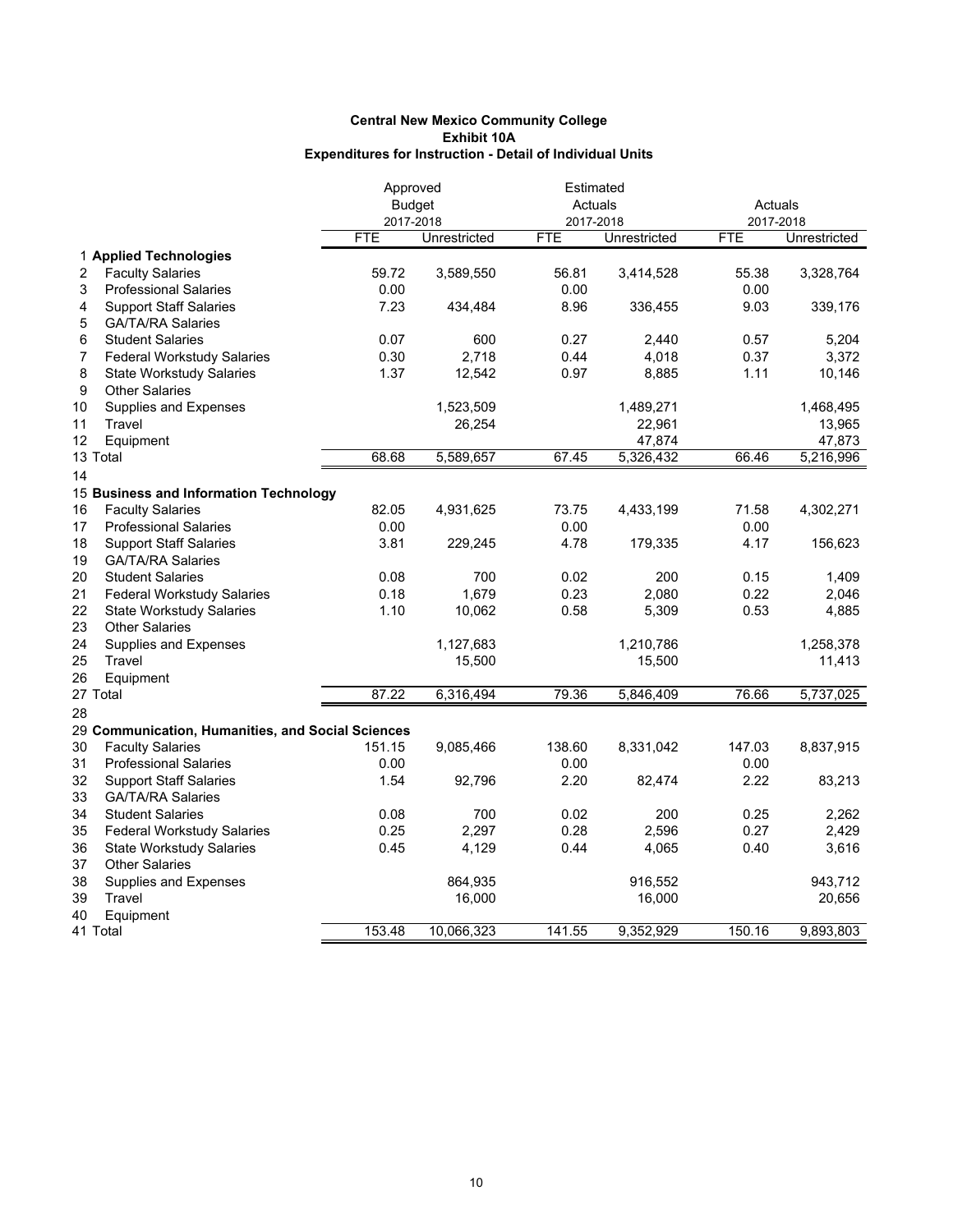|          |                                                                      | Approved<br><b>Budget</b> |              | Estimated               |                     | Actuals                 |                     |  |
|----------|----------------------------------------------------------------------|---------------------------|--------------|-------------------------|---------------------|-------------------------|---------------------|--|
|          |                                                                      |                           |              | Actuals                 |                     |                         |                     |  |
|          |                                                                      | 2017-2018<br><b>FTE</b>   | Unrestricted | 2017-2018<br><b>FTE</b> | Unrestricted        | 2017-2018<br><b>FTE</b> | Unrestricted        |  |
|          |                                                                      |                           |              |                         |                     |                         |                     |  |
|          | 1 Applied Technologies                                               |                           |              |                         |                     |                         |                     |  |
| 2        | <b>Faculty Salaries</b>                                              | 59.72<br>0.00             | 3,589,550    | 56.81                   | 3,414,528           | 55.38<br>0.00           | 3,328,764           |  |
| 3<br>4   | <b>Professional Salaries</b>                                         | 7.23                      |              | 0.00<br>8.96            |                     | 9.03                    |                     |  |
| 5        | <b>Support Staff Salaries</b><br><b>GA/TA/RA Salaries</b>            |                           | 434,484      |                         | 336,455             |                         | 339,176             |  |
| 6        | <b>Student Salaries</b>                                              | 0.07                      | 600          | 0.27                    | 2,440               | 0.57                    | 5,204               |  |
|          |                                                                      | 0.30                      | 2,718        | 0.44                    | 4,018               | 0.37                    | 3,372               |  |
| 7<br>8   | <b>Federal Workstudy Salaries</b><br><b>State Workstudy Salaries</b> | 1.37                      | 12,542       | 0.97                    | 8,885               | 1.11                    | 10,146              |  |
| 9        | <b>Other Salaries</b>                                                |                           |              |                         |                     |                         |                     |  |
|          |                                                                      |                           |              |                         |                     |                         |                     |  |
| 10<br>11 | Supplies and Expenses<br>Travel                                      |                           | 1,523,509    |                         | 1,489,271<br>22,961 |                         | 1,468,495<br>13,965 |  |
| 12       | Equipment                                                            |                           | 26,254       |                         | 47,874              |                         | 47,873              |  |
|          | 13 Total                                                             | 68.68                     | 5,589,657    | 67.45                   | 5,326,432           | 66.46                   | 5,216,996           |  |
|          |                                                                      |                           |              |                         |                     |                         |                     |  |
| 14       |                                                                      |                           |              |                         |                     |                         |                     |  |
|          | 15 Business and Information Technology                               |                           |              |                         |                     |                         |                     |  |
| 16       | <b>Faculty Salaries</b>                                              | 82.05                     | 4,931,625    | 73.75                   | 4,433,199           | 71.58                   | 4,302,271           |  |
| 17       | <b>Professional Salaries</b>                                         | 0.00                      |              | 0.00                    |                     | 0.00                    |                     |  |
| 18       | <b>Support Staff Salaries</b>                                        | 3.81                      | 229,245      | 4.78                    | 179,335             | 4.17                    | 156,623             |  |
| 19       | <b>GA/TA/RA Salaries</b>                                             |                           |              |                         |                     |                         |                     |  |
| 20       | <b>Student Salaries</b>                                              | 0.08                      | 700          | 0.02                    | 200                 | 0.15                    | 1,409               |  |
| 21       | <b>Federal Workstudy Salaries</b>                                    | 0.18                      | 1,679        | 0.23                    | 2,080               | 0.22                    | 2,046               |  |
| 22       | <b>State Workstudy Salaries</b>                                      | 1.10                      | 10,062       | 0.58                    | 5,309               | 0.53                    | 4,885               |  |
| 23       | <b>Other Salaries</b>                                                |                           |              |                         |                     |                         |                     |  |
| 24       | Supplies and Expenses                                                |                           | 1,127,683    |                         | 1,210,786           |                         | 1,258,378           |  |
| 25       | Travel                                                               |                           | 15,500       |                         | 15,500              |                         | 11,413              |  |
| 26       | Equipment                                                            |                           |              |                         |                     |                         |                     |  |
|          | 27 Total                                                             | 87.22                     | 6,316,494    | 79.36                   | 5,846,409           | 76.66                   | 5,737,025           |  |
| 28       |                                                                      |                           |              |                         |                     |                         |                     |  |
|          | 29 Communication, Humanities, and Social Sciences                    |                           |              |                         |                     |                         |                     |  |
| 30       | <b>Faculty Salaries</b>                                              | 151.15                    | 9,085,466    | 138.60                  | 8,331,042           | 147.03                  | 8,837,915           |  |
| 31       | <b>Professional Salaries</b>                                         | 0.00                      |              | 0.00                    |                     | 0.00                    |                     |  |
| 32       | <b>Support Staff Salaries</b>                                        | 1.54                      | 92,796       | 2.20                    | 82,474              | 2.22                    | 83,213              |  |
| 33       | <b>GA/TA/RA Salaries</b>                                             |                           |              |                         |                     |                         |                     |  |
| 34       | <b>Student Salaries</b>                                              | 0.08                      | 700          | 0.02                    | 200                 | 0.25                    | 2,262               |  |
| 35       | <b>Federal Workstudy Salaries</b>                                    | 0.25                      | 2,297        | 0.28                    | 2,596               | 0.27                    | 2,429               |  |
| 36       | <b>State Workstudy Salaries</b>                                      | 0.45                      | 4,129        | 0.44                    | 4,065               | 0.40                    | 3,616               |  |
| 37       | <b>Other Salaries</b>                                                |                           |              |                         |                     |                         |                     |  |
| 38       | <b>Supplies and Expenses</b>                                         |                           | 864,935      |                         | 916,552             |                         | 943,712             |  |
| 39       | Travel                                                               |                           | 16,000       |                         | 16,000              |                         | 20,656              |  |
| 40       | Equipment                                                            |                           |              |                         |                     |                         |                     |  |
|          | 41 Total                                                             | 153.48                    | 10,066,323   | 141.55                  | 9,352,929           | 150.16                  | 9,893,803           |  |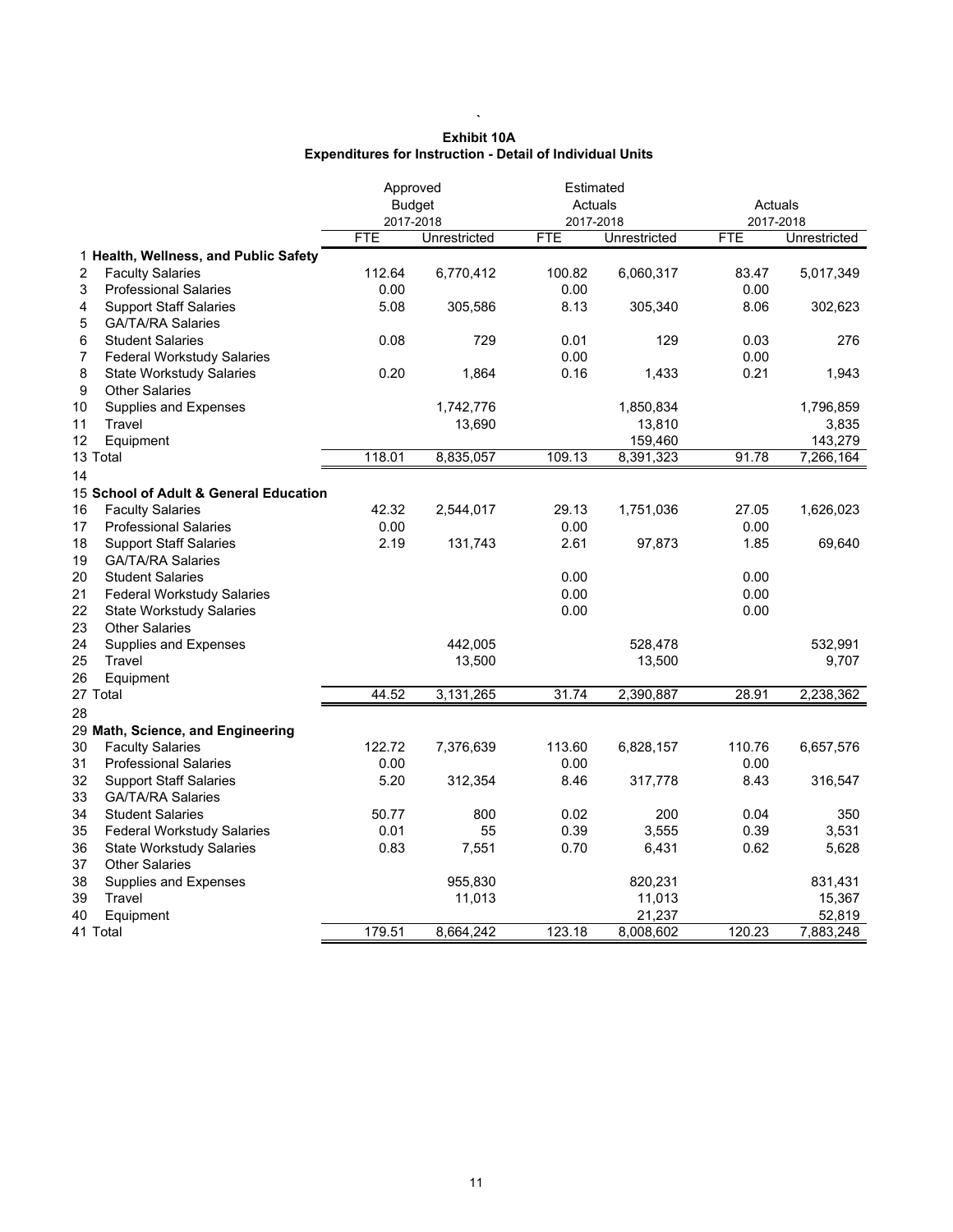|    |                                        | Approved<br><b>Budget</b><br>2017-2018 |              |            | Estimated<br>Actuals<br>2017-2018 |            | Actuals<br>2017-2018 |  |
|----|----------------------------------------|----------------------------------------|--------------|------------|-----------------------------------|------------|----------------------|--|
|    |                                        | <b>FTE</b>                             | Unrestricted | <b>FTE</b> | Unrestricted                      | <b>FTE</b> | Unrestricted         |  |
|    | 1 Health, Wellness, and Public Safety  |                                        |              |            |                                   |            |                      |  |
| 2  | <b>Faculty Salaries</b>                | 112.64                                 | 6,770,412    | 100.82     | 6,060,317                         | 83.47      | 5,017,349            |  |
| 3  | <b>Professional Salaries</b>           | 0.00                                   |              | 0.00       |                                   | 0.00       |                      |  |
| 4  | <b>Support Staff Salaries</b>          | 5.08                                   | 305,586      | 8.13       | 305,340                           | 8.06       | 302,623              |  |
| 5  | <b>GA/TA/RA Salaries</b>               |                                        |              |            |                                   |            |                      |  |
| 6  | <b>Student Salaries</b>                | 0.08                                   | 729          | 0.01       | 129                               | 0.03       | 276                  |  |
| 7  | <b>Federal Workstudy Salaries</b>      |                                        |              | 0.00       |                                   | 0.00       |                      |  |
| 8  | <b>State Workstudy Salaries</b>        | 0.20                                   | 1,864        | 0.16       | 1,433                             | 0.21       | 1,943                |  |
| 9  | <b>Other Salaries</b>                  |                                        |              |            |                                   |            |                      |  |
| 10 | Supplies and Expenses                  |                                        | 1,742,776    |            | 1,850,834                         |            | 1,796,859            |  |
| 11 | Travel                                 |                                        | 13,690       |            | 13,810                            |            | 3,835                |  |
| 12 | Equipment                              |                                        |              |            | 159,460                           |            | 143,279              |  |
|    | 13 Total                               | 118.01                                 | 8,835,057    | 109.13     | 8,391,323                         | 91.78      | 7,266,164            |  |
| 14 |                                        |                                        |              |            |                                   |            |                      |  |
|    | 15 School of Adult & General Education |                                        |              |            |                                   |            |                      |  |
| 16 | <b>Faculty Salaries</b>                | 42.32                                  | 2,544,017    | 29.13      | 1,751,036                         | 27.05      | 1,626,023            |  |
| 17 | <b>Professional Salaries</b>           | 0.00                                   |              | 0.00       |                                   | 0.00       |                      |  |
| 18 | <b>Support Staff Salaries</b>          | 2.19                                   | 131,743      | 2.61       | 97,873                            | 1.85       | 69,640               |  |
| 19 | <b>GA/TA/RA Salaries</b>               |                                        |              |            |                                   |            |                      |  |
| 20 | <b>Student Salaries</b>                |                                        |              | 0.00       |                                   | 0.00       |                      |  |
| 21 | <b>Federal Workstudy Salaries</b>      |                                        |              | 0.00       |                                   | 0.00       |                      |  |
| 22 | <b>State Workstudy Salaries</b>        |                                        |              | 0.00       |                                   | 0.00       |                      |  |
| 23 | <b>Other Salaries</b>                  |                                        |              |            |                                   |            |                      |  |
| 24 | Supplies and Expenses                  |                                        | 442,005      |            | 528,478                           |            | 532,991              |  |
| 25 | Travel                                 |                                        | 13,500       |            | 13,500                            |            | 9,707                |  |
| 26 | Equipment                              |                                        |              |            |                                   |            |                      |  |
|    | 27 Total                               | 44.52                                  | 3,131,265    | 31.74      | 2,390,887                         | 28.91      | 2,238,362            |  |
| 28 |                                        |                                        |              |            |                                   |            |                      |  |
|    | 29 Math, Science, and Engineering      |                                        |              |            |                                   |            |                      |  |
| 30 | <b>Faculty Salaries</b>                | 122.72                                 | 7,376,639    | 113.60     | 6,828,157                         | 110.76     | 6,657,576            |  |
| 31 | <b>Professional Salaries</b>           | 0.00                                   |              | 0.00       |                                   | 0.00       |                      |  |
| 32 | <b>Support Staff Salaries</b>          | 5.20                                   | 312,354      | 8.46       | 317,778                           | 8.43       | 316,547              |  |
| 33 | <b>GA/TA/RA Salaries</b>               |                                        |              |            |                                   |            |                      |  |
| 34 | <b>Student Salaries</b>                | 50.77                                  | 800          | 0.02       | 200                               | 0.04       | 350                  |  |
| 35 | <b>Federal Workstudy Salaries</b>      | 0.01                                   | 55           | 0.39       | 3,555                             | 0.39       | 3,531                |  |
| 36 | <b>State Workstudy Salaries</b>        | 0.83                                   | 7,551        | 0.70       | 6,431                             | 0.62       | 5,628                |  |
| 37 | <b>Other Salaries</b>                  |                                        |              |            |                                   |            |                      |  |
| 38 | Supplies and Expenses                  |                                        | 955,830      |            | 820,231                           |            | 831,431              |  |
| 39 | Travel                                 |                                        | 11,013       |            | 11,013                            |            | 15,367               |  |

| Exhibit 10A                                                      |
|------------------------------------------------------------------|
| <b>Expenditures for Instruction - Detail of Individual Units</b> |

**`**

39 Travel 11,013 11,013 15,367 40 Equipment 21,237 52,819 41 Total 179.51 8,664,242 123.18 8,008,602 120.23 7,883,248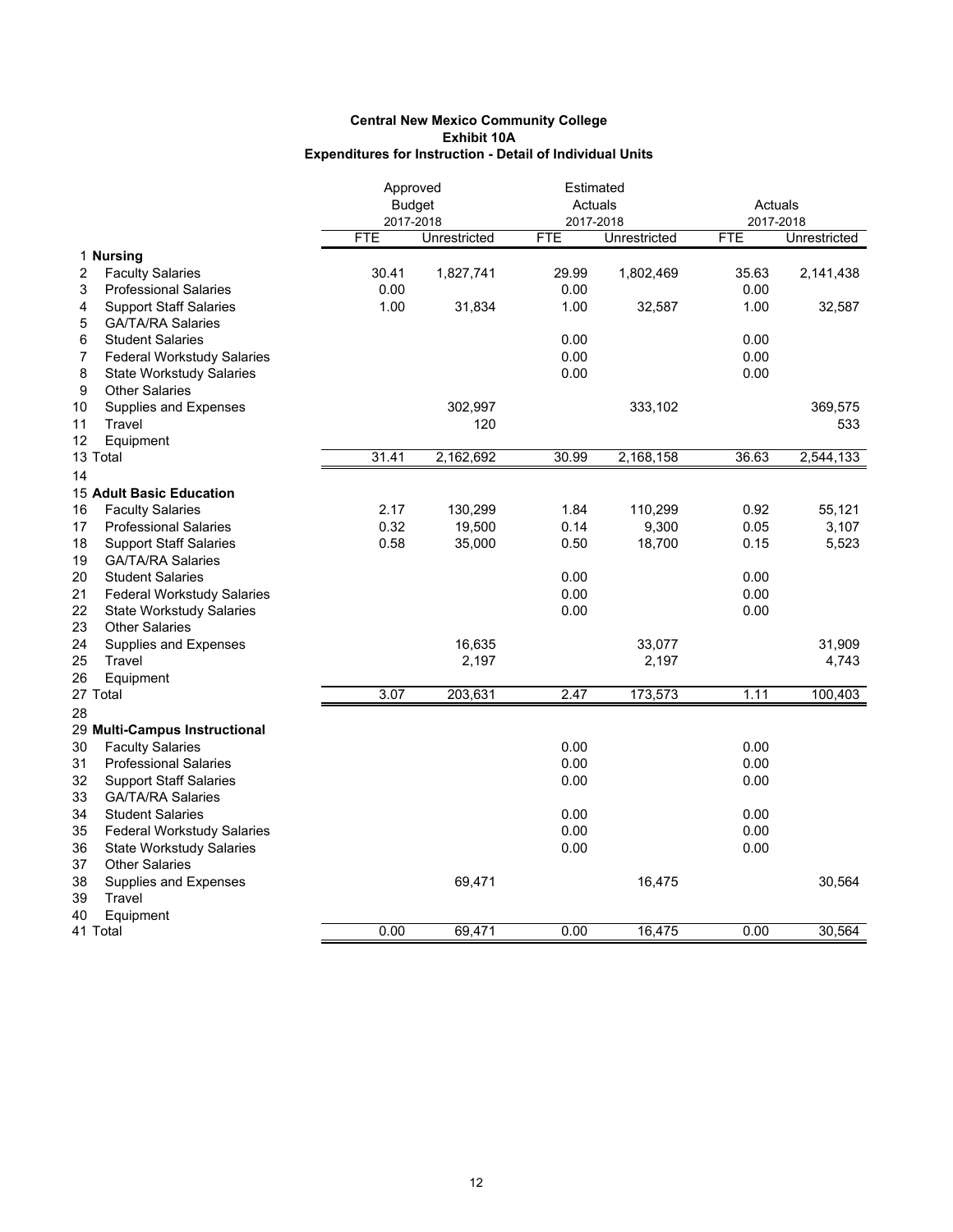|                                         | Approved      |              | Estimated  |              |            |              |  |
|-----------------------------------------|---------------|--------------|------------|--------------|------------|--------------|--|
|                                         | <b>Budget</b> |              | Actuals    |              | Actuals    |              |  |
|                                         | 2017-2018     |              | 2017-2018  |              | 2017-2018  |              |  |
|                                         | <b>FTE</b>    | Unrestricted | <b>FTE</b> | Unrestricted | <b>FTE</b> | Unrestricted |  |
| 1 Nursing                               |               |              |            |              |            |              |  |
| 2<br><b>Faculty Salaries</b>            | 30.41         | 1,827,741    | 29.99      | 1,802,469    | 35.63      | 2,141,438    |  |
| 3<br><b>Professional Salaries</b>       | 0.00          |              | 0.00       |              | 0.00       |              |  |
| <b>Support Staff Salaries</b><br>4      | 1.00          | 31,834       | 1.00       | 32,587       | 1.00       | 32,587       |  |
| 5<br><b>GA/TA/RA Salaries</b>           |               |              |            |              |            |              |  |
| <b>Student Salaries</b><br>6            |               |              | 0.00       |              | 0.00       |              |  |
| <b>Federal Workstudy Salaries</b><br>7  |               |              | 0.00       |              | 0.00       |              |  |
| 8<br><b>State Workstudy Salaries</b>    |               |              | 0.00       |              | 0.00       |              |  |
| 9<br><b>Other Salaries</b>              |               |              |            |              |            |              |  |
| 10<br>Supplies and Expenses             |               | 302,997      |            | 333,102      |            | 369,575      |  |
| 11<br>Travel                            |               | 120          |            |              |            | 533          |  |
| 12<br>Equipment                         |               |              |            |              |            |              |  |
| 13 Total                                | 31.41         | 2,162,692    | 30.99      | 2,168,158    | 36.63      | 2,544,133    |  |
| 14                                      |               |              |            |              |            |              |  |
| <b>15 Adult Basic Education</b>         |               |              |            |              |            |              |  |
| 16<br><b>Faculty Salaries</b>           | 2.17          | 130,299      | 1.84       | 110,299      | 0.92       | 55,121       |  |
| 17<br><b>Professional Salaries</b>      | 0.32          | 19,500       | 0.14       | 9,300        | 0.05       | 3,107        |  |
| 18<br><b>Support Staff Salaries</b>     | 0.58          | 35,000       | 0.50       | 18,700       | 0.15       | 5,523        |  |
| 19<br><b>GA/TA/RA Salaries</b>          |               |              |            |              |            |              |  |
| 20<br><b>Student Salaries</b>           |               |              | 0.00       |              | 0.00       |              |  |
| 21<br><b>Federal Workstudy Salaries</b> |               |              | 0.00       |              | 0.00       |              |  |
| 22<br><b>State Workstudy Salaries</b>   |               |              | 0.00       |              | 0.00       |              |  |
| 23<br><b>Other Salaries</b>             |               |              |            |              |            |              |  |
| 24<br>Supplies and Expenses             |               | 16,635       |            | 33,077       |            | 31,909       |  |
| 25<br>Travel                            |               | 2,197        |            | 2,197        |            | 4,743        |  |
| 26<br>Equipment                         |               |              |            |              |            |              |  |
| 27 Total                                | 3.07          | 203,631      | 2.47       | 173,573      | 1.11       | 100,403      |  |
| 28                                      |               |              |            |              |            |              |  |
| 29 Multi-Campus Instructional           |               |              |            |              |            |              |  |
| 30<br><b>Faculty Salaries</b>           |               |              | 0.00       |              | 0.00       |              |  |
| 31<br><b>Professional Salaries</b>      |               |              | 0.00       |              | 0.00       |              |  |
| 32<br><b>Support Staff Salaries</b>     |               |              | 0.00       |              | 0.00       |              |  |
| 33<br><b>GA/TA/RA Salaries</b>          |               |              |            |              |            |              |  |
| 34<br><b>Student Salaries</b>           |               |              | 0.00       |              | 0.00       |              |  |
| 35<br><b>Federal Workstudy Salaries</b> |               |              | 0.00       |              | 0.00       |              |  |
| 36<br><b>State Workstudy Salaries</b>   |               |              | 0.00       |              | 0.00       |              |  |
| <b>Other Salaries</b><br>37             |               |              |            |              |            |              |  |
| 38                                      |               |              |            |              |            | 30,564       |  |
| Supplies and Expenses<br>Travel<br>39   |               | 69,471       |            | 16,475       |            |              |  |
| 40                                      |               |              |            |              |            |              |  |
| Equipment<br>41 Total                   | 0.00          | 69,471       | 0.00       | 16,475       | 0.00       | 30,564       |  |
|                                         |               |              |            |              |            |              |  |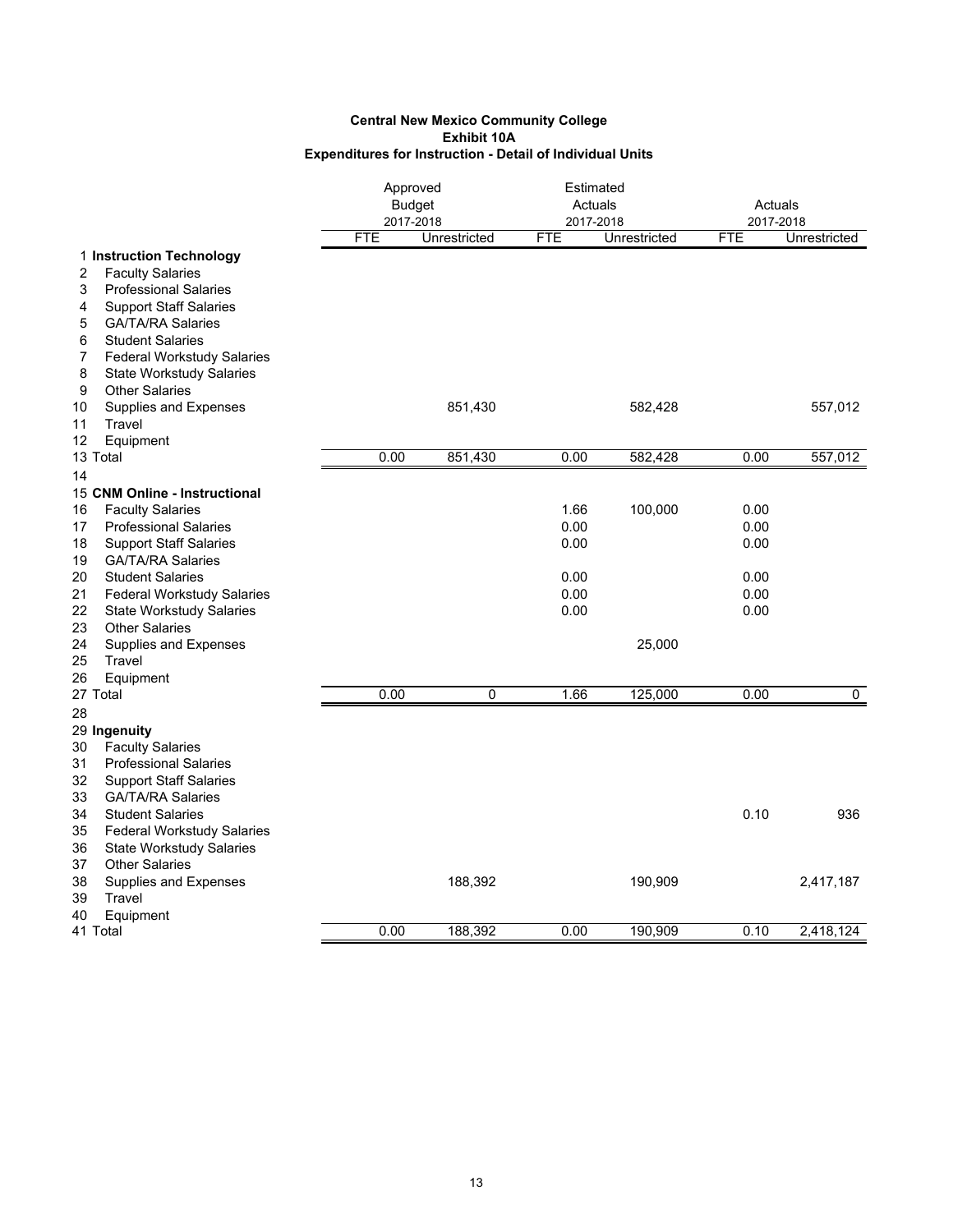|                                                               |            | Approved<br><b>Budget</b> | Estimated<br>Actuals |              | Actuals    |              |
|---------------------------------------------------------------|------------|---------------------------|----------------------|--------------|------------|--------------|
|                                                               |            | 2017-2018                 | 2017-2018            |              |            | 2017-2018    |
|                                                               | <b>FTE</b> | Unrestricted              | <b>FTE</b>           | Unrestricted | <b>FTE</b> | Unrestricted |
| 1 Instruction Technology                                      |            |                           |                      |              |            |              |
| <b>Faculty Salaries</b><br>2                                  |            |                           |                      |              |            |              |
| 3<br><b>Professional Salaries</b>                             |            |                           |                      |              |            |              |
| <b>Support Staff Salaries</b><br>4                            |            |                           |                      |              |            |              |
| <b>GA/TA/RA Salaries</b><br>5                                 |            |                           |                      |              |            |              |
| <b>Student Salaries</b><br>6                                  |            |                           |                      |              |            |              |
| <b>Federal Workstudy Salaries</b><br>7                        |            |                           |                      |              |            |              |
| 8<br><b>State Workstudy Salaries</b><br><b>Other Salaries</b> |            |                           |                      |              |            |              |
| 9                                                             |            |                           |                      |              |            |              |
| Supplies and Expenses<br>10<br>11<br>Travel                   |            | 851,430                   |                      | 582,428      |            | 557,012      |
| 12<br>Equipment                                               |            |                           |                      |              |            |              |
| 13 Total                                                      | 0.00       | 851,430                   | 0.00                 | 582,428      | 0.00       | 557,012      |
| 14                                                            |            |                           |                      |              |            |              |
| 15 CNM Online - Instructional                                 |            |                           |                      |              |            |              |
| 16<br><b>Faculty Salaries</b>                                 |            |                           | 1.66                 | 100,000      | 0.00       |              |
| 17<br><b>Professional Salaries</b>                            |            |                           | 0.00                 |              | 0.00       |              |
| 18<br><b>Support Staff Salaries</b>                           |            |                           | 0.00                 |              | 0.00       |              |
| 19<br><b>GA/TA/RA Salaries</b>                                |            |                           |                      |              |            |              |
| 20<br><b>Student Salaries</b>                                 |            |                           | 0.00                 |              | 0.00       |              |
| 21<br><b>Federal Workstudy Salaries</b>                       |            |                           | 0.00                 |              | 0.00       |              |
| 22<br><b>State Workstudy Salaries</b>                         |            |                           | 0.00                 |              | 0.00       |              |
| 23<br><b>Other Salaries</b>                                   |            |                           |                      |              |            |              |
| 24<br>Supplies and Expenses                                   |            |                           |                      | 25,000       |            |              |
| 25<br>Travel                                                  |            |                           |                      |              |            |              |
| 26<br>Equipment                                               |            |                           |                      |              |            |              |
| 27 Total                                                      | 0.00       | $\mathbf 0$               | 1.66                 | 125,000      | 0.00       | $\mathbf 0$  |
| 28                                                            |            |                           |                      |              |            |              |
| 29 Ingenuity                                                  |            |                           |                      |              |            |              |
| <b>Faculty Salaries</b><br>30                                 |            |                           |                      |              |            |              |
| 31<br><b>Professional Salaries</b>                            |            |                           |                      |              |            |              |
| 32<br><b>Support Staff Salaries</b>                           |            |                           |                      |              |            |              |
| 33<br><b>GA/TA/RA Salaries</b>                                |            |                           |                      |              |            |              |
| 34<br><b>Student Salaries</b>                                 |            |                           |                      |              | 0.10       | 936          |
| 35<br><b>Federal Workstudy Salaries</b>                       |            |                           |                      |              |            |              |
| 36<br><b>State Workstudy Salaries</b>                         |            |                           |                      |              |            |              |
| <b>Other Salaries</b><br>37                                   |            |                           |                      |              |            |              |
| 38<br>Supplies and Expenses                                   |            | 188,392                   |                      | 190,909      |            | 2,417,187    |
| 39<br>Travel                                                  |            |                           |                      |              |            |              |
| 40<br>Equipment                                               |            |                           |                      |              |            |              |
| 41 Total                                                      | 0.00       | 188,392                   | 0.00                 | 190,909      | 0.10       | 2,418,124    |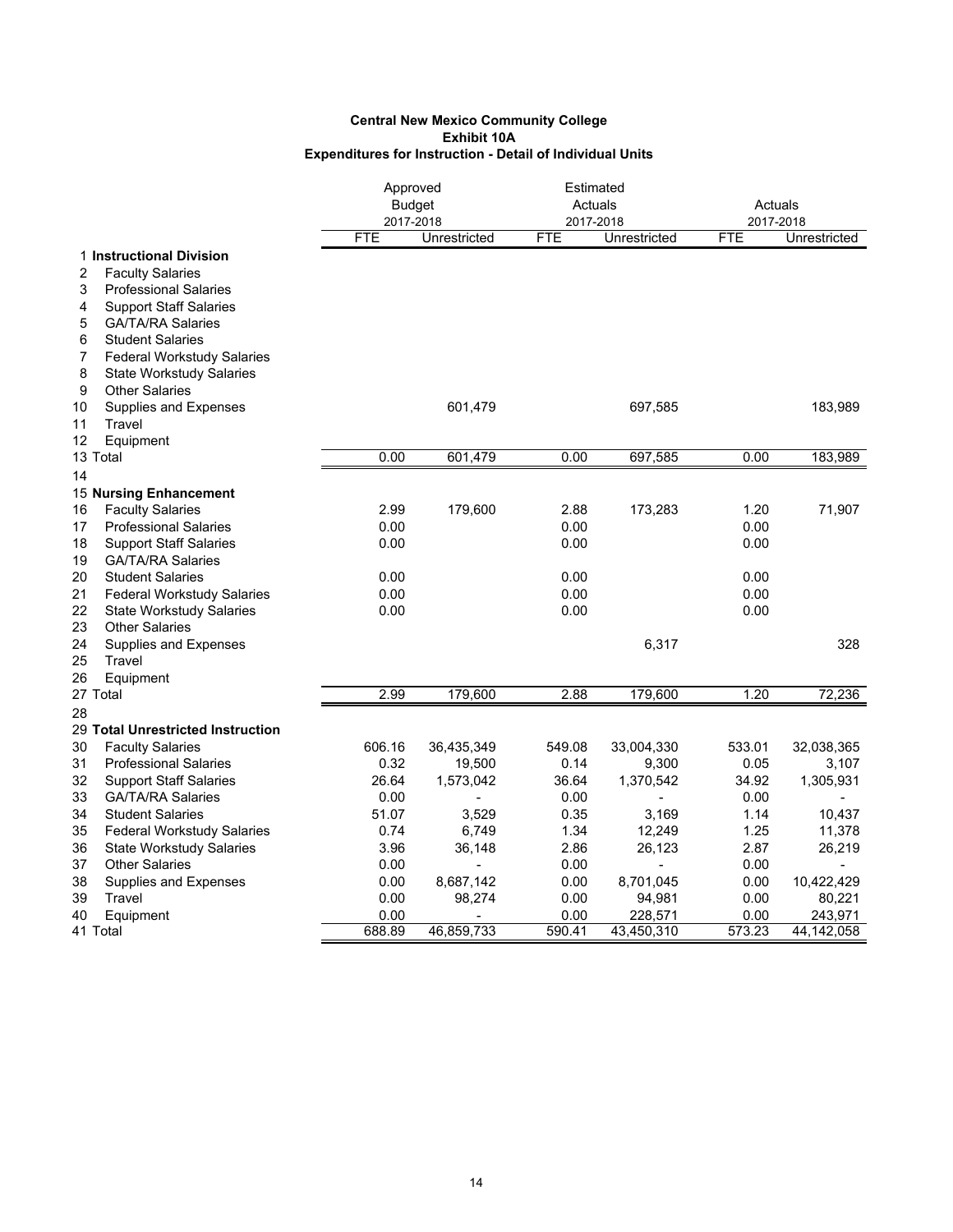|                                                                                                                                                  | Approved<br><b>Budget</b><br>2017-2018 |              | Estimated<br>Actuals<br>2017-2018 |                   |                | Actuals<br>2017-2018 |  |
|--------------------------------------------------------------------------------------------------------------------------------------------------|----------------------------------------|--------------|-----------------------------------|-------------------|----------------|----------------------|--|
|                                                                                                                                                  | <b>FTE</b>                             | Unrestricted | <b>FTE</b>                        | Unrestricted      | <b>FTE</b>     | Unrestricted         |  |
| 1 Instructional Division<br>$\overline{2}$<br><b>Faculty Salaries</b><br>3<br><b>Professional Salaries</b><br><b>Support Staff Salaries</b><br>4 |                                        |              |                                   |                   |                |                      |  |
| <b>GA/TA/RA Salaries</b><br>5<br>6<br><b>Student Salaries</b><br><b>Federal Workstudy Salaries</b><br>7<br>8<br><b>State Workstudy Salaries</b>  |                                        |              |                                   |                   |                |                      |  |
| <b>Other Salaries</b><br>9<br>10<br>Supplies and Expenses<br>11<br>Travel<br>12<br>Equipment                                                     |                                        | 601,479      |                                   | 697,585           |                | 183,989              |  |
| 13 Total                                                                                                                                         | 0.00                                   | 601,479      | 0.00                              | 697,585           | 0.00           | 183,989              |  |
| 14                                                                                                                                               |                                        |              |                                   |                   |                |                      |  |
| 15 Nursing Enhancement                                                                                                                           |                                        |              |                                   |                   |                |                      |  |
| <b>Faculty Salaries</b><br>16                                                                                                                    | 2.99                                   | 179,600      | 2.88                              | 173,283           | 1.20           | 71,907               |  |
| 17<br><b>Professional Salaries</b>                                                                                                               | 0.00                                   |              | 0.00                              |                   | 0.00           |                      |  |
| 18<br><b>Support Staff Salaries</b>                                                                                                              | 0.00                                   |              | 0.00                              |                   | 0.00           |                      |  |
| 19<br><b>GA/TA/RA Salaries</b>                                                                                                                   |                                        |              |                                   |                   |                |                      |  |
| 20<br><b>Student Salaries</b>                                                                                                                    | 0.00                                   |              | 0.00                              |                   | 0.00           |                      |  |
| 21<br><b>Federal Workstudy Salaries</b>                                                                                                          | 0.00                                   |              | 0.00                              |                   | 0.00           |                      |  |
| 22<br><b>State Workstudy Salaries</b>                                                                                                            | 0.00                                   |              | 0.00                              |                   | 0.00           |                      |  |
| 23<br><b>Other Salaries</b>                                                                                                                      |                                        |              |                                   |                   |                |                      |  |
| 24<br>Supplies and Expenses                                                                                                                      |                                        |              |                                   | 6,317             |                | 328                  |  |
| 25<br>Travel                                                                                                                                     |                                        |              |                                   |                   |                |                      |  |
| 26<br>Equipment                                                                                                                                  |                                        |              |                                   |                   |                |                      |  |
| 27 Total                                                                                                                                         | 2.99                                   | 179,600      | 2.88                              | 179,600           | 1.20           | 72,236               |  |
| 28                                                                                                                                               |                                        |              |                                   |                   |                |                      |  |
| 29 Total Unrestricted Instruction                                                                                                                |                                        |              |                                   |                   |                |                      |  |
| 30<br><b>Faculty Salaries</b>                                                                                                                    | 606.16                                 | 36,435,349   | 549.08                            | 33,004,330        | 533.01         | 32,038,365           |  |
| 31<br><b>Professional Salaries</b>                                                                                                               | 0.32                                   | 19,500       | 0.14                              | 9,300             | 0.05           | 3,107                |  |
| 32<br><b>Support Staff Salaries</b>                                                                                                              | 26.64                                  | 1,573,042    | 36.64                             | 1,370,542         | 34.92          | 1,305,931            |  |
| 33<br><b>GA/TA/RA Salaries</b>                                                                                                                   | 0.00                                   |              | 0.00                              |                   | 0.00           |                      |  |
| 34<br><b>Student Salaries</b>                                                                                                                    | 51.07                                  | 3,529        | 0.35                              | 3,169             | 1.14           | 10,437               |  |
| 35<br><b>Federal Workstudy Salaries</b>                                                                                                          | 0.74                                   | 6,749        | 1.34                              | 12,249            | 1.25           | 11,378               |  |
| 36<br><b>State Workstudy Salaries</b>                                                                                                            | 3.96                                   | 36,148       | 2.86                              | 26,123            | 2.87           | 26,219               |  |
| 37<br><b>Other Salaries</b>                                                                                                                      | 0.00                                   |              | 0.00                              |                   | 0.00           |                      |  |
| 38<br>Supplies and Expenses                                                                                                                      | 0.00                                   | 8,687,142    | 0.00                              | 8,701,045         | 0.00           | 10,422,429           |  |
| 39<br>Travel                                                                                                                                     | 0.00<br>0.00                           | 98,274       | 0.00<br>0.00                      | 94,981<br>228,571 | 0.00           | 80,221<br>243,971    |  |
| 40<br>Equipment<br>41 Total                                                                                                                      | 688.89                                 | 46,859,733   | 590.41                            | 43,450,310        | 0.00<br>573.23 | 44,142,058           |  |
|                                                                                                                                                  |                                        |              |                                   |                   |                |                      |  |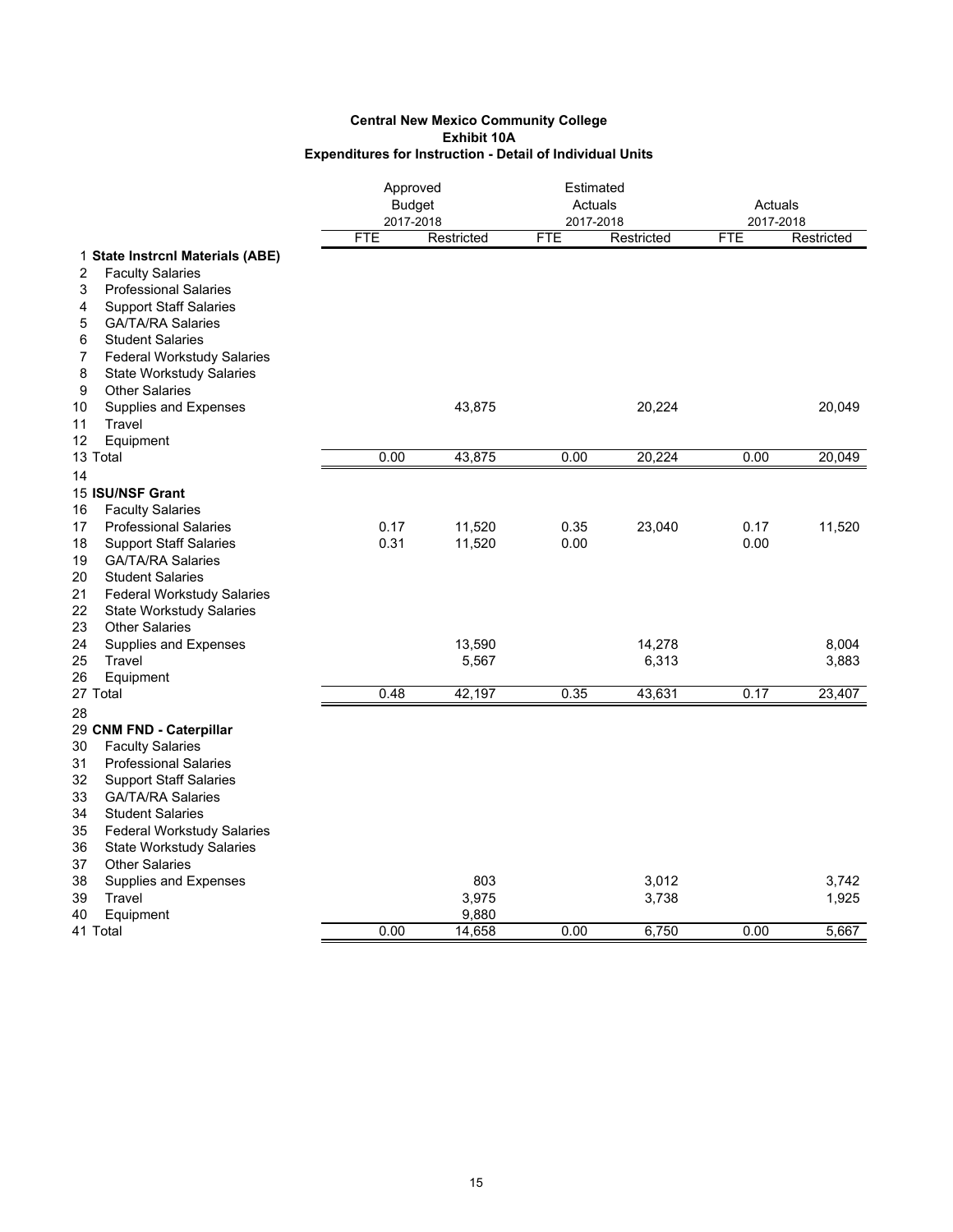|                                         | Approved<br>2017-2018 | <b>Budget</b> | Estimated<br>Actuals<br>2017-2018 |            | Actuals<br>2017-2018 |            |
|-----------------------------------------|-----------------------|---------------|-----------------------------------|------------|----------------------|------------|
|                                         | <b>FTE</b>            | Restricted    | <b>FTE</b>                        | Restricted | <b>FTE</b>           | Restricted |
| 1 State Instrcnl Materials (ABE)        |                       |               |                                   |            |                      |            |
| <b>Faculty Salaries</b><br>2            |                       |               |                                   |            |                      |            |
| 3<br><b>Professional Salaries</b>       |                       |               |                                   |            |                      |            |
| <b>Support Staff Salaries</b><br>4      |                       |               |                                   |            |                      |            |
| <b>GA/TA/RA Salaries</b><br>5           |                       |               |                                   |            |                      |            |
| 6<br><b>Student Salaries</b>            |                       |               |                                   |            |                      |            |
| <b>Federal Workstudy Salaries</b><br>7  |                       |               |                                   |            |                      |            |
| 8<br><b>State Workstudy Salaries</b>    |                       |               |                                   |            |                      |            |
| <b>Other Salaries</b><br>9              |                       |               |                                   |            |                      |            |
| Supplies and Expenses<br>10             |                       | 43,875        |                                   | 20,224     |                      | 20,049     |
| Travel<br>11                            |                       |               |                                   |            |                      |            |
| 12<br>Equipment                         |                       |               |                                   |            |                      |            |
| 13 Total                                | 0.00                  | 43,875        | 0.00                              | 20,224     | 0.00                 | 20,049     |
| 14                                      |                       |               |                                   |            |                      |            |
| 15 ISU/NSF Grant                        |                       |               |                                   |            |                      |            |
| <b>Faculty Salaries</b><br>16           |                       |               |                                   |            |                      |            |
| <b>Professional Salaries</b><br>17      | 0.17                  | 11,520        | 0.35                              | 23,040     | 0.17                 | 11,520     |
| 18<br><b>Support Staff Salaries</b>     | 0.31                  | 11,520        | 0.00                              |            | 0.00                 |            |
| <b>GA/TA/RA Salaries</b><br>19          |                       |               |                                   |            |                      |            |
| <b>Student Salaries</b><br>20           |                       |               |                                   |            |                      |            |
| 21<br><b>Federal Workstudy Salaries</b> |                       |               |                                   |            |                      |            |
| 22<br><b>State Workstudy Salaries</b>   |                       |               |                                   |            |                      |            |
| <b>Other Salaries</b><br>23             |                       |               |                                   |            |                      |            |
| 24<br>Supplies and Expenses             |                       | 13,590        |                                   | 14,278     |                      | 8,004      |
| 25<br>Travel                            |                       | 5,567         |                                   | 6,313      |                      | 3,883      |
| 26<br>Equipment                         |                       |               |                                   |            |                      |            |
| 27 Total                                | 0.48                  | 42,197        | 0.35                              | 43,631     | 0.17                 | 23,407     |
| 28                                      |                       |               |                                   |            |                      |            |
| 29 CNM FND - Caterpillar                |                       |               |                                   |            |                      |            |
| 30<br><b>Faculty Salaries</b>           |                       |               |                                   |            |                      |            |
| 31<br><b>Professional Salaries</b>      |                       |               |                                   |            |                      |            |
| 32<br><b>Support Staff Salaries</b>     |                       |               |                                   |            |                      |            |
| 33<br><b>GA/TA/RA Salaries</b>          |                       |               |                                   |            |                      |            |
| 34<br><b>Student Salaries</b>           |                       |               |                                   |            |                      |            |
| 35<br><b>Federal Workstudy Salaries</b> |                       |               |                                   |            |                      |            |
| 36<br><b>State Workstudy Salaries</b>   |                       |               |                                   |            |                      |            |
| <b>Other Salaries</b><br>37             |                       |               |                                   |            |                      |            |
| 38<br>Supplies and Expenses             |                       | 803           |                                   | 3,012      |                      | 3,742      |
| 39<br>Travel                            |                       | 3,975         |                                   | 3,738      |                      | 1,925      |
| 40<br>Equipment                         |                       | 9,880         |                                   |            |                      |            |
| 41 Total                                | 0.00                  | 14,658        | 0.00                              | 6,750      | 0.00                 | 5,667      |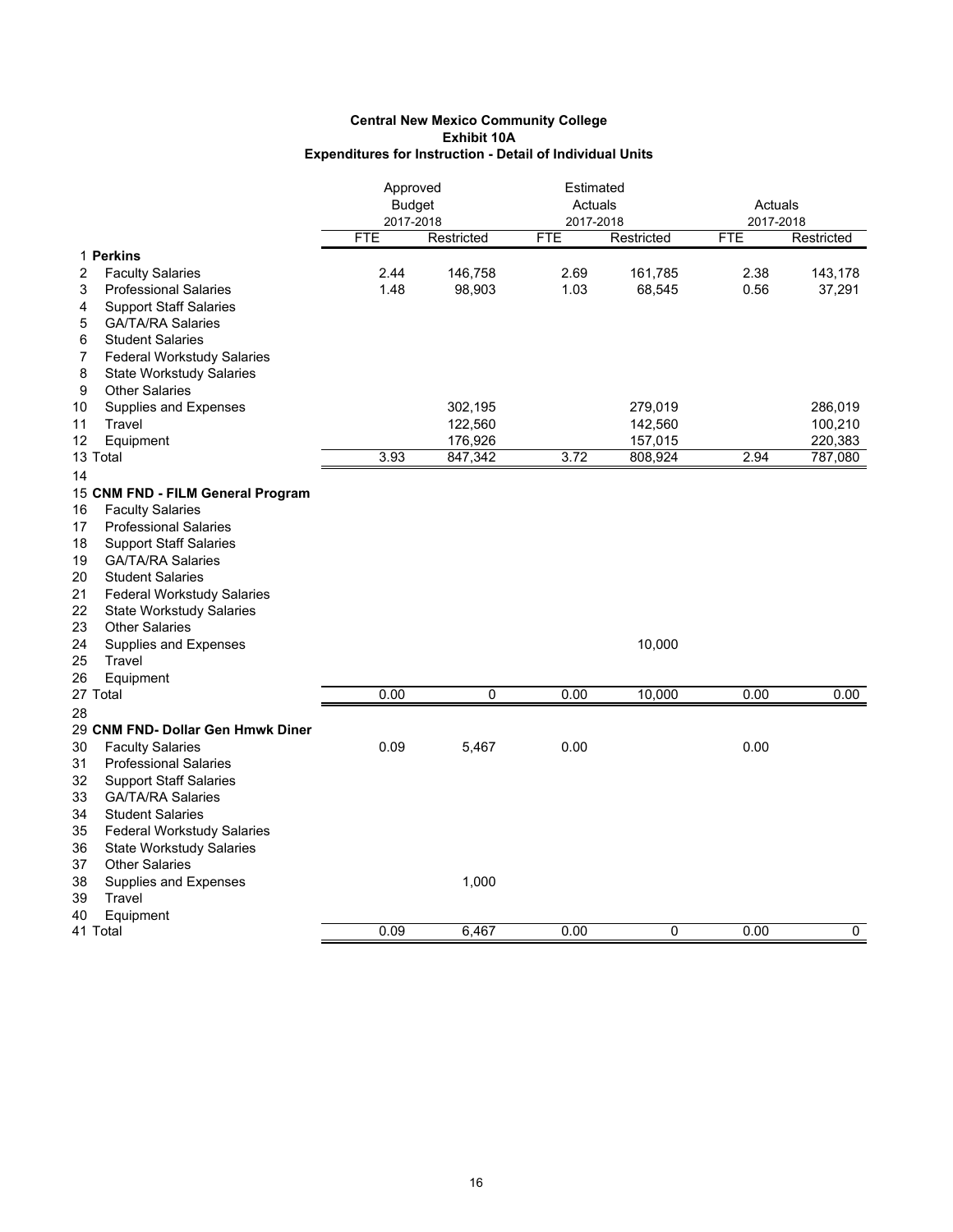|                                         | Approved<br><b>Budget</b> |            |            | Estimated<br>Actuals<br>2017-2018 |            | Actuals<br>2017-2018 |  |
|-----------------------------------------|---------------------------|------------|------------|-----------------------------------|------------|----------------------|--|
|                                         | 2017-2018                 |            |            |                                   |            |                      |  |
|                                         | <b>FTE</b>                | Restricted | <b>FTE</b> | Restricted                        | <b>FTE</b> | Restricted           |  |
| 1 Perkins                               |                           |            |            |                                   |            |                      |  |
| 2<br><b>Faculty Salaries</b>            | 2.44                      | 146,758    | 2.69       | 161,785                           | 2.38       | 143,178              |  |
| <b>Professional Salaries</b><br>3       | 1.48                      | 98,903     | 1.03       | 68,545                            | 0.56       | 37,291               |  |
| <b>Support Staff Salaries</b><br>4      |                           |            |            |                                   |            |                      |  |
| <b>GA/TA/RA Salaries</b><br>5           |                           |            |            |                                   |            |                      |  |
| <b>Student Salaries</b><br>6            |                           |            |            |                                   |            |                      |  |
| 7<br><b>Federal Workstudy Salaries</b>  |                           |            |            |                                   |            |                      |  |
| 8<br><b>State Workstudy Salaries</b>    |                           |            |            |                                   |            |                      |  |
| 9<br><b>Other Salaries</b>              |                           |            |            |                                   |            |                      |  |
| 10<br>Supplies and Expenses             |                           | 302,195    |            | 279,019                           |            | 286,019              |  |
| 11<br>Travel                            |                           | 122,560    |            | 142,560                           |            | 100,210              |  |
| Equipment<br>12                         |                           | 176,926    |            | 157,015                           |            | 220,383              |  |
| 13 Total                                | 3.93                      | 847,342    | 3.72       | 808,924                           | 2.94       | 787,080              |  |
| 14                                      |                           |            |            |                                   |            |                      |  |
| 15 CNM FND - FILM General Program       |                           |            |            |                                   |            |                      |  |
| <b>Faculty Salaries</b><br>16           |                           |            |            |                                   |            |                      |  |
| <b>Professional Salaries</b><br>17      |                           |            |            |                                   |            |                      |  |
| 18<br><b>Support Staff Salaries</b>     |                           |            |            |                                   |            |                      |  |
| 19<br><b>GA/TA/RA Salaries</b>          |                           |            |            |                                   |            |                      |  |
| 20<br><b>Student Salaries</b>           |                           |            |            |                                   |            |                      |  |
| 21<br><b>Federal Workstudy Salaries</b> |                           |            |            |                                   |            |                      |  |
| 22<br><b>State Workstudy Salaries</b>   |                           |            |            |                                   |            |                      |  |
| 23<br><b>Other Salaries</b>             |                           |            |            |                                   |            |                      |  |
| 24<br>Supplies and Expenses             |                           |            |            | 10,000                            |            |                      |  |
| 25<br>Travel                            |                           |            |            |                                   |            |                      |  |
| 26<br>Equipment                         |                           |            |            |                                   |            |                      |  |
| 27 Total                                | 0.00                      | 0          | 0.00       | 10,000                            | 0.00       | 0.00                 |  |
| 28                                      |                           |            |            |                                   |            |                      |  |
| 29 CNM FND- Dollar Gen Hmwk Diner       |                           |            |            |                                   |            |                      |  |
| 30<br><b>Faculty Salaries</b>           | 0.09                      | 5,467      | 0.00       |                                   | 0.00       |                      |  |
| 31<br><b>Professional Salaries</b>      |                           |            |            |                                   |            |                      |  |
| 32<br><b>Support Staff Salaries</b>     |                           |            |            |                                   |            |                      |  |
| 33<br><b>GA/TA/RA Salaries</b>          |                           |            |            |                                   |            |                      |  |
| 34<br><b>Student Salaries</b>           |                           |            |            |                                   |            |                      |  |
| 35<br><b>Federal Workstudy Salaries</b> |                           |            |            |                                   |            |                      |  |
| 36<br><b>State Workstudy Salaries</b>   |                           |            |            |                                   |            |                      |  |
| <b>Other Salaries</b><br>37             |                           |            |            |                                   |            |                      |  |
| 38<br>Supplies and Expenses             |                           | 1,000      |            |                                   |            |                      |  |
| 39<br>Travel                            |                           |            |            |                                   |            |                      |  |
| Equipment<br>40                         |                           |            |            |                                   |            |                      |  |
| 41 Total                                | 0.09                      | 6,467      | 0.00       | 0                                 | 0.00       | 0                    |  |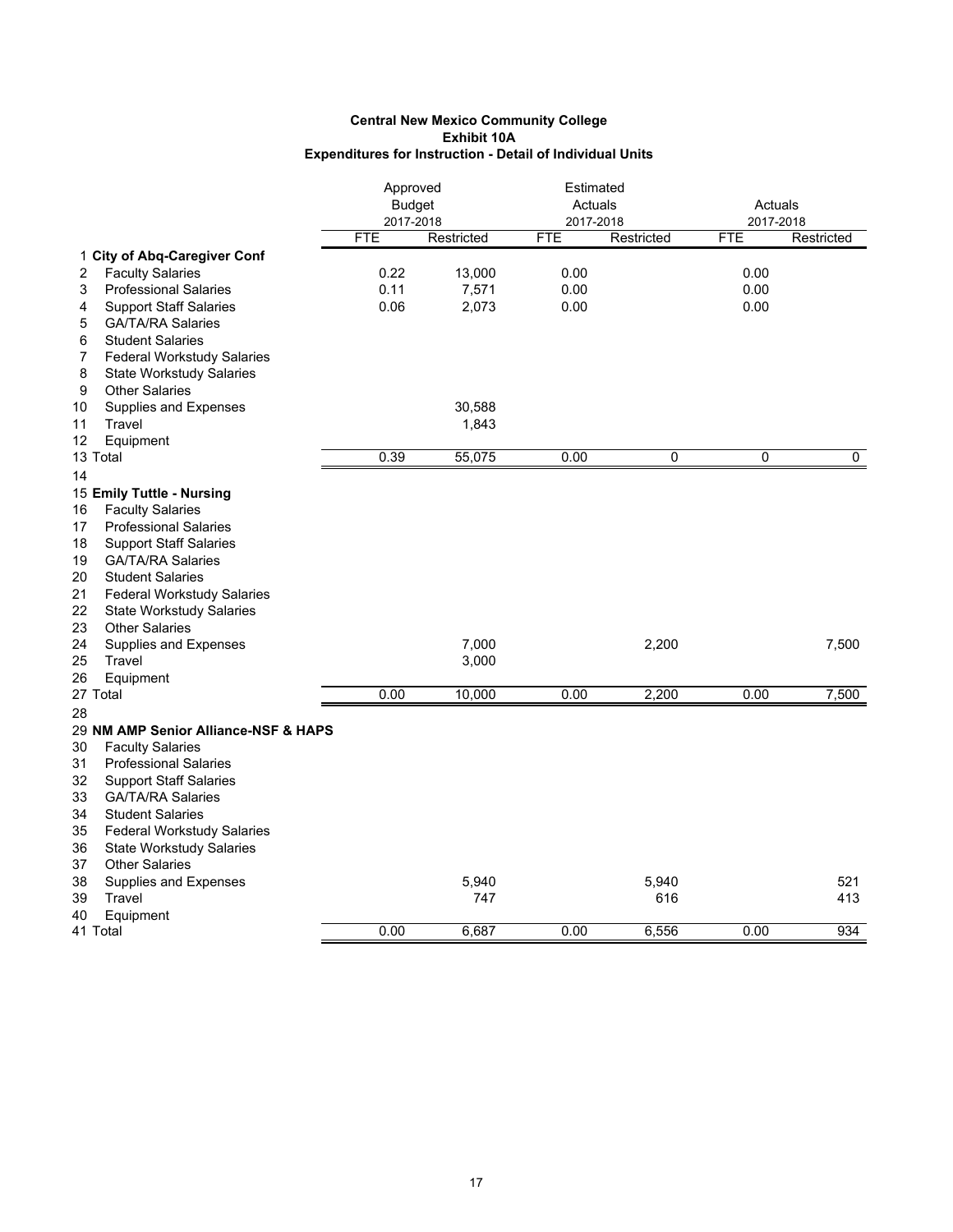|                                         | Approved<br><b>Budget</b><br>2017-2018 |            |            | Estimated<br>Actuals<br>2017-2018 |            | Actuals<br>2017-2018 |  |
|-----------------------------------------|----------------------------------------|------------|------------|-----------------------------------|------------|----------------------|--|
|                                         | <b>FTE</b>                             | Restricted | <b>FTE</b> | Restricted                        | <b>FTE</b> | Restricted           |  |
| 1 City of Abq-Caregiver Conf            |                                        |            |            |                                   |            |                      |  |
| <b>Faculty Salaries</b><br>2            | 0.22                                   | 13,000     | 0.00       |                                   | 0.00       |                      |  |
| <b>Professional Salaries</b><br>3       | 0.11                                   | 7,571      | 0.00       |                                   | 0.00       |                      |  |
| <b>Support Staff Salaries</b><br>4      | 0.06                                   | 2,073      | 0.00       |                                   | 0.00       |                      |  |
| <b>GA/TA/RA Salaries</b><br>5           |                                        |            |            |                                   |            |                      |  |
| <b>Student Salaries</b><br>6            |                                        |            |            |                                   |            |                      |  |
| <b>Federal Workstudy Salaries</b><br>7  |                                        |            |            |                                   |            |                      |  |
| 8<br><b>State Workstudy Salaries</b>    |                                        |            |            |                                   |            |                      |  |
| <b>Other Salaries</b><br>9              |                                        |            |            |                                   |            |                      |  |
| Supplies and Expenses<br>10             |                                        | 30,588     |            |                                   |            |                      |  |
| 11<br>Travel                            |                                        | 1,843      |            |                                   |            |                      |  |
| 12<br>Equipment                         |                                        |            |            |                                   |            |                      |  |
| 13 Total                                | 0.39                                   | 55,075     | 0.00       | 0                                 | 0          | 0                    |  |
| 14                                      |                                        |            |            |                                   |            |                      |  |
| 15 Emily Tuttle - Nursing               |                                        |            |            |                                   |            |                      |  |
| <b>Faculty Salaries</b><br>16           |                                        |            |            |                                   |            |                      |  |
| <b>Professional Salaries</b><br>17      |                                        |            |            |                                   |            |                      |  |
| 18<br><b>Support Staff Salaries</b>     |                                        |            |            |                                   |            |                      |  |
| <b>GA/TA/RA Salaries</b><br>19          |                                        |            |            |                                   |            |                      |  |
| <b>Student Salaries</b><br>20           |                                        |            |            |                                   |            |                      |  |
| 21<br><b>Federal Workstudy Salaries</b> |                                        |            |            |                                   |            |                      |  |
| 22<br><b>State Workstudy Salaries</b>   |                                        |            |            |                                   |            |                      |  |
| 23<br><b>Other Salaries</b>             |                                        |            |            |                                   |            |                      |  |
| 24<br>Supplies and Expenses             |                                        | 7,000      |            | 2,200                             |            | 7,500                |  |
| 25<br>Travel                            |                                        | 3,000      |            |                                   |            |                      |  |
| 26<br>Equipment                         |                                        |            |            |                                   |            |                      |  |
| 27 Total                                | 0.00                                   | 10,000     | 0.00       | 2,200                             | 0.00       | 7,500                |  |
| 28                                      |                                        |            |            |                                   |            |                      |  |
| 29 NM AMP Senior Alliance-NSF & HAPS    |                                        |            |            |                                   |            |                      |  |
| <b>Faculty Salaries</b><br>30           |                                        |            |            |                                   |            |                      |  |
| 31<br><b>Professional Salaries</b>      |                                        |            |            |                                   |            |                      |  |
| 32<br><b>Support Staff Salaries</b>     |                                        |            |            |                                   |            |                      |  |
| 33<br><b>GA/TA/RA Salaries</b>          |                                        |            |            |                                   |            |                      |  |
| 34<br><b>Student Salaries</b>           |                                        |            |            |                                   |            |                      |  |
| 35<br><b>Federal Workstudy Salaries</b> |                                        |            |            |                                   |            |                      |  |
| 36<br><b>State Workstudy Salaries</b>   |                                        |            |            |                                   |            |                      |  |
| <b>Other Salaries</b><br>37             |                                        |            |            |                                   |            |                      |  |
| Supplies and Expenses<br>38             |                                        | 5,940      |            | 5,940                             |            | 521                  |  |
| 39<br>Travel                            |                                        | 747        |            | 616                               |            | 413                  |  |
| 40<br>Equipment                         |                                        |            |            |                                   |            |                      |  |
| 41 Total                                | 0.00                                   | 6,687      | 0.00       | 6.556                             | 0.00       | 934                  |  |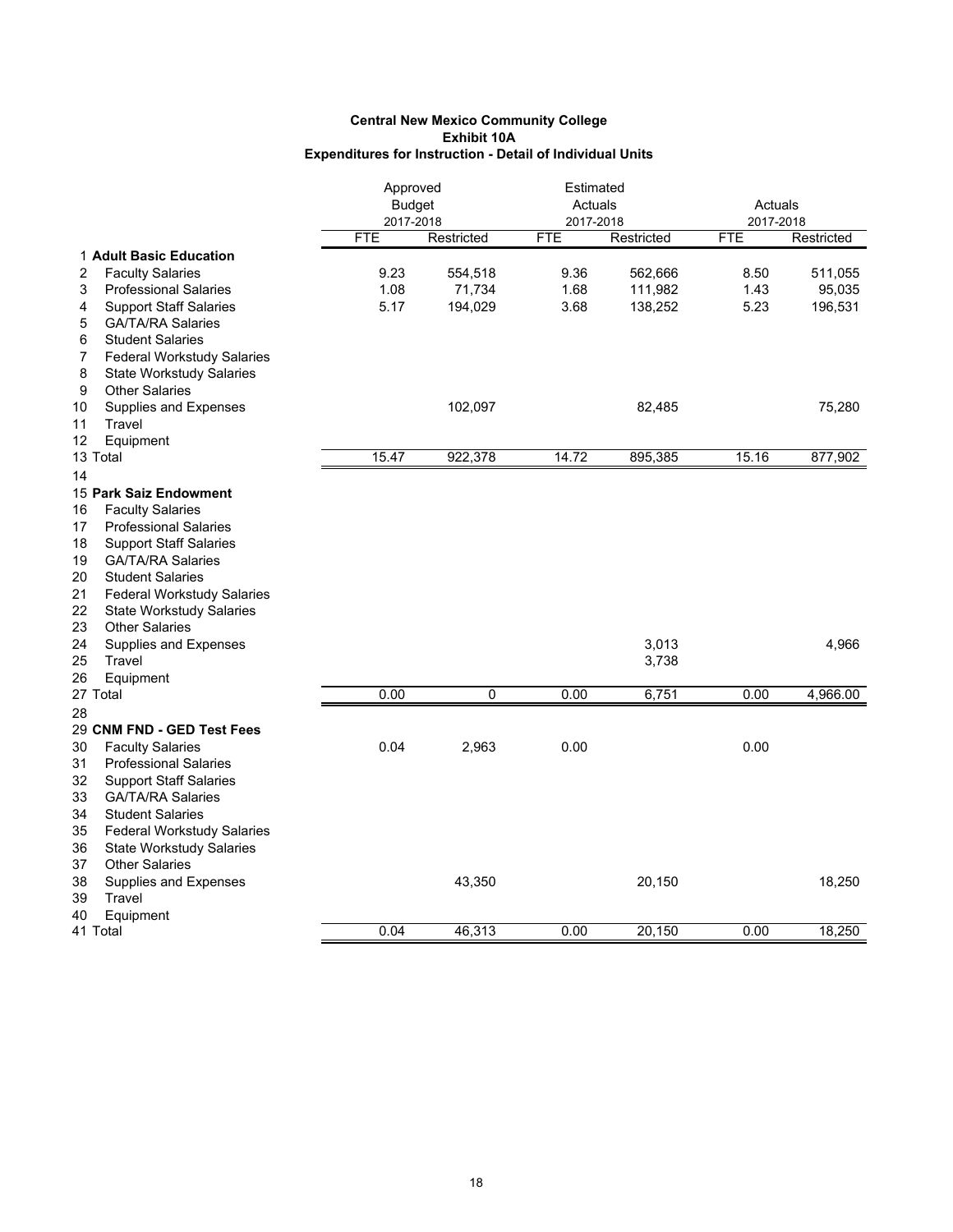|                                         | Approved                   |            | Estimated            |            | Actuals<br>2017-2018 |            |
|-----------------------------------------|----------------------------|------------|----------------------|------------|----------------------|------------|
|                                         | <b>Budget</b><br>2017-2018 |            | Actuals<br>2017-2018 |            |                      |            |
|                                         | <b>FTE</b>                 | Restricted | <b>FTE</b>           | Restricted | <b>FTE</b>           | Restricted |
| 1 Adult Basic Education                 |                            |            |                      |            |                      |            |
| 2<br><b>Faculty Salaries</b>            | 9.23                       | 554,518    | 9.36                 | 562,666    | 8.50                 | 511,055    |
| <b>Professional Salaries</b><br>3       | 1.08                       | 71,734     | 1.68                 | 111,982    | 1.43                 | 95,035     |
| <b>Support Staff Salaries</b><br>4      | 5.17                       | 194,029    | 3.68                 | 138,252    | 5.23                 | 196,531    |
| <b>GA/TA/RA Salaries</b><br>5           |                            |            |                      |            |                      |            |
| 6<br><b>Student Salaries</b>            |                            |            |                      |            |                      |            |
| 7<br><b>Federal Workstudy Salaries</b>  |                            |            |                      |            |                      |            |
| 8<br><b>State Workstudy Salaries</b>    |                            |            |                      |            |                      |            |
| 9<br><b>Other Salaries</b>              |                            |            |                      |            |                      |            |
| Supplies and Expenses<br>10             |                            | 102,097    |                      | 82,485     |                      | 75,280     |
| 11<br>Travel                            |                            |            |                      |            |                      |            |
| 12<br>Equipment                         |                            |            |                      |            |                      |            |
| 13 Total                                | 15.47                      | 922,378    | 14.72                | 895,385    | 15.16                | 877,902    |
| 14                                      |                            |            |                      |            |                      |            |
| 15 Park Saiz Endowment                  |                            |            |                      |            |                      |            |
| <b>Faculty Salaries</b><br>16           |                            |            |                      |            |                      |            |
| 17<br><b>Professional Salaries</b>      |                            |            |                      |            |                      |            |
| 18<br><b>Support Staff Salaries</b>     |                            |            |                      |            |                      |            |
| 19<br><b>GA/TA/RA Salaries</b>          |                            |            |                      |            |                      |            |
| 20<br><b>Student Salaries</b>           |                            |            |                      |            |                      |            |
| 21<br><b>Federal Workstudy Salaries</b> |                            |            |                      |            |                      |            |
| 22<br><b>State Workstudy Salaries</b>   |                            |            |                      |            |                      |            |
| 23<br><b>Other Salaries</b>             |                            |            |                      |            |                      |            |
| 24<br>Supplies and Expenses             |                            |            |                      | 3,013      |                      | 4,966      |
| 25<br>Travel                            |                            |            |                      | 3,738      |                      |            |
| 26<br>Equipment                         |                            |            |                      |            |                      |            |
| 27 Total                                | 0.00                       | 0          | 0.00                 | 6,751      | 0.00                 | 4,966.00   |
| 28                                      |                            |            |                      |            |                      |            |
| 29 CNM FND - GED Test Fees              |                            |            |                      |            |                      |            |
| 30<br><b>Faculty Salaries</b>           | 0.04                       | 2,963      | 0.00                 |            | 0.00                 |            |
| 31<br><b>Professional Salaries</b>      |                            |            |                      |            |                      |            |
| 32<br><b>Support Staff Salaries</b>     |                            |            |                      |            |                      |            |
| 33<br><b>GA/TA/RA Salaries</b>          |                            |            |                      |            |                      |            |
| 34<br><b>Student Salaries</b>           |                            |            |                      |            |                      |            |
| 35<br><b>Federal Workstudy Salaries</b> |                            |            |                      |            |                      |            |
| 36<br><b>State Workstudy Salaries</b>   |                            |            |                      |            |                      |            |
| 37<br><b>Other Salaries</b>             |                            |            |                      |            |                      |            |
| 38<br>Supplies and Expenses             |                            | 43,350     |                      | 20,150     |                      | 18,250     |
| 39<br>Travel                            |                            |            |                      |            |                      |            |
| 40<br>Equipment                         |                            |            |                      |            |                      |            |
| 41 Total                                | 0.04                       | 46,313     | 0.00                 | 20,150     | 0.00                 | 18,250     |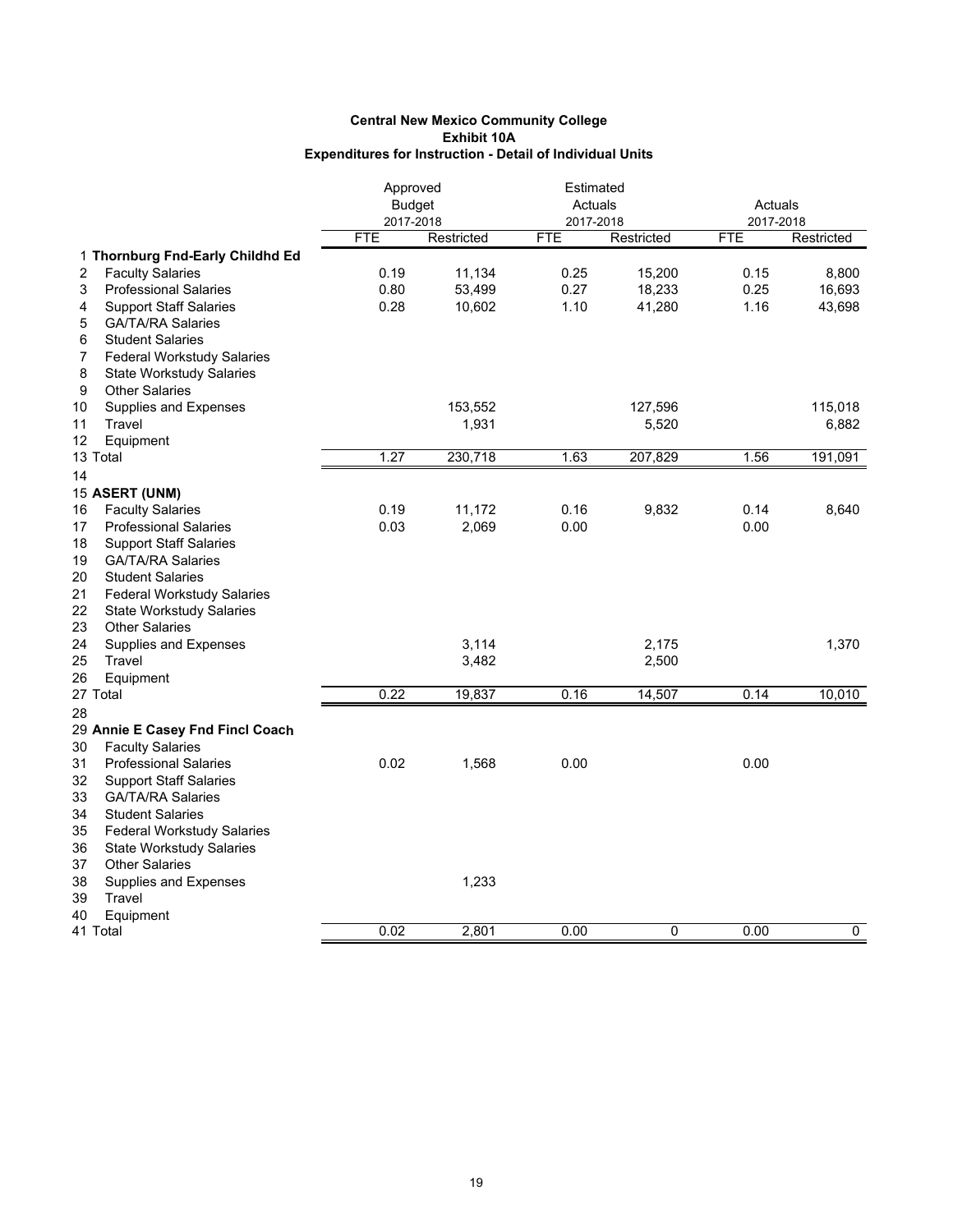|                                         | Approved      |            | Estimated  |            |            |            |
|-----------------------------------------|---------------|------------|------------|------------|------------|------------|
|                                         | <b>Budget</b> |            | Actuals    |            | Actuals    |            |
|                                         | 2017-2018     |            | 2017-2018  |            | 2017-2018  |            |
|                                         | <b>FTE</b>    | Restricted | <b>FTE</b> | Restricted | <b>FTE</b> | Restricted |
| 1 Thornburg Fnd-Early Childhd Ed        |               |            |            |            |            |            |
| 2<br><b>Faculty Salaries</b>            | 0.19          | 11,134     | 0.25       | 15,200     | 0.15       | 8,800      |
| <b>Professional Salaries</b><br>3       | 0.80          | 53,499     | 0.27       | 18,233     | 0.25       | 16,693     |
| <b>Support Staff Salaries</b><br>4      | 0.28          | 10,602     | 1.10       | 41,280     | 1.16       | 43,698     |
| 5<br><b>GA/TA/RA Salaries</b>           |               |            |            |            |            |            |
| <b>Student Salaries</b><br>6            |               |            |            |            |            |            |
| 7<br><b>Federal Workstudy Salaries</b>  |               |            |            |            |            |            |
| 8<br><b>State Workstudy Salaries</b>    |               |            |            |            |            |            |
| 9<br><b>Other Salaries</b>              |               |            |            |            |            |            |
| Supplies and Expenses<br>10             |               | 153,552    |            | 127,596    |            | 115,018    |
| 11<br>Travel                            |               | 1,931      |            | 5,520      |            | 6,882      |
| 12<br>Equipment                         |               |            |            |            |            |            |
| 13 Total                                | 1.27          | 230,718    | 1.63       | 207,829    | 1.56       | 191,091    |
| 14                                      |               |            |            |            |            |            |
| 15 ASERT (UNM)                          |               |            |            |            |            |            |
| <b>Faculty Salaries</b><br>16           | 0.19          | 11,172     | 0.16       | 9,832      | 0.14       | 8,640      |
| 17<br><b>Professional Salaries</b>      | 0.03          | 2,069      | 0.00       |            | 0.00       |            |
| 18<br><b>Support Staff Salaries</b>     |               |            |            |            |            |            |
| 19<br><b>GA/TA/RA Salaries</b>          |               |            |            |            |            |            |
| 20<br><b>Student Salaries</b>           |               |            |            |            |            |            |
| 21<br><b>Federal Workstudy Salaries</b> |               |            |            |            |            |            |
| 22<br><b>State Workstudy Salaries</b>   |               |            |            |            |            |            |
| 23<br><b>Other Salaries</b>             |               |            |            |            |            |            |
| 24<br>Supplies and Expenses             |               | 3,114      |            | 2,175      |            | 1,370      |
| 25<br>Travel                            |               | 3,482      |            | 2,500      |            |            |
| 26<br>Equipment                         |               |            |            |            |            |            |
| 27 Total                                | 0.22          | 19,837     | 0.16       | 14,507     | 0.14       | 10,010     |
| 28                                      |               |            |            |            |            |            |
| 29 Annie E Casey Fnd Fincl Coach        |               |            |            |            |            |            |
| 30<br><b>Faculty Salaries</b>           |               |            |            |            |            |            |
| 31<br><b>Professional Salaries</b>      | 0.02          | 1,568      | 0.00       |            | 0.00       |            |
| 32<br><b>Support Staff Salaries</b>     |               |            |            |            |            |            |
| 33<br><b>GA/TA/RA Salaries</b>          |               |            |            |            |            |            |
| 34<br><b>Student Salaries</b>           |               |            |            |            |            |            |
| 35<br><b>Federal Workstudy Salaries</b> |               |            |            |            |            |            |
| 36<br><b>State Workstudy Salaries</b>   |               |            |            |            |            |            |
| <b>Other Salaries</b><br>37             |               |            |            |            |            |            |
| 38<br>Supplies and Expenses             |               | 1,233      |            |            |            |            |
| 39<br>Travel                            |               |            |            |            |            |            |
| 40<br>Equipment                         |               |            |            |            |            |            |
| 41 Total                                | 0.02          | 2,801      | 0.00       | 0          | 0.00       | 0          |
|                                         |               |            |            |            |            |            |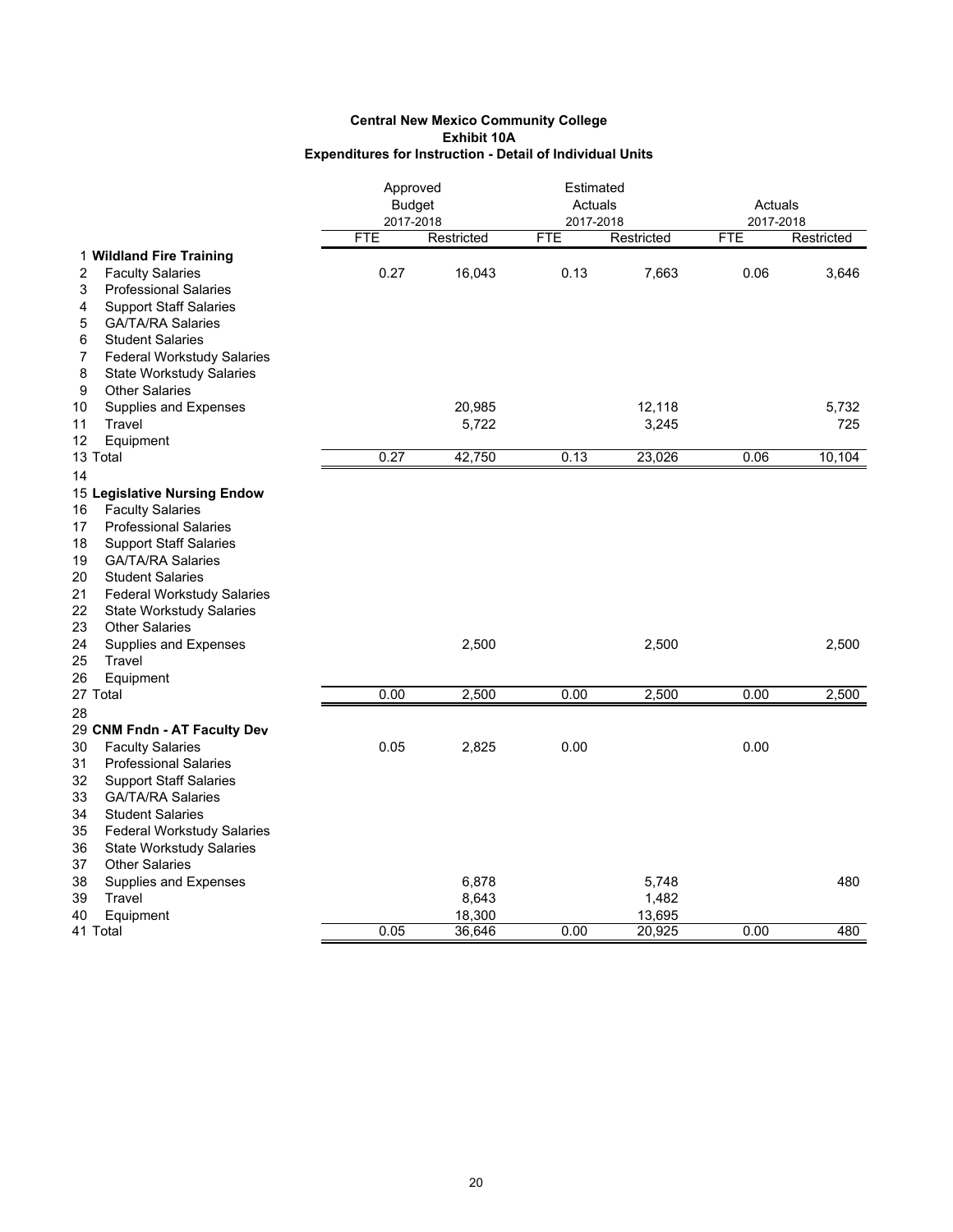|                                         | Approved<br><b>Budget</b> |            | Estimated<br>Actuals |            | Actuals    |            |
|-----------------------------------------|---------------------------|------------|----------------------|------------|------------|------------|
|                                         | 2017-2018<br><b>FTE</b>   |            | 2017-2018            |            | 2017-2018  |            |
| 1 Wildland Fire Training                |                           | Restricted | <b>FTE</b>           | Restricted | <b>FTE</b> | Restricted |
| <b>Faculty Salaries</b><br>2            | 0.27                      | 16,043     | 0.13                 | 7,663      | 0.06       | 3,646      |
| 3<br><b>Professional Salaries</b>       |                           |            |                      |            |            |            |
| <b>Support Staff Salaries</b><br>4      |                           |            |                      |            |            |            |
| <b>GA/TA/RA Salaries</b><br>5           |                           |            |                      |            |            |            |
| 6<br><b>Student Salaries</b>            |                           |            |                      |            |            |            |
| <b>Federal Workstudy Salaries</b><br>7  |                           |            |                      |            |            |            |
| 8<br><b>State Workstudy Salaries</b>    |                           |            |                      |            |            |            |
| 9<br><b>Other Salaries</b>              |                           |            |                      |            |            |            |
| 10<br>Supplies and Expenses             |                           | 20,985     |                      | 12,118     |            | 5,732      |
| 11<br>Travel                            |                           | 5,722      |                      | 3,245      |            | 725        |
| 12<br>Equipment                         |                           |            |                      |            |            |            |
| 13 Total                                | 0.27                      | 42,750     | 0.13                 | 23,026     | 0.06       | 10,104     |
| 14                                      |                           |            |                      |            |            |            |
| 15 Legislative Nursing Endow            |                           |            |                      |            |            |            |
| <b>Faculty Salaries</b><br>16           |                           |            |                      |            |            |            |
| <b>Professional Salaries</b><br>17      |                           |            |                      |            |            |            |
| 18<br><b>Support Staff Salaries</b>     |                           |            |                      |            |            |            |
| 19<br><b>GA/TA/RA Salaries</b>          |                           |            |                      |            |            |            |
| <b>Student Salaries</b><br>20           |                           |            |                      |            |            |            |
| 21<br><b>Federal Workstudy Salaries</b> |                           |            |                      |            |            |            |
| 22<br><b>State Workstudy Salaries</b>   |                           |            |                      |            |            |            |
| 23<br><b>Other Salaries</b>             |                           |            |                      |            |            |            |
| 24<br>Supplies and Expenses             |                           | 2,500      |                      | 2,500      |            | 2,500      |
| 25<br>Travel                            |                           |            |                      |            |            |            |
| 26<br>Equipment                         |                           |            |                      |            |            |            |
| 27 Total                                | 0.00                      | 2,500      | 0.00                 | 2,500      | 0.00       | 2,500      |
| 28                                      |                           |            |                      |            |            |            |
| 29 CNM Fndn - AT Faculty Dev            |                           |            |                      |            |            |            |
| 30<br><b>Faculty Salaries</b>           | 0.05                      | 2,825      | 0.00                 |            | 0.00       |            |
| 31<br><b>Professional Salaries</b>      |                           |            |                      |            |            |            |
| 32<br><b>Support Staff Salaries</b>     |                           |            |                      |            |            |            |
| 33<br><b>GA/TA/RA Salaries</b>          |                           |            |                      |            |            |            |
| 34<br><b>Student Salaries</b>           |                           |            |                      |            |            |            |
| 35<br><b>Federal Workstudy Salaries</b> |                           |            |                      |            |            |            |
| 36<br><b>State Workstudy Salaries</b>   |                           |            |                      |            |            |            |
| <b>Other Salaries</b><br>37             |                           |            |                      |            |            |            |
| 38<br>Supplies and Expenses             |                           | 6,878      |                      | 5,748      |            | 480        |
| 39<br>Travel                            |                           | 8,643      |                      | 1,482      |            |            |
| 40<br>Equipment                         |                           | 18,300     |                      | 13,695     |            |            |
| 41 Total                                | 0.05                      | 36,646     | 0.00                 | 20,925     | 0.00       | 480        |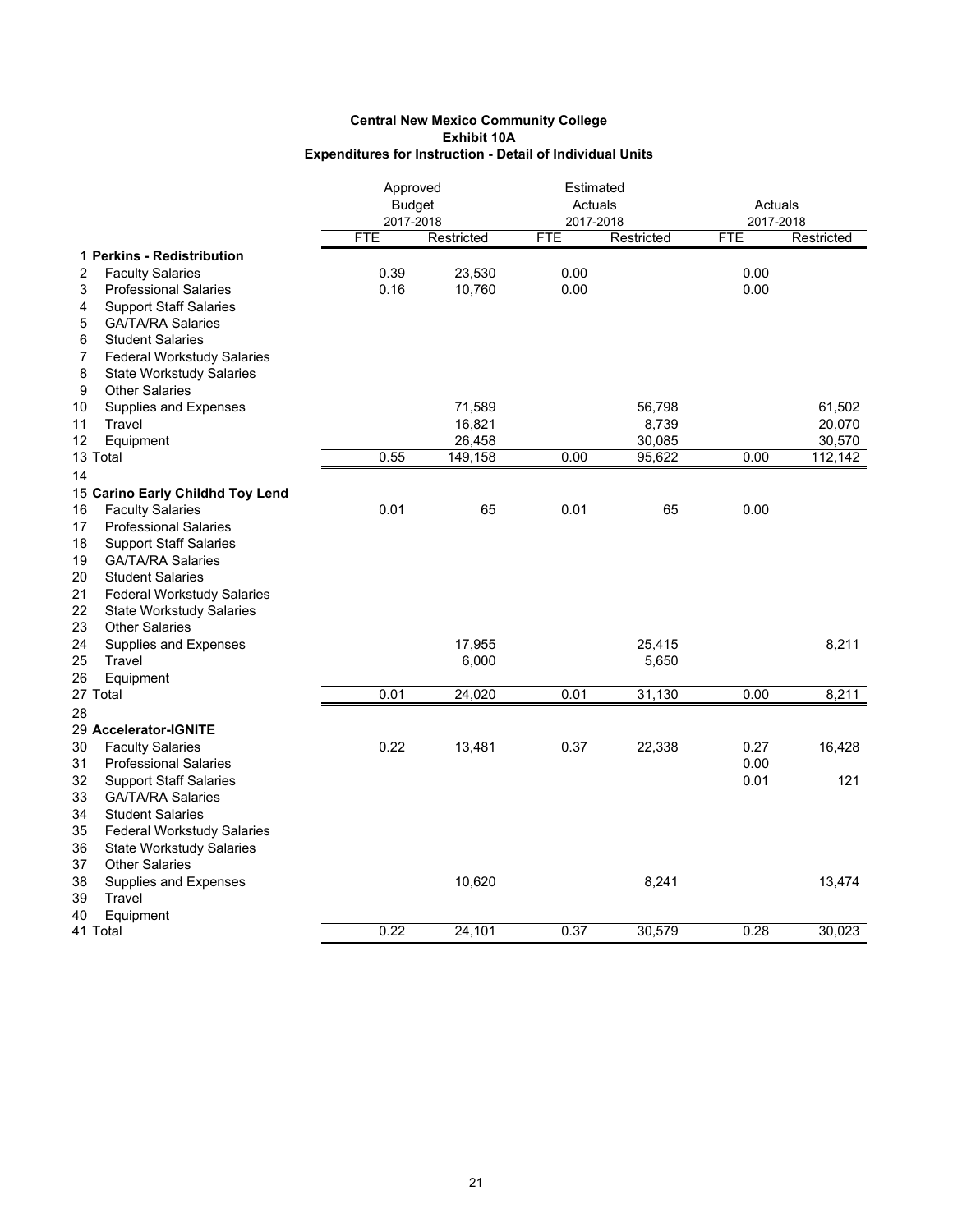|                                         | Approved<br><b>Budget</b> |            |            | Estimated<br>Actuals<br>2017-2018 |            | Actuals<br>2017-2018 |  |
|-----------------------------------------|---------------------------|------------|------------|-----------------------------------|------------|----------------------|--|
|                                         | 2017-2018                 |            |            |                                   |            |                      |  |
|                                         | <b>FTE</b>                | Restricted | <b>FTE</b> | Restricted                        | <b>FTE</b> | Restricted           |  |
| 1 Perkins - Redistribution              |                           |            |            |                                   |            |                      |  |
| 2<br><b>Faculty Salaries</b>            | 0.39                      | 23,530     | 0.00       |                                   | 0.00       |                      |  |
| <b>Professional Salaries</b><br>3       | 0.16                      | 10,760     | 0.00       |                                   | 0.00       |                      |  |
| 4<br><b>Support Staff Salaries</b>      |                           |            |            |                                   |            |                      |  |
| 5<br><b>GA/TA/RA Salaries</b>           |                           |            |            |                                   |            |                      |  |
| <b>Student Salaries</b><br>6            |                           |            |            |                                   |            |                      |  |
| 7<br><b>Federal Workstudy Salaries</b>  |                           |            |            |                                   |            |                      |  |
| 8<br><b>State Workstudy Salaries</b>    |                           |            |            |                                   |            |                      |  |
| 9<br><b>Other Salaries</b>              |                           |            |            |                                   |            |                      |  |
| Supplies and Expenses<br>10             |                           | 71,589     |            | 56,798                            |            | 61,502               |  |
| 11<br>Travel                            |                           | 16,821     |            | 8,739                             |            | 20,070               |  |
| 12<br>Equipment                         |                           | 26,458     |            | 30,085                            |            | 30,570               |  |
| 13 Total                                | 0.55                      | 149,158    | 0.00       | 95,622                            | 0.00       | 112,142              |  |
| 14                                      |                           |            |            |                                   |            |                      |  |
| 15 Carino Early Childhd Toy Lend        |                           |            |            |                                   |            |                      |  |
| <b>Faculty Salaries</b><br>16           | 0.01                      | 65         | 0.01       | 65                                | 0.00       |                      |  |
| <b>Professional Salaries</b><br>17      |                           |            |            |                                   |            |                      |  |
| 18<br><b>Support Staff Salaries</b>     |                           |            |            |                                   |            |                      |  |
| 19<br><b>GA/TA/RA Salaries</b>          |                           |            |            |                                   |            |                      |  |
| 20<br><b>Student Salaries</b>           |                           |            |            |                                   |            |                      |  |
| 21<br><b>Federal Workstudy Salaries</b> |                           |            |            |                                   |            |                      |  |
| 22<br><b>State Workstudy Salaries</b>   |                           |            |            |                                   |            |                      |  |
| 23<br><b>Other Salaries</b>             |                           |            |            |                                   |            |                      |  |
| 24<br>Supplies and Expenses             |                           | 17,955     |            | 25,415                            |            | 8,211                |  |
| 25<br>Travel                            |                           | 6,000      |            | 5,650                             |            |                      |  |
| 26<br>Equipment                         |                           |            |            |                                   |            |                      |  |
| 27 Total                                | 0.01                      | 24,020     | 0.01       | 31,130                            | 0.00       | 8,211                |  |
| 28                                      |                           |            |            |                                   |            |                      |  |
| 29 Accelerator-IGNITE                   |                           |            |            |                                   |            |                      |  |
| 30<br><b>Faculty Salaries</b>           | 0.22                      | 13,481     | 0.37       | 22,338                            | 0.27       | 16,428               |  |
| 31<br><b>Professional Salaries</b>      |                           |            |            |                                   | 0.00       |                      |  |
| 32<br><b>Support Staff Salaries</b>     |                           |            |            |                                   | 0.01       | 121                  |  |
| 33<br><b>GA/TA/RA Salaries</b>          |                           |            |            |                                   |            |                      |  |
| 34<br><b>Student Salaries</b>           |                           |            |            |                                   |            |                      |  |
| 35<br><b>Federal Workstudy Salaries</b> |                           |            |            |                                   |            |                      |  |
| 36<br><b>State Workstudy Salaries</b>   |                           |            |            |                                   |            |                      |  |
| 37<br><b>Other Salaries</b>             |                           |            |            |                                   |            |                      |  |
| 38<br>Supplies and Expenses             |                           | 10,620     |            | 8,241                             |            | 13,474               |  |
| 39<br>Travel                            |                           |            |            |                                   |            |                      |  |
| 40<br>Equipment                         |                           |            |            |                                   |            |                      |  |
| 41 Total                                | 0.22                      | 24,101     | 0.37       | 30,579                            | 0.28       | 30,023               |  |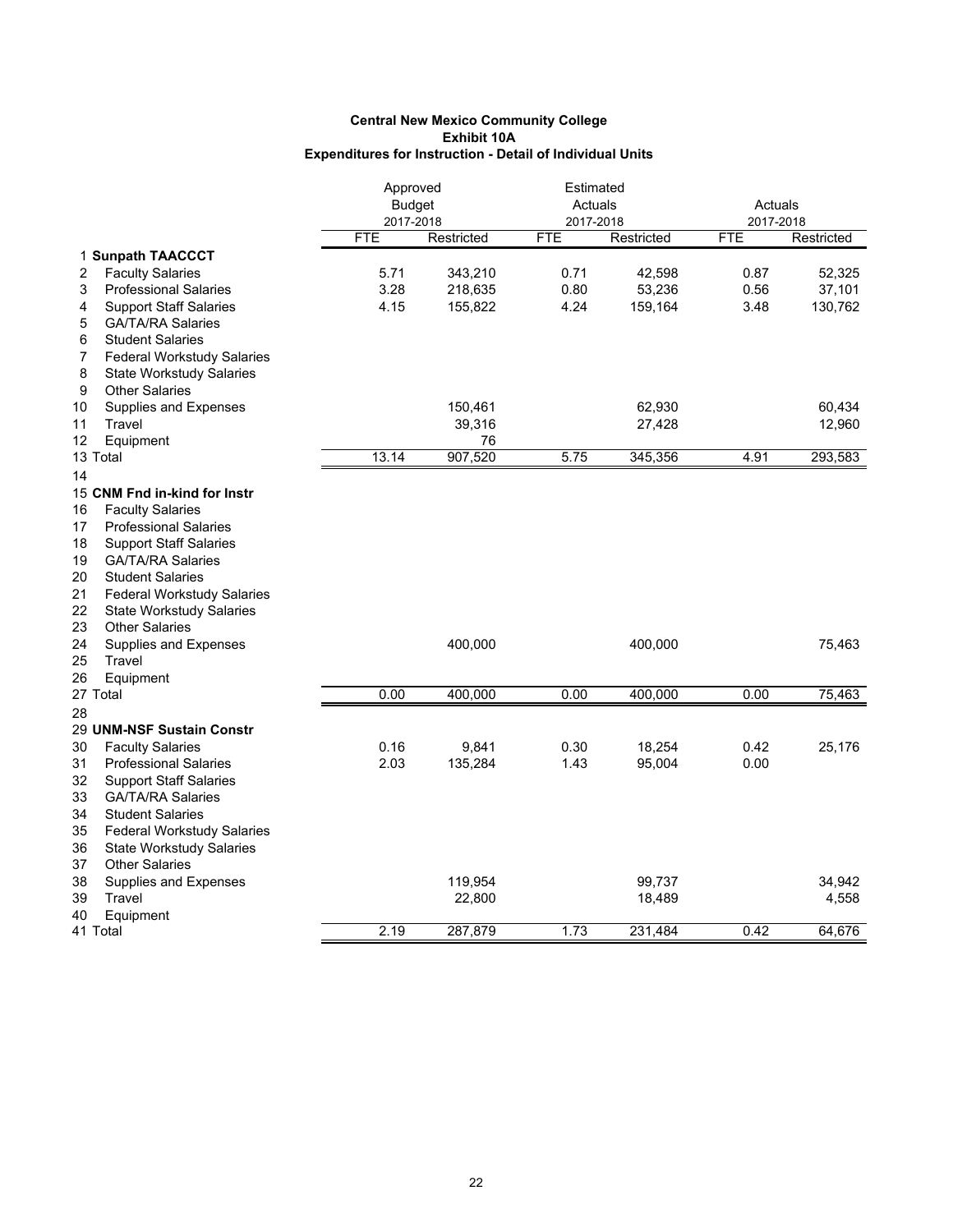|                                         | Approved                |            | Estimated  |                      |                         |            |  |
|-----------------------------------------|-------------------------|------------|------------|----------------------|-------------------------|------------|--|
|                                         | <b>Budget</b>           |            |            | Actuals<br>2017-2018 |                         | Actuals    |  |
|                                         | 2017-2018<br><b>FTE</b> | Restricted | <b>FTE</b> | Restricted           | 2017-2018<br><b>FTE</b> |            |  |
|                                         |                         |            |            |                      |                         | Restricted |  |
| 1 Sunpath TAACCCT                       |                         |            |            |                      |                         |            |  |
| <b>Faculty Salaries</b><br>2            | 5.71                    | 343,210    | 0.71       | 42,598               | 0.87                    | 52,325     |  |
| <b>Professional Salaries</b><br>3       | 3.28                    | 218,635    | 0.80       | 53,236               | 0.56                    | 37,101     |  |
| <b>Support Staff Salaries</b><br>4      | 4.15                    | 155,822    | 4.24       | 159,164              | 3.48                    | 130,762    |  |
| <b>GA/TA/RA Salaries</b><br>5           |                         |            |            |                      |                         |            |  |
| <b>Student Salaries</b><br>6            |                         |            |            |                      |                         |            |  |
| <b>Federal Workstudy Salaries</b><br>7  |                         |            |            |                      |                         |            |  |
| 8<br><b>State Workstudy Salaries</b>    |                         |            |            |                      |                         |            |  |
| <b>Other Salaries</b><br>9              |                         |            |            |                      |                         |            |  |
| Supplies and Expenses<br>10             |                         | 150,461    |            | 62,930               |                         | 60.434     |  |
| 11<br>Travel                            |                         | 39,316     |            | 27,428               |                         | 12,960     |  |
| 12<br>Equipment                         |                         | 76         |            |                      |                         |            |  |
| 13 Total                                | 13.14                   | 907,520    | 5.75       | 345,356              | 4.91                    | 293,583    |  |
| 14                                      |                         |            |            |                      |                         |            |  |
| 15 CNM Fnd in-kind for Instr            |                         |            |            |                      |                         |            |  |
| <b>Faculty Salaries</b><br>16           |                         |            |            |                      |                         |            |  |
| <b>Professional Salaries</b><br>17      |                         |            |            |                      |                         |            |  |
| 18<br><b>Support Staff Salaries</b>     |                         |            |            |                      |                         |            |  |
| 19<br><b>GA/TA/RA Salaries</b>          |                         |            |            |                      |                         |            |  |
| 20<br><b>Student Salaries</b>           |                         |            |            |                      |                         |            |  |
| 21<br><b>Federal Workstudy Salaries</b> |                         |            |            |                      |                         |            |  |
| 22<br><b>State Workstudy Salaries</b>   |                         |            |            |                      |                         |            |  |
| 23<br><b>Other Salaries</b>             |                         |            |            |                      |                         |            |  |
| 24<br>Supplies and Expenses             |                         | 400,000    |            | 400,000              |                         | 75,463     |  |
| 25<br>Travel                            |                         |            |            |                      |                         |            |  |
| 26<br>Equipment                         |                         |            |            |                      |                         |            |  |
| 27 Total                                | 0.00                    | 400,000    | 0.00       | 400,000              | 0.00                    | 75,463     |  |
| 28                                      |                         |            |            |                      |                         |            |  |
| 29 UNM-NSF Sustain Constr               |                         |            |            |                      |                         |            |  |
| 30<br><b>Faculty Salaries</b>           | 0.16                    | 9,841      | 0.30       | 18,254               | 0.42                    | 25,176     |  |
| 31<br><b>Professional Salaries</b>      | 2.03                    | 135,284    | 1.43       | 95,004               | 0.00                    |            |  |
| 32<br><b>Support Staff Salaries</b>     |                         |            |            |                      |                         |            |  |
| 33<br><b>GA/TA/RA Salaries</b>          |                         |            |            |                      |                         |            |  |
| 34<br><b>Student Salaries</b>           |                         |            |            |                      |                         |            |  |
| 35<br><b>Federal Workstudy Salaries</b> |                         |            |            |                      |                         |            |  |
| 36<br><b>State Workstudy Salaries</b>   |                         |            |            |                      |                         |            |  |
| <b>Other Salaries</b><br>37             |                         |            |            |                      |                         |            |  |
| 38<br>Supplies and Expenses             |                         | 119,954    |            | 99,737               |                         | 34.942     |  |
| 39<br>Travel                            |                         | 22,800     |            | 18,489               |                         | 4,558      |  |
| 40<br>Equipment                         |                         |            |            |                      |                         |            |  |
| 41 Total                                | 2.19                    | 287,879    | 1.73       | 231,484              | 0.42                    | 64.676     |  |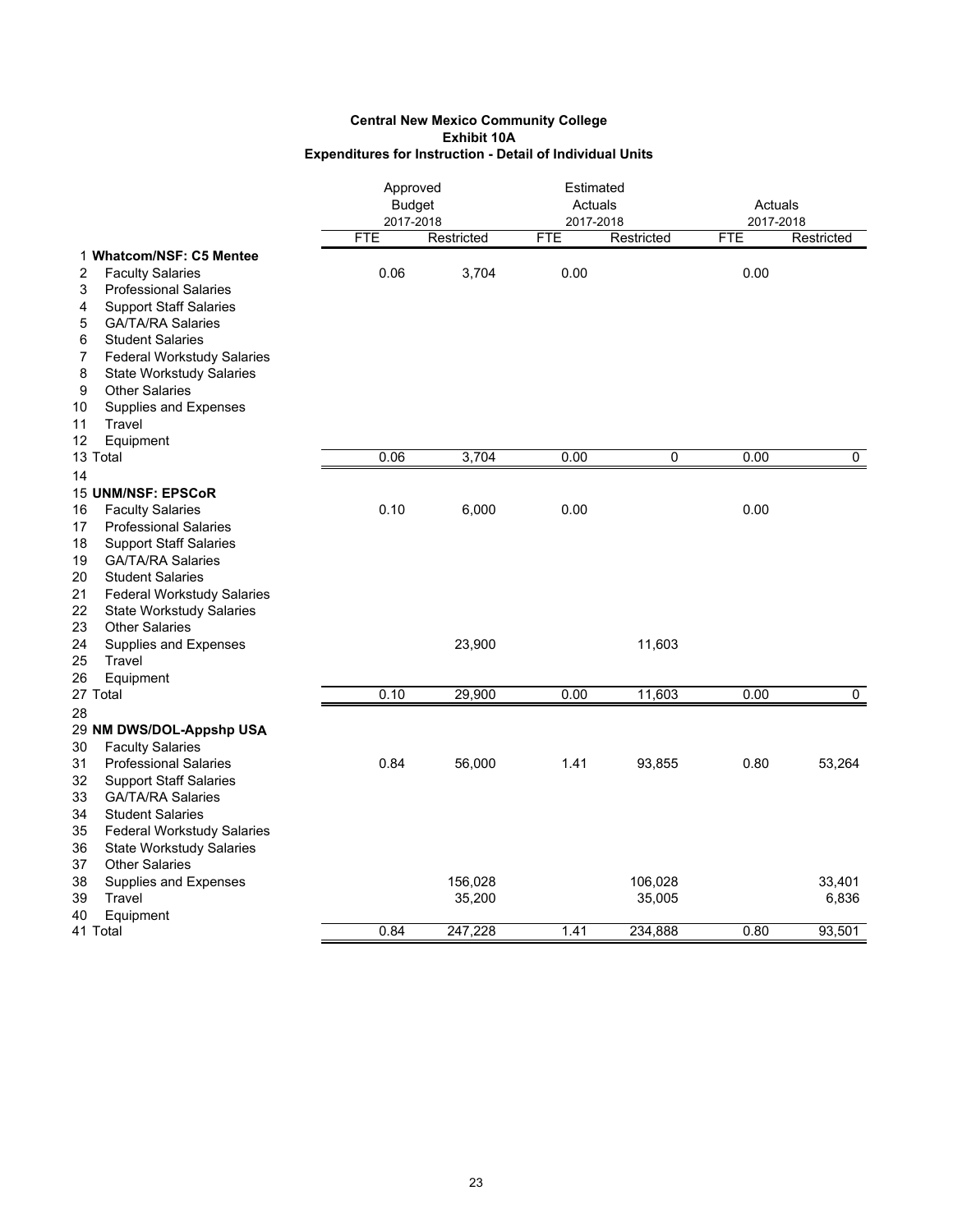|                                         |            | Approved<br><b>Budget</b><br>2017-2018 |            | Estimated<br>Actuals<br>2017-2018 | Actuals<br>2017-2018 |                |
|-----------------------------------------|------------|----------------------------------------|------------|-----------------------------------|----------------------|----------------|
|                                         | <b>FTE</b> | Restricted                             | <b>FTE</b> | Restricted                        | <b>FTE</b>           | Restricted     |
| 1 Whatcom/NSF: C5 Mentee                |            |                                        |            |                                   |                      |                |
| <b>Faculty Salaries</b><br>2            | 0.06       | 3,704                                  | 0.00       |                                   | 0.00                 |                |
| <b>Professional Salaries</b><br>3       |            |                                        |            |                                   |                      |                |
| <b>Support Staff Salaries</b><br>4      |            |                                        |            |                                   |                      |                |
| <b>GA/TA/RA Salaries</b><br>5           |            |                                        |            |                                   |                      |                |
| <b>Student Salaries</b><br>6            |            |                                        |            |                                   |                      |                |
| <b>Federal Workstudy Salaries</b><br>7  |            |                                        |            |                                   |                      |                |
| 8<br><b>State Workstudy Salaries</b>    |            |                                        |            |                                   |                      |                |
| <b>Other Salaries</b><br>9              |            |                                        |            |                                   |                      |                |
| 10<br>Supplies and Expenses             |            |                                        |            |                                   |                      |                |
| 11<br>Travel                            |            |                                        |            |                                   |                      |                |
| 12<br>Equipment                         |            |                                        |            |                                   |                      |                |
| 13 Total                                | 0.06       | 3,704                                  | 0.00       | $\mathbf 0$                       | 0.00                 | $\overline{0}$ |
| 14                                      |            |                                        |            |                                   |                      |                |
| 15 UNM/NSF: EPSCoR                      |            |                                        |            |                                   |                      |                |
| 16<br><b>Faculty Salaries</b>           | 0.10       | 6,000                                  | 0.00       |                                   | 0.00                 |                |
| 17<br><b>Professional Salaries</b>      |            |                                        |            |                                   |                      |                |
| 18<br><b>Support Staff Salaries</b>     |            |                                        |            |                                   |                      |                |
| 19<br><b>GA/TA/RA Salaries</b>          |            |                                        |            |                                   |                      |                |
| 20<br><b>Student Salaries</b>           |            |                                        |            |                                   |                      |                |
| 21<br><b>Federal Workstudy Salaries</b> |            |                                        |            |                                   |                      |                |
| 22<br><b>State Workstudy Salaries</b>   |            |                                        |            |                                   |                      |                |
| 23<br><b>Other Salaries</b>             |            |                                        |            |                                   |                      |                |
| 24<br>Supplies and Expenses             |            | 23,900                                 |            | 11,603                            |                      |                |
| 25<br>Travel                            |            |                                        |            |                                   |                      |                |
| 26<br>Equipment                         |            |                                        |            |                                   |                      |                |
| 27 Total                                | 0.10       | 29,900                                 | 0.00       | 11,603                            | 0.00                 | $\mathbf 0$    |
| 28                                      |            |                                        |            |                                   |                      |                |
| 29 NM DWS/DOL-Appshp USA                |            |                                        |            |                                   |                      |                |
| 30<br><b>Faculty Salaries</b>           |            |                                        |            |                                   |                      |                |
| 31<br><b>Professional Salaries</b>      | 0.84       | 56,000                                 | 1.41       | 93,855                            | 0.80                 | 53,264         |
| 32<br><b>Support Staff Salaries</b>     |            |                                        |            |                                   |                      |                |
| 33<br><b>GA/TA/RA Salaries</b>          |            |                                        |            |                                   |                      |                |
| 34<br><b>Student Salaries</b>           |            |                                        |            |                                   |                      |                |
| 35<br><b>Federal Workstudy Salaries</b> |            |                                        |            |                                   |                      |                |
| 36<br><b>State Workstudy Salaries</b>   |            |                                        |            |                                   |                      |                |
| <b>Other Salaries</b><br>37             |            |                                        |            |                                   |                      |                |
| 38<br>Supplies and Expenses             |            | 156,028                                |            | 106,028                           |                      | 33,401         |
| 39<br>Travel                            |            | 35,200                                 |            | 35,005                            |                      | 6,836          |
| Equipment<br>40                         |            |                                        |            |                                   |                      |                |
| 41 Total                                | 0.84       | 247.228                                | 1.41       | 234.888                           | 0.80                 | 93,501         |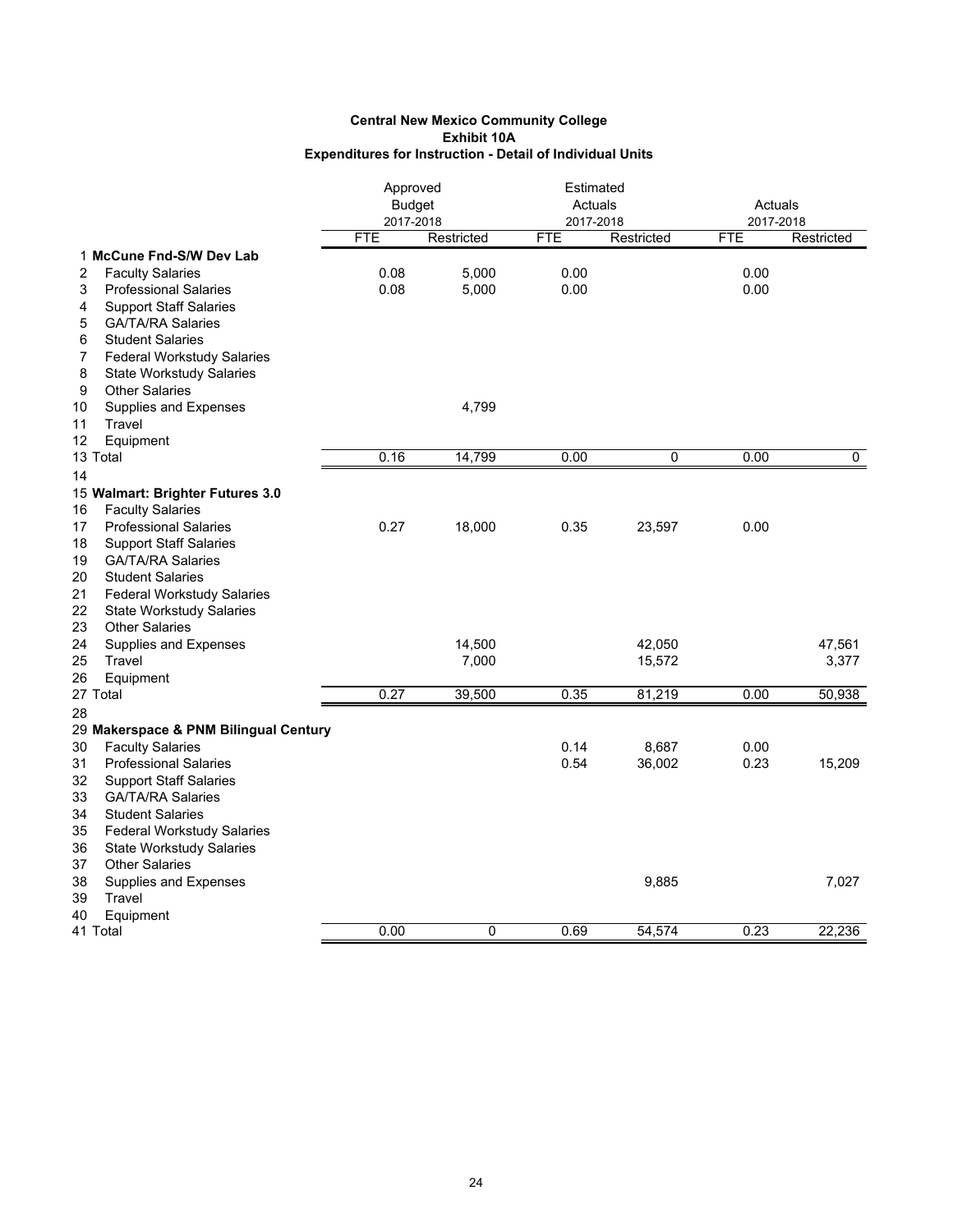#### **Expenditures for Instruction - Detail of Individual Units Central New Mexico Community College Exhibit 10A**

|                                         | Approved<br><b>Budget</b><br>2017-2018 |            |            | Estimated<br>Actuals<br>2017-2018 |            | Actuals<br>2017-2018 |  |
|-----------------------------------------|----------------------------------------|------------|------------|-----------------------------------|------------|----------------------|--|
|                                         | <b>FTE</b>                             | Restricted | <b>FTE</b> | Restricted                        | <b>FTE</b> | Restricted           |  |
| 1 McCune Fnd-S/W Dev Lab                |                                        |            |            |                                   |            |                      |  |
| 2<br><b>Faculty Salaries</b>            | 0.08                                   | 5.000      | 0.00       |                                   | 0.00       |                      |  |
| 3<br><b>Professional Salaries</b>       | 0.08                                   | 5,000      | 0.00       |                                   | 0.00       |                      |  |
| <b>Support Staff Salaries</b><br>4      |                                        |            |            |                                   |            |                      |  |
| <b>GA/TA/RA Salaries</b><br>5           |                                        |            |            |                                   |            |                      |  |
| <b>Student Salaries</b><br>6            |                                        |            |            |                                   |            |                      |  |
| 7<br><b>Federal Workstudy Salaries</b>  |                                        |            |            |                                   |            |                      |  |
| 8<br><b>State Workstudy Salaries</b>    |                                        |            |            |                                   |            |                      |  |
| 9<br><b>Other Salaries</b>              |                                        |            |            |                                   |            |                      |  |
| 10<br>Supplies and Expenses             |                                        | 4,799      |            |                                   |            |                      |  |
| 11<br>Travel                            |                                        |            |            |                                   |            |                      |  |
| 12<br>Equipment                         |                                        |            |            |                                   |            |                      |  |
| 13 Total                                | 0.16                                   | 14,799     | 0.00       | 0                                 | 0.00       | 0                    |  |
| 14                                      |                                        |            |            |                                   |            |                      |  |
| 15 Walmart: Brighter Futures 3.0        |                                        |            |            |                                   |            |                      |  |
| <b>Faculty Salaries</b><br>16           |                                        |            |            |                                   |            |                      |  |
| 17<br><b>Professional Salaries</b>      | 0.27                                   | 18,000     | 0.35       | 23,597                            | 0.00       |                      |  |
| <b>Support Staff Salaries</b><br>18     |                                        |            |            |                                   |            |                      |  |
| 19<br><b>GA/TA/RA Salaries</b>          |                                        |            |            |                                   |            |                      |  |
| 20<br><b>Student Salaries</b>           |                                        |            |            |                                   |            |                      |  |
| 21<br><b>Federal Workstudy Salaries</b> |                                        |            |            |                                   |            |                      |  |
| 22<br><b>State Workstudy Salaries</b>   |                                        |            |            |                                   |            |                      |  |
| 23<br><b>Other Salaries</b>             |                                        |            |            |                                   |            |                      |  |
| 24<br>Supplies and Expenses             |                                        | 14,500     |            | 42,050                            |            | 47,561               |  |
| Travel<br>25                            |                                        | 7,000      |            | 15,572                            |            | 3,377                |  |
| 26<br>Equipment                         |                                        |            |            |                                   |            |                      |  |
| 27 Total                                | 0.27                                   | 39,500     | 0.35       | 81,219                            | 0.00       | 50,938               |  |
| 28                                      |                                        |            |            |                                   |            |                      |  |
| 29 Makerspace & PNM Bilingual Century   |                                        |            |            |                                   |            |                      |  |
| <b>Faculty Salaries</b><br>30           |                                        |            | 0.14       | 8,687                             | 0.00       |                      |  |
| 31<br><b>Professional Salaries</b>      |                                        |            | 0.54       | 36,002                            | 0.23       | 15,209               |  |
| 32<br><b>Support Staff Salaries</b>     |                                        |            |            |                                   |            |                      |  |
| 33<br><b>GA/TA/RA Salaries</b>          |                                        |            |            |                                   |            |                      |  |
| 34<br><b>Student Salaries</b>           |                                        |            |            |                                   |            |                      |  |
| 35<br><b>Federal Workstudy Salaries</b> |                                        |            |            |                                   |            |                      |  |
| 36<br><b>State Workstudy Salaries</b>   |                                        |            |            |                                   |            |                      |  |
| <b>Other Salaries</b><br>37             |                                        |            |            |                                   |            |                      |  |
| 38<br>Supplies and Expenses             |                                        |            |            | 9,885                             |            | 7,027                |  |
| 39<br>Travel                            |                                        |            |            |                                   |            |                      |  |
| 40<br>Equipment<br>41 Total             |                                        | 0          |            |                                   | 0.23       | 22,236               |  |
|                                         | 0.00                                   |            | 0.69       | 54,574                            |            |                      |  |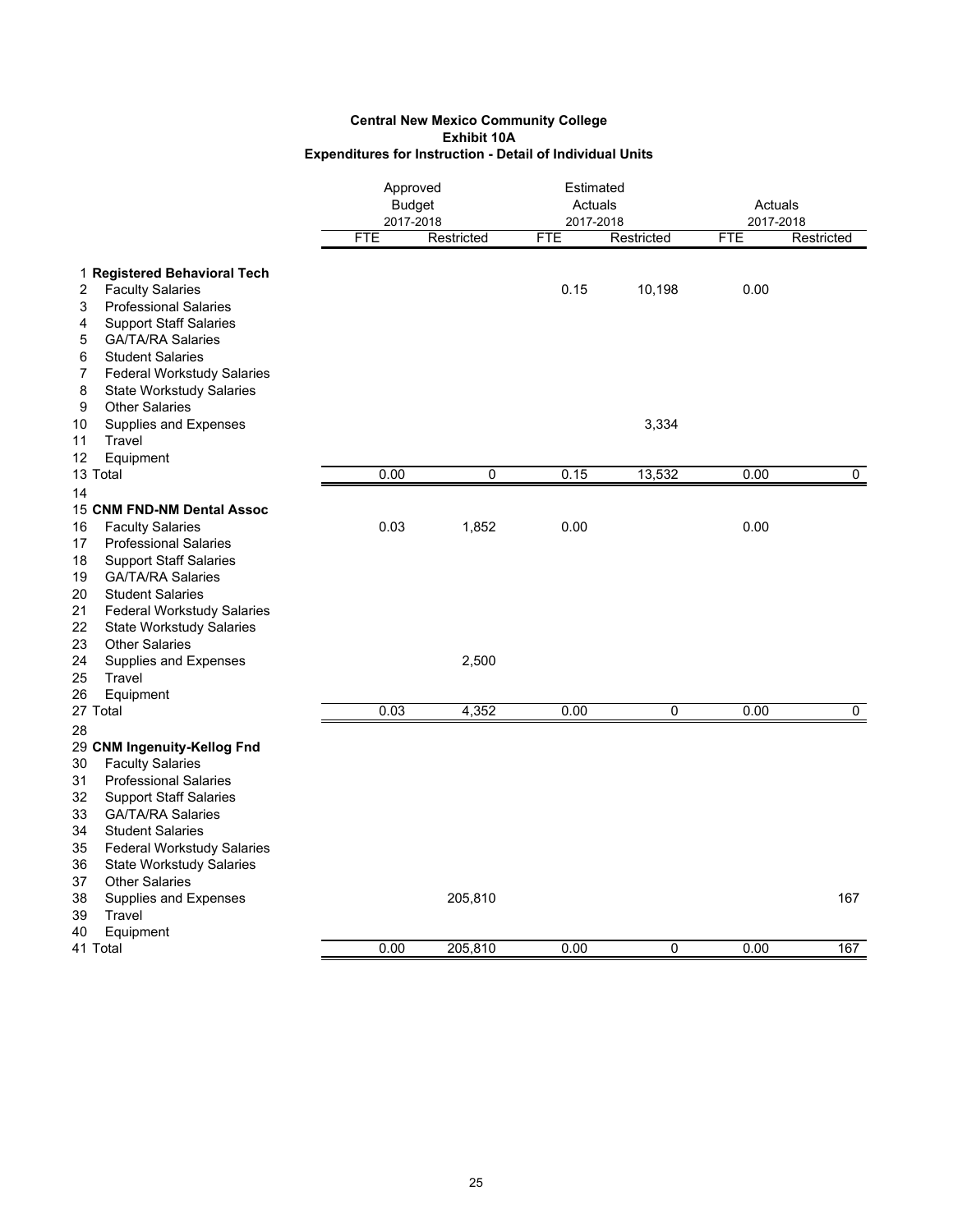|                                                                     | Approved<br><b>Budget</b> |            | Estimated<br>Actuals    |            | Actuals                 |             |
|---------------------------------------------------------------------|---------------------------|------------|-------------------------|------------|-------------------------|-------------|
|                                                                     | 2017-2018<br><b>FTE</b>   | Restricted | 2017-2018<br><b>FTE</b> | Restricted | 2017-2018<br><b>FTE</b> | Restricted  |
| 1 Registered Behavioral Tech                                        |                           |            |                         |            |                         |             |
| <b>Faculty Salaries</b><br>2                                        |                           |            | 0.15                    | 10,198     | 0.00                    |             |
| <b>Professional Salaries</b><br>3                                   |                           |            |                         |            |                         |             |
| <b>Support Staff Salaries</b><br>4                                  |                           |            |                         |            |                         |             |
| 5<br><b>GA/TA/RA Salaries</b>                                       |                           |            |                         |            |                         |             |
| 6<br><b>Student Salaries</b>                                        |                           |            |                         |            |                         |             |
| 7<br><b>Federal Workstudy Salaries</b>                              |                           |            |                         |            |                         |             |
| 8<br><b>State Workstudy Salaries</b>                                |                           |            |                         |            |                         |             |
| 9<br><b>Other Salaries</b>                                          |                           |            |                         |            |                         |             |
| 10<br>Supplies and Expenses                                         |                           |            |                         | 3,334      |                         |             |
| Travel<br>11                                                        |                           |            |                         |            |                         |             |
| 12<br>Equipment<br>13 Total                                         | 0.00                      | 0          | 0.15                    | 13,532     | 0.00                    | $\mathbf 0$ |
| 14                                                                  |                           |            |                         |            |                         |             |
| 15 CNM FND-NM Dental Assoc                                          |                           |            |                         |            |                         |             |
| <b>Faculty Salaries</b><br>16                                       | 0.03                      | 1,852      | 0.00                    |            | 0.00                    |             |
| 17<br><b>Professional Salaries</b>                                  |                           |            |                         |            |                         |             |
| 18<br><b>Support Staff Salaries</b>                                 |                           |            |                         |            |                         |             |
| <b>GA/TA/RA Salaries</b><br>19                                      |                           |            |                         |            |                         |             |
| 20<br><b>Student Salaries</b>                                       |                           |            |                         |            |                         |             |
| 21<br><b>Federal Workstudy Salaries</b>                             |                           |            |                         |            |                         |             |
| 22<br><b>State Workstudy Salaries</b>                               |                           |            |                         |            |                         |             |
| <b>Other Salaries</b><br>23                                         |                           |            |                         |            |                         |             |
| 24<br>Supplies and Expenses                                         |                           | 2,500      |                         |            |                         |             |
| 25<br>Travel                                                        |                           |            |                         |            |                         |             |
| Equipment<br>26                                                     |                           |            |                         |            |                         |             |
| 27 Total                                                            | 0.03                      | 4,352      | 0.00                    | 0          | 0.00                    | $\pmb{0}$   |
| 28                                                                  |                           |            |                         |            |                         |             |
| 29 CNM Ingenuity-Kellog Fnd                                         |                           |            |                         |            |                         |             |
| <b>Faculty Salaries</b><br>30<br>31<br><b>Professional Salaries</b> |                           |            |                         |            |                         |             |
| 32<br><b>Support Staff Salaries</b>                                 |                           |            |                         |            |                         |             |
| 33<br><b>GA/TA/RA Salaries</b>                                      |                           |            |                         |            |                         |             |
| 34<br><b>Student Salaries</b>                                       |                           |            |                         |            |                         |             |
| 35<br><b>Federal Workstudy Salaries</b>                             |                           |            |                         |            |                         |             |
| <b>State Workstudy Salaries</b><br>36                               |                           |            |                         |            |                         |             |
| 37<br><b>Other Salaries</b>                                         |                           |            |                         |            |                         |             |
| 38<br>Supplies and Expenses                                         |                           | 205,810    |                         |            |                         | 167         |
| 39<br>Travel                                                        |                           |            |                         |            |                         |             |
| 40<br>Equipment                                                     |                           |            |                         |            |                         |             |
| 41 Total                                                            | 0.00                      | 205,810    | 0.00                    | 0          | 0.00                    | 167         |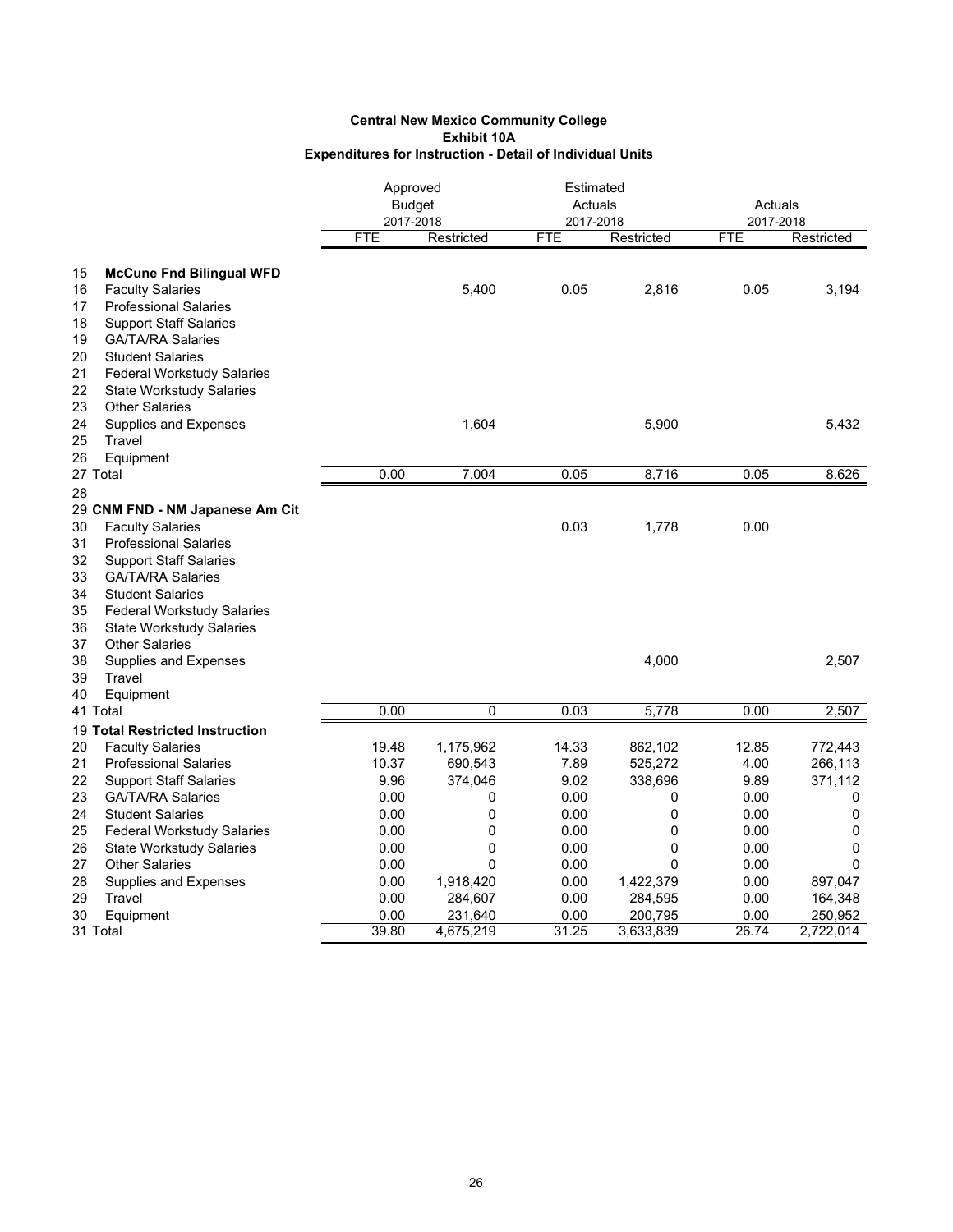|    |                                   | Approved      |            | Estimated  |             |            |            |
|----|-----------------------------------|---------------|------------|------------|-------------|------------|------------|
|    |                                   | <b>Budget</b> |            | Actuals    |             | Actuals    |            |
|    |                                   | 2017-2018     |            | 2017-2018  |             | 2017-2018  |            |
|    |                                   | <b>FTE</b>    | Restricted | <b>FTE</b> | Restricted  | <b>FTE</b> | Restricted |
| 15 | <b>McCune Fnd Bilingual WFD</b>   |               |            |            |             |            |            |
| 16 | <b>Faculty Salaries</b>           |               | 5,400      | 0.05       | 2,816       | 0.05       | 3,194      |
| 17 | <b>Professional Salaries</b>      |               |            |            |             |            |            |
| 18 | <b>Support Staff Salaries</b>     |               |            |            |             |            |            |
| 19 | <b>GA/TA/RA Salaries</b>          |               |            |            |             |            |            |
| 20 | <b>Student Salaries</b>           |               |            |            |             |            |            |
| 21 | <b>Federal Workstudy Salaries</b> |               |            |            |             |            |            |
| 22 | <b>State Workstudy Salaries</b>   |               |            |            |             |            |            |
| 23 | <b>Other Salaries</b>             |               |            |            |             |            |            |
| 24 | Supplies and Expenses             |               | 1,604      |            | 5,900       |            | 5,432      |
| 25 | Travel                            |               |            |            |             |            |            |
| 26 | Equipment                         |               |            |            |             |            |            |
|    | 27 Total                          | 0.00          | 7,004      | 0.05       | 8,716       | 0.05       | 8,626      |
| 28 |                                   |               |            |            |             |            |            |
|    | 29 CNM FND - NM Japanese Am Cit   |               |            |            |             |            |            |
| 30 | <b>Faculty Salaries</b>           |               |            | 0.03       | 1,778       | 0.00       |            |
| 31 | <b>Professional Salaries</b>      |               |            |            |             |            |            |
| 32 | <b>Support Staff Salaries</b>     |               |            |            |             |            |            |
| 33 | <b>GA/TA/RA Salaries</b>          |               |            |            |             |            |            |
| 34 | <b>Student Salaries</b>           |               |            |            |             |            |            |
| 35 | <b>Federal Workstudy Salaries</b> |               |            |            |             |            |            |
| 36 | <b>State Workstudy Salaries</b>   |               |            |            |             |            |            |
| 37 | <b>Other Salaries</b>             |               |            |            |             |            |            |
| 38 | Supplies and Expenses             |               |            |            | 4,000       |            | 2,507      |
| 39 | Travel                            |               |            |            |             |            |            |
| 40 | Equipment                         |               |            |            |             |            |            |
|    | 41 Total                          | 0.00          | 0          | 0.03       | 5,778       | 0.00       | 2,507      |
|    | 19 Total Restricted Instruction   |               |            |            |             |            |            |
| 20 | <b>Faculty Salaries</b>           | 19.48         | 1,175,962  | 14.33      | 862,102     | 12.85      | 772,443    |
| 21 | <b>Professional Salaries</b>      | 10.37         | 690,543    | 7.89       | 525,272     | 4.00       | 266,113    |
| 22 | <b>Support Staff Salaries</b>     | 9.96          | 374,046    | 9.02       | 338,696     | 9.89       | 371,112    |
| 23 | <b>GA/TA/RA Salaries</b>          | 0.00          | 0          | 0.00       | 0           | 0.00       | 0          |
| 24 | <b>Student Salaries</b>           | 0.00          | 0          | 0.00       | $\mathbf 0$ | 0.00       | 0          |
| 25 | <b>Federal Workstudy Salaries</b> | 0.00          | 0          | 0.00       | 0           | 0.00       | 0          |
| 26 | <b>State Workstudy Salaries</b>   | 0.00          | 0          | 0.00       | $\mathbf 0$ | 0.00       | 0          |
| 27 | <b>Other Salaries</b>             | 0.00          | 0          | 0.00       | $\Omega$    | 0.00       | 0          |
| 28 | <b>Supplies and Expenses</b>      | 0.00          | 1,918,420  | 0.00       | 1,422,379   | 0.00       | 897,047    |
| 29 | Travel                            | 0.00          | 284,607    | 0.00       | 284,595     | 0.00       | 164,348    |
| 30 | Equipment                         | 0.00          | 231,640    | 0.00       | 200,795     | 0.00       | 250,952    |
|    | 31 Total                          | 39.80         | 4,675,219  | 31.25      | 3,633,839   | 26.74      | 2,722,014  |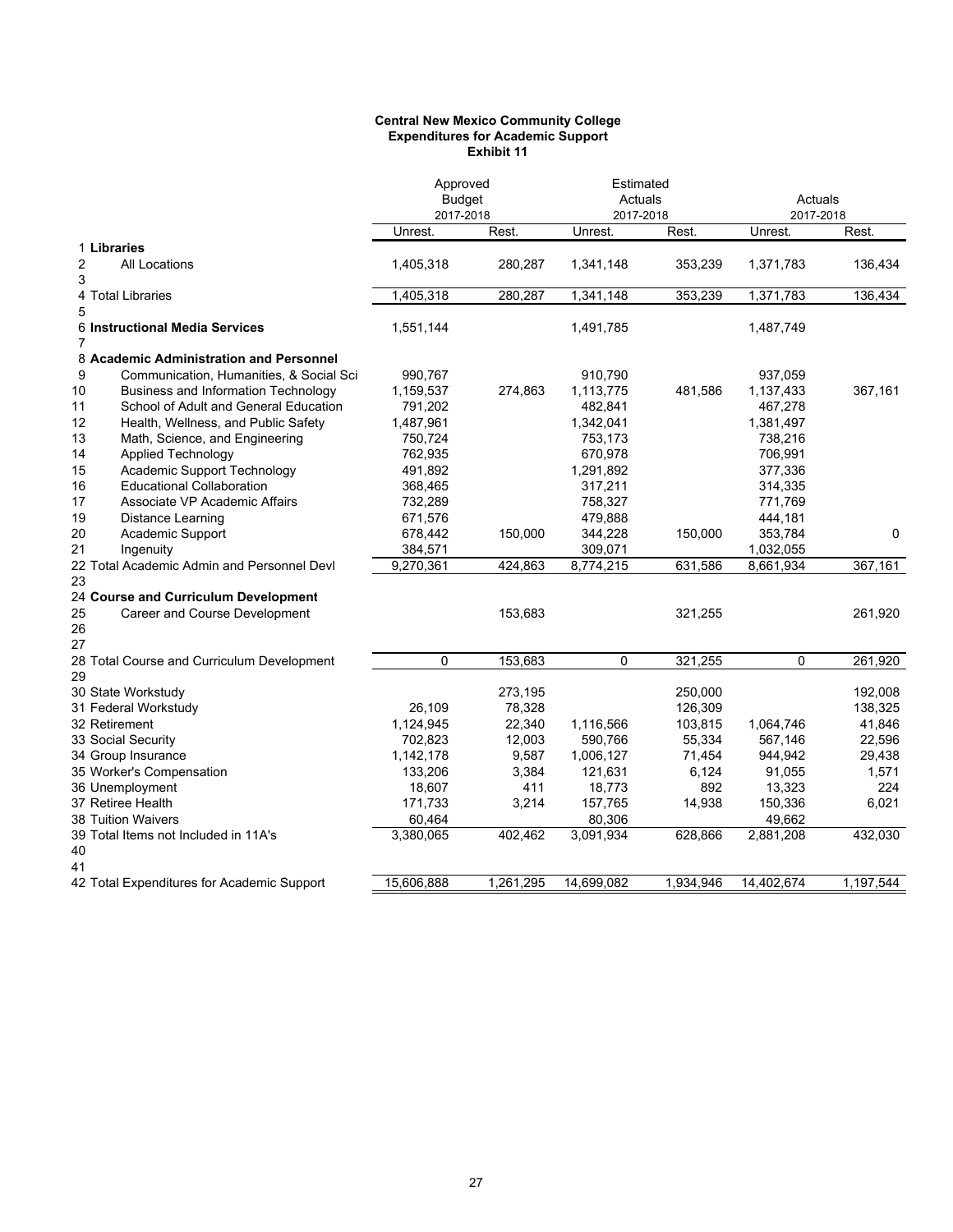#### **Central New Mexico Community College Expenditures for Academic Support Exhibit 11**

|                |                                            | Approved<br><b>Budget</b><br>2017-2018 |           | Estimated<br>Actuals<br>2017-2018 |           | Actuals<br>2017-2018 |           |
|----------------|--------------------------------------------|----------------------------------------|-----------|-----------------------------------|-----------|----------------------|-----------|
|                |                                            | Unrest.                                | Rest.     | Unrest.                           | Rest.     | Unrest.              | Rest.     |
|                | 1 Libraries                                |                                        |           |                                   |           |                      |           |
| 2<br>3         | <b>All Locations</b>                       | 1,405,318                              | 280,287   | 1,341,148                         | 353,239   | 1,371,783            | 136,434   |
| 5              | 4 Total Libraries                          | 1,405,318                              | 280,287   | 1,341,148                         | 353,239   | 1,371,783            | 136,434   |
| 7              | 6 Instructional Media Services             | 1,551,144                              |           | 1,491,785                         |           | 1,487,749            |           |
|                | 8 Academic Administration and Personnel    |                                        |           |                                   |           |                      |           |
| 9              | Communication, Humanities, & Social Sci    | 990,767                                |           | 910,790                           |           | 937,059              |           |
| 10             | <b>Business and Information Technology</b> | 1,159,537                              | 274,863   | 1,113,775                         | 481,586   | 1,137,433            | 367,161   |
| 11             | School of Adult and General Education      | 791,202                                |           | 482,841                           |           | 467,278              |           |
| 12             | Health, Wellness, and Public Safety        | 1,487,961                              |           | 1,342,041                         |           | 1,381,497            |           |
| 13             | Math, Science, and Engineering             | 750,724                                |           | 753,173                           |           | 738,216              |           |
| 14             | <b>Applied Technology</b>                  | 762,935                                |           | 670,978                           |           | 706,991              |           |
| 15             | Academic Support Technology                | 491,892                                |           | 1,291,892                         |           | 377,336              |           |
| 16             | <b>Educational Collaboration</b>           | 368,465                                |           | 317,211                           |           | 314,335              |           |
| 17             | Associate VP Academic Affairs              | 732,289                                |           | 758,327                           |           | 771,769              |           |
| 19             | Distance Learning                          | 671,576                                |           | 479,888                           |           | 444,181              |           |
| 20             | Academic Support                           | 678,442                                | 150,000   | 344,228                           | 150,000   | 353,784              | 0         |
| 21             | Ingenuity                                  | 384,571                                |           | 309,071                           |           | 1,032,055            |           |
|                | 22 Total Academic Admin and Personnel Devl | 9,270,361                              | 424.863   | 8,774,215                         | 631,586   | 8,661,934            | 367,161   |
| 23             |                                            |                                        |           |                                   |           |                      |           |
|                | 24 Course and Curriculum Development       |                                        |           |                                   |           |                      |           |
| 25<br>26<br>27 | Career and Course Development              |                                        | 153,683   |                                   | 321,255   |                      | 261,920   |
| 29             | 28 Total Course and Curriculum Development | $\Omega$                               | 153,683   | $\Omega$                          | 321,255   | 0                    | 261,920   |
|                | 30 State Workstudy                         |                                        | 273,195   |                                   | 250,000   |                      | 192,008   |
|                | 31 Federal Workstudy                       | 26,109                                 | 78,328    |                                   | 126,309   |                      | 138,325   |
|                | 32 Retirement                              | 1,124,945                              | 22,340    | 1,116,566                         | 103,815   | 1,064,746            | 41,846    |
|                | 33 Social Security                         | 702,823                                | 12,003    | 590,766                           | 55,334    | 567,146              | 22,596    |
|                | 34 Group Insurance                         | 1,142,178                              | 9,587     | 1,006,127                         | 71,454    | 944,942              | 29,438    |
|                | 35 Worker's Compensation                   | 133,206                                | 3,384     | 121,631                           | 6,124     | 91,055               | 1,571     |
|                | 36 Unemployment                            | 18,607                                 | 411       | 18,773                            | 892       | 13,323               | 224       |
|                | 37 Retiree Health                          | 171,733                                | 3,214     | 157,765                           | 14,938    | 150,336              | 6,021     |
|                | <b>38 Tuition Waivers</b>                  | 60,464                                 |           | 80,306                            |           | 49,662               |           |
| 40             | 39 Total Items not Included in 11A's       | 3,380,065                              | 402,462   | 3,091,934                         | 628,866   | 2,881,208            | 432,030   |
| 41             | 42 Total Expenditures for Academic Support | 15,606,888                             | 1,261,295 | 14,699,082                        | 1,934,946 | 14,402,674           | 1,197,544 |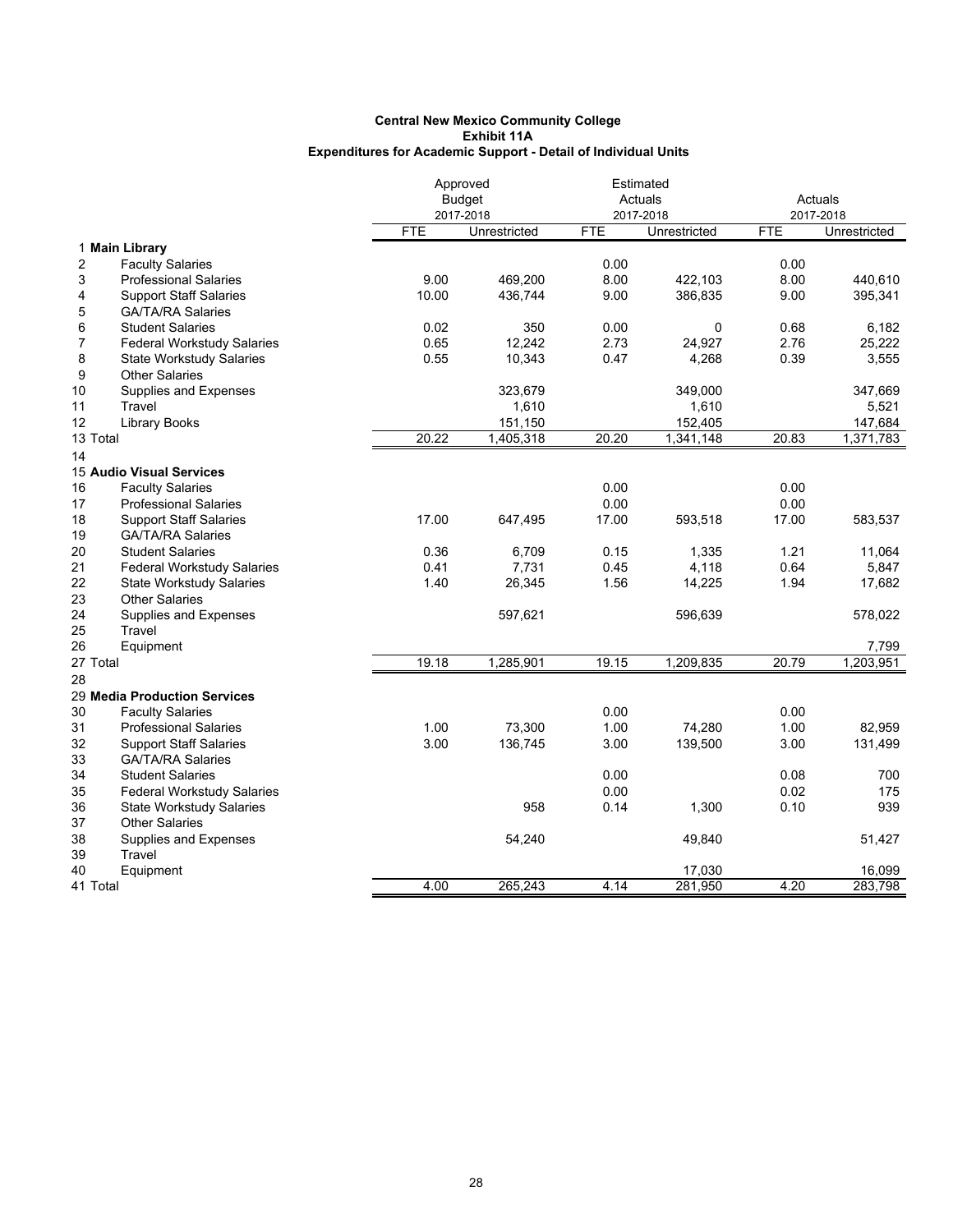|                |                                   |            | Approved      |            | Estimated         |            |                   |
|----------------|-----------------------------------|------------|---------------|------------|-------------------|------------|-------------------|
|                |                                   |            | <b>Budget</b> |            | Actuals           |            | Actuals           |
|                |                                   |            | 2017-2018     |            | 2017-2018         |            | 2017-2018         |
|                |                                   | <b>FTE</b> | Unrestricted  | <b>FTE</b> | Unrestricted      | <b>FTE</b> | Unrestricted      |
|                | 1 Main Library                    |            |               |            |                   |            |                   |
| $\overline{2}$ | <b>Faculty Salaries</b>           |            |               | 0.00       |                   | 0.00       |                   |
| 3              | <b>Professional Salaries</b>      | 9.00       | 469,200       | 8.00       | 422,103           | 8.00       | 440,610           |
| 4              | <b>Support Staff Salaries</b>     | 10.00      | 436,744       | 9.00       | 386,835           | 9.00       | 395,341           |
| 5              | <b>GA/TA/RA Salaries</b>          |            |               |            |                   |            |                   |
| 6              | <b>Student Salaries</b>           | 0.02       | 350           | 0.00       | 0                 | 0.68       | 6,182             |
| $\overline{7}$ | Federal Workstudy Salaries        | 0.65       | 12,242        | 2.73       | 24,927            | 2.76       | 25,222            |
| 8              | <b>State Workstudy Salaries</b>   | 0.55       | 10,343        | 0.47       | 4,268             | 0.39       | 3,555             |
| 9              | <b>Other Salaries</b>             |            |               |            |                   |            |                   |
| 10             | Supplies and Expenses             |            | 323,679       |            | 349,000           |            | 347,669           |
| 11             | Travel                            |            | 1,610         |            | 1,610             |            | 5,521             |
| 12             | <b>Library Books</b>              |            | 151,150       |            | 152,405           |            | 147,684           |
| 13 Total       |                                   | 20.22      | 1,405,318     | 20.20      | 1,341,148         | 20.83      | 1,371,783         |
| 14             |                                   |            |               |            |                   |            |                   |
|                | 15 Audio Visual Services          |            |               |            |                   |            |                   |
| 16             | <b>Faculty Salaries</b>           |            |               | 0.00       |                   | 0.00       |                   |
| 17             | <b>Professional Salaries</b>      |            |               | 0.00       |                   | 0.00       |                   |
| 18             | <b>Support Staff Salaries</b>     | 17.00      | 647,495       | 17.00      | 593,518           | 17.00      | 583,537           |
| 19             | <b>GA/TA/RA Salaries</b>          |            |               |            |                   |            |                   |
| 20             | <b>Student Salaries</b>           | 0.36       | 6,709         | 0.15       | 1,335             | 1.21       | 11,064            |
| 21             | <b>Federal Workstudy Salaries</b> | 0.41       | 7,731         | 0.45       | 4,118             | 0.64       | 5,847             |
| 22             | <b>State Workstudy Salaries</b>   | 1.40       | 26,345        | 1.56       | 14,225            | 1.94       | 17,682            |
| 23             | <b>Other Salaries</b>             |            |               |            |                   |            |                   |
| 24             | Supplies and Expenses             |            | 597,621       |            | 596,639           |            | 578,022           |
| 25             | Travel                            |            |               |            |                   |            |                   |
| 26             | Equipment                         |            |               |            |                   |            | 7,799             |
| 27 Total       |                                   | 19.18      | 1,285,901     | 19.15      | 1,209,835         | 20.79      | 1,203,951         |
| 28             |                                   |            |               |            |                   |            |                   |
|                | 29 Media Production Services      |            |               |            |                   |            |                   |
| 30             | <b>Faculty Salaries</b>           |            |               | 0.00       |                   | 0.00       |                   |
| 31             | <b>Professional Salaries</b>      | 1.00       | 73,300        | 1.00       | 74,280            | 1.00       | 82,959            |
| 32             | <b>Support Staff Salaries</b>     | 3.00       | 136,745       | 3.00       | 139,500           | 3.00       | 131,499           |
| 33             | <b>GA/TA/RA Salaries</b>          |            |               |            |                   |            |                   |
| 34             | <b>Student Salaries</b>           |            |               | 0.00       |                   | 0.08       | 700               |
| 35             | <b>Federal Workstudy Salaries</b> |            |               | 0.00       |                   | 0.02       | 175               |
| 36             | <b>State Workstudy Salaries</b>   |            | 958           | 0.14       | 1,300             | 0.10       | 939               |
|                | <b>Other Salaries</b>             |            |               |            |                   |            |                   |
| 37<br>38       | Supplies and Expenses             |            | 54,240        |            | 49,840            |            | 51,427            |
| 39             | Travel                            |            |               |            |                   |            |                   |
|                |                                   |            |               |            |                   |            |                   |
| 40<br>41 Total | Equipment                         | 4.00       | 265.243       | 4.14       | 17,030<br>281,950 | 4.20       | 16,099<br>283.798 |
|                |                                   |            |               |            |                   |            |                   |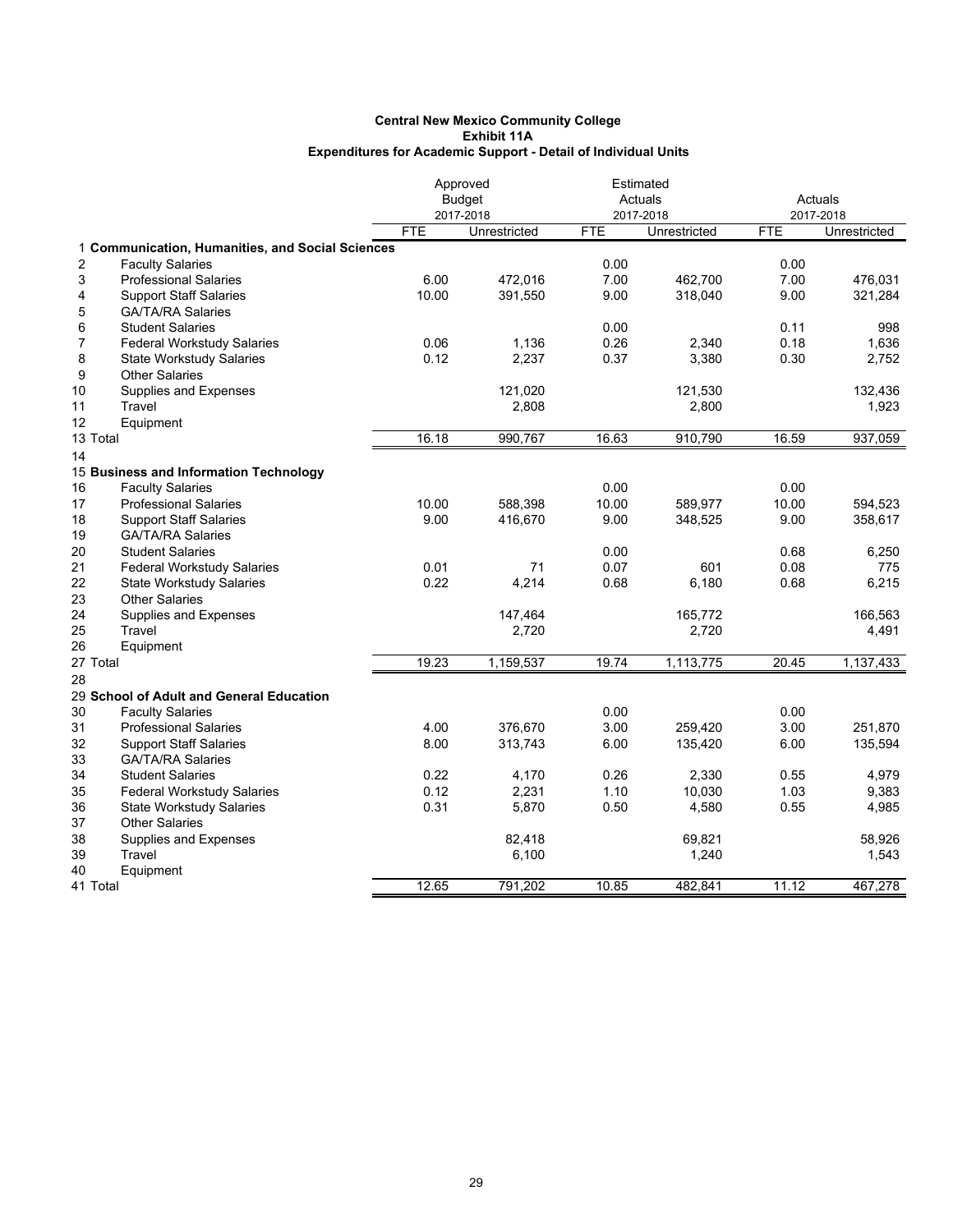|                         |                                                  |            | Approved      | Estimated  |              |            |              |
|-------------------------|--------------------------------------------------|------------|---------------|------------|--------------|------------|--------------|
|                         |                                                  |            | <b>Budget</b> |            | Actuals      |            | Actuals      |
|                         |                                                  |            | 2017-2018     |            | 2017-2018    |            | 2017-2018    |
|                         |                                                  | <b>FTE</b> | Unrestricted  | <b>FTE</b> | Unrestricted | <b>FTE</b> | Unrestricted |
|                         | 1 Communication, Humanities, and Social Sciences |            |               |            |              |            |              |
| $\overline{\mathbf{c}}$ | <b>Faculty Salaries</b>                          |            |               | 0.00       |              | 0.00       |              |
| 3                       | <b>Professional Salaries</b>                     | 6.00       | 472,016       | 7.00       | 462.700      | 7.00       | 476.031      |
| 4                       | <b>Support Staff Salaries</b>                    | 10.00      | 391,550       | 9.00       | 318,040      | 9.00       | 321,284      |
| 5                       | <b>GA/TA/RA Salaries</b>                         |            |               |            |              |            |              |
| 6                       | <b>Student Salaries</b>                          |            |               | 0.00       |              | 0.11       | 998          |
| $\overline{7}$          | <b>Federal Workstudy Salaries</b>                | 0.06       | 1,136         | 0.26       | 2,340        | 0.18       | 1,636        |
| 8                       | <b>State Workstudy Salaries</b>                  | 0.12       | 2,237         | 0.37       | 3,380        | 0.30       | 2,752        |
| 9                       | <b>Other Salaries</b>                            |            |               |            |              |            |              |
| 10                      | Supplies and Expenses                            |            | 121,020       |            | 121,530      |            | 132,436      |
| 11                      | Travel                                           |            | 2,808         |            | 2,800        |            | 1,923        |
| 12                      | Equipment                                        |            |               |            |              |            |              |
| 13 Total                |                                                  | 16.18      | 990,767       | 16.63      | 910,790      | 16.59      | 937,059      |
| 14                      |                                                  |            |               |            |              |            |              |
|                         | 15 Business and Information Technology           |            |               |            |              |            |              |
| 16                      | <b>Faculty Salaries</b>                          |            |               | 0.00       |              | 0.00       |              |
| 17                      | <b>Professional Salaries</b>                     | 10.00      | 588,398       | 10.00      | 589,977      | 10.00      | 594,523      |
| 18                      | <b>Support Staff Salaries</b>                    | 9.00       | 416,670       | 9.00       | 348,525      | 9.00       | 358,617      |
| 19                      | <b>GA/TA/RA Salaries</b>                         |            |               |            |              |            |              |
| 20                      | <b>Student Salaries</b>                          |            |               | 0.00       |              | 0.68       | 6,250        |
| 21                      | <b>Federal Workstudy Salaries</b>                | 0.01       | 71            | 0.07       | 601          | 0.08       | 775          |
| 22                      | <b>State Workstudy Salaries</b>                  | 0.22       | 4,214         | 0.68       | 6,180        | 0.68       | 6,215        |
| 23                      | <b>Other Salaries</b>                            |            |               |            |              |            |              |
| 24                      | Supplies and Expenses                            |            | 147,464       |            | 165,772      |            | 166,563      |
| 25                      | Travel                                           |            | 2,720         |            | 2,720        |            | 4,491        |
| 26                      | Equipment                                        |            |               |            |              |            |              |
| 27 Total                |                                                  | 19.23      | 1,159,537     | 19.74      | 1,113,775    | 20.45      | 1,137,433    |
| 28                      |                                                  |            |               |            |              |            |              |
|                         | 29 School of Adult and General Education         |            |               |            |              |            |              |
| 30                      | <b>Faculty Salaries</b>                          |            |               | 0.00       |              | 0.00       |              |
| 31                      | <b>Professional Salaries</b>                     | 4.00       | 376,670       | 3.00       | 259,420      | 3.00       | 251,870      |
| 32                      | <b>Support Staff Salaries</b>                    | 8.00       | 313,743       | 6.00       | 135,420      | 6.00       | 135,594      |
| 33                      | <b>GA/TA/RA Salaries</b>                         |            |               |            |              |            |              |
| 34                      | <b>Student Salaries</b>                          | 0.22       | 4,170         | 0.26       | 2,330        | 0.55       | 4,979        |
| 35                      | Federal Workstudy Salaries                       | 0.12       | 2,231         | 1.10       | 10,030       | 1.03       | 9,383        |
| 36                      | <b>State Workstudy Salaries</b>                  | 0.31       | 5,870         | 0.50       | 4,580        | 0.55       | 4,985        |
| 37                      | <b>Other Salaries</b>                            |            |               |            |              |            |              |
| 38                      | Supplies and Expenses                            |            | 82,418        |            | 69,821       |            | 58,926       |
| 39                      | Travel                                           |            | 6,100         |            | 1,240        |            | 1,543        |
| 40                      | Equipment                                        |            |               |            |              |            |              |
| 41 Total                |                                                  | 12.65      | 791,202       | 10.85      | 482.841      | 11.12      | 467,278      |
|                         |                                                  |            |               |            |              |            |              |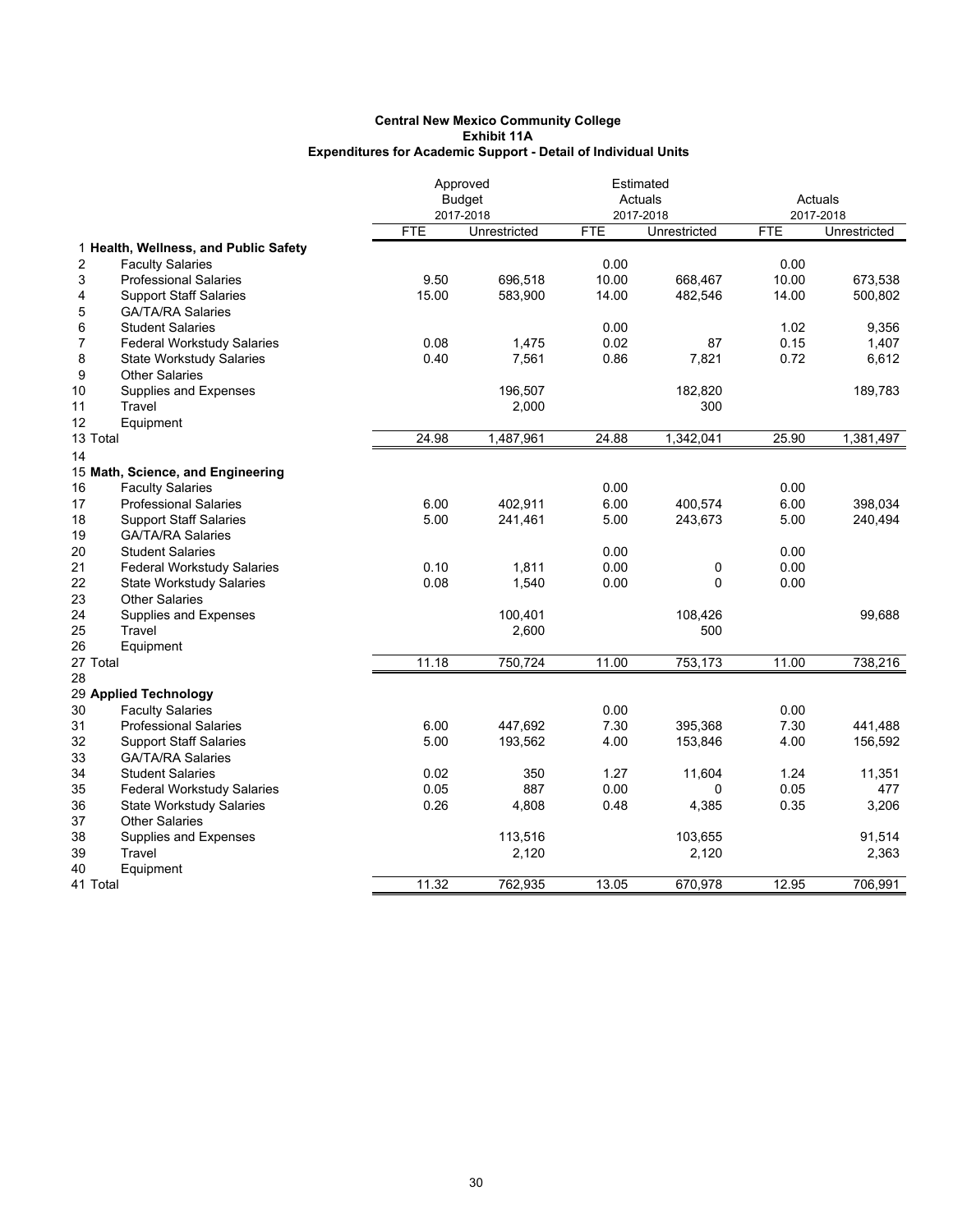|          |                                       |            | Approved      |            | Estimated    |            |              |
|----------|---------------------------------------|------------|---------------|------------|--------------|------------|--------------|
|          |                                       |            | <b>Budget</b> |            | Actuals      | Actuals    |              |
|          |                                       |            | 2017-2018     |            | 2017-2018    |            | 2017-2018    |
|          |                                       | <b>FTE</b> | Unrestricted  | <b>FTE</b> | Unrestricted | <b>FTE</b> | Unrestricted |
|          | 1 Health, Wellness, and Public Safety |            |               |            |              |            |              |
| 2        | <b>Faculty Salaries</b>               |            |               | 0.00       |              | 0.00       |              |
| 3        | <b>Professional Salaries</b>          | 9.50       | 696,518       | 10.00      | 668,467      | 10.00      | 673,538      |
| 4        | <b>Support Staff Salaries</b>         | 15.00      | 583,900       | 14.00      | 482,546      | 14.00      | 500,802      |
| 5        | <b>GA/TA/RA Salaries</b>              |            |               |            |              |            |              |
| 6        | <b>Student Salaries</b>               |            |               | 0.00       |              | 1.02       | 9,356        |
| 7        | <b>Federal Workstudy Salaries</b>     | 0.08       | 1,475         | 0.02       | 87           | 0.15       | 1,407        |
| 8        | <b>State Workstudy Salaries</b>       | 0.40       | 7,561         | 0.86       | 7,821        | 0.72       | 6,612        |
| 9        | <b>Other Salaries</b>                 |            |               |            |              |            |              |
| 10       | Supplies and Expenses                 |            | 196,507       |            | 182,820      |            | 189,783      |
| 11       | Travel                                |            | 2,000         |            | 300          |            |              |
| 12       | Equipment                             |            |               |            |              |            |              |
| 13 Total |                                       | 24.98      | 1,487,961     | 24.88      | 1,342,041    | 25.90      | 1,381,497    |
| 14       |                                       |            |               |            |              |            |              |
|          | 15 Math, Science, and Engineering     |            |               |            |              |            |              |
| 16       | <b>Faculty Salaries</b>               |            |               | 0.00       |              | 0.00       |              |
| 17       | <b>Professional Salaries</b>          | 6.00       | 402,911       | 6.00       | 400,574      | 6.00       | 398,034      |
| 18       | <b>Support Staff Salaries</b>         | 5.00       | 241,461       | 5.00       | 243,673      | 5.00       | 240,494      |
| 19       | <b>GA/TA/RA Salaries</b>              |            |               |            |              |            |              |
| 20       | <b>Student Salaries</b>               |            |               | 0.00       |              | 0.00       |              |
| 21       | <b>Federal Workstudy Salaries</b>     | 0.10       | 1,811         | 0.00       | 0            | 0.00       |              |
| 22       | <b>State Workstudy Salaries</b>       | 0.08       | 1,540         | 0.00       | $\Omega$     | 0.00       |              |
| 23       | <b>Other Salaries</b>                 |            |               |            |              |            |              |
| 24       | Supplies and Expenses                 |            | 100,401       |            | 108,426      |            | 99,688       |
| 25       | Travel                                |            | 2,600         |            | 500          |            |              |
| 26       | Equipment                             |            |               |            |              |            |              |
| 27 Total |                                       | 11.18      | 750,724       | 11.00      | 753,173      | 11.00      | 738,216      |
| 28       |                                       |            |               |            |              |            |              |
|          | 29 Applied Technology                 |            |               |            |              |            |              |
| 30       | <b>Faculty Salaries</b>               |            |               | 0.00       |              | 0.00       |              |
| 31       | <b>Professional Salaries</b>          | 6.00       | 447,692       | 7.30       | 395,368      | 7.30       | 441,488      |
| 32       | <b>Support Staff Salaries</b>         | 5.00       | 193,562       | 4.00       | 153,846      | 4.00       | 156,592      |
| 33       | <b>GA/TA/RA Salaries</b>              |            |               |            |              |            |              |
| 34       | <b>Student Salaries</b>               | 0.02       | 350           | 1.27       | 11,604       | 1.24       | 11,351       |
| 35       | <b>Federal Workstudy Salaries</b>     | 0.05       | 887           | 0.00       | $\Omega$     | 0.05       | 477          |
| 36       | <b>State Workstudy Salaries</b>       | 0.26       | 4,808         | 0.48       | 4,385        | 0.35       | 3,206        |
| 37       | <b>Other Salaries</b>                 |            |               |            |              |            |              |
| 38       | Supplies and Expenses                 |            | 113,516       |            | 103,655      |            | 91,514       |
| 39       | Travel                                |            | 2,120         |            | 2,120        |            | 2,363        |
| 40       | Equipment                             |            |               |            |              |            |              |
| 41 Total |                                       | 11.32      | 762,935       | 13.05      | 670,978      | 12.95      | 706,991      |
|          |                                       |            |               |            |              |            |              |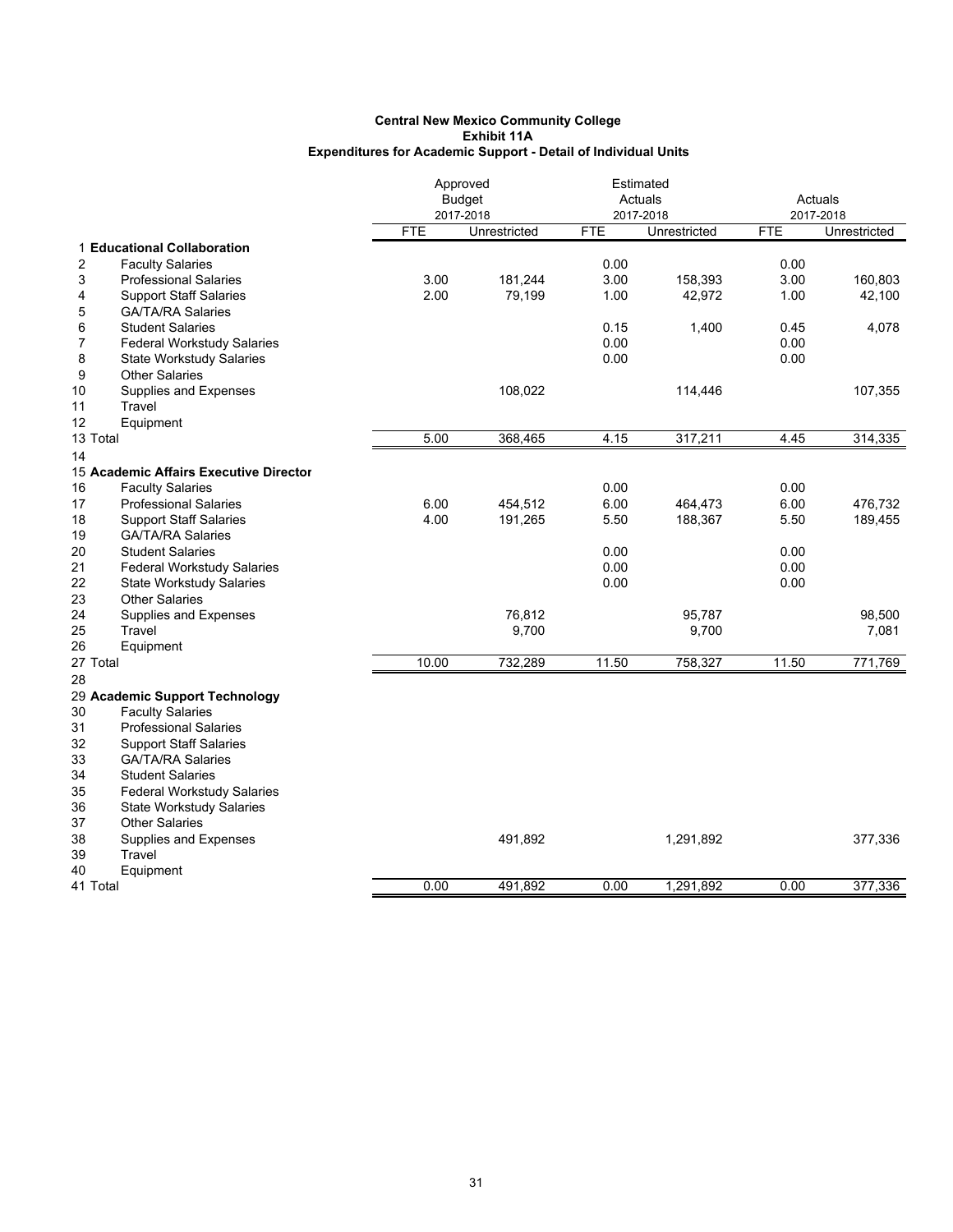|                                         |            | Approved      |            | Estimated    |            |              |
|-----------------------------------------|------------|---------------|------------|--------------|------------|--------------|
|                                         |            | <b>Budget</b> |            | Actuals      | Actuals    |              |
|                                         |            | 2017-2018     |            | 2017-2018    |            | 2017-2018    |
|                                         | <b>FTE</b> | Unrestricted  | <b>FTE</b> | Unrestricted | <b>FTE</b> | Unrestricted |
| 1 Educational Collaboration             |            |               |            |              |            |              |
| 2<br><b>Faculty Salaries</b>            |            |               | 0.00       |              | 0.00       |              |
| 3<br><b>Professional Salaries</b>       | 3.00       | 181,244       | 3.00       | 158,393      | 3.00       | 160,803      |
| 4<br><b>Support Staff Salaries</b>      | 2.00       | 79,199        | 1.00       | 42,972       | 1.00       | 42,100       |
| <b>GA/TA/RA Salaries</b><br>5           |            |               |            |              |            |              |
| <b>Student Salaries</b><br>6            |            |               | 0.15       | 1,400        | 0.45       | 4,078        |
| <b>Federal Workstudy Salaries</b><br>7  |            |               | 0.00       |              | 0.00       |              |
| 8<br><b>State Workstudy Salaries</b>    |            |               | 0.00       |              | 0.00       |              |
| <b>Other Salaries</b><br>9              |            |               |            |              |            |              |
| 10<br>Supplies and Expenses             |            | 108,022       |            | 114,446      |            | 107,355      |
| 11<br>Travel                            |            |               |            |              |            |              |
| 12<br>Equipment                         |            |               |            |              |            |              |
| 13 Total                                | 5.00       | 368,465       | 4.15       | 317,211      | 4.45       | 314,335      |
| 14                                      |            |               |            |              |            |              |
| 15 Academic Affairs Executive Director  |            |               |            |              |            |              |
| <b>Faculty Salaries</b><br>16           |            |               | 0.00       |              | 0.00       |              |
| 17<br><b>Professional Salaries</b>      | 6.00       | 454,512       | 6.00       | 464,473      | 6.00       | 476,732      |
| 18<br><b>Support Staff Salaries</b>     | 4.00       | 191,265       | 5.50       | 188,367      | 5.50       | 189,455      |
| 19<br><b>GA/TA/RA Salaries</b>          |            |               |            |              |            |              |
| 20<br><b>Student Salaries</b>           |            |               | 0.00       |              | 0.00       |              |
| 21<br><b>Federal Workstudy Salaries</b> |            |               | 0.00       |              | 0.00       |              |
| 22<br><b>State Workstudy Salaries</b>   |            |               | 0.00       |              | 0.00       |              |
| 23<br><b>Other Salaries</b>             |            |               |            |              |            |              |
| 24<br>Supplies and Expenses             |            | 76,812        |            | 95,787       |            | 98,500       |
| 25<br>Travel                            |            | 9,700         |            | 9,700        |            | 7,081        |
| 26<br>Equipment                         |            |               |            |              |            |              |
| 27 Total                                | 10.00      | 732,289       | 11.50      | 758,327      | 11.50      | 771,769      |
| 28                                      |            |               |            |              |            |              |
| 29 Academic Support Technology          |            |               |            |              |            |              |
| <b>Faculty Salaries</b><br>30           |            |               |            |              |            |              |
| 31<br><b>Professional Salaries</b>      |            |               |            |              |            |              |
| 32<br><b>Support Staff Salaries</b>     |            |               |            |              |            |              |
| 33<br><b>GA/TA/RA Salaries</b>          |            |               |            |              |            |              |
| 34<br><b>Student Salaries</b>           |            |               |            |              |            |              |
| 35<br><b>Federal Workstudy Salaries</b> |            |               |            |              |            |              |
|                                         |            |               |            |              |            |              |
| 36<br><b>State Workstudy Salaries</b>   |            |               |            |              |            |              |
| <b>Other Salaries</b><br>37             |            |               |            |              |            |              |
| 38<br>Supplies and Expenses             |            | 491,892       |            | 1,291,892    |            | 377,336      |
| Travel<br>39                            |            |               |            |              |            |              |
| 40<br>Equipment                         |            |               |            |              |            |              |
| 41 Total                                | 0.00       | 491,892       | 0.00       | 1,291,892    | 0.00       | 377,336      |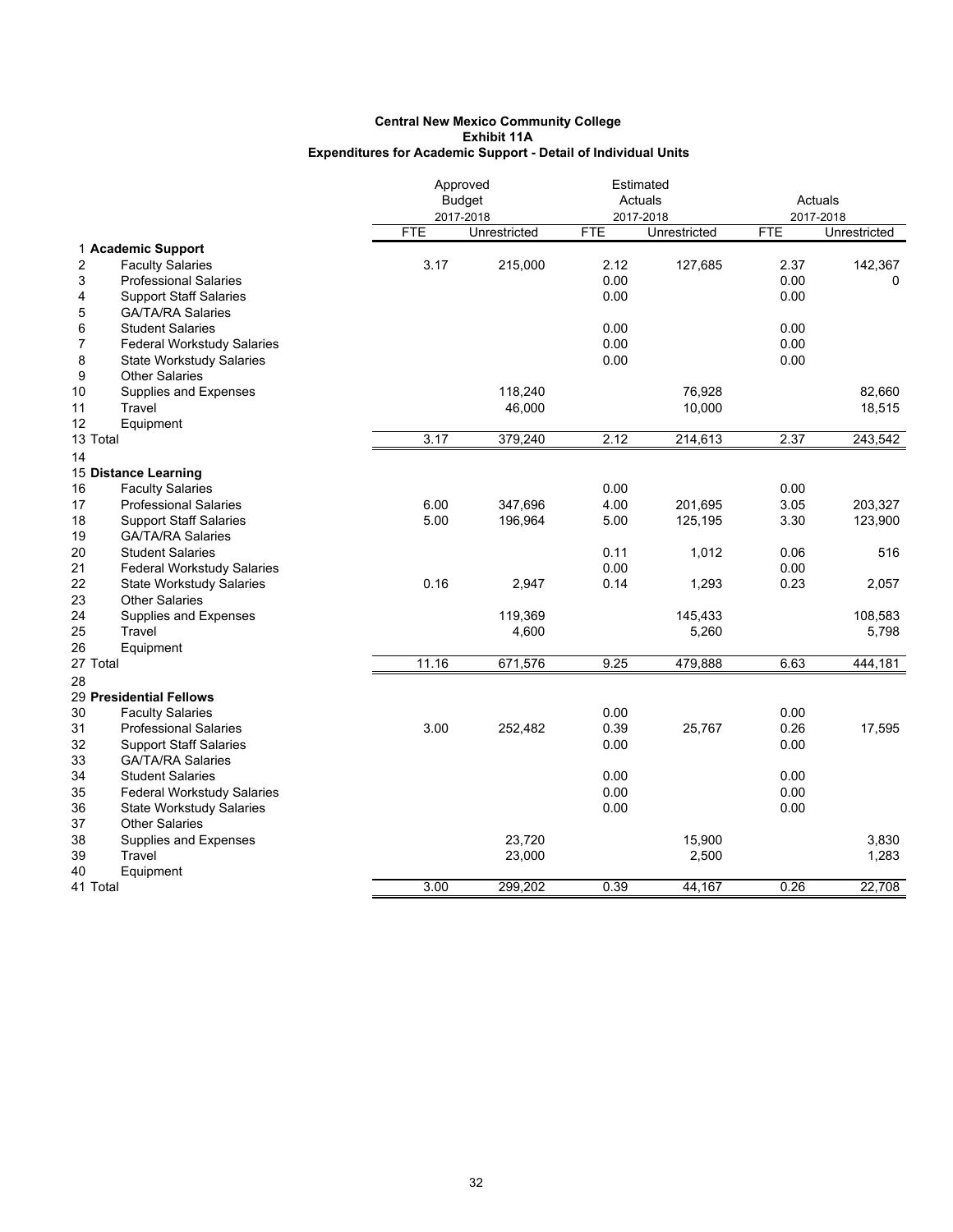|                                                                                                                                                                               | Approved<br><b>Budget</b><br>2017-2018 |                   | Estimated<br>Actuals<br>2017-2018 |                  | Actuals<br>2017-2018 |                  |
|-------------------------------------------------------------------------------------------------------------------------------------------------------------------------------|----------------------------------------|-------------------|-----------------------------------|------------------|----------------------|------------------|
|                                                                                                                                                                               | <b>FTE</b>                             | Unrestricted      | <b>FTE</b>                        | Unrestricted     | <b>FTE</b>           | Unrestricted     |
| 1 Academic Support<br>2<br><b>Faculty Salaries</b><br>3<br><b>Professional Salaries</b><br><b>Support Staff Salaries</b><br>4                                                 | 3.17                                   | 215,000           | 2.12<br>0.00<br>0.00              | 127,685          | 2.37<br>0.00<br>0.00 | 142,367<br>0     |
| <b>GA/TA/RA Salaries</b><br>5<br>6<br><b>Student Salaries</b><br>7<br><b>Federal Workstudy Salaries</b><br>8<br><b>State Workstudy Salaries</b><br>9<br><b>Other Salaries</b> |                                        |                   | 0.00<br>0.00<br>0.00              |                  | 0.00<br>0.00<br>0.00 |                  |
| 10<br>Supplies and Expenses<br>Travel<br>11<br>12<br>Equipment                                                                                                                |                                        | 118,240<br>46,000 |                                   | 76,928<br>10,000 |                      | 82,660<br>18,515 |
| 13 Total                                                                                                                                                                      | 3.17                                   | 379,240           | 2.12                              | 214,613          | 2.37                 | 243,542          |
| 14                                                                                                                                                                            |                                        |                   |                                   |                  |                      |                  |
| 15 Distance Learning                                                                                                                                                          |                                        |                   | 0.00                              |                  |                      |                  |
| 16<br><b>Faculty Salaries</b><br>17<br><b>Professional Salaries</b>                                                                                                           | 6.00                                   | 347,696           | 4.00                              | 201,695          | 0.00<br>3.05         | 203,327          |
| 18<br><b>Support Staff Salaries</b>                                                                                                                                           | 5.00                                   | 196,964           | 5.00                              | 125,195          | 3.30                 | 123,900          |
| 19<br><b>GA/TA/RA Salaries</b>                                                                                                                                                |                                        |                   |                                   |                  |                      |                  |
| 20<br><b>Student Salaries</b>                                                                                                                                                 |                                        |                   | 0.11                              | 1,012            | 0.06                 | 516              |
| 21<br><b>Federal Workstudy Salaries</b>                                                                                                                                       |                                        |                   | 0.00                              |                  | 0.00                 |                  |
| 22<br><b>State Workstudy Salaries</b>                                                                                                                                         | 0.16                                   | 2,947             | 0.14                              | 1,293            | 0.23                 | 2,057            |
| 23<br><b>Other Salaries</b>                                                                                                                                                   |                                        |                   |                                   |                  |                      |                  |
| 24<br>Supplies and Expenses                                                                                                                                                   |                                        | 119,369           |                                   | 145,433          |                      | 108,583          |
| 25<br>Travel                                                                                                                                                                  |                                        | 4,600             |                                   | 5,260            |                      | 5,798            |
| 26<br>Equipment                                                                                                                                                               | 11.16                                  |                   | 9.25                              |                  | 6.63                 |                  |
| 27 Total                                                                                                                                                                      |                                        | 671,576           |                                   | 479,888          |                      | 444,181          |
| 28<br>29 Presidential Fellows                                                                                                                                                 |                                        |                   |                                   |                  |                      |                  |
| 30<br><b>Faculty Salaries</b><br>31<br><b>Professional Salaries</b>                                                                                                           | 3.00                                   | 252,482           | 0.00<br>0.39                      | 25,767           | 0.00<br>0.26         | 17,595           |
| 32<br><b>Support Staff Salaries</b>                                                                                                                                           |                                        |                   | 0.00                              |                  | 0.00                 |                  |
| 33<br><b>GA/TA/RA Salaries</b>                                                                                                                                                |                                        |                   |                                   |                  |                      |                  |
| 34<br><b>Student Salaries</b>                                                                                                                                                 |                                        |                   | 0.00                              |                  | 0.00                 |                  |
| 35<br><b>Federal Workstudy Salaries</b>                                                                                                                                       |                                        |                   | 0.00                              |                  | 0.00                 |                  |
| 36<br><b>State Workstudy Salaries</b>                                                                                                                                         |                                        |                   | 0.00                              |                  | 0.00                 |                  |
| 37<br><b>Other Salaries</b>                                                                                                                                                   |                                        |                   |                                   |                  |                      |                  |
| 38<br><b>Supplies and Expenses</b>                                                                                                                                            |                                        | 23,720            |                                   | 15,900           |                      | 3,830            |
| 39<br>Travel                                                                                                                                                                  |                                        | 23,000            |                                   | 2,500            |                      | 1,283            |
| 40<br>Equipment<br>41 Total                                                                                                                                                   | 3.00                                   | 299,202           | 0.39                              | 44,167           | 0.26                 | 22,708           |
|                                                                                                                                                                               |                                        |                   |                                   |                  |                      |                  |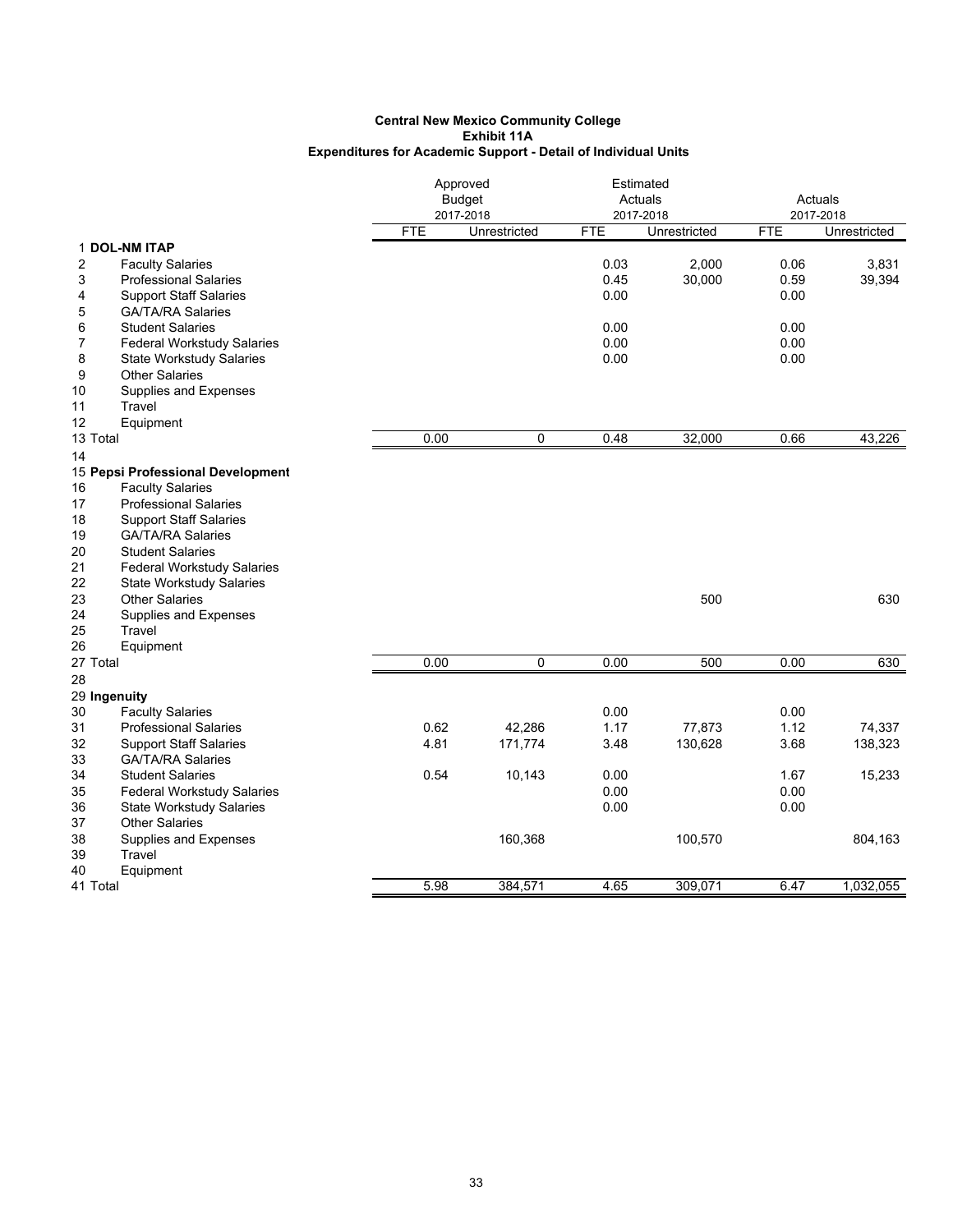|                                                                    |            | Approved<br><b>Budget</b><br>2017-2018 |            | Estimated<br>Actuals<br>2017-2018 |            | Actuals<br>2017-2018 |  |
|--------------------------------------------------------------------|------------|----------------------------------------|------------|-----------------------------------|------------|----------------------|--|
|                                                                    | <b>FTE</b> | Unrestricted                           | <b>FTE</b> | Unrestricted                      | <b>FTE</b> | Unrestricted         |  |
| 1 DOL-NM ITAP                                                      |            |                                        |            |                                   |            |                      |  |
| 2<br><b>Faculty Salaries</b>                                       |            |                                        | 0.03       | 2,000                             | 0.06       | 3,831                |  |
| 3<br><b>Professional Salaries</b>                                  |            |                                        | 0.45       | 30,000                            | 0.59       | 39,394               |  |
| <b>Support Staff Salaries</b><br>4                                 |            |                                        | 0.00       |                                   | 0.00       |                      |  |
| 5<br><b>GA/TA/RA Salaries</b>                                      |            |                                        |            |                                   |            |                      |  |
| 6<br><b>Student Salaries</b>                                       |            |                                        | 0.00       |                                   | 0.00       |                      |  |
| <b>Federal Workstudy Salaries</b><br>7                             |            |                                        | 0.00       |                                   | 0.00       |                      |  |
| 8<br><b>State Workstudy Salaries</b>                               |            |                                        | 0.00       |                                   | 0.00       |                      |  |
| 9<br><b>Other Salaries</b>                                         |            |                                        |            |                                   |            |                      |  |
| 10<br>Supplies and Expenses                                        |            |                                        |            |                                   |            |                      |  |
| Travel<br>11                                                       |            |                                        |            |                                   |            |                      |  |
| 12<br>Equipment<br>13 Total                                        | 0.00       | 0                                      | 0.48       | 32,000                            | 0.66       | 43,226               |  |
|                                                                    |            |                                        |            |                                   |            |                      |  |
| 14                                                                 |            |                                        |            |                                   |            |                      |  |
| 15 Pepsi Professional Development<br><b>Faculty Salaries</b><br>16 |            |                                        |            |                                   |            |                      |  |
| 17<br><b>Professional Salaries</b>                                 |            |                                        |            |                                   |            |                      |  |
| 18<br><b>Support Staff Salaries</b>                                |            |                                        |            |                                   |            |                      |  |
| 19<br><b>GA/TA/RA Salaries</b>                                     |            |                                        |            |                                   |            |                      |  |
| 20<br><b>Student Salaries</b>                                      |            |                                        |            |                                   |            |                      |  |
| 21<br><b>Federal Workstudy Salaries</b>                            |            |                                        |            |                                   |            |                      |  |
| 22<br><b>State Workstudy Salaries</b>                              |            |                                        |            |                                   |            |                      |  |
| 23<br><b>Other Salaries</b>                                        |            |                                        |            | 500                               |            | 630                  |  |
| 24<br>Supplies and Expenses                                        |            |                                        |            |                                   |            |                      |  |
| 25<br>Travel                                                       |            |                                        |            |                                   |            |                      |  |
| 26<br>Equipment                                                    |            |                                        |            |                                   |            |                      |  |
| 27 Total                                                           | 0.00       | 0                                      | 0.00       | 500                               | 0.00       | 630                  |  |
| 28                                                                 |            |                                        |            |                                   |            |                      |  |
| 29 Ingenuity                                                       |            |                                        |            |                                   |            |                      |  |
| <b>Faculty Salaries</b><br>30                                      |            |                                        | 0.00       |                                   | 0.00       |                      |  |
| 31<br><b>Professional Salaries</b>                                 | 0.62       | 42,286                                 | 1.17       | 77,873                            | 1.12       | 74,337               |  |
| 32<br><b>Support Staff Salaries</b>                                | 4.81       | 171,774                                | 3.48       | 130,628                           | 3.68       | 138,323              |  |
| <b>GA/TA/RA Salaries</b><br>33                                     |            |                                        |            |                                   |            |                      |  |
| 34<br><b>Student Salaries</b>                                      | 0.54       | 10,143                                 | 0.00       |                                   | 1.67       | 15,233               |  |
| 35<br><b>Federal Workstudy Salaries</b>                            |            |                                        | 0.00       |                                   | 0.00       |                      |  |
| <b>State Workstudy Salaries</b><br>36                              |            |                                        | 0.00       |                                   | 0.00       |                      |  |
| 37<br><b>Other Salaries</b>                                        |            |                                        |            |                                   |            |                      |  |
| 38<br>Supplies and Expenses                                        |            | 160,368                                |            | 100,570                           |            | 804,163              |  |
| Travel<br>39                                                       |            |                                        |            |                                   |            |                      |  |
| 40<br>Equipment                                                    |            |                                        |            |                                   |            |                      |  |
| 41 Total                                                           | 5.98       | 384,571                                | 4.65       | 309,071                           | 6.47       | 1,032,055            |  |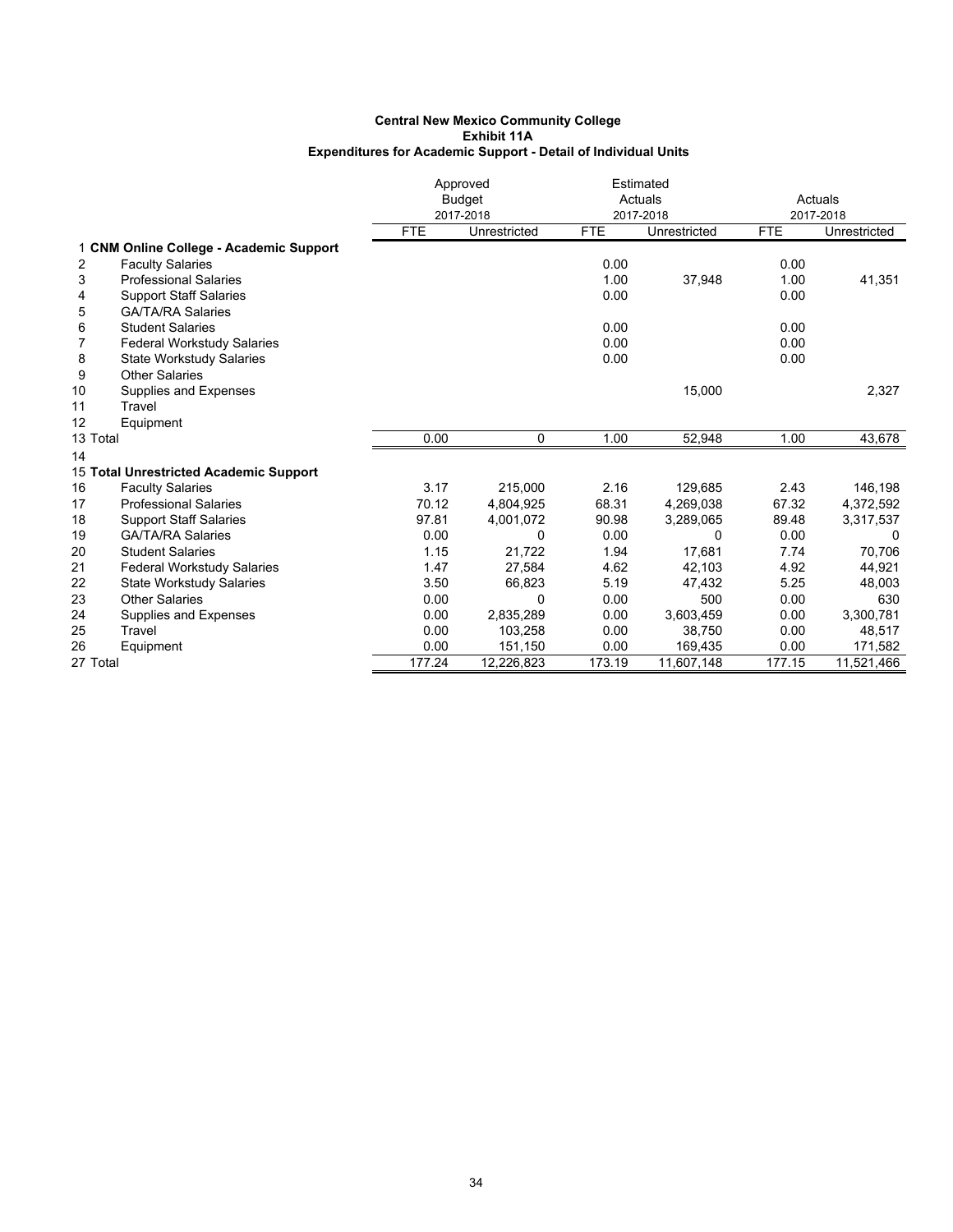|    |                                         |            | Approved      |            | Estimated    |            |              |
|----|-----------------------------------------|------------|---------------|------------|--------------|------------|--------------|
|    |                                         |            | <b>Budget</b> |            | Actuals      | Actuals    |              |
|    |                                         |            | 2017-2018     |            | 2017-2018    |            | 2017-2018    |
|    |                                         | <b>FTE</b> | Unrestricted  | <b>FTE</b> | Unrestricted | <b>FTE</b> | Unrestricted |
|    | 1 CNM Online College - Academic Support |            |               |            |              |            |              |
| 2  | <b>Faculty Salaries</b>                 |            |               | 0.00       |              | 0.00       |              |
| 3  | <b>Professional Salaries</b>            |            |               | 1.00       | 37,948       | 1.00       | 41,351       |
| 4  | <b>Support Staff Salaries</b>           |            |               | 0.00       |              | 0.00       |              |
| 5  | <b>GA/TA/RA Salaries</b>                |            |               |            |              |            |              |
| 6  | <b>Student Salaries</b>                 |            |               | 0.00       |              | 0.00       |              |
| 7  | <b>Federal Workstudy Salaries</b>       |            |               | 0.00       |              | 0.00       |              |
| 8  | <b>State Workstudy Salaries</b>         |            |               | 0.00       |              | 0.00       |              |
| 9  | <b>Other Salaries</b>                   |            |               |            |              |            |              |
| 10 | Supplies and Expenses                   |            |               |            | 15,000       |            | 2,327        |
| 11 | Travel                                  |            |               |            |              |            |              |
| 12 | Equipment                               |            |               |            |              |            |              |
|    | 13 Total                                | 0.00       | 0             | 1.00       | 52.948       | 1.00       | 43,678       |
| 14 |                                         |            |               |            |              |            |              |
|    | 15 Total Unrestricted Academic Support  |            |               |            |              |            |              |
| 16 | <b>Faculty Salaries</b>                 | 3.17       | 215,000       | 2.16       | 129,685      | 2.43       | 146,198      |
| 17 | <b>Professional Salaries</b>            | 70.12      | 4,804,925     | 68.31      | 4,269,038    | 67.32      | 4,372,592    |
| 18 | <b>Support Staff Salaries</b>           | 97.81      | 4,001,072     | 90.98      | 3,289,065    | 89.48      | 3,317,537    |
| 19 | <b>GA/TA/RA Salaries</b>                | 0.00       | 0             | 0.00       | $\Omega$     | 0.00       | $\Omega$     |
| 20 | <b>Student Salaries</b>                 | 1.15       | 21,722        | 1.94       | 17,681       | 7.74       | 70,706       |
| 21 | <b>Federal Workstudy Salaries</b>       | 1.47       | 27,584        | 4.62       | 42,103       | 4.92       | 44,921       |
| 22 | <b>State Workstudy Salaries</b>         | 3.50       | 66,823        | 5.19       | 47,432       | 5.25       | 48,003       |
| 23 | <b>Other Salaries</b>                   | 0.00       | 0             | 0.00       | 500          | 0.00       | 630          |
| 24 | Supplies and Expenses                   | 0.00       | 2,835,289     | 0.00       | 3,603,459    | 0.00       | 3,300,781    |
| 25 | Travel                                  | 0.00       | 103,258       | 0.00       | 38,750       | 0.00       | 48,517       |
| 26 | Equipment                               | 0.00       | 151,150       | 0.00       | 169,435      | 0.00       | 171,582      |
|    | 27 Total                                | 177.24     | 12,226,823    | 173.19     | 11,607,148   | 177.15     | 11,521,466   |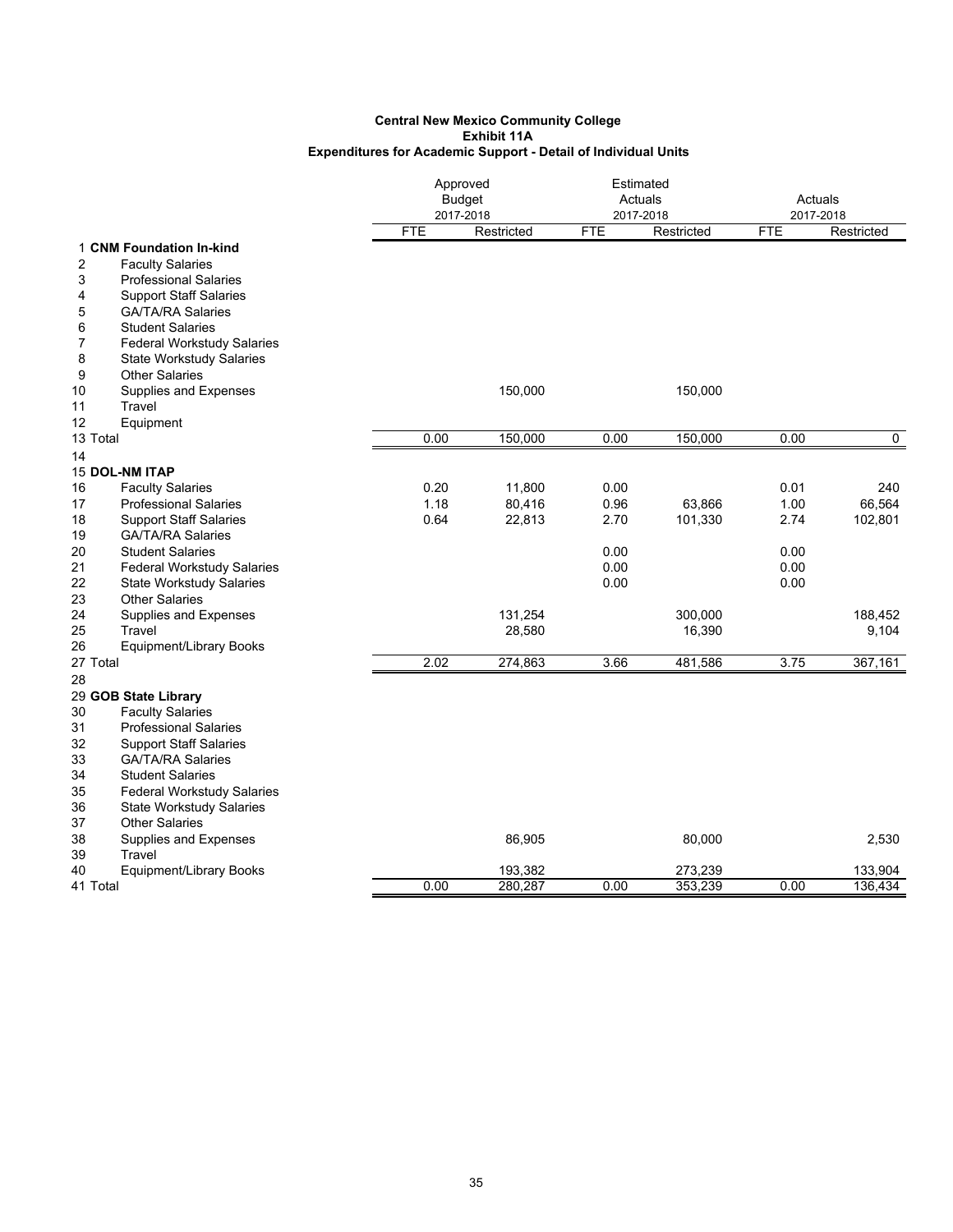|                                                                                |            | Approved<br><b>Budget</b><br>2017-2018 |            | Estimated<br>Actuals<br>2017-2018 |            | Actuals<br>2017-2018 |  |
|--------------------------------------------------------------------------------|------------|----------------------------------------|------------|-----------------------------------|------------|----------------------|--|
|                                                                                | <b>FTE</b> | Restricted                             | <b>FTE</b> | Restricted                        | <b>FTE</b> | Restricted           |  |
| 1 CNM Foundation In-kind                                                       |            |                                        |            |                                   |            |                      |  |
| 2<br><b>Faculty Salaries</b>                                                   |            |                                        |            |                                   |            |                      |  |
| 3<br><b>Professional Salaries</b>                                              |            |                                        |            |                                   |            |                      |  |
| <b>Support Staff Salaries</b><br>4                                             |            |                                        |            |                                   |            |                      |  |
| <b>GA/TA/RA Salaries</b><br>5                                                  |            |                                        |            |                                   |            |                      |  |
| <b>Student Salaries</b><br>6                                                   |            |                                        |            |                                   |            |                      |  |
| 7<br><b>Federal Workstudy Salaries</b><br>8<br><b>State Workstudy Salaries</b> |            |                                        |            |                                   |            |                      |  |
| <b>Other Salaries</b><br>9                                                     |            |                                        |            |                                   |            |                      |  |
| Supplies and Expenses<br>10                                                    |            | 150,000                                |            | 150,000                           |            |                      |  |
| Travel<br>11                                                                   |            |                                        |            |                                   |            |                      |  |
| 12<br>Equipment                                                                |            |                                        |            |                                   |            |                      |  |
| 13 Total                                                                       | 0.00       | 150,000                                | 0.00       | 150,000                           | 0.00       | 0                    |  |
| 14                                                                             |            |                                        |            |                                   |            |                      |  |
| <b>15 DOL-NM ITAP</b>                                                          |            |                                        |            |                                   |            |                      |  |
| <b>Faculty Salaries</b><br>16                                                  | 0.20       | 11,800                                 | 0.00       |                                   | 0.01       | 240                  |  |
| <b>Professional Salaries</b><br>17                                             | 1.18       | 80,416                                 | 0.96       | 63,866                            | 1.00       | 66,564               |  |
| 18<br><b>Support Staff Salaries</b><br><b>GA/TA/RA Salaries</b>                | 0.64       | 22,813                                 | 2.70       | 101,330                           | 2.74       | 102,801              |  |
| 19<br>20<br><b>Student Salaries</b>                                            |            |                                        | 0.00       |                                   | 0.00       |                      |  |
| 21<br><b>Federal Workstudy Salaries</b>                                        |            |                                        | 0.00       |                                   | 0.00       |                      |  |
| 22<br><b>State Workstudy Salaries</b>                                          |            |                                        | 0.00       |                                   | 0.00       |                      |  |
| 23<br><b>Other Salaries</b>                                                    |            |                                        |            |                                   |            |                      |  |
| 24<br>Supplies and Expenses                                                    |            | 131,254                                |            | 300,000                           |            | 188,452              |  |
| Travel<br>25                                                                   |            | 28,580                                 |            | 16,390                            |            | 9,104                |  |
| 26<br>Equipment/Library Books                                                  |            |                                        |            |                                   |            |                      |  |
| 27 Total                                                                       | 2.02       | 274,863                                | 3.66       | 481,586                           | 3.75       | 367,161              |  |
| 28                                                                             |            |                                        |            |                                   |            |                      |  |
| 29 GOB State Library                                                           |            |                                        |            |                                   |            |                      |  |
| <b>Faculty Salaries</b><br>30                                                  |            |                                        |            |                                   |            |                      |  |
| 31<br><b>Professional Salaries</b>                                             |            |                                        |            |                                   |            |                      |  |
| 32<br><b>Support Staff Salaries</b><br>33<br><b>GA/TA/RA Salaries</b>          |            |                                        |            |                                   |            |                      |  |
| <b>Student Salaries</b><br>34                                                  |            |                                        |            |                                   |            |                      |  |
| 35<br><b>Federal Workstudy Salaries</b>                                        |            |                                        |            |                                   |            |                      |  |
| 36<br><b>State Workstudy Salaries</b>                                          |            |                                        |            |                                   |            |                      |  |
| <b>Other Salaries</b><br>37                                                    |            |                                        |            |                                   |            |                      |  |
| Supplies and Expenses<br>38                                                    |            | 86,905                                 |            | 80,000                            |            | 2,530                |  |
| 39<br>Travel                                                                   |            |                                        |            |                                   |            |                      |  |
| 40<br><b>Equipment/Library Books</b>                                           |            | 193,382                                |            | 273,239                           |            | 133,904              |  |
| 41 Total                                                                       | 0.00       | 280,287                                | 0.00       | 353,239                           | 0.00       | 136,434              |  |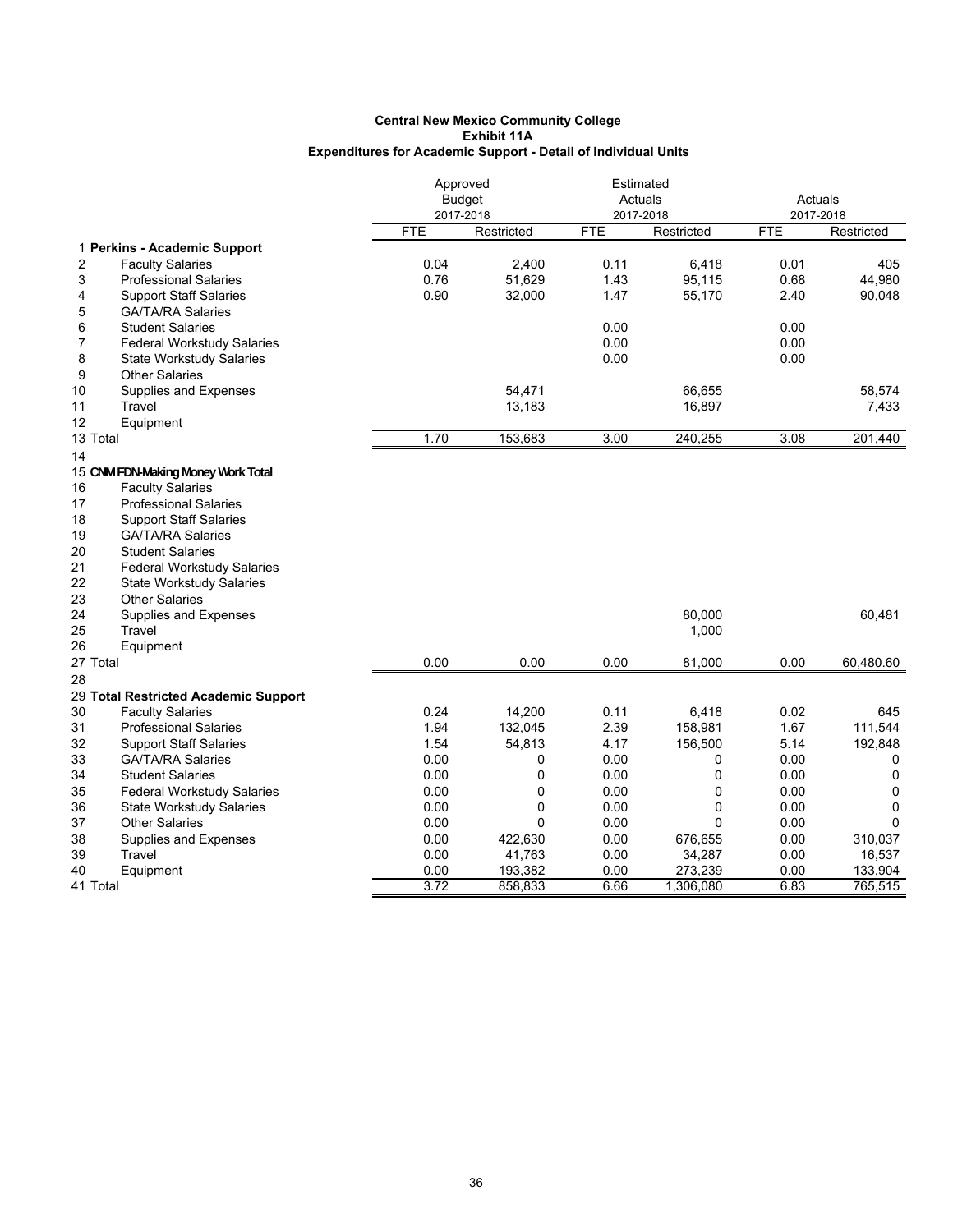|                                         |            | Approved<br><b>Budget</b><br>2017-2018 |            | Estimated<br>Actuals<br>2017-2018 |            | Actuals<br>2017-2018 |  |
|-----------------------------------------|------------|----------------------------------------|------------|-----------------------------------|------------|----------------------|--|
|                                         | <b>FTE</b> | Restricted                             | <b>FTE</b> | Restricted                        | <b>FTE</b> | Restricted           |  |
| 1 Perkins - Academic Support            |            |                                        |            |                                   |            |                      |  |
| 2<br><b>Faculty Salaries</b>            | 0.04       | 2,400                                  | 0.11       | 6,418                             | 0.01       | 405                  |  |
| 3<br><b>Professional Salaries</b>       | 0.76       | 51,629                                 | 1.43       | 95,115                            | 0.68       | 44,980               |  |
| <b>Support Staff Salaries</b><br>4      | 0.90       | 32,000                                 | 1.47       | 55,170                            | 2.40       | 90,048               |  |
| 5<br><b>GA/TA/RA Salaries</b>           |            |                                        |            |                                   |            |                      |  |
| 6<br><b>Student Salaries</b>            |            |                                        | 0.00       |                                   | 0.00       |                      |  |
| 7<br><b>Federal Workstudy Salaries</b>  |            |                                        | 0.00       |                                   | 0.00       |                      |  |
| 8<br><b>State Workstudy Salaries</b>    |            |                                        | 0.00       |                                   | 0.00       |                      |  |
| 9<br><b>Other Salaries</b>              |            |                                        |            |                                   |            |                      |  |
| Supplies and Expenses<br>10             |            | 54,471                                 |            | 66,655                            |            | 58,574               |  |
| Travel<br>11                            |            | 13,183                                 |            | 16,897                            |            | 7,433                |  |
| 12<br>Equipment                         |            |                                        |            |                                   |            |                      |  |
| 13 Total                                | 1.70       | 153,683                                | 3.00       | 240,255                           | 3.08       | 201,440              |  |
| 14                                      |            |                                        |            |                                   |            |                      |  |
| 15 CNM FDN-Making Money Work Total      |            |                                        |            |                                   |            |                      |  |
| 16<br><b>Faculty Salaries</b>           |            |                                        |            |                                   |            |                      |  |
| 17<br><b>Professional Salaries</b>      |            |                                        |            |                                   |            |                      |  |
| 18<br><b>Support Staff Salaries</b>     |            |                                        |            |                                   |            |                      |  |
| 19<br><b>GA/TA/RA Salaries</b>          |            |                                        |            |                                   |            |                      |  |
| 20<br><b>Student Salaries</b>           |            |                                        |            |                                   |            |                      |  |
| 21<br><b>Federal Workstudy Salaries</b> |            |                                        |            |                                   |            |                      |  |
| 22<br><b>State Workstudy Salaries</b>   |            |                                        |            |                                   |            |                      |  |
| 23<br><b>Other Salaries</b>             |            |                                        |            |                                   |            |                      |  |
| 24<br>Supplies and Expenses             |            |                                        |            | 80,000                            |            | 60,481               |  |
| 25<br>Travel                            |            |                                        |            | 1,000                             |            |                      |  |
| 26<br>Equipment                         |            |                                        |            |                                   |            |                      |  |
| 27 Total                                | 0.00       | 0.00                                   | 0.00       | 81,000                            | 0.00       | 60,480.60            |  |
| 28                                      |            |                                        |            |                                   |            |                      |  |
| 29 Total Restricted Academic Support    |            |                                        |            |                                   |            |                      |  |
| 30<br><b>Faculty Salaries</b>           | 0.24       | 14,200                                 | 0.11       | 6,418                             | 0.02       | 645                  |  |
| 31<br><b>Professional Salaries</b>      | 1.94       | 132,045                                | 2.39       | 158,981                           | 1.67       | 111,544              |  |
| 32<br><b>Support Staff Salaries</b>     | 1.54       | 54,813                                 | 4.17       | 156,500                           | 5.14       | 192,848              |  |
| 33<br><b>GA/TA/RA Salaries</b>          | 0.00       | 0                                      | 0.00       | 0                                 | 0.00       | 0                    |  |
| 34<br><b>Student Salaries</b>           | 0.00       | 0                                      | 0.00       | $\mathbf 0$                       | 0.00       | 0                    |  |
| 35<br><b>Federal Workstudy Salaries</b> | 0.00       | 0                                      | 0.00       | 0                                 | 0.00       | 0                    |  |
| 36<br><b>State Workstudy Salaries</b>   | 0.00       | 0                                      | 0.00       | 0                                 | 0.00       | 0                    |  |
| 37<br><b>Other Salaries</b>             | 0.00       | 0                                      | 0.00       | 0                                 | 0.00       | $\mathbf 0$          |  |
| 38<br>Supplies and Expenses             | 0.00       | 422,630                                | 0.00       | 676,655                           | 0.00       | 310,037              |  |
| 39<br>Travel                            | 0.00       | 41,763                                 | 0.00       | 34,287                            | 0.00       | 16,537               |  |
| Equipment<br>40                         | 0.00       | 193,382                                | 0.00       | 273,239                           | 0.00       | 133,904              |  |
| 41 Total                                | 3.72       | 858,833                                | 6.66       | 1,306,080                         | 6.83       | 765.515              |  |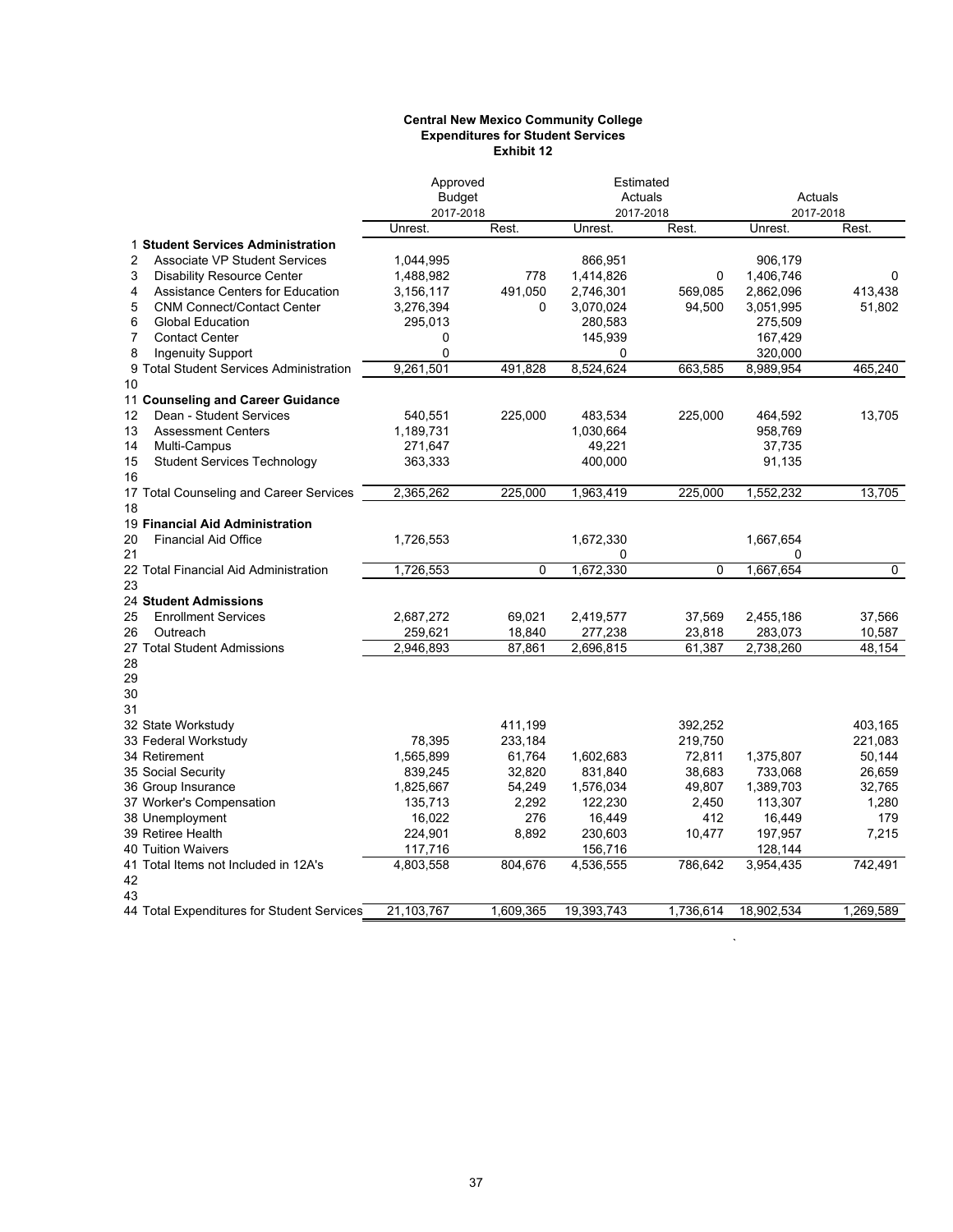#### **Central New Mexico Community College Expenditures for Student Services Exhibit 12**

|                                                        | Approved      |           | Estimated  |           |            |           |
|--------------------------------------------------------|---------------|-----------|------------|-----------|------------|-----------|
|                                                        | <b>Budget</b> |           | Actuals    |           | Actuals    |           |
|                                                        | 2017-2018     |           | 2017-2018  |           | 2017-2018  |           |
|                                                        | Unrest.       | Rest.     | Unrest.    | Rest.     | Unrest.    | Rest.     |
| 1 Student Services Administration                      |               |           |            |           |            |           |
| $\overline{2}$<br><b>Associate VP Student Services</b> | 1,044,995     |           | 866,951    |           | 906,179    |           |
| 3<br><b>Disability Resource Center</b>                 | 1,488,982     | 778       | 1,414,826  | 0         | 1,406,746  | 0         |
| <b>Assistance Centers for Education</b><br>4           | 3,156,117     | 491,050   | 2,746,301  | 569,085   | 2,862,096  | 413,438   |
| <b>CNM Connect/Contact Center</b><br>5                 | 3,276,394     | $\Omega$  | 3,070,024  | 94,500    | 3,051,995  | 51,802    |
| 6<br><b>Global Education</b>                           | 295,013       |           | 280,583    |           | 275,509    |           |
| 7<br><b>Contact Center</b>                             | 0             |           | 145,939    |           | 167,429    |           |
| 8<br><b>Ingenuity Support</b>                          | $\mathbf 0$   |           | 0          |           | 320,000    |           |
| 9 Total Student Services Administration                | 9.261.501     | 491.828   | 8,524,624  | 663.585   | 8.989.954  | 465.240   |
| 10                                                     |               |           |            |           |            |           |
| 11 Counseling and Career Guidance                      |               |           |            |           |            |           |
| Dean - Student Services<br>12                          | 540,551       | 225,000   | 483,534    | 225,000   | 464,592    | 13,705    |
| 13<br><b>Assessment Centers</b>                        | 1,189,731     |           | 1,030,664  |           | 958,769    |           |
| Multi-Campus<br>14                                     | 271,647       |           | 49,221     |           | 37,735     |           |
| 15<br><b>Student Services Technology</b>               | 363,333       |           | 400,000    |           | 91,135     |           |
| 16                                                     |               |           |            |           |            |           |
| 17 Total Counseling and Career Services                | 2.365.262     | 225,000   | 1,963,419  | 225,000   | 1,552,232  | 13.705    |
| 18                                                     |               |           |            |           |            |           |
| 19 Financial Aid Administration                        |               |           |            |           |            |           |
| <b>Financial Aid Office</b><br>20                      | 1,726,553     |           | 1,672,330  |           | 1,667,654  |           |
| 21                                                     |               |           | 0          |           | 0          |           |
| 22 Total Financial Aid Administration                  | 1,726,553     | $\Omega$  | 1,672,330  | 0         | 1,667,654  | $\Omega$  |
| 23                                                     |               |           |            |           |            |           |
| 24 Student Admissions                                  |               |           |            |           |            |           |
| 25<br><b>Enrollment Services</b>                       | 2,687,272     | 69,021    | 2,419,577  | 37,569    | 2,455,186  | 37,566    |
| Outreach<br>26                                         | 259,621       | 18,840    | 277,238    | 23,818    | 283,073    | 10,587    |
| 27 Total Student Admissions                            | 2,946,893     | 87,861    | 2,696,815  | 61,387    | 2,738,260  | 48,154    |
| 28                                                     |               |           |            |           |            |           |
| 29                                                     |               |           |            |           |            |           |
| 30                                                     |               |           |            |           |            |           |
| 31                                                     |               |           |            |           |            |           |
| 32 State Workstudy                                     |               | 411,199   |            | 392,252   |            | 403,165   |
| 33 Federal Workstudy                                   | 78.395        | 233,184   |            | 219,750   |            | 221,083   |
| 34 Retirement                                          | 1,565,899     | 61,764    | 1,602,683  | 72,811    | 1,375,807  | 50,144    |
| 35 Social Security                                     | 839,245       | 32,820    | 831,840    | 38,683    | 733,068    | 26,659    |
| 36 Group Insurance                                     | 1,825,667     | 54,249    | 1,576,034  | 49,807    | 1,389,703  | 32,765    |
| 37 Worker's Compensation                               | 135,713       | 2,292     | 122,230    | 2,450     | 113,307    | 1,280     |
| 38 Unemployment                                        | 16,022        | 276       | 16,449     | 412       | 16,449     | 179       |
| 39 Retiree Health                                      |               | 8,892     |            |           |            |           |
| <b>40 Tuition Waivers</b>                              | 224,901       |           | 230,603    | 10,477    | 197,957    | 7,215     |
| 41 Total Items not Included in 12A's                   | 117,716       | 804,676   | 156,716    | 786,642   | 128,144    | 742,491   |
|                                                        | 4,803,558     |           | 4,536,555  |           | 3,954,435  |           |
| 42<br>43                                               |               |           |            |           |            |           |
| 44 Total Expenditures for Student Services             | 21,103,767    | 1.609.365 | 19.393.743 | 1,736,614 | 18.902.534 | 1.269.589 |
|                                                        |               |           |            |           |            |           |

 $\hat{\mathcal{A}}$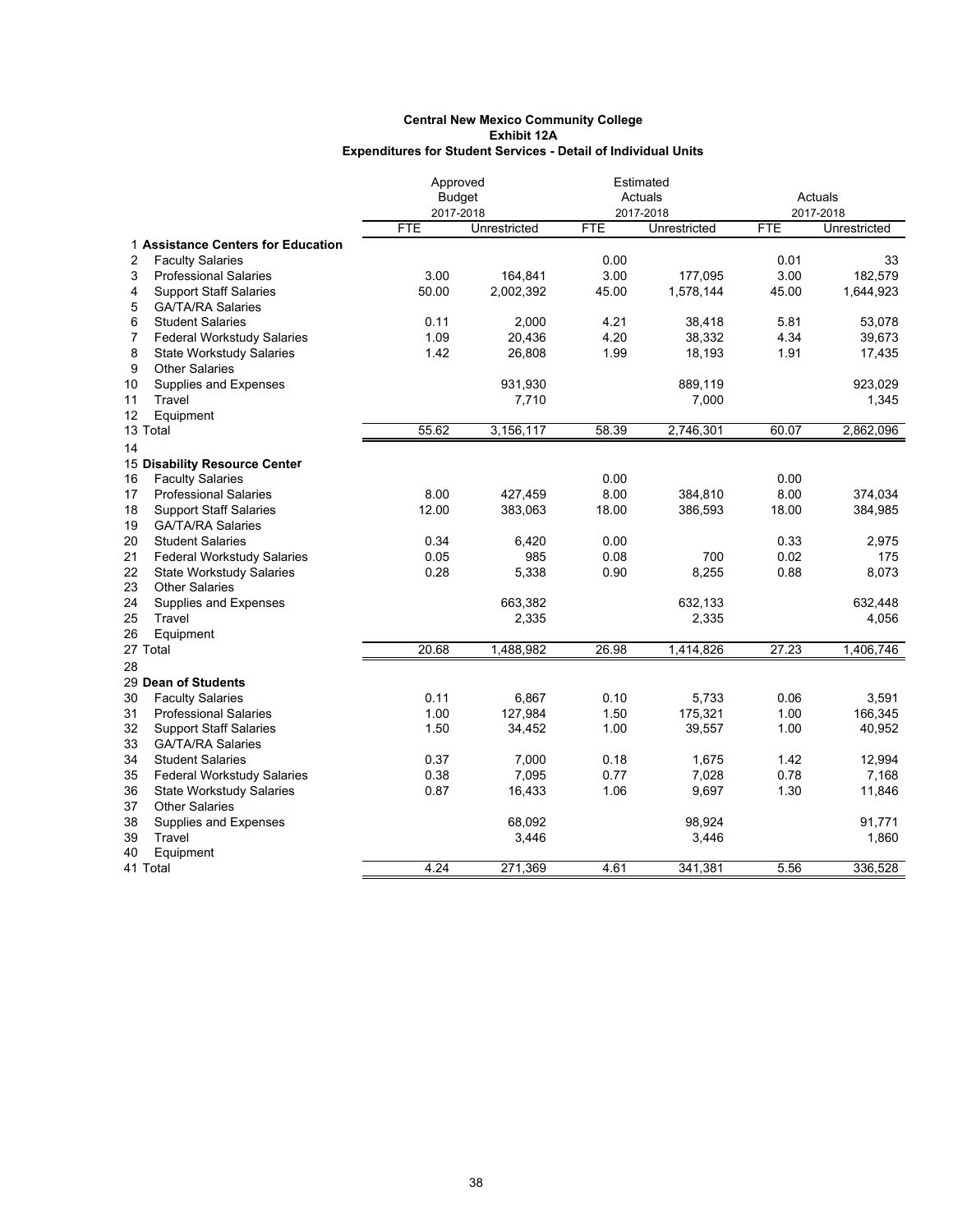|        |                                    | Approved      |              |            | Estimated    |            |              |
|--------|------------------------------------|---------------|--------------|------------|--------------|------------|--------------|
|        |                                    | <b>Budget</b> |              |            | Actuals      |            | Actuals      |
|        |                                    | 2017-2018     |              |            | 2017-2018    |            | 2017-2018    |
|        |                                    | <b>FTE</b>    | Unrestricted | <b>FTE</b> | Unrestricted | <b>FTE</b> | Unrestricted |
|        | 1 Assistance Centers for Education |               |              |            |              |            |              |
| 2      | <b>Faculty Salaries</b>            |               |              | 0.00       |              | 0.01       | 33           |
| 3      | <b>Professional Salaries</b>       | 3.00          | 164,841      | 3.00       | 177,095      | 3.00       | 182,579      |
| 4      | <b>Support Staff Salaries</b>      | 50.00         | 2,002,392    | 45.00      | 1,578,144    | 45.00      | 1,644,923    |
| 5      | <b>GA/TA/RA Salaries</b>           |               |              |            |              |            |              |
| 6      | <b>Student Salaries</b>            | 0.11          | 2,000        | 4.21       | 38,418       | 5.81       | 53,078       |
| 7      | <b>Federal Workstudy Salaries</b>  | 1.09          | 20,436       | 4.20       | 38,332       | 4.34       | 39,673       |
| 8      | <b>State Workstudy Salaries</b>    | 1.42          | 26,808       | 1.99       | 18,193       | 1.91       | 17,435       |
| 9      | <b>Other Salaries</b>              |               |              |            |              |            |              |
| 10     | Supplies and Expenses              |               | 931,930      |            | 889,119      |            | 923,029      |
| 11     | Travel                             |               | 7,710        |            | 7,000        |            | 1,345        |
| 12     | Equipment                          |               |              |            |              |            |              |
|        | 13 Total                           | 55.62         | 3,156,117    | 58.39      | 2,746,301    | 60.07      | 2,862,096    |
| 14     |                                    |               |              |            |              |            |              |
|        | 15 Disability Resource Center      |               |              |            |              |            |              |
| $16\,$ | <b>Faculty Salaries</b>            |               |              | 0.00       |              | 0.00       |              |
| 17     | <b>Professional Salaries</b>       | 8.00          | 427,459      | 8.00       | 384,810      | 8.00       | 374,034      |
| 18     | <b>Support Staff Salaries</b>      | 12.00         | 383,063      | 18.00      | 386,593      | 18.00      | 384,985      |
| 19     | <b>GA/TA/RA Salaries</b>           |               |              |            |              |            |              |
| 20     | <b>Student Salaries</b>            | 0.34          | 6,420        | 0.00       |              | 0.33       | 2,975        |
| 21     | <b>Federal Workstudy Salaries</b>  | 0.05          | 985          | 0.08       | 700          | 0.02       | 175          |
| 22     | <b>State Workstudy Salaries</b>    | 0.28          | 5,338        | 0.90       | 8,255        | 0.88       | 8,073        |
| 23     | <b>Other Salaries</b>              |               |              |            |              |            |              |
| 24     | Supplies and Expenses              |               | 663,382      |            | 632,133      |            | 632,448      |
| 25     | Travel                             |               | 2,335        |            | 2,335        |            | 4,056        |
| 26     | Equipment                          |               |              |            |              |            |              |
|        | 27 Total                           | 20.68         | 1,488,982    | 26.98      | 1,414,826    | 27.23      | 1,406,746    |
| 28     |                                    |               |              |            |              |            |              |
|        | 29 Dean of Students                |               |              |            |              |            |              |
| 30     | <b>Faculty Salaries</b>            | 0.11          | 6,867        | 0.10       | 5,733        | 0.06       | 3,591        |
| 31     | <b>Professional Salaries</b>       | 1.00          | 127,984      | 1.50       | 175,321      | 1.00       | 166,345      |
| 32     | <b>Support Staff Salaries</b>      | 1.50          | 34,452       | 1.00       | 39,557       | 1.00       | 40,952       |
| 33     | <b>GA/TA/RA Salaries</b>           |               |              |            |              |            |              |
| 34     | <b>Student Salaries</b>            | 0.37          | 7,000        | 0.18       | 1,675        | 1.42       | 12,994       |
| 35     | <b>Federal Workstudy Salaries</b>  | 0.38          | 7,095        | 0.77       | 7,028        | 0.78       | 7,168        |
| 36     | <b>State Workstudy Salaries</b>    | 0.87          | 16,433       | 1.06       | 9,697        | 1.30       | 11,846       |
| 37     | <b>Other Salaries</b>              |               |              |            |              |            |              |
| 38     | Supplies and Expenses              |               | 68,092       |            | 98,924       |            | 91,771       |
| 39     | Travel                             |               | 3,446        |            | 3,446        |            | 1,860        |
| 40     | Equipment                          |               |              |            |              |            |              |
|        | 41 Total                           | 4.24          | 271,369      | 4.61       | 341,381      | 5.56       | 336,528      |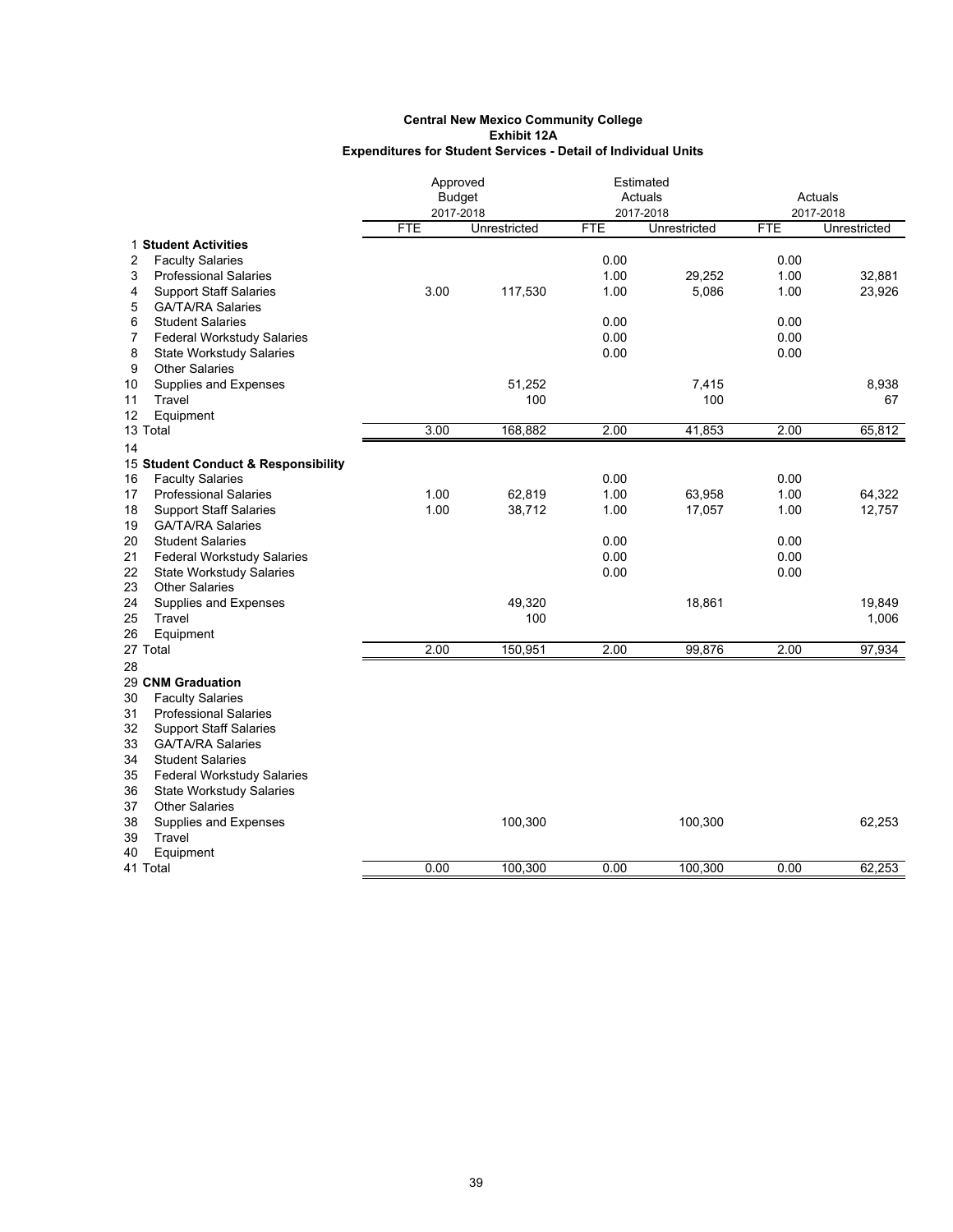|                                         | Approved      |              |            | Estimated    |            |              |
|-----------------------------------------|---------------|--------------|------------|--------------|------------|--------------|
|                                         | <b>Budget</b> |              |            | Actuals      |            | Actuals      |
|                                         | 2017-2018     |              |            | 2017-2018    |            | 2017-2018    |
|                                         | <b>FTE</b>    | Unrestricted | <b>FTE</b> | Unrestricted | <b>FTE</b> | Unrestricted |
| 1 Student Activities                    |               |              |            |              |            |              |
| 2<br><b>Faculty Salaries</b>            |               |              | 0.00       |              | 0.00       |              |
| 3<br><b>Professional Salaries</b>       |               |              | 1.00       | 29,252       | 1.00       | 32,881       |
| 4<br><b>Support Staff Salaries</b>      | 3.00          | 117,530      | 1.00       | 5,086        | 1.00       | 23,926       |
| 5<br><b>GA/TA/RA Salaries</b>           |               |              |            |              |            |              |
| 6<br><b>Student Salaries</b>            |               |              | 0.00       |              | 0.00       |              |
| 7<br><b>Federal Workstudy Salaries</b>  |               |              | 0.00       |              | 0.00       |              |
| 8<br><b>State Workstudy Salaries</b>    |               |              | 0.00       |              | 0.00       |              |
| 9<br><b>Other Salaries</b>              |               |              |            |              |            |              |
| 10<br>Supplies and Expenses             |               | 51,252       |            | 7,415        |            | 8,938        |
| Travel<br>11                            |               | 100          |            | 100          |            | 67           |
| 12<br>Equipment                         |               |              |            |              |            |              |
| 13 Total                                | 3.00          | 168,882      | 2.00       | 41,853       | 2.00       | 65,812       |
| 14                                      |               |              |            |              |            |              |
| 15 Student Conduct & Responsibility     |               |              |            |              |            |              |
| <b>Faculty Salaries</b><br>16           |               |              | 0.00       |              | 0.00       |              |
| <b>Professional Salaries</b><br>17      | 1.00          | 62,819       | 1.00       | 63,958       | 1.00       | 64,322       |
| 18<br><b>Support Staff Salaries</b>     | 1.00          | 38,712       | 1.00       | 17,057       | 1.00       | 12,757       |
| 19<br><b>GA/TA/RA Salaries</b>          |               |              |            |              |            |              |
| 20<br><b>Student Salaries</b>           |               |              | 0.00       |              | 0.00       |              |
| 21<br><b>Federal Workstudy Salaries</b> |               |              | 0.00       |              | 0.00       |              |
| 22<br><b>State Workstudy Salaries</b>   |               |              | 0.00       |              | 0.00       |              |
| 23<br><b>Other Salaries</b>             |               |              |            |              |            |              |
| 24<br>Supplies and Expenses             |               | 49,320       |            | 18,861       |            | 19,849       |
| 25<br>Travel                            |               | 100          |            |              |            | 1,006        |
| 26<br>Equipment                         |               |              |            |              |            |              |
| 27 Total                                | 2.00          | 150,951      | 2.00       | 99,876       | 2.00       | 97,934       |
| 28                                      |               |              |            |              |            |              |
| 29 CNM Graduation                       |               |              |            |              |            |              |
| 30<br><b>Faculty Salaries</b>           |               |              |            |              |            |              |
| 31<br><b>Professional Salaries</b>      |               |              |            |              |            |              |
| 32<br><b>Support Staff Salaries</b>     |               |              |            |              |            |              |
| 33<br><b>GA/TA/RA Salaries</b>          |               |              |            |              |            |              |
| 34<br><b>Student Salaries</b>           |               |              |            |              |            |              |
| 35<br><b>Federal Workstudy Salaries</b> |               |              |            |              |            |              |
| 36<br><b>State Workstudy Salaries</b>   |               |              |            |              |            |              |
| <b>Other Salaries</b><br>37             |               |              |            |              |            |              |
| 38<br>Supplies and Expenses             |               | 100,300      |            | 100,300      |            | 62,253       |
| 39<br>Travel                            |               |              |            |              |            |              |
| 40<br>Equipment                         |               |              |            |              |            |              |
| 41 Total                                | 0.00          | 100,300      | 0.00       | 100,300      | 0.00       | 62,253       |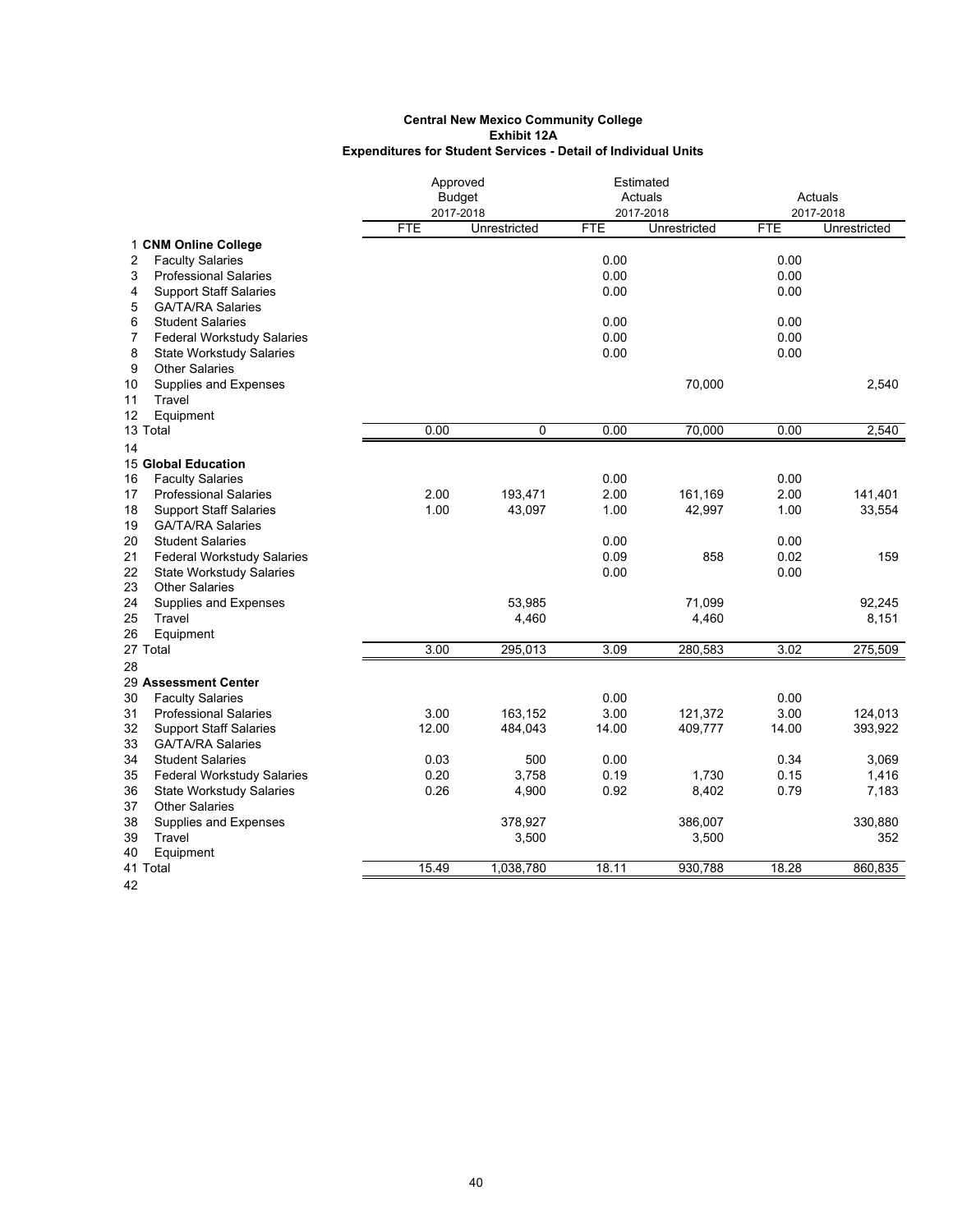|                                         | Approved                |              |            | Estimated                 |            |                           |
|-----------------------------------------|-------------------------|--------------|------------|---------------------------|------------|---------------------------|
|                                         | <b>Budget</b>           |              |            | Actuals                   |            | Actuals                   |
|                                         | 2017-2018<br><b>FTE</b> | Unrestricted | <b>FTE</b> | 2017-2018<br>Unrestricted | <b>FTE</b> | 2017-2018<br>Unrestricted |
| 1 CNM Online College                    |                         |              |            |                           |            |                           |
| <b>Faculty Salaries</b><br>2            |                         |              | 0.00       |                           | 0.00       |                           |
| 3<br><b>Professional Salaries</b>       |                         |              | 0.00       |                           | 0.00       |                           |
| 4<br><b>Support Staff Salaries</b>      |                         |              | 0.00       |                           | 0.00       |                           |
| 5<br><b>GA/TA/RA Salaries</b>           |                         |              |            |                           |            |                           |
| 6<br><b>Student Salaries</b>            |                         |              | 0.00       |                           | 0.00       |                           |
| 7<br><b>Federal Workstudy Salaries</b>  |                         |              | 0.00       |                           | 0.00       |                           |
| 8<br><b>State Workstudy Salaries</b>    |                         |              | 0.00       |                           | 0.00       |                           |
| 9<br><b>Other Salaries</b>              |                         |              |            |                           |            |                           |
| 10<br>Supplies and Expenses             |                         |              |            | 70,000                    |            | 2,540                     |
| 11<br>Travel                            |                         |              |            |                           |            |                           |
| 12<br>Equipment                         |                         |              |            |                           |            |                           |
| 13 Total                                | 0.00                    | 0            | 0.00       | 70,000                    | 0.00       | 2,540                     |
| 14                                      |                         |              |            |                           |            |                           |
| 15 Global Education                     |                         |              |            |                           |            |                           |
| <b>Faculty Salaries</b><br>16           |                         |              | 0.00       |                           | 0.00       |                           |
| <b>Professional Salaries</b><br>17      | 2.00                    | 193,471      | 2.00       | 161,169                   | 2.00       | 141,401                   |
| <b>Support Staff Salaries</b><br>18     | 1.00                    | 43,097       | 1.00       | 42,997                    | 1.00       | 33,554                    |
| <b>GA/TA/RA Salaries</b><br>19          |                         |              |            |                           |            |                           |
| 20<br><b>Student Salaries</b>           |                         |              | 0.00       |                           | 0.00       |                           |
| 21<br><b>Federal Workstudy Salaries</b> |                         |              | 0.09       | 858                       | 0.02       | 159                       |
| 22<br><b>State Workstudy Salaries</b>   |                         |              | 0.00       |                           | 0.00       |                           |
| 23<br><b>Other Salaries</b>             |                         |              |            |                           |            |                           |
| 24<br>Supplies and Expenses             |                         | 53,985       |            | 71,099                    |            | 92,245                    |
| 25<br>Travel                            |                         | 4,460        |            | 4,460                     |            | 8,151                     |
| 26<br>Equipment                         |                         |              |            |                           |            |                           |
| 27 Total                                | 3.00                    | 295,013      | 3.09       | 280,583                   | 3.02       | 275,509                   |
| 28                                      |                         |              |            |                           |            |                           |
| 29 Assessment Center                    |                         |              |            |                           |            |                           |
| 30<br><b>Faculty Salaries</b>           |                         |              | 0.00       |                           | 0.00       |                           |
| 31<br><b>Professional Salaries</b>      | 3.00                    | 163,152      | 3.00       | 121,372                   | 3.00       | 124,013                   |
| 32<br><b>Support Staff Salaries</b>     | 12.00                   | 484,043      | 14.00      | 409,777                   | 14.00      | 393,922                   |
| 33<br><b>GA/TA/RA Salaries</b>          |                         |              |            |                           |            |                           |
| 34<br><b>Student Salaries</b>           | 0.03                    | 500          | 0.00       |                           | 0.34       | 3,069                     |
| 35<br><b>Federal Workstudy Salaries</b> | 0.20                    | 3,758        | 0.19       | 1,730                     | 0.15       | 1,416                     |
| 36<br><b>State Workstudy Salaries</b>   | 0.26                    | 4,900        | 0.92       | 8,402                     | 0.79       | 7,183                     |
| 37<br><b>Other Salaries</b>             |                         |              |            |                           |            |                           |
| 38<br>Supplies and Expenses             |                         | 378,927      |            | 386,007                   |            | 330,880                   |
| 39<br>Travel                            |                         | 3,500        |            | 3,500                     |            | 352                       |
| 40<br>Equipment                         |                         |              |            |                           |            |                           |
| 41 Total                                | 15.49                   | 1,038,780    | 18.11      | 930,788                   | 18.28      | 860.835                   |
|                                         |                         |              |            |                           |            |                           |

42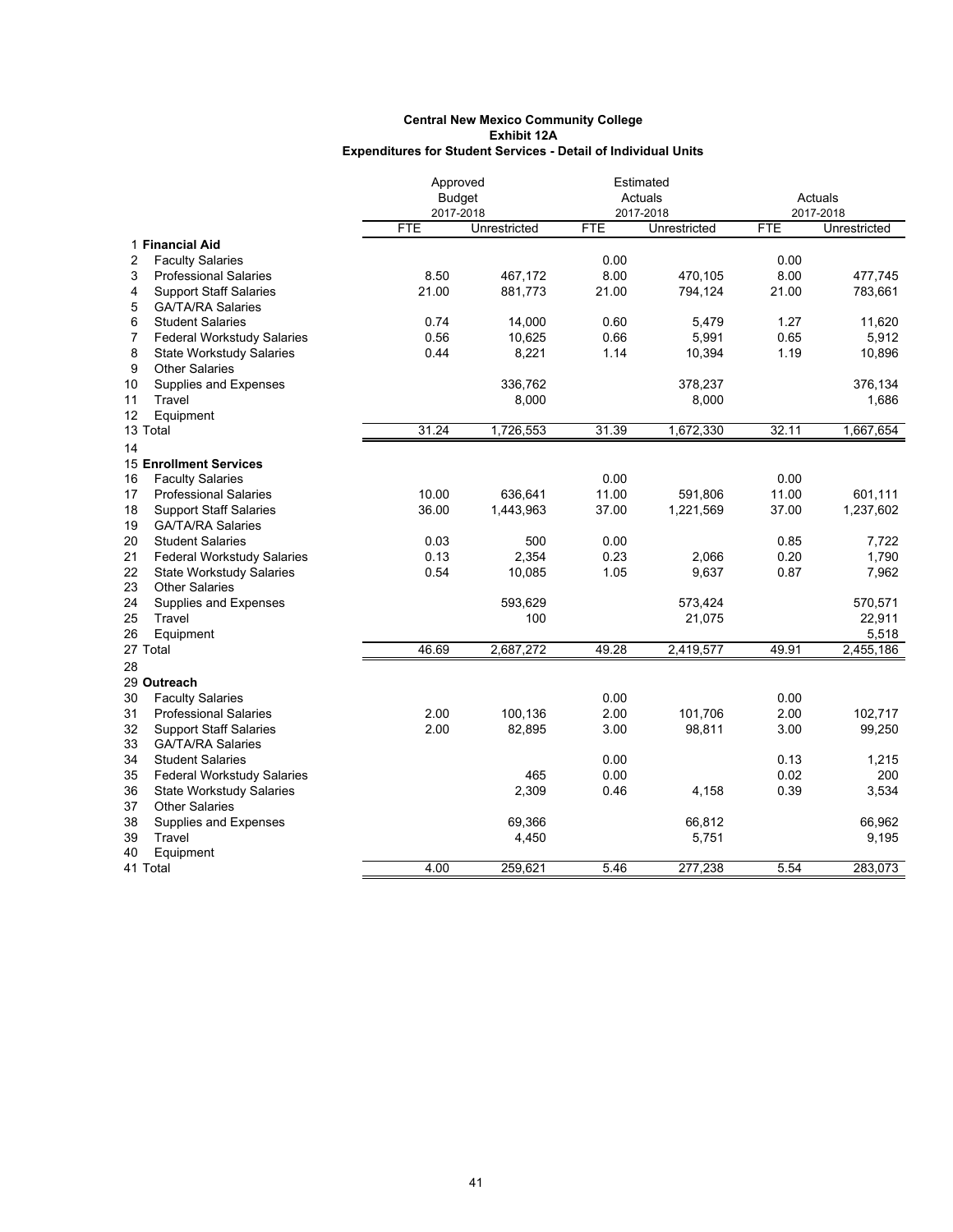|    |                                   | Approved      |              |            | Estimated    |            |              |
|----|-----------------------------------|---------------|--------------|------------|--------------|------------|--------------|
|    |                                   | <b>Budget</b> |              |            | Actuals      |            | Actuals      |
|    |                                   | 2017-2018     |              |            | 2017-2018    |            | 2017-2018    |
|    |                                   | <b>FTE</b>    | Unrestricted | <b>FTE</b> | Unrestricted | <b>FTE</b> | Unrestricted |
|    | 1 Financial Aid                   |               |              |            |              |            |              |
| 2  | <b>Faculty Salaries</b>           |               |              | 0.00       |              | 0.00       |              |
| 3  | <b>Professional Salaries</b>      | 8.50          | 467,172      | 8.00       | 470,105      | 8.00       | 477,745      |
| 4  | <b>Support Staff Salaries</b>     | 21.00         | 881,773      | 21.00      | 794,124      | 21.00      | 783,661      |
| 5  | <b>GA/TA/RA Salaries</b>          |               |              |            |              |            |              |
| 6  | <b>Student Salaries</b>           | 0.74          | 14,000       | 0.60       | 5,479        | 1.27       | 11,620       |
| 7  | <b>Federal Workstudy Salaries</b> | 0.56          | 10,625       | 0.66       | 5,991        | 0.65       | 5,912        |
| 8  | <b>State Workstudy Salaries</b>   | 0.44          | 8,221        | 1.14       | 10,394       | 1.19       | 10,896       |
| 9  | <b>Other Salaries</b>             |               |              |            |              |            |              |
| 10 | Supplies and Expenses             |               | 336,762      |            | 378,237      |            | 376,134      |
| 11 | Travel                            |               | 8,000        |            | 8,000        |            | 1,686        |
| 12 | Equipment                         |               |              |            |              |            |              |
|    | 13 Total                          | 31.24         | 1,726,553    | 31.39      | 1,672,330    | 32.11      | 1,667,654    |
| 14 |                                   |               |              |            |              |            |              |
|    | <b>15 Enrollment Services</b>     |               |              |            |              |            |              |
| 16 | <b>Faculty Salaries</b>           |               |              | 0.00       |              | 0.00       |              |
| 17 | <b>Professional Salaries</b>      | 10.00         | 636,641      | 11.00      | 591,806      | 11.00      | 601,111      |
| 18 | <b>Support Staff Salaries</b>     | 36.00         | 1,443,963    | 37.00      | 1,221,569    | 37.00      | 1,237,602    |
| 19 | <b>GA/TA/RA Salaries</b>          |               |              |            |              |            |              |
| 20 | <b>Student Salaries</b>           | 0.03          | 500          | 0.00       |              | 0.85       | 7,722        |
| 21 | <b>Federal Workstudy Salaries</b> | 0.13          | 2,354        | 0.23       | 2,066        | 0.20       | 1,790        |
| 22 | <b>State Workstudy Salaries</b>   | 0.54          | 10,085       | 1.05       | 9,637        | 0.87       | 7,962        |
| 23 | <b>Other Salaries</b>             |               |              |            |              |            |              |
| 24 | Supplies and Expenses             |               | 593,629      |            | 573,424      |            | 570,571      |
| 25 | Travel                            |               | 100          |            | 21,075       |            | 22,911       |
| 26 | Equipment                         |               |              |            |              |            | 5,518        |
|    | 27 Total                          | 46.69         | 2,687,272    | 49.28      | 2,419,577    | 49.91      | 2,455,186    |
| 28 |                                   |               |              |            |              |            |              |
|    | 29 Outreach                       |               |              |            |              |            |              |
| 30 | <b>Faculty Salaries</b>           |               |              | 0.00       |              | 0.00       |              |
| 31 | <b>Professional Salaries</b>      | 2.00          | 100,136      | 2.00       | 101,706      | 2.00       | 102,717      |
| 32 | <b>Support Staff Salaries</b>     | 2.00          | 82,895       | 3.00       | 98,811       | 3.00       | 99,250       |
| 33 | <b>GA/TA/RA Salaries</b>          |               |              |            |              |            |              |
| 34 | <b>Student Salaries</b>           |               |              | 0.00       |              | 0.13       | 1,215        |
| 35 | <b>Federal Workstudy Salaries</b> |               | 465          | 0.00       |              | 0.02       | 200          |
| 36 | <b>State Workstudy Salaries</b>   |               | 2,309        | 0.46       | 4,158        | 0.39       | 3,534        |
| 37 | <b>Other Salaries</b>             |               |              |            |              |            |              |
| 38 | Supplies and Expenses             |               | 69,366       |            | 66,812       |            | 66,962       |
| 39 | Travel                            |               | 4,450        |            | 5,751        |            | 9,195        |
| 40 | Equipment                         |               |              |            |              |            |              |
|    | 41 Total                          | 4.00          | 259,621      | 5.46       | 277,238      | 5.54       | 283,073      |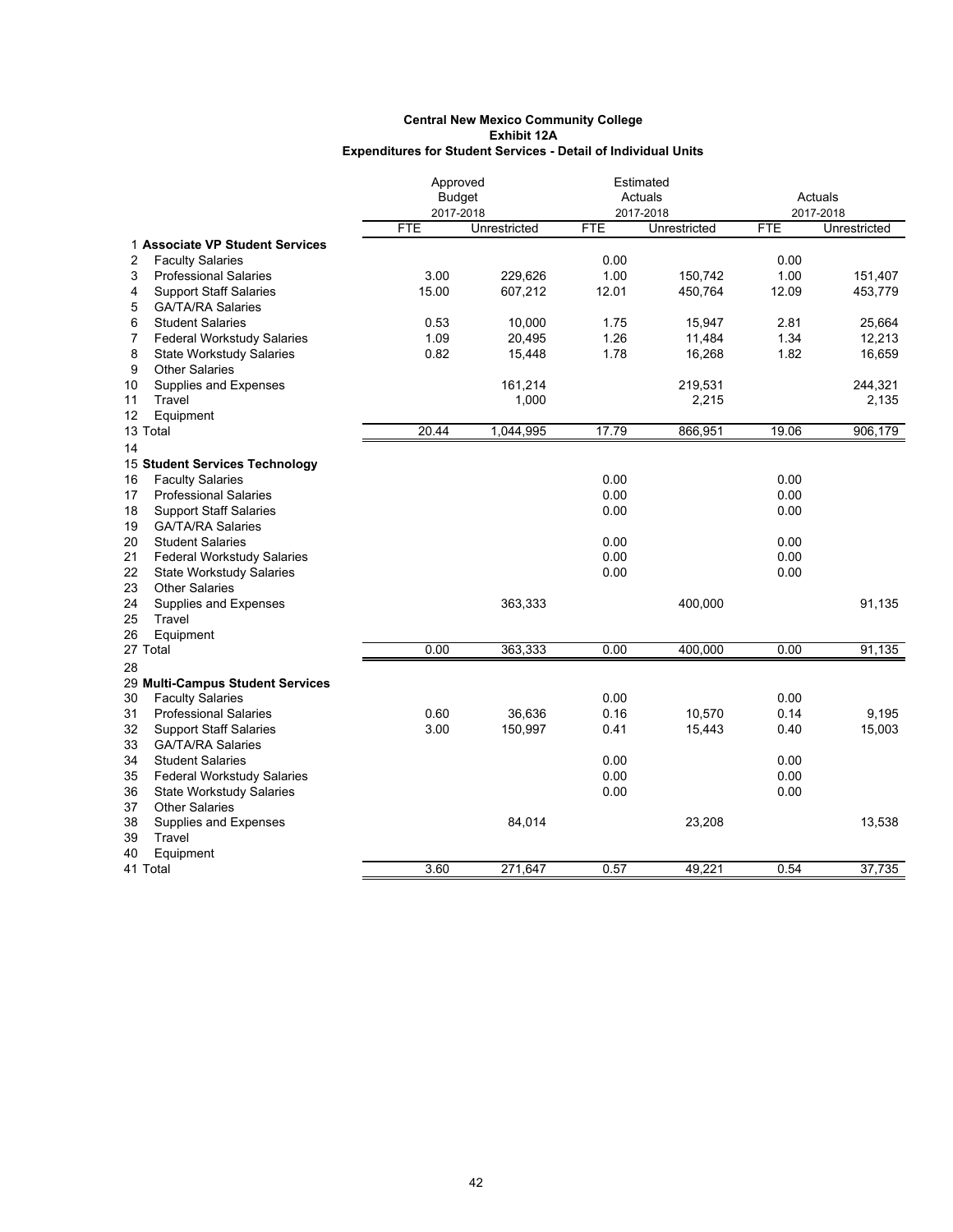|                                         | Approved      |              |            | Estimated    |            |              |  |
|-----------------------------------------|---------------|--------------|------------|--------------|------------|--------------|--|
|                                         | <b>Budget</b> |              |            | Actuals      |            | Actuals      |  |
|                                         | 2017-2018     |              |            | 2017-2018    |            | 2017-2018    |  |
|                                         | FTE           | Unrestricted | <b>FTE</b> | Unrestricted | <b>FTE</b> | Unrestricted |  |
| 1 Associate VP Student Services         |               |              |            |              |            |              |  |
| 2<br><b>Faculty Salaries</b>            |               |              | 0.00       |              | 0.00       |              |  |
| 3<br><b>Professional Salaries</b>       | 3.00          | 229,626      | 1.00       | 150,742      | 1.00       | 151,407      |  |
| 4<br><b>Support Staff Salaries</b>      | 15.00         | 607,212      | 12.01      | 450,764      | 12.09      | 453,779      |  |
| 5<br><b>GA/TA/RA Salaries</b>           |               |              |            |              |            |              |  |
| 6<br><b>Student Salaries</b>            | 0.53          | 10,000       | 1.75       | 15,947       | 2.81       | 25,664       |  |
| 7<br><b>Federal Workstudy Salaries</b>  | 1.09          | 20,495       | 1.26       | 11,484       | 1.34       | 12,213       |  |
| 8<br><b>State Workstudy Salaries</b>    | 0.82          | 15,448       | 1.78       | 16,268       | 1.82       | 16,659       |  |
| 9<br><b>Other Salaries</b>              |               |              |            |              |            |              |  |
| 10<br>Supplies and Expenses             |               | 161,214      |            | 219,531      |            | 244,321      |  |
| Travel<br>11                            |               | 1,000        |            | 2,215        |            | 2,135        |  |
| 12<br>Equipment                         |               |              |            |              |            |              |  |
| 13 Total                                | 20.44         | 1,044,995    | 17.79      | 866,951      | 19.06      | 906,179      |  |
| 14                                      |               |              |            |              |            |              |  |
| 15 Student Services Technology          |               |              |            |              |            |              |  |
| 16<br><b>Faculty Salaries</b>           |               |              | 0.00       |              | 0.00       |              |  |
| <b>Professional Salaries</b><br>17      |               |              | 0.00       |              | 0.00       |              |  |
| 18<br><b>Support Staff Salaries</b>     |               |              | 0.00       |              | 0.00       |              |  |
| 19<br><b>GA/TA/RA Salaries</b>          |               |              |            |              |            |              |  |
| 20<br><b>Student Salaries</b>           |               |              | 0.00       |              | 0.00       |              |  |
| 21<br><b>Federal Workstudy Salaries</b> |               |              | 0.00       |              | 0.00       |              |  |
| 22<br><b>State Workstudy Salaries</b>   |               |              | 0.00       |              | 0.00       |              |  |
| 23<br><b>Other Salaries</b>             |               |              |            |              |            |              |  |
| 24<br>Supplies and Expenses             |               | 363,333      |            | 400,000      |            | 91,135       |  |
| 25<br>Travel                            |               |              |            |              |            |              |  |
| 26<br>Equipment                         |               |              |            |              |            |              |  |
| 27 Total                                | 0.00          | 363,333      | 0.00       | 400,000      | 0.00       | 91,135       |  |
| 28                                      |               |              |            |              |            |              |  |
| 29 Multi-Campus Student Services        |               |              |            |              |            |              |  |
| 30<br><b>Faculty Salaries</b>           |               |              | 0.00       |              | 0.00       |              |  |
| 31<br><b>Professional Salaries</b>      | 0.60          | 36.636       | 0.16       | 10,570       | 0.14       | 9.195        |  |
| 32<br><b>Support Staff Salaries</b>     | 3.00          | 150,997      | 0.41       | 15,443       | 0.40       | 15,003       |  |
| 33<br><b>GA/TA/RA Salaries</b>          |               |              |            |              |            |              |  |
| 34<br><b>Student Salaries</b>           |               |              | 0.00       |              | 0.00       |              |  |
| 35<br><b>Federal Workstudy Salaries</b> |               |              | 0.00       |              | 0.00       |              |  |
| 36<br><b>State Workstudy Salaries</b>   |               |              | 0.00       |              | 0.00       |              |  |
| 37<br><b>Other Salaries</b>             |               |              |            |              |            |              |  |
| 38<br>Supplies and Expenses             |               | 84,014       |            | 23,208       |            | 13,538       |  |
| 39<br>Travel                            |               |              |            |              |            |              |  |
| 40<br>Equipment                         |               |              |            |              |            |              |  |
| 41 Total                                | 3.60          | 271.647      | 0.57       | 49.221       | 0.54       | 37,735       |  |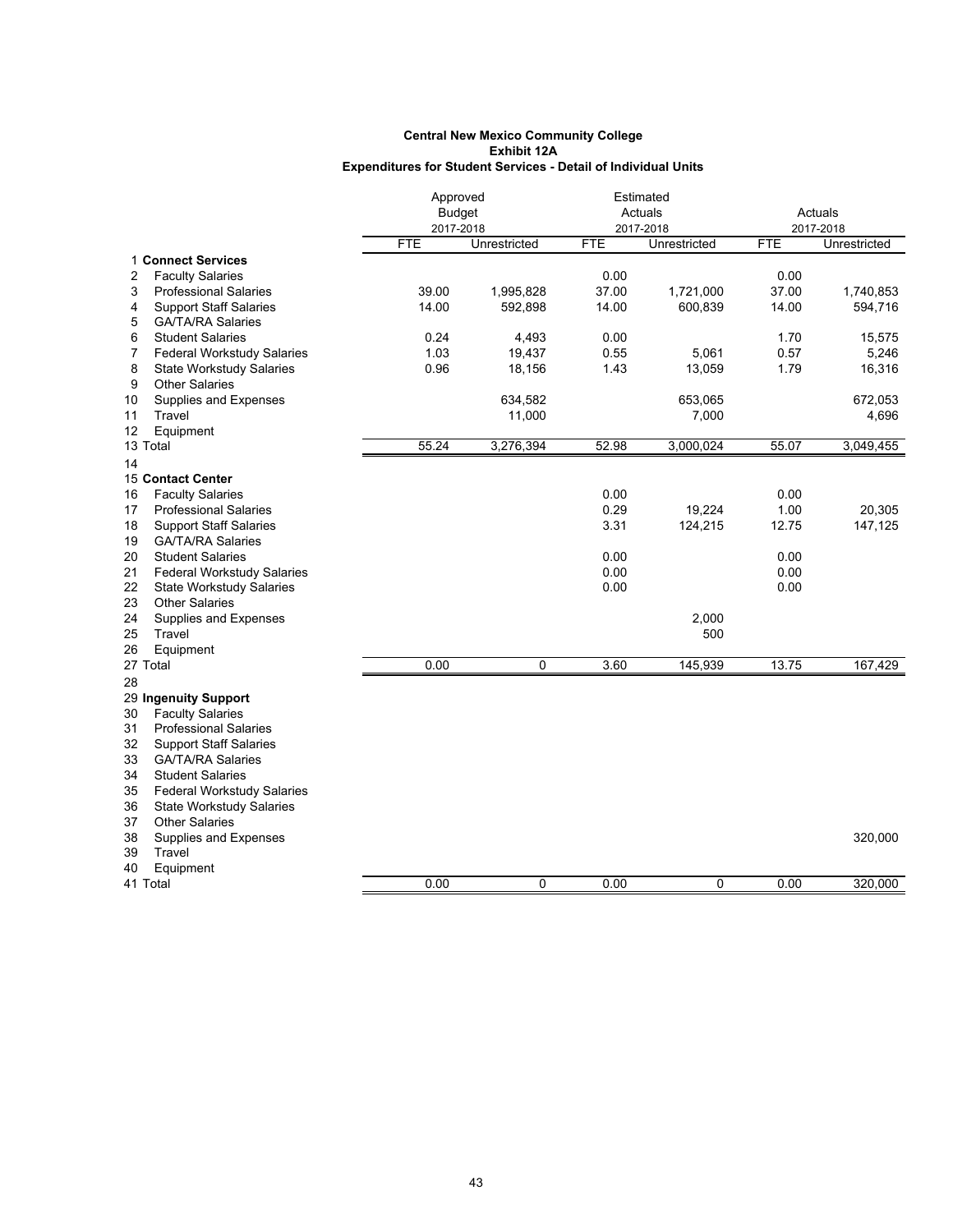|                                         | Approved      |              |            | Estimated    |            |              |
|-----------------------------------------|---------------|--------------|------------|--------------|------------|--------------|
|                                         | <b>Budget</b> |              |            | Actuals      |            | Actuals      |
|                                         | 2017-2018     |              |            | 2017-2018    |            | 2017-2018    |
|                                         | <b>FTE</b>    | Unrestricted | <b>FTE</b> | Unrestricted | <b>FTE</b> | Unrestricted |
| 1 Connect Services                      |               |              |            |              |            |              |
| <b>Faculty Salaries</b><br>2            |               |              | 0.00       |              | 0.00       |              |
| 3<br><b>Professional Salaries</b>       | 39.00         | 1,995,828    | 37.00      | 1,721,000    | 37.00      | 1,740,853    |
| 4<br><b>Support Staff Salaries</b>      | 14.00         | 592,898      | 14.00      | 600,839      | 14.00      | 594,716      |
| GA/TA/RA Salaries<br>5                  |               |              |            |              |            |              |
| 6<br><b>Student Salaries</b>            | 0.24          | 4,493        | 0.00       |              | 1.70       | 15,575       |
| 7<br><b>Federal Workstudy Salaries</b>  | 1.03          | 19,437       | 0.55       | 5,061        | 0.57       | 5,246        |
| 8<br><b>State Workstudy Salaries</b>    | 0.96          | 18,156       | 1.43       | 13,059       | 1.79       | 16,316       |
| <b>Other Salaries</b><br>9              |               |              |            |              |            |              |
| Supplies and Expenses<br>10             |               | 634,582      |            | 653,065      |            | 672,053      |
| Travel<br>11                            |               | 11,000       |            | 7,000        |            | 4,696        |
| 12<br>Equipment                         |               |              |            |              |            |              |
| 13 Total                                | 55.24         | 3,276,394    | 52.98      | 3,000,024    | 55.07      | 3,049,455    |
| 14                                      |               |              |            |              |            |              |
| <b>15 Contact Center</b>                |               |              |            |              |            |              |
| <b>Faculty Salaries</b><br>16           |               |              | 0.00       |              | 0.00       |              |
| <b>Professional Salaries</b><br>17      |               |              | 0.29       | 19,224       | 1.00       | 20,305       |
| <b>Support Staff Salaries</b><br>18     |               |              | 3.31       | 124,215      | 12.75      | 147,125      |
| <b>GA/TA/RA Salaries</b><br>19          |               |              |            |              |            |              |
| <b>Student Salaries</b><br>20           |               |              | 0.00       |              | 0.00       |              |
| 21<br><b>Federal Workstudy Salaries</b> |               |              | 0.00       |              | 0.00       |              |
| 22<br><b>State Workstudy Salaries</b>   |               |              | 0.00       |              | 0.00       |              |
| 23<br><b>Other Salaries</b>             |               |              |            |              |            |              |
| 24<br>Supplies and Expenses             |               |              |            | 2,000        |            |              |
| 25<br>Travel                            |               |              |            | 500          |            |              |
| 26<br>Equipment                         |               |              |            |              |            |              |
| 27 Total                                | 0.00          | 0            | 3.60       | 145,939      | 13.75      | 167,429      |
| 28                                      |               |              |            |              |            |              |
| 29 Ingenuity Support                    |               |              |            |              |            |              |
| <b>Faculty Salaries</b><br>30           |               |              |            |              |            |              |
| 31<br><b>Professional Salaries</b>      |               |              |            |              |            |              |
| 32<br><b>Support Staff Salaries</b>     |               |              |            |              |            |              |
| 33<br><b>GA/TA/RA Salaries</b>          |               |              |            |              |            |              |
| <b>Student Salaries</b><br>34           |               |              |            |              |            |              |
| 35<br><b>Federal Workstudy Salaries</b> |               |              |            |              |            |              |
| <b>State Workstudy Salaries</b><br>36   |               |              |            |              |            |              |
| <b>Other Salaries</b><br>37             |               |              |            |              |            |              |
| 38<br>Supplies and Expenses             |               |              |            |              |            | 320,000      |
| Travel<br>39                            |               |              |            |              |            |              |
| 40<br>Equipment                         |               |              |            |              |            |              |
| 41 Total                                | 0.00          | 0            | 0.00       | $\mathbf 0$  | 0.00       | 320,000      |
|                                         |               |              |            |              |            |              |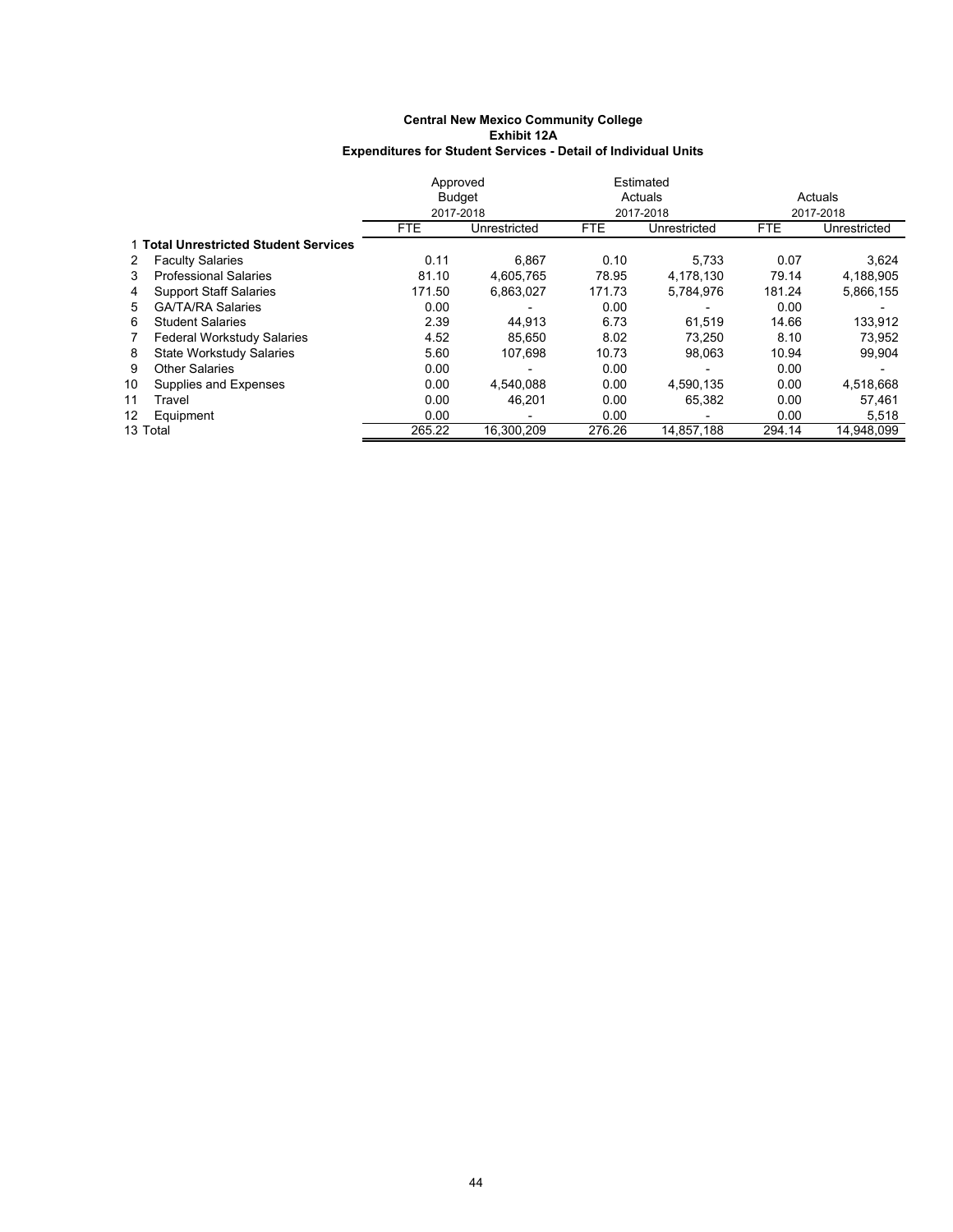|    |                                       | Approved   |               | Estimated  |              |            |              |  |
|----|---------------------------------------|------------|---------------|------------|--------------|------------|--------------|--|
|    |                                       |            | <b>Budget</b> |            | Actuals      | Actuals    |              |  |
|    |                                       | 2017-2018  |               |            | 2017-2018    |            | 2017-2018    |  |
|    |                                       | <b>FTE</b> | Unrestricted  | <b>FTE</b> | Unrestricted | <b>FTE</b> | Unrestricted |  |
|    | 1 Total Unrestricted Student Services |            |               |            |              |            |              |  |
| 2  | <b>Faculty Salaries</b>               | 0.11       | 6.867         | 0.10       | 5.733        | 0.07       | 3,624        |  |
| 3  | <b>Professional Salaries</b>          | 81.10      | 4.605.765     | 78.95      | 4.178.130    | 79.14      | 4,188,905    |  |
| 4  | <b>Support Staff Salaries</b>         | 171.50     | 6.863.027     | 171.73     | 5,784,976    | 181.24     | 5,866,155    |  |
| 5. | <b>GA/TA/RA Salaries</b>              | 0.00       |               | 0.00       |              | 0.00       |              |  |
| 6  | <b>Student Salaries</b>               | 2.39       | 44.913        | 6.73       | 61,519       | 14.66      | 133,912      |  |
| 7  | <b>Federal Workstudy Salaries</b>     | 4.52       | 85.650        | 8.02       | 73.250       | 8.10       | 73,952       |  |
| 8  | State Workstudy Salaries              | 5.60       | 107.698       | 10.73      | 98.063       | 10.94      | 99,904       |  |
| 9  | <b>Other Salaries</b>                 | 0.00       |               | 0.00       |              | 0.00       |              |  |
| 10 | Supplies and Expenses                 | 0.00       | 4.540.088     | 0.00       | 4,590,135    | 0.00       | 4,518,668    |  |
| 11 | Travel                                | 0.00       | 46.201        | 0.00       | 65.382       | 0.00       | 57,461       |  |
| 12 | Equipment                             | 0.00       |               | 0.00       |              | 0.00       | 5,518        |  |
|    | 13 Total                              | 265.22     | 16,300,209    | 276.26     | 14,857,188   | 294.14     | 14,948,099   |  |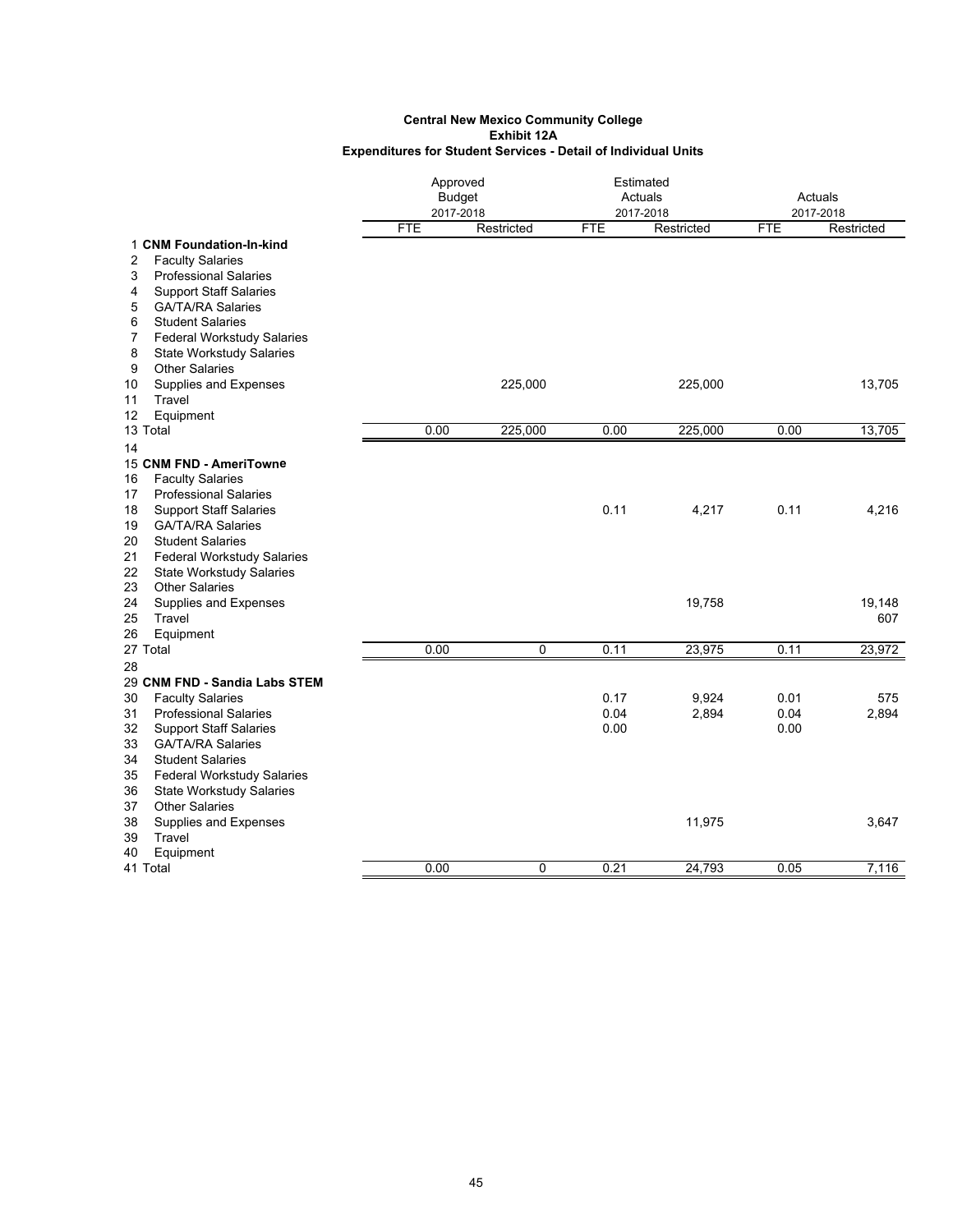|                                                           |            | Approved<br><b>Budget</b><br>2017-2018 |            | Estimated<br>Actuals<br>2017-2018 | Actuals<br>2017-2018 |            |
|-----------------------------------------------------------|------------|----------------------------------------|------------|-----------------------------------|----------------------|------------|
|                                                           | <b>FTE</b> | Restricted                             | <b>FTE</b> | Restricted                        | <b>FTE</b>           | Restricted |
| 1 CNM Foundation-In-kind                                  |            |                                        |            |                                   |                      |            |
| 2<br><b>Faculty Salaries</b>                              |            |                                        |            |                                   |                      |            |
| <b>Professional Salaries</b><br>3                         |            |                                        |            |                                   |                      |            |
| 4<br><b>Support Staff Salaries</b>                        |            |                                        |            |                                   |                      |            |
| 5<br><b>GA/TA/RA Salaries</b>                             |            |                                        |            |                                   |                      |            |
| 6<br><b>Student Salaries</b>                              |            |                                        |            |                                   |                      |            |
| 7<br><b>Federal Workstudy Salaries</b>                    |            |                                        |            |                                   |                      |            |
| 8<br><b>State Workstudy Salaries</b>                      |            |                                        |            |                                   |                      |            |
| 9<br><b>Other Salaries</b>                                |            |                                        |            |                                   |                      |            |
| Supplies and Expenses<br>10                               |            | 225,000                                |            | 225,000                           |                      | 13,705     |
| Travel<br>11                                              |            |                                        |            |                                   |                      |            |
| Equipment<br>12<br>13 Total                               | 0.00       | 225,000                                | 0.00       | 225,000                           | 0.00                 | 13,705     |
|                                                           |            |                                        |            |                                   |                      |            |
| 14<br>15 CNM FND - AmeriTowne                             |            |                                        |            |                                   |                      |            |
| <b>Faculty Salaries</b><br>16                             |            |                                        |            |                                   |                      |            |
| <b>Professional Salaries</b><br>17                        |            |                                        |            |                                   |                      |            |
| <b>Support Staff Salaries</b><br>18                       |            |                                        | 0.11       | 4,217                             | 0.11                 | 4,216      |
| 19<br><b>GA/TA/RA Salaries</b>                            |            |                                        |            |                                   |                      |            |
| 20<br><b>Student Salaries</b>                             |            |                                        |            |                                   |                      |            |
| 21<br><b>Federal Workstudy Salaries</b>                   |            |                                        |            |                                   |                      |            |
| 22<br><b>State Workstudy Salaries</b>                     |            |                                        |            |                                   |                      |            |
| <b>Other Salaries</b><br>23                               |            |                                        |            |                                   |                      |            |
| 24<br>Supplies and Expenses                               |            |                                        |            | 19,758                            |                      | 19,148     |
| 25<br>Travel                                              |            |                                        |            |                                   |                      | 607        |
| 26<br>Equipment                                           |            |                                        |            |                                   |                      |            |
| 27 Total                                                  | 0.00       | 0                                      | 0.11       | 23,975                            | 0.11                 | 23,972     |
| 28                                                        |            |                                        |            |                                   |                      |            |
| 29 CNM FND - Sandia Labs STEM                             |            |                                        |            |                                   |                      |            |
| 30<br><b>Faculty Salaries</b>                             |            |                                        | 0.17       | 9,924                             | 0.01                 | 575        |
| 31<br><b>Professional Salaries</b>                        |            |                                        | 0.04       | 2,894                             | 0.04                 | 2,894      |
| 32<br><b>Support Staff Salaries</b><br>33                 |            |                                        | 0.00       |                                   | 0.00                 |            |
| <b>GA/TA/RA Salaries</b><br><b>Student Salaries</b><br>34 |            |                                        |            |                                   |                      |            |
| 35<br><b>Federal Workstudy Salaries</b>                   |            |                                        |            |                                   |                      |            |
| 36<br><b>State Workstudy Salaries</b>                     |            |                                        |            |                                   |                      |            |
| 37<br><b>Other Salaries</b>                               |            |                                        |            |                                   |                      |            |
| 38<br>Supplies and Expenses                               |            |                                        |            | 11,975                            |                      | 3,647      |
| 39<br>Travel                                              |            |                                        |            |                                   |                      |            |
| 40<br>Equipment                                           |            |                                        |            |                                   |                      |            |
| 41 Total                                                  | 0.00       | 0                                      | 0.21       | 24,793                            | 0.05                 | 7,116      |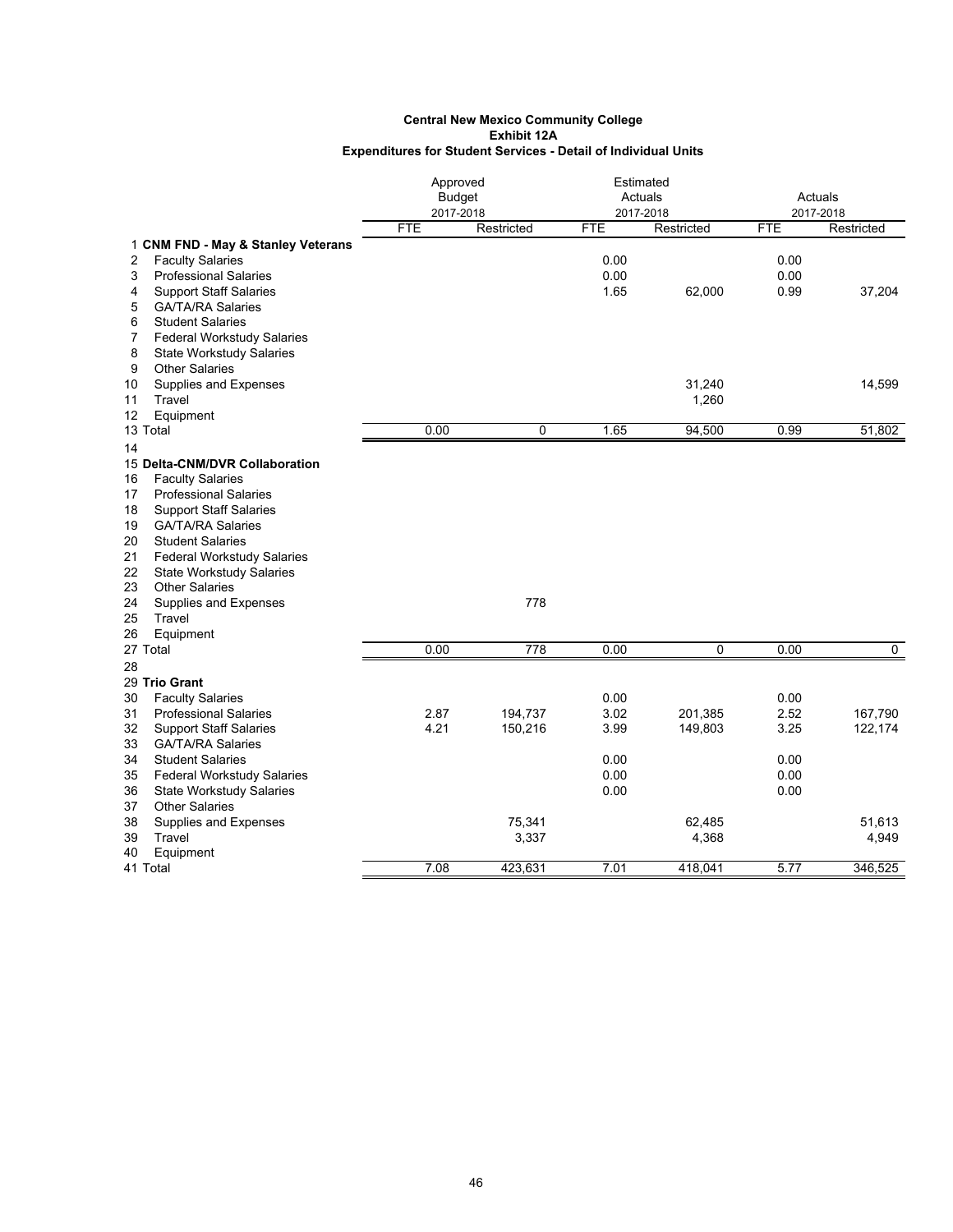|                                                                 | Approved      |            | Estimated  |            |                   |            |
|-----------------------------------------------------------------|---------------|------------|------------|------------|-------------------|------------|
|                                                                 | <b>Budget</b> |            |            | Actuals    | Actuals           |            |
|                                                                 | 2017-2018     |            |            | 2017-2018  |                   | 2017-2018  |
|                                                                 | <b>FTE</b>    | Restricted | <b>FTE</b> | Restricted | <b>FTE</b>        | Restricted |
| 1 CNM FND - May & Stanley Veterans                              |               |            |            |            |                   |            |
| <b>Faculty Salaries</b><br>2                                    |               |            | 0.00       |            | 0.00              |            |
| 3<br><b>Professional Salaries</b>                               |               |            | 0.00       |            | 0.00              |            |
| 4<br><b>Support Staff Salaries</b>                              |               |            | 1.65       | 62,000     | 0.99              | 37,204     |
| 5<br><b>GA/TA/RA Salaries</b>                                   |               |            |            |            |                   |            |
| 6<br><b>Student Salaries</b>                                    |               |            |            |            |                   |            |
| <b>Federal Workstudy Salaries</b><br>7                          |               |            |            |            |                   |            |
| 8<br><b>State Workstudy Salaries</b><br><b>Other Salaries</b>   |               |            |            |            |                   |            |
| 9                                                               |               |            |            |            |                   |            |
| 10<br>Supplies and Expenses                                     |               |            |            | 31,240     |                   | 14,599     |
| Travel<br>11                                                    |               |            |            | 1,260      |                   |            |
| 12<br>Equipment<br>13 Total                                     | 0.00          | 0          | 1.65       | 94,500     | 0.99              | 51,802     |
|                                                                 |               |            |            |            |                   |            |
| 14                                                              |               |            |            |            |                   |            |
| 15 Delta-CNM/DVR Collaboration                                  |               |            |            |            |                   |            |
| 16<br><b>Faculty Salaries</b>                                   |               |            |            |            |                   |            |
| <b>Professional Salaries</b><br>17                              |               |            |            |            |                   |            |
| <b>Support Staff Salaries</b><br>18                             |               |            |            |            |                   |            |
| <b>GA/TA/RA Salaries</b><br>19<br><b>Student Salaries</b><br>20 |               |            |            |            |                   |            |
| 21                                                              |               |            |            |            |                   |            |
| <b>Federal Workstudy Salaries</b>                               |               |            |            |            |                   |            |
| 22<br><b>State Workstudy Salaries</b><br>23                     |               |            |            |            |                   |            |
| <b>Other Salaries</b><br>24                                     |               | 778        |            |            |                   |            |
| Supplies and Expenses<br>25<br>Travel                           |               |            |            |            |                   |            |
| 26<br>Equipment                                                 |               |            |            |            |                   |            |
| 27 Total                                                        | 0.00          | 778        | 0.00       | 0          | 0.00              | 0          |
| 28                                                              |               |            |            |            |                   |            |
| 29 Trio Grant                                                   |               |            |            |            |                   |            |
| 30<br><b>Faculty Salaries</b>                                   |               |            | 0.00       |            | 0.00              |            |
| 31<br><b>Professional Salaries</b>                              | 2.87          | 194,737    | 3.02       | 201,385    | 2.52              | 167,790    |
| 32<br><b>Support Staff Salaries</b>                             | 4.21          | 150,216    | 3.99       | 149,803    | 3.25              | 122,174    |
| 33<br><b>GA/TA/RA Salaries</b>                                  |               |            |            |            |                   |            |
| <b>Student Salaries</b><br>34                                   |               |            | 0.00       |            | 0.00              |            |
| 35<br><b>Federal Workstudy Salaries</b>                         |               |            | 0.00       |            | 0.00              |            |
| 36<br><b>State Workstudy Salaries</b>                           |               |            | 0.00       |            | 0.00              |            |
| 37<br><b>Other Salaries</b>                                     |               |            |            |            |                   |            |
| 38<br>Supplies and Expenses                                     |               | 75,341     |            | 62,485     |                   | 51,613     |
| 39<br>Travel                                                    |               | 3,337      |            | 4,368      |                   | 4,949      |
| 40<br>Equipment                                                 |               |            |            |            |                   |            |
| 41 Total                                                        | 7.08          | 423,631    | 7.01       | 418,041    | $\overline{5.77}$ | 346,525    |
|                                                                 |               |            |            |            |                   |            |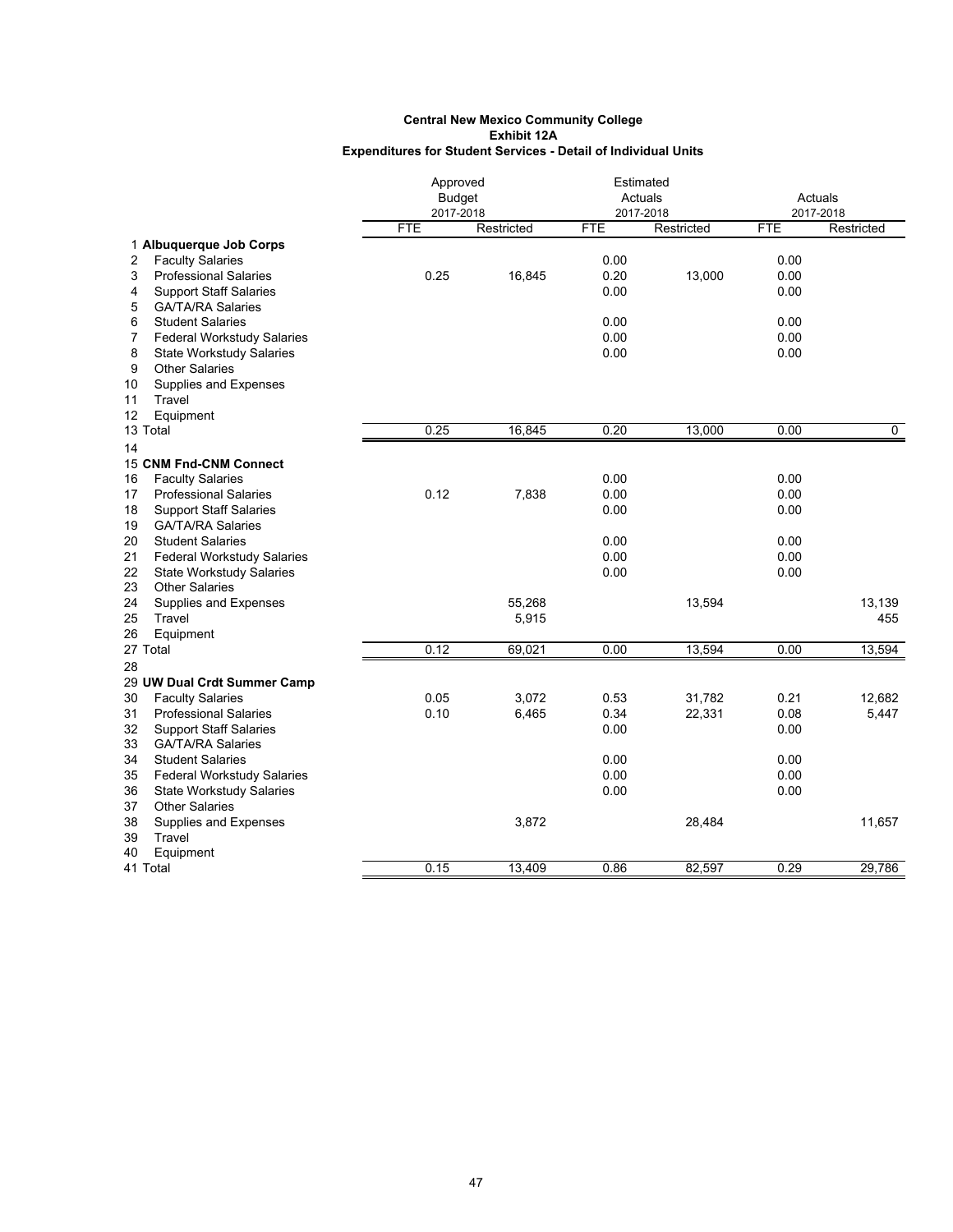|                                         |               | Approved   |            | Estimated  |            |            |
|-----------------------------------------|---------------|------------|------------|------------|------------|------------|
|                                         | <b>Budget</b> |            | Actuals    |            | Actuals    |            |
|                                         | 2017-2018     |            |            | 2017-2018  |            | 2017-2018  |
|                                         | <b>FTE</b>    | Restricted | <b>FTE</b> | Restricted | <b>FTE</b> | Restricted |
| 1 Albuquerque Job Corps                 |               |            |            |            |            |            |
| 2<br><b>Faculty Salaries</b>            |               |            | 0.00       |            | 0.00       |            |
| 3<br><b>Professional Salaries</b>       | 0.25          | 16,845     | 0.20       | 13,000     | 0.00       |            |
| 4<br><b>Support Staff Salaries</b>      |               |            | 0.00       |            | 0.00       |            |
| 5<br><b>GA/TA/RA Salaries</b>           |               |            |            |            |            |            |
| 6<br><b>Student Salaries</b>            |               |            | 0.00       |            | 0.00       |            |
| 7<br>Federal Workstudy Salaries         |               |            | 0.00       |            | 0.00       |            |
| 8<br><b>State Workstudy Salaries</b>    |               |            | 0.00       |            | 0.00       |            |
| <b>Other Salaries</b><br>9              |               |            |            |            |            |            |
| 10<br>Supplies and Expenses<br>Travel   |               |            |            |            |            |            |
| 11                                      |               |            |            |            |            |            |
| 12<br>Equipment<br>13 Total             | 0.25          | 16,845     | 0.20       | 13,000     | 0.00       | 0          |
|                                         |               |            |            |            |            |            |
| 14                                      |               |            |            |            |            |            |
| 15 CNM Fnd-CNM Connect                  |               |            |            |            |            |            |
| <b>Faculty Salaries</b><br>16           |               |            | 0.00       |            | 0.00       |            |
| 17<br><b>Professional Salaries</b>      | 0.12          | 7,838      | 0.00       |            | 0.00       |            |
| <b>Support Staff Salaries</b><br>18     |               |            | 0.00       |            | 0.00       |            |
| <b>GA/TA/RA Salaries</b><br>19          |               |            |            |            |            |            |
| 20<br><b>Student Salaries</b>           |               |            | 0.00       |            | 0.00       |            |
| 21<br><b>Federal Workstudy Salaries</b> |               |            | 0.00       |            | 0.00       |            |
| 22<br><b>State Workstudy Salaries</b>   |               |            | 0.00       |            | 0.00       |            |
| <b>Other Salaries</b><br>23             |               |            |            |            |            |            |
| 24<br>Supplies and Expenses             |               | 55,268     |            | 13,594     |            | 13,139     |
| 25<br>Travel                            |               | 5,915      |            |            |            | 455        |
| 26<br>Equipment                         |               |            |            |            |            |            |
| 27 Total                                | 0.12          | 69,021     | 0.00       | 13,594     | 0.00       | 13,594     |
| 28                                      |               |            |            |            |            |            |
| 29 UW Dual Crdt Summer Camp             |               |            |            |            |            |            |
| 30<br><b>Faculty Salaries</b>           | 0.05          | 3,072      | 0.53       | 31,782     | 0.21       | 12,682     |
| 31<br><b>Professional Salaries</b>      | 0.10          | 6,465      | 0.34       | 22,331     | 0.08       | 5,447      |
| 32<br><b>Support Staff Salaries</b>     |               |            | 0.00       |            | 0.00       |            |
| 33<br><b>GA/TA/RA Salaries</b>          |               |            |            |            |            |            |
| 34<br><b>Student Salaries</b>           |               |            | 0.00       |            | 0.00       |            |
| 35<br><b>Federal Workstudy Salaries</b> |               |            | 0.00       |            | 0.00       |            |
| 36<br><b>State Workstudy Salaries</b>   |               |            | 0.00       |            | 0.00       |            |
| 37<br><b>Other Salaries</b>             |               |            |            |            |            |            |
| 38<br>Supplies and Expenses             |               | 3,872      |            | 28,484     |            | 11,657     |
| 39<br>Travel                            |               |            |            |            |            |            |
| 40<br>Equipment                         |               |            |            |            |            |            |
| 41 Total                                | 0.15          | 13.409     | 0.86       | 82.597     | 0.29       | 29.786     |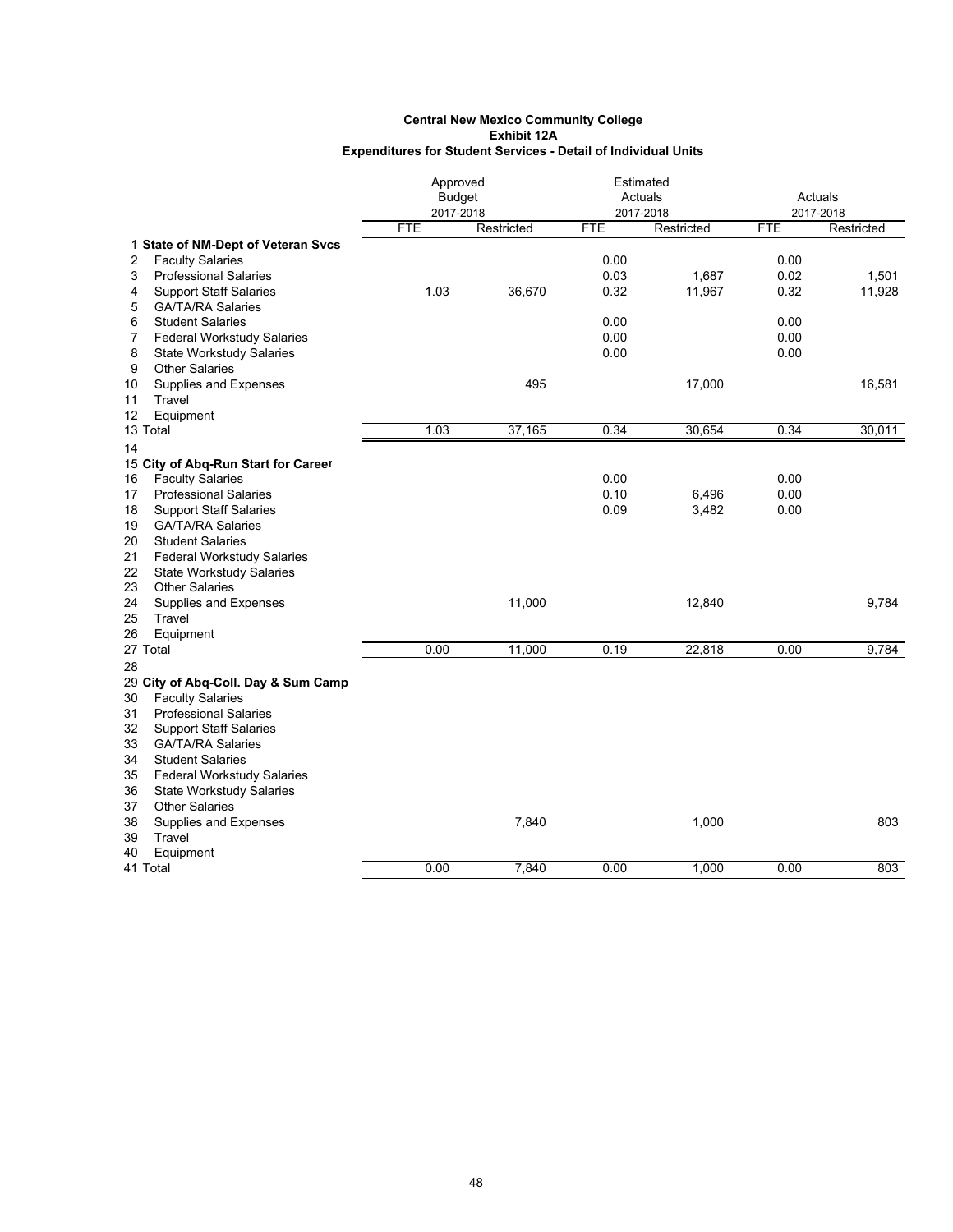|                                                     |               | Approved   |            | Estimated  |            |            |
|-----------------------------------------------------|---------------|------------|------------|------------|------------|------------|
|                                                     | <b>Budget</b> |            |            | Actuals    |            | Actuals    |
|                                                     | 2017-2018     |            |            | 2017-2018  |            | 2017-2018  |
|                                                     | <b>FTE</b>    | Restricted | <b>FTE</b> | Restricted | <b>FTE</b> | Restricted |
| 1 State of NM-Dept of Veteran Svcs                  |               |            |            |            |            |            |
| <b>Faculty Salaries</b><br>2                        |               |            | 0.00       |            | 0.00       |            |
| 3<br><b>Professional Salaries</b>                   |               |            | 0.03       | 1,687      | 0.02       | 1,501      |
| <b>Support Staff Salaries</b><br>4                  | 1.03          | 36,670     | 0.32       | 11,967     | 0.32       | 11,928     |
| 5<br><b>GA/TA/RA Salaries</b>                       |               |            |            |            |            |            |
| 6<br><b>Student Salaries</b>                        |               |            | 0.00       |            | 0.00       |            |
| $\overline{7}$<br><b>Federal Workstudy Salaries</b> |               |            | 0.00       |            | 0.00       |            |
| 8<br><b>State Workstudy Salaries</b>                |               |            | 0.00       |            | 0.00       |            |
| <b>Other Salaries</b><br>9                          |               |            |            |            |            |            |
| Supplies and Expenses<br>10                         |               | 495        |            | 17,000     |            | 16,581     |
| 11<br>Travel                                        |               |            |            |            |            |            |
| Equipment<br>12                                     |               |            |            |            |            |            |
| 13 Total                                            | 1.03          | 37,165     | 0.34       | 30,654     | 0.34       | 30,011     |
| 14                                                  |               |            |            |            |            |            |
| 15 City of Abq-Run Start for Career                 |               |            |            |            |            |            |
| <b>Faculty Salaries</b><br>16                       |               |            | 0.00       |            | 0.00       |            |
| <b>Professional Salaries</b><br>17                  |               |            | 0.10       | 6,496      | 0.00       |            |
| 18<br><b>Support Staff Salaries</b>                 |               |            | 0.09       | 3,482      | 0.00       |            |
| <b>GA/TA/RA Salaries</b><br>19                      |               |            |            |            |            |            |
| 20<br><b>Student Salaries</b>                       |               |            |            |            |            |            |
| 21<br><b>Federal Workstudy Salaries</b>             |               |            |            |            |            |            |
| 22<br><b>State Workstudy Salaries</b>               |               |            |            |            |            |            |
| 23<br><b>Other Salaries</b>                         |               |            |            |            |            |            |
| 24<br>Supplies and Expenses                         |               | 11,000     |            | 12,840     |            | 9,784      |
| Travel<br>25                                        |               |            |            |            |            |            |
| 26<br>Equipment                                     |               |            |            |            |            |            |
| 27 Total                                            | 0.00          | 11,000     | 0.19       | 22,818     | 0.00       | 9,784      |
| 28                                                  |               |            |            |            |            |            |
| 29 City of Abq-Coll. Day & Sum Camp                 |               |            |            |            |            |            |
| 30<br><b>Faculty Salaries</b>                       |               |            |            |            |            |            |
| 31<br><b>Professional Salaries</b>                  |               |            |            |            |            |            |
| <b>Support Staff Salaries</b><br>32                 |               |            |            |            |            |            |
| 33<br><b>GA/TA/RA Salaries</b>                      |               |            |            |            |            |            |
| 34<br><b>Student Salaries</b>                       |               |            |            |            |            |            |
| <b>Federal Workstudy Salaries</b><br>35             |               |            |            |            |            |            |
| 36<br><b>State Workstudy Salaries</b>               |               |            |            |            |            |            |
| <b>Other Salaries</b><br>37                         |               |            |            |            |            |            |
| 38<br>Supplies and Expenses                         |               | 7,840      |            | 1,000      |            | 803        |
| 39<br>Travel                                        |               |            |            |            |            |            |
| Equipment<br>40                                     |               |            |            |            |            |            |
| 41 Total                                            | 0.00          | 7,840      | 0.00       | 1,000      | 0.00       | 803        |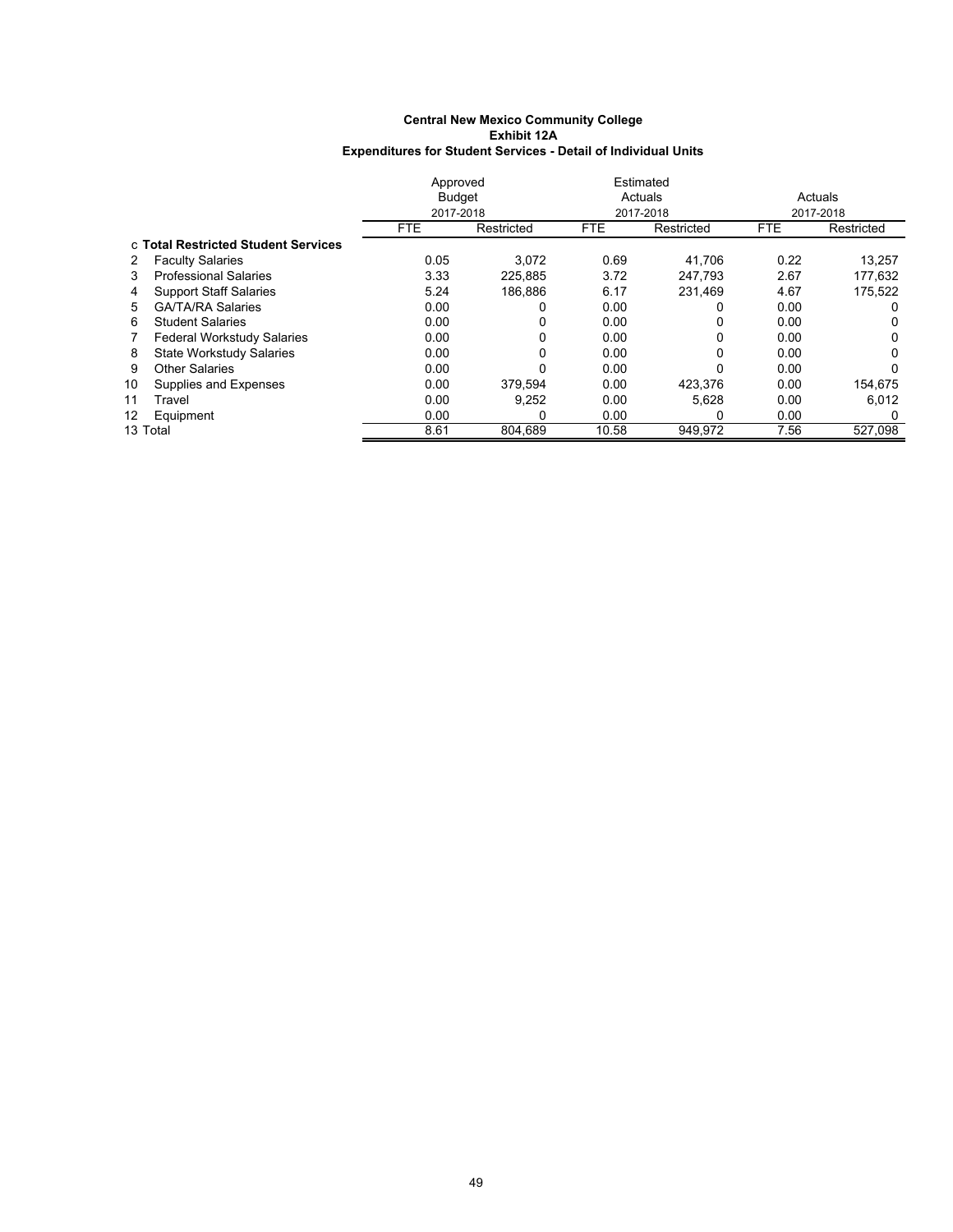|    |                                     | Approved   |               | Estimated  |            |            |            |  |
|----|-------------------------------------|------------|---------------|------------|------------|------------|------------|--|
|    |                                     |            | <b>Budget</b> |            | Actuals    |            | Actuals    |  |
|    |                                     | 2017-2018  |               |            | 2017-2018  |            | 2017-2018  |  |
|    |                                     | <b>FTE</b> | Restricted    | <b>FTE</b> | Restricted | <b>FTE</b> | Restricted |  |
|    | c Total Restricted Student Services |            |               |            |            |            |            |  |
| 2  | <b>Faculty Salaries</b>             | 0.05       | 3.072         | 0.69       | 41,706     | 0.22       | 13,257     |  |
| 3  | <b>Professional Salaries</b>        | 3.33       | 225.885       | 3.72       | 247.793    | 2.67       | 177,632    |  |
| 4  | <b>Support Staff Salaries</b>       | 5.24       | 186.886       | 6.17       | 231.469    | 4.67       | 175,522    |  |
| 5. | <b>GA/TA/RA Salaries</b>            | 0.00       |               | 0.00       |            | 0.00       |            |  |
| 6  | <b>Student Salaries</b>             | 0.00       | 0             | 0.00       |            | 0.00       | 0          |  |
| 7  | <b>Federal Workstudy Salaries</b>   | 0.00       | 0             | 0.00       | 0          | 0.00       | 0          |  |
| 8  | State Workstudy Salaries            | 0.00       | 0             | 0.00       |            | 0.00       | 0          |  |
| 9  | Other Salaries                      | 0.00       | 0             | 0.00       |            | 0.00       | $\Omega$   |  |
| 10 | Supplies and Expenses               | 0.00       | 379.594       | 0.00       | 423,376    | 0.00       | 154,675    |  |
| 11 | Travel                              | 0.00       | 9,252         | 0.00       | 5,628      | 0.00       | 6.012      |  |
| 12 | Equipment                           | 0.00       | 0             | 0.00       | 0          | 0.00       | 0          |  |
|    | 13 Total                            | 8.61       | 804.689       | 10.58      | 949.972    | 7.56       | 527.098    |  |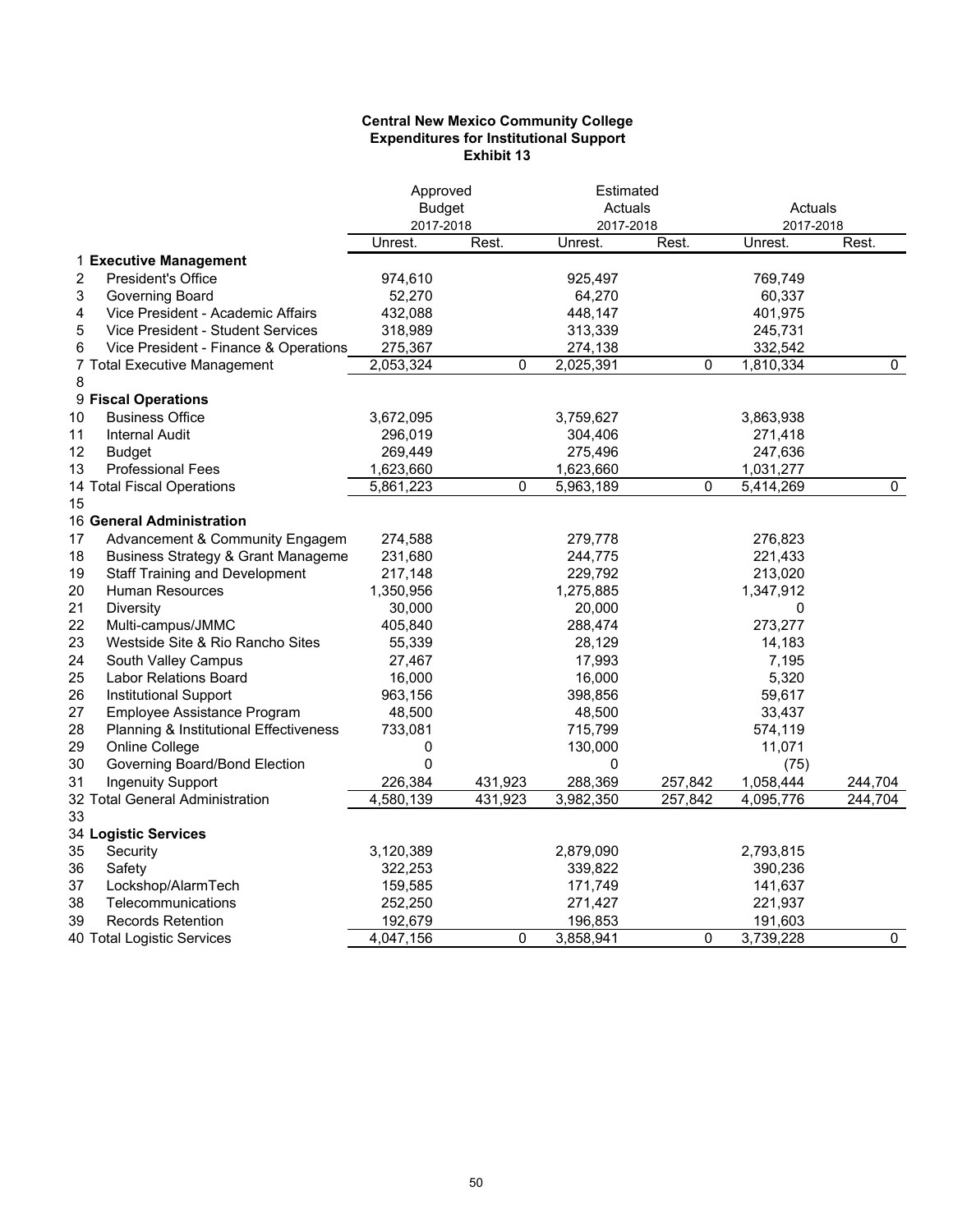### **Central New Mexico Community College Expenditures for Institutional Support Exhibit 13**

|                                                     | Approved      |         | Estimated |         |           |           |
|-----------------------------------------------------|---------------|---------|-----------|---------|-----------|-----------|
|                                                     | <b>Budget</b> |         | Actuals   |         | Actuals   |           |
|                                                     | 2017-2018     |         | 2017-2018 |         | 2017-2018 |           |
|                                                     | Unrest.       | Rest.   | Unrest.   | Rest.   | Unrest.   | Rest.     |
| 1 Executive Management                              |               |         |           |         |           |           |
| 2<br><b>President's Office</b>                      | 974,610       |         | 925,497   |         | 769,749   |           |
| 3<br>Governing Board                                | 52,270        |         | 64,270    |         | 60,337    |           |
| 4<br>Vice President - Academic Affairs              | 432,088       |         | 448,147   |         | 401,975   |           |
| Vice President - Student Services<br>5              | 318,989       |         | 313,339   |         | 245,731   |           |
| 6<br>Vice President - Finance & Operations          | 275,367       |         | 274,138   |         | 332,542   |           |
| 7 Total Executive Management                        | 2,053,324     | 0       | 2,025,391 | 0       | 1,810,334 | 0         |
| 8                                                   |               |         |           |         |           |           |
| 9 Fiscal Operations                                 |               |         |           |         |           |           |
| <b>Business Office</b><br>10                        | 3,672,095     |         | 3,759,627 |         | 3,863,938 |           |
| 11<br><b>Internal Audit</b>                         | 296,019       |         | 304,406   |         | 271,418   |           |
| 12<br><b>Budget</b>                                 | 269,449       |         | 275,496   |         | 247,636   |           |
| 13<br><b>Professional Fees</b>                      | 1,623,660     |         | 1,623,660 |         | 1,031,277 |           |
| 14 Total Fiscal Operations                          | 5,861,223     | 0       | 5,963,189 | 0       | 5,414,269 | $\pmb{0}$ |
| 15                                                  |               |         |           |         |           |           |
| 16 General Administration                           |               |         |           |         |           |           |
| 17<br>Advancement & Community Engagem               | 274,588       |         | 279,778   |         | 276,823   |           |
| 18<br><b>Business Strategy &amp; Grant Manageme</b> | 231,680       |         | 244,775   |         | 221,433   |           |
| <b>Staff Training and Development</b><br>19         | 217,148       |         | 229,792   |         | 213,020   |           |
| 20<br><b>Human Resources</b>                        | 1,350,956     |         | 1,275,885 |         | 1,347,912 |           |
| 21<br><b>Diversity</b>                              | 30,000        |         | 20,000    |         | 0         |           |
| 22<br>Multi-campus/JMMC                             | 405,840       |         | 288,474   |         | 273,277   |           |
| 23<br>Westside Site & Rio Rancho Sites              | 55,339        |         | 28,129    |         | 14,183    |           |
| 24<br>South Valley Campus                           | 27,467        |         | 17,993    |         | 7,195     |           |
| 25<br>Labor Relations Board                         | 16,000        |         | 16,000    |         | 5,320     |           |
| 26<br><b>Institutional Support</b>                  | 963,156       |         | 398,856   |         | 59,617    |           |
| 27<br>Employee Assistance Program                   | 48,500        |         | 48,500    |         | 33,437    |           |
| 28<br>Planning & Institutional Effectiveness        | 733,081       |         | 715,799   |         | 574,119   |           |
| 29<br>Online College                                | 0             |         | 130,000   |         | 11,071    |           |
| 30<br>Governing Board/Bond Election                 | $\mathbf 0$   |         | 0         |         | (75)      |           |
| 31<br><b>Ingenuity Support</b>                      | 226,384       | 431,923 | 288,369   | 257,842 | 1,058,444 | 244,704   |
| 32 Total General Administration                     | 4,580,139     | 431,923 | 3,982,350 | 257,842 | 4,095,776 | 244,704   |
| 33                                                  |               |         |           |         |           |           |
| 34 Logistic Services                                |               |         |           |         |           |           |
| Security<br>35                                      | 3,120,389     |         | 2,879,090 |         | 2,793,815 |           |
| 36<br>Safety                                        | 322,253       |         | 339,822   |         | 390,236   |           |
| 37<br>Lockshop/AlarmTech                            | 159,585       |         | 171,749   |         | 141,637   |           |
| 38<br>Telecommunications                            | 252,250       |         | 271,427   |         | 221,937   |           |
| 39<br>Records Retention                             | 192,679       |         | 196,853   |         | 191,603   |           |
| 40 Total Logistic Services                          | 4,047,156     | 0       | 3,858,941 | 0       | 3,739,228 | 0         |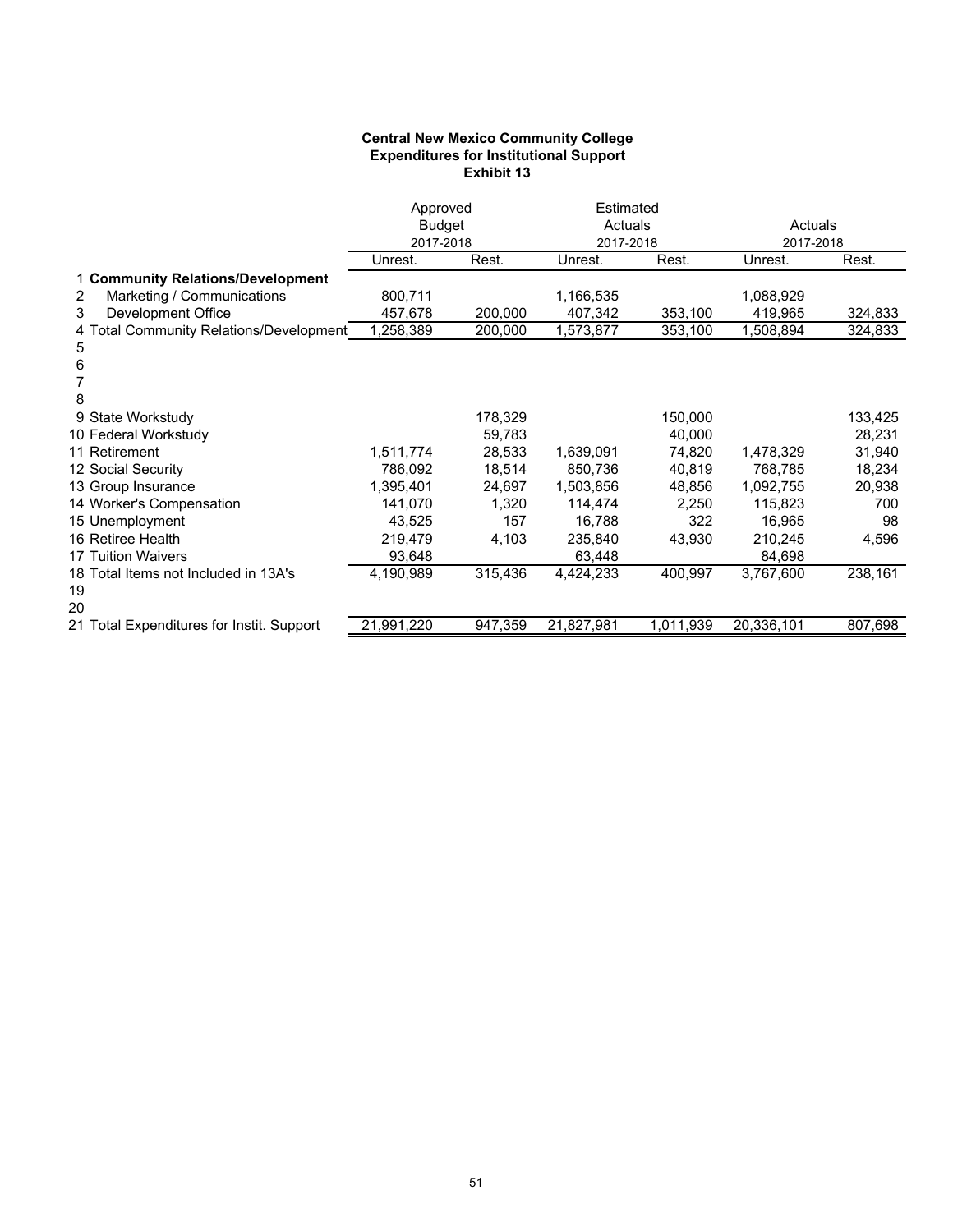### **Central New Mexico Community College Expenditures for Institutional Support Exhibit 13**

| <b>Budget</b><br>Actuals<br>Actuals<br>2017-2018<br>2017-2018<br>2017-2018<br>Rest.<br>Rest.<br>Rest.<br>Unrest.<br>Unrest.<br>Unrest.<br>1 Community Relations/Development<br>Marketing / Communications<br>800,711<br>1,166,535<br>1,088,929<br>2<br>Development Office<br>200,000<br>419,965<br>3<br>457,678<br>407,342<br>353,100<br>324,833<br>4 Total Community Relations/Development<br>1,258,389<br>200,000<br>353,100<br>1,508,894<br>324,833<br>1,573,877<br>5<br>6<br>8<br>178,329<br>150,000<br>133,425<br>9 State Workstudy<br>10 Federal Workstudy<br>59,783<br>40,000<br>28,231<br>11 Retirement<br>1,639,091<br>31,940<br>1,511,774<br>28,533<br>74,820<br>1,478,329<br>12 Social Security<br>18,514<br>850,736<br>40,819<br>18,234<br>786,092<br>768,785<br>13 Group Insurance<br>1,395,401<br>24,697<br>1,503,856<br>1,092,755<br>20,938<br>48,856<br>14 Worker's Compensation<br>1,320<br>141,070<br>114,474<br>2,250<br>115,823<br>700<br>322<br>15 Unemployment<br>43,525<br>157<br>16,788<br>16,965<br>98<br>16 Retiree Health<br>219,479<br>4,103<br>235,840<br>43,930<br>210,245<br>4,596<br><b>17 Tuition Waivers</b><br>93,648<br>63,448<br>84,698<br>315,436<br>238,161<br>18 Total Items not Included in 13A's<br>4,190,989<br>4,424,233<br>400,997<br>3,767,600<br>19<br>20<br>807,698<br>21,991,220<br>947,359<br>21,827,981<br>1,011,939<br>20,336,101<br>21 Total Expenditures for Instit. Support | Approved |  | Estimated |  |  |
|------------------------------------------------------------------------------------------------------------------------------------------------------------------------------------------------------------------------------------------------------------------------------------------------------------------------------------------------------------------------------------------------------------------------------------------------------------------------------------------------------------------------------------------------------------------------------------------------------------------------------------------------------------------------------------------------------------------------------------------------------------------------------------------------------------------------------------------------------------------------------------------------------------------------------------------------------------------------------------------------------------------------------------------------------------------------------------------------------------------------------------------------------------------------------------------------------------------------------------------------------------------------------------------------------------------------------------------------------------------------------------------------------------------------------------|----------|--|-----------|--|--|
|                                                                                                                                                                                                                                                                                                                                                                                                                                                                                                                                                                                                                                                                                                                                                                                                                                                                                                                                                                                                                                                                                                                                                                                                                                                                                                                                                                                                                                    |          |  |           |  |  |
|                                                                                                                                                                                                                                                                                                                                                                                                                                                                                                                                                                                                                                                                                                                                                                                                                                                                                                                                                                                                                                                                                                                                                                                                                                                                                                                                                                                                                                    |          |  |           |  |  |
|                                                                                                                                                                                                                                                                                                                                                                                                                                                                                                                                                                                                                                                                                                                                                                                                                                                                                                                                                                                                                                                                                                                                                                                                                                                                                                                                                                                                                                    |          |  |           |  |  |
|                                                                                                                                                                                                                                                                                                                                                                                                                                                                                                                                                                                                                                                                                                                                                                                                                                                                                                                                                                                                                                                                                                                                                                                                                                                                                                                                                                                                                                    |          |  |           |  |  |
|                                                                                                                                                                                                                                                                                                                                                                                                                                                                                                                                                                                                                                                                                                                                                                                                                                                                                                                                                                                                                                                                                                                                                                                                                                                                                                                                                                                                                                    |          |  |           |  |  |
|                                                                                                                                                                                                                                                                                                                                                                                                                                                                                                                                                                                                                                                                                                                                                                                                                                                                                                                                                                                                                                                                                                                                                                                                                                                                                                                                                                                                                                    |          |  |           |  |  |
|                                                                                                                                                                                                                                                                                                                                                                                                                                                                                                                                                                                                                                                                                                                                                                                                                                                                                                                                                                                                                                                                                                                                                                                                                                                                                                                                                                                                                                    |          |  |           |  |  |
|                                                                                                                                                                                                                                                                                                                                                                                                                                                                                                                                                                                                                                                                                                                                                                                                                                                                                                                                                                                                                                                                                                                                                                                                                                                                                                                                                                                                                                    |          |  |           |  |  |
|                                                                                                                                                                                                                                                                                                                                                                                                                                                                                                                                                                                                                                                                                                                                                                                                                                                                                                                                                                                                                                                                                                                                                                                                                                                                                                                                                                                                                                    |          |  |           |  |  |
|                                                                                                                                                                                                                                                                                                                                                                                                                                                                                                                                                                                                                                                                                                                                                                                                                                                                                                                                                                                                                                                                                                                                                                                                                                                                                                                                                                                                                                    |          |  |           |  |  |
|                                                                                                                                                                                                                                                                                                                                                                                                                                                                                                                                                                                                                                                                                                                                                                                                                                                                                                                                                                                                                                                                                                                                                                                                                                                                                                                                                                                                                                    |          |  |           |  |  |
|                                                                                                                                                                                                                                                                                                                                                                                                                                                                                                                                                                                                                                                                                                                                                                                                                                                                                                                                                                                                                                                                                                                                                                                                                                                                                                                                                                                                                                    |          |  |           |  |  |
|                                                                                                                                                                                                                                                                                                                                                                                                                                                                                                                                                                                                                                                                                                                                                                                                                                                                                                                                                                                                                                                                                                                                                                                                                                                                                                                                                                                                                                    |          |  |           |  |  |
|                                                                                                                                                                                                                                                                                                                                                                                                                                                                                                                                                                                                                                                                                                                                                                                                                                                                                                                                                                                                                                                                                                                                                                                                                                                                                                                                                                                                                                    |          |  |           |  |  |
|                                                                                                                                                                                                                                                                                                                                                                                                                                                                                                                                                                                                                                                                                                                                                                                                                                                                                                                                                                                                                                                                                                                                                                                                                                                                                                                                                                                                                                    |          |  |           |  |  |
|                                                                                                                                                                                                                                                                                                                                                                                                                                                                                                                                                                                                                                                                                                                                                                                                                                                                                                                                                                                                                                                                                                                                                                                                                                                                                                                                                                                                                                    |          |  |           |  |  |
|                                                                                                                                                                                                                                                                                                                                                                                                                                                                                                                                                                                                                                                                                                                                                                                                                                                                                                                                                                                                                                                                                                                                                                                                                                                                                                                                                                                                                                    |          |  |           |  |  |
|                                                                                                                                                                                                                                                                                                                                                                                                                                                                                                                                                                                                                                                                                                                                                                                                                                                                                                                                                                                                                                                                                                                                                                                                                                                                                                                                                                                                                                    |          |  |           |  |  |
|                                                                                                                                                                                                                                                                                                                                                                                                                                                                                                                                                                                                                                                                                                                                                                                                                                                                                                                                                                                                                                                                                                                                                                                                                                                                                                                                                                                                                                    |          |  |           |  |  |
|                                                                                                                                                                                                                                                                                                                                                                                                                                                                                                                                                                                                                                                                                                                                                                                                                                                                                                                                                                                                                                                                                                                                                                                                                                                                                                                                                                                                                                    |          |  |           |  |  |
|                                                                                                                                                                                                                                                                                                                                                                                                                                                                                                                                                                                                                                                                                                                                                                                                                                                                                                                                                                                                                                                                                                                                                                                                                                                                                                                                                                                                                                    |          |  |           |  |  |
|                                                                                                                                                                                                                                                                                                                                                                                                                                                                                                                                                                                                                                                                                                                                                                                                                                                                                                                                                                                                                                                                                                                                                                                                                                                                                                                                                                                                                                    |          |  |           |  |  |
|                                                                                                                                                                                                                                                                                                                                                                                                                                                                                                                                                                                                                                                                                                                                                                                                                                                                                                                                                                                                                                                                                                                                                                                                                                                                                                                                                                                                                                    |          |  |           |  |  |
|                                                                                                                                                                                                                                                                                                                                                                                                                                                                                                                                                                                                                                                                                                                                                                                                                                                                                                                                                                                                                                                                                                                                                                                                                                                                                                                                                                                                                                    |          |  |           |  |  |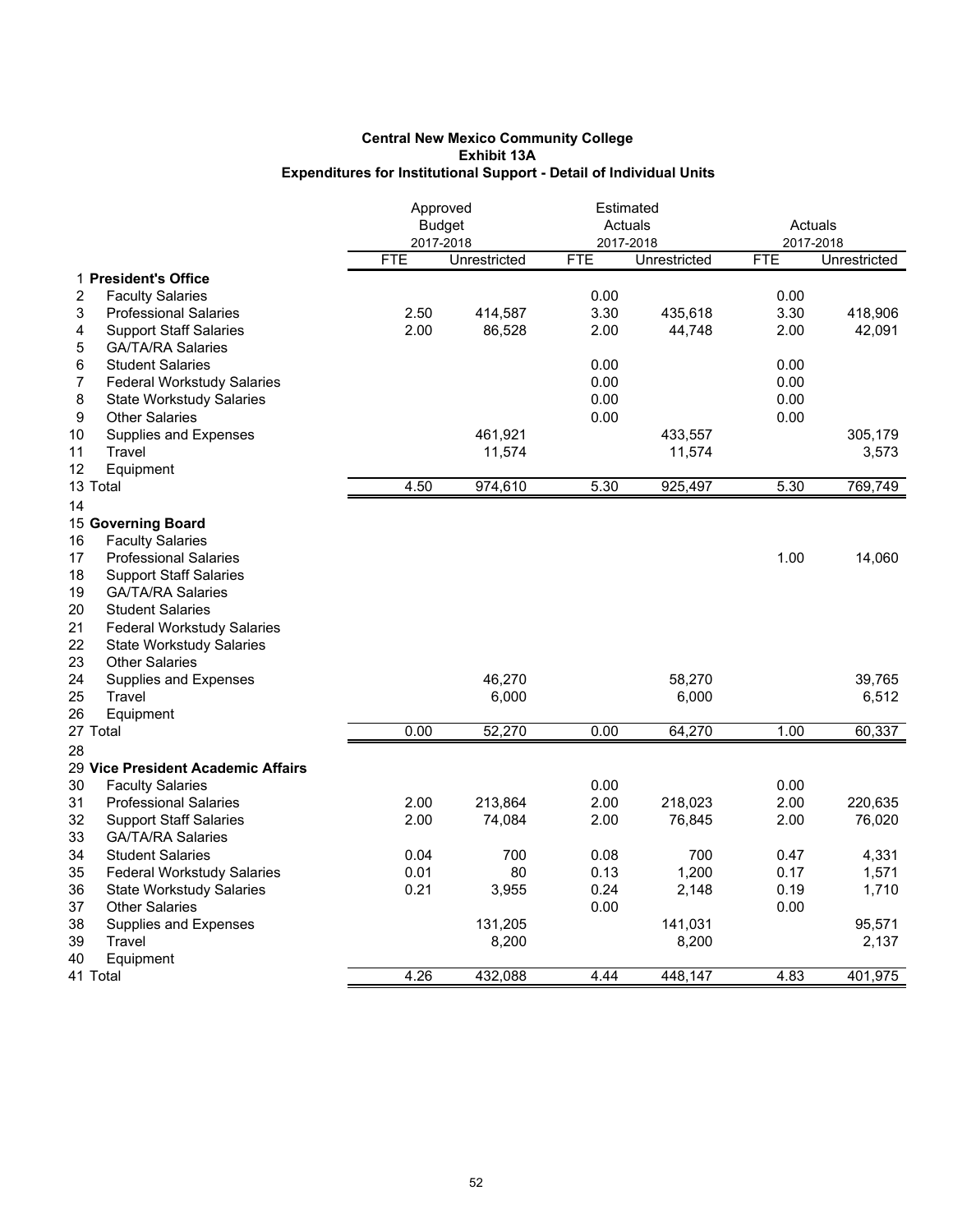### **Exhibit 13A Expenditures for Institutional Support - Detail of Individual Units Central New Mexico Community College**

|                                         | Approved |                           | Estimated<br>Actuals |                           | Actuals                 |              |
|-----------------------------------------|----------|---------------------------|----------------------|---------------------------|-------------------------|--------------|
|                                         |          | <b>Budget</b>             |                      |                           |                         |              |
|                                         | FTE      | 2017-2018<br>Unrestricted | <b>FTE</b>           | 2017-2018<br>Unrestricted | 2017-2018<br><b>FTE</b> | Unrestricted |
| 1 President's Office                    |          |                           |                      |                           |                         |              |
| 2<br><b>Faculty Salaries</b>            |          |                           | 0.00                 |                           | 0.00                    |              |
| 3<br><b>Professional Salaries</b>       | 2.50     | 414,587                   | 3.30                 | 435,618                   | 3.30                    | 418,906      |
| <b>Support Staff Salaries</b><br>4      | 2.00     | 86,528                    | 2.00                 | 44,748                    | 2.00                    | 42,091       |
| 5<br><b>GA/TA/RA Salaries</b>           |          |                           |                      |                           |                         |              |
| 6<br><b>Student Salaries</b>            |          |                           | 0.00                 |                           | 0.00                    |              |
| 7<br><b>Federal Workstudy Salaries</b>  |          |                           | 0.00                 |                           | 0.00                    |              |
| 8<br><b>State Workstudy Salaries</b>    |          |                           | 0.00                 |                           | 0.00                    |              |
| 9<br><b>Other Salaries</b>              |          |                           | 0.00                 |                           | 0.00                    |              |
|                                         |          |                           |                      |                           |                         |              |
| 10<br>Supplies and Expenses<br>Travel   |          | 461,921                   |                      | 433,557                   |                         | 305,179      |
| 11                                      |          | 11,574                    |                      | 11,574                    |                         | 3,573        |
| 12<br>Equipment                         |          |                           |                      |                           |                         |              |
| 13 Total                                | 4.50     | 974,610                   | 5.30                 | 925,497                   | 5.30                    | 769,749      |
| 14                                      |          |                           |                      |                           |                         |              |
| 15 Governing Board                      |          |                           |                      |                           |                         |              |
| 16<br><b>Faculty Salaries</b>           |          |                           |                      |                           |                         |              |
| 17<br><b>Professional Salaries</b>      |          |                           |                      |                           | 1.00                    | 14,060       |
| 18<br><b>Support Staff Salaries</b>     |          |                           |                      |                           |                         |              |
| 19<br><b>GA/TA/RA Salaries</b>          |          |                           |                      |                           |                         |              |
| 20<br><b>Student Salaries</b>           |          |                           |                      |                           |                         |              |
| 21<br><b>Federal Workstudy Salaries</b> |          |                           |                      |                           |                         |              |
| 22<br><b>State Workstudy Salaries</b>   |          |                           |                      |                           |                         |              |
| 23<br><b>Other Salaries</b>             |          |                           |                      |                           |                         |              |
| 24<br>Supplies and Expenses             |          | 46.270                    |                      | 58,270                    |                         | 39.765       |
| 25<br>Travel                            |          | 6,000                     |                      | 6,000                     |                         | 6,512        |
| 26<br>Equipment                         |          |                           |                      |                           |                         |              |
| 27 Total                                | 0.00     | 52,270                    | 0.00                 | 64,270                    | 1.00                    | 60,337       |
| 28                                      |          |                           |                      |                           |                         |              |
| 29 Vice President Academic Affairs      |          |                           |                      |                           |                         |              |
| 30<br><b>Faculty Salaries</b>           |          |                           | 0.00                 |                           | 0.00                    |              |
| 31<br><b>Professional Salaries</b>      | 2.00     | 213,864                   | 2.00                 | 218,023                   | 2.00                    | 220,635      |
| 32<br><b>Support Staff Salaries</b>     | 2.00     | 74,084                    | 2.00                 | 76,845                    | 2.00                    | 76,020       |
| 33<br><b>GA/TA/RA Salaries</b>          |          |                           |                      |                           |                         |              |
| 34<br><b>Student Salaries</b>           | 0.04     | 700                       | 0.08                 | 700                       | 0.47                    | 4,331        |
| 35<br><b>Federal Workstudy Salaries</b> | 0.01     | 80                        | 0.13                 | 1,200                     | 0.17                    | 1,571        |
| 36<br><b>State Workstudy Salaries</b>   | 0.21     | 3,955                     | 0.24                 | 2,148                     | 0.19                    | 1,710        |
| 37<br><b>Other Salaries</b>             |          |                           | 0.00                 |                           | 0.00                    |              |
| 38<br>Supplies and Expenses             |          | 131,205                   |                      | 141,031                   |                         | 95,571       |
| 39<br>Travel                            |          |                           |                      |                           |                         |              |
|                                         |          | 8,200                     |                      | 8,200                     |                         | 2,137        |
| 40<br>Equipment                         |          |                           |                      |                           |                         |              |
| 41 Total                                | 4.26     | 432,088                   | 4.44                 | 448,147                   | 4.83                    | 401,975      |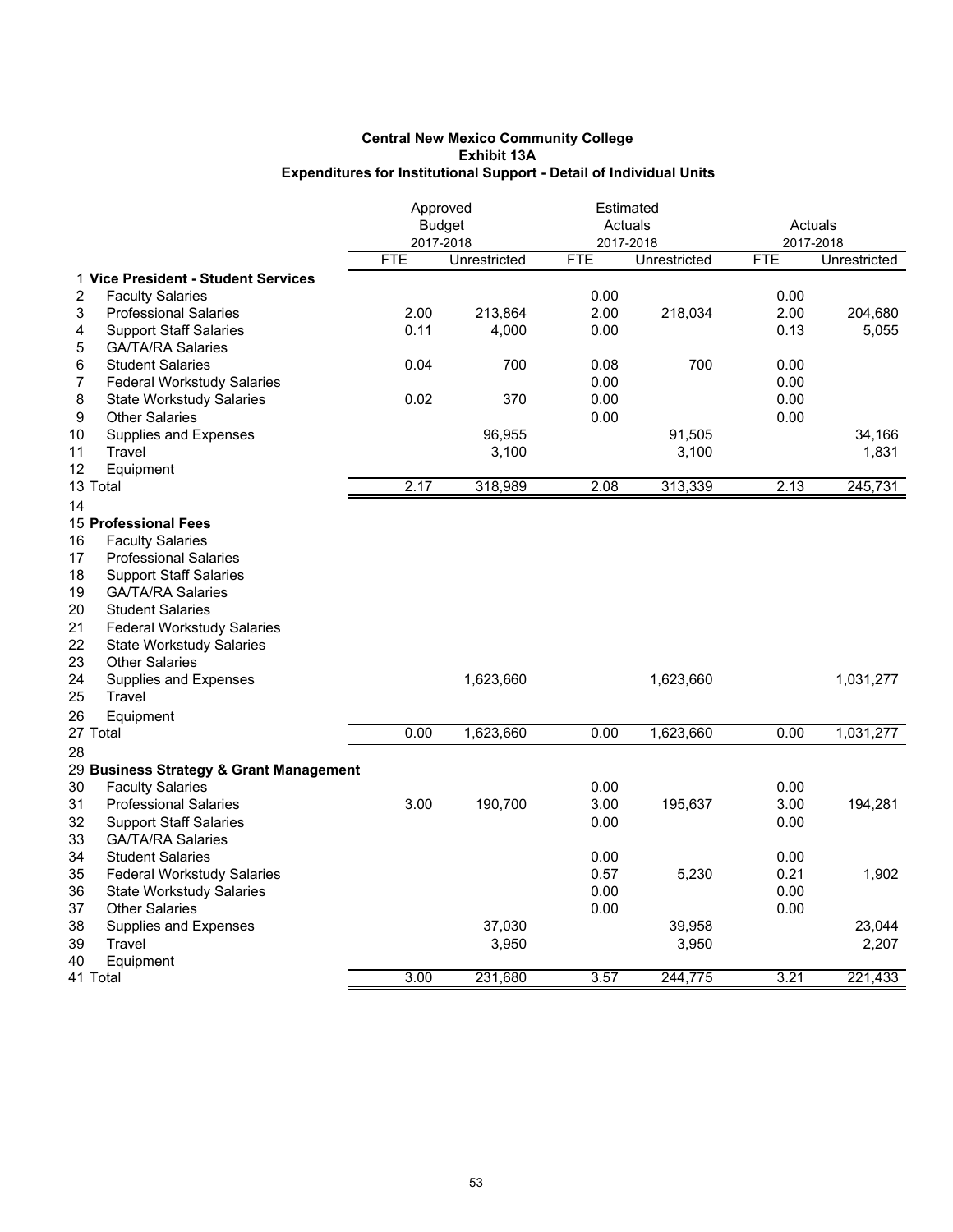|                                         |            | Approved      | Estimated  |              |            |              |
|-----------------------------------------|------------|---------------|------------|--------------|------------|--------------|
|                                         |            | <b>Budget</b> |            | Actuals      | Actuals    |              |
|                                         |            | 2017-2018     |            | 2017-2018    | 2017-2018  |              |
|                                         | <b>FTE</b> | Unrestricted  | <b>FTE</b> | Unrestricted | <b>FTE</b> | Unrestricted |
| 1 Vice President - Student Services     |            |               |            |              |            |              |
| <b>Faculty Salaries</b><br>2            |            |               | 0.00       |              | 0.00       |              |
| 3<br><b>Professional Salaries</b>       | 2.00       | 213,864       | 2.00       | 218,034      | 2.00       | 204,680      |
| <b>Support Staff Salaries</b><br>4      | 0.11       | 4,000         | 0.00       |              | 0.13       | 5,055        |
| <b>GA/TA/RA Salaries</b><br>5           |            |               |            |              |            |              |
| 6<br><b>Student Salaries</b>            | 0.04       | 700           | 0.08       | 700          | 0.00       |              |
| <b>Federal Workstudy Salaries</b><br>7  |            |               | 0.00       |              | 0.00       |              |
| 8<br><b>State Workstudy Salaries</b>    | 0.02       | 370           | 0.00       |              | 0.00       |              |
| 9<br><b>Other Salaries</b>              |            |               | 0.00       |              | 0.00       |              |
| 10<br>Supplies and Expenses             |            | 96,955        |            | 91,505       |            | 34,166       |
| 11<br>Travel                            |            | 3,100         |            | 3,100        |            | 1,831        |
| 12<br>Equipment                         |            |               |            |              |            |              |
| 13 Total                                | 2.17       | 318,989       | 2.08       | 313,339      | 2.13       | 245,731      |
| 14                                      |            |               |            |              |            |              |
| 15 Professional Fees                    |            |               |            |              |            |              |
| <b>Faculty Salaries</b><br>16           |            |               |            |              |            |              |
| 17<br><b>Professional Salaries</b>      |            |               |            |              |            |              |
| 18<br><b>Support Staff Salaries</b>     |            |               |            |              |            |              |
| 19<br><b>GA/TA/RA Salaries</b>          |            |               |            |              |            |              |
| 20<br><b>Student Salaries</b>           |            |               |            |              |            |              |
| 21<br><b>Federal Workstudy Salaries</b> |            |               |            |              |            |              |
| 22<br><b>State Workstudy Salaries</b>   |            |               |            |              |            |              |
| 23                                      |            |               |            |              |            |              |
| <b>Other Salaries</b>                   |            |               |            |              |            |              |
| 24<br>Supplies and Expenses             |            | 1,623,660     |            | 1,623,660    |            | 1,031,277    |
| 25<br>Travel                            |            |               |            |              |            |              |
| 26<br>Equipment                         |            |               |            |              |            |              |
| 27 Total                                | 0.00       | 1,623,660     | 0.00       | 1,623,660    | 0.00       | 1,031,277    |
| 28                                      |            |               |            |              |            |              |
| 29 Business Strategy & Grant Management |            |               |            |              |            |              |
| 30<br><b>Faculty Salaries</b>           |            |               | 0.00       |              | 0.00       |              |
| 31<br><b>Professional Salaries</b>      | 3.00       | 190,700       | 3.00       | 195,637      | 3.00       | 194,281      |
| 32<br><b>Support Staff Salaries</b>     |            |               | 0.00       |              | 0.00       |              |
| 33<br><b>GA/TA/RA Salaries</b>          |            |               |            |              |            |              |
| 34<br><b>Student Salaries</b>           |            |               | 0.00       |              | 0.00       |              |
| 35<br><b>Federal Workstudy Salaries</b> |            |               | 0.57       | 5,230        | 0.21       | 1,902        |
| 36<br><b>State Workstudy Salaries</b>   |            |               | 0.00       |              | 0.00       |              |
| 37<br><b>Other Salaries</b>             |            |               | 0.00       |              | 0.00       |              |
| 38<br>Supplies and Expenses             |            | 37,030        |            | 39,958       |            | 23,044       |
| 39<br>Travel                            |            | 3,950         |            | 3,950        |            | 2,207        |
| 40<br>Equipment                         |            |               |            |              |            |              |
| 41 Total                                | 3.00       | 231,680       | 3.57       | 244,775      | 3.21       | 221,433      |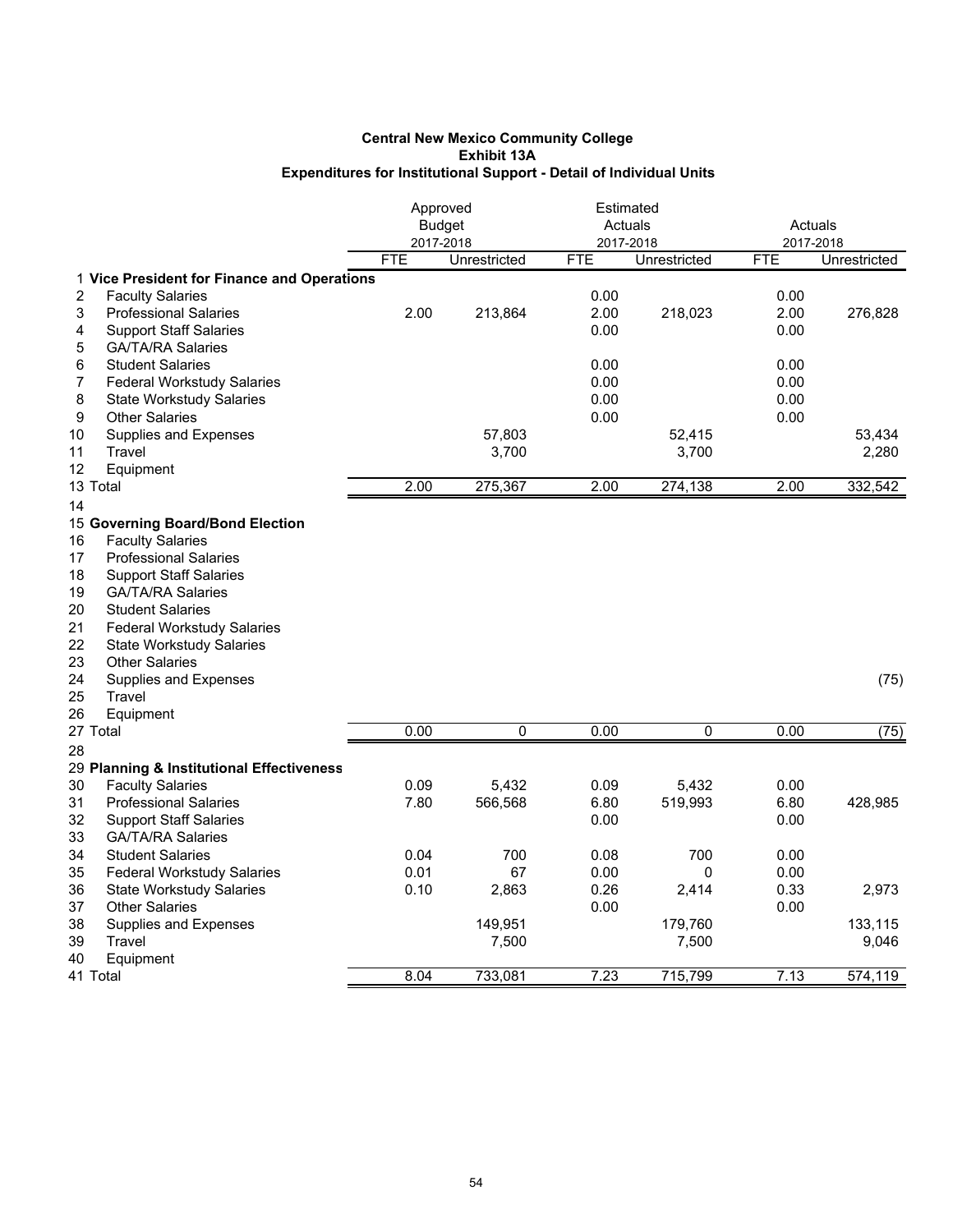|                                                                             | Approved   | <b>Budget</b> | Estimated<br>Actuals |              | Actuals      |              |
|-----------------------------------------------------------------------------|------------|---------------|----------------------|--------------|--------------|--------------|
|                                                                             | <b>FTE</b> | 2017-2018     | 2017-2018            |              | 2017-2018    |              |
|                                                                             |            | Unrestricted  | <b>FTE</b>           | Unrestricted | <b>FTE</b>   | Unrestricted |
| 1 Vice President for Finance and Operations<br>2<br><b>Faculty Salaries</b> |            |               | 0.00                 |              | 0.00         |              |
| 3<br><b>Professional Salaries</b>                                           | 2.00       | 213,864       | 2.00                 | 218,023      | 2.00         | 276,828      |
| <b>Support Staff Salaries</b>                                               |            |               | 0.00                 |              | 0.00         |              |
| 4<br>5<br><b>GA/TA/RA Salaries</b>                                          |            |               |                      |              |              |              |
|                                                                             |            |               |                      |              |              |              |
| 6<br><b>Student Salaries</b>                                                |            |               | 0.00<br>0.00         |              | 0.00<br>0.00 |              |
| <b>Federal Workstudy Salaries</b><br>7                                      |            |               | 0.00                 |              | 0.00         |              |
| 8<br><b>State Workstudy Salaries</b><br>9<br><b>Other Salaries</b>          |            |               |                      |              |              |              |
|                                                                             |            |               | 0.00                 |              | 0.00         |              |
| 10<br>Supplies and Expenses<br>Travel                                       |            | 57,803        |                      | 52,415       |              | 53,434       |
| 11                                                                          |            | 3,700         |                      | 3,700        |              | 2,280        |
| 12<br>Equipment                                                             |            |               |                      |              |              |              |
| 13 Total                                                                    | 2.00       | 275,367       | 2.00                 | 274,138      | 2.00         | 332,542      |
| 14                                                                          |            |               |                      |              |              |              |
| 15 Governing Board/Bond Election                                            |            |               |                      |              |              |              |
| 16<br><b>Faculty Salaries</b>                                               |            |               |                      |              |              |              |
| 17<br><b>Professional Salaries</b>                                          |            |               |                      |              |              |              |
| 18<br><b>Support Staff Salaries</b>                                         |            |               |                      |              |              |              |
| 19<br><b>GA/TA/RA Salaries</b>                                              |            |               |                      |              |              |              |
| 20<br><b>Student Salaries</b>                                               |            |               |                      |              |              |              |
| 21<br><b>Federal Workstudy Salaries</b>                                     |            |               |                      |              |              |              |
| 22<br><b>State Workstudy Salaries</b>                                       |            |               |                      |              |              |              |
| 23<br><b>Other Salaries</b>                                                 |            |               |                      |              |              |              |
| 24<br>Supplies and Expenses                                                 |            |               |                      |              |              | (75)         |
| 25<br>Travel                                                                |            |               |                      |              |              |              |
| 26<br>Equipment                                                             |            |               |                      |              |              |              |
| 27 Total                                                                    | 0.00       | $\mathbf 0$   | 0.00                 | 0            | 0.00         | (75)         |
| 28                                                                          |            |               |                      |              |              |              |
| 29 Planning & Institutional Effectiveness                                   |            |               |                      |              |              |              |
| 30<br><b>Faculty Salaries</b>                                               | 0.09       | 5,432         | 0.09                 | 5,432        | 0.00         |              |
| 31<br><b>Professional Salaries</b>                                          | 7.80       | 566,568       | 6.80                 | 519,993      | 6.80         | 428,985      |
| 32<br><b>Support Staff Salaries</b>                                         |            |               | 0.00                 |              | 0.00         |              |
| 33<br><b>GA/TA/RA Salaries</b>                                              |            |               |                      |              |              |              |
| 34<br><b>Student Salaries</b>                                               | 0.04       | 700           | 0.08                 | 700          | 0.00         |              |
| 35<br><b>Federal Workstudy Salaries</b>                                     | 0.01       | 67            | 0.00                 | 0            | 0.00         |              |
| 36<br><b>State Workstudy Salaries</b>                                       | 0.10       | 2,863         | 0.26                 | 2,414        | 0.33         | 2,973        |
| 37<br><b>Other Salaries</b>                                                 |            |               | 0.00                 |              | 0.00         |              |
| 38<br>Supplies and Expenses                                                 |            | 149,951       |                      | 179,760      |              | 133,115      |
| 39<br>Travel                                                                |            | 7,500         |                      | 7,500        |              | 9,046        |
| 40<br>Equipment                                                             |            |               |                      |              |              |              |
| 41 Total                                                                    | 8.04       | 733,081       | 7.23                 | 715,799      | 7.13         | 574,119      |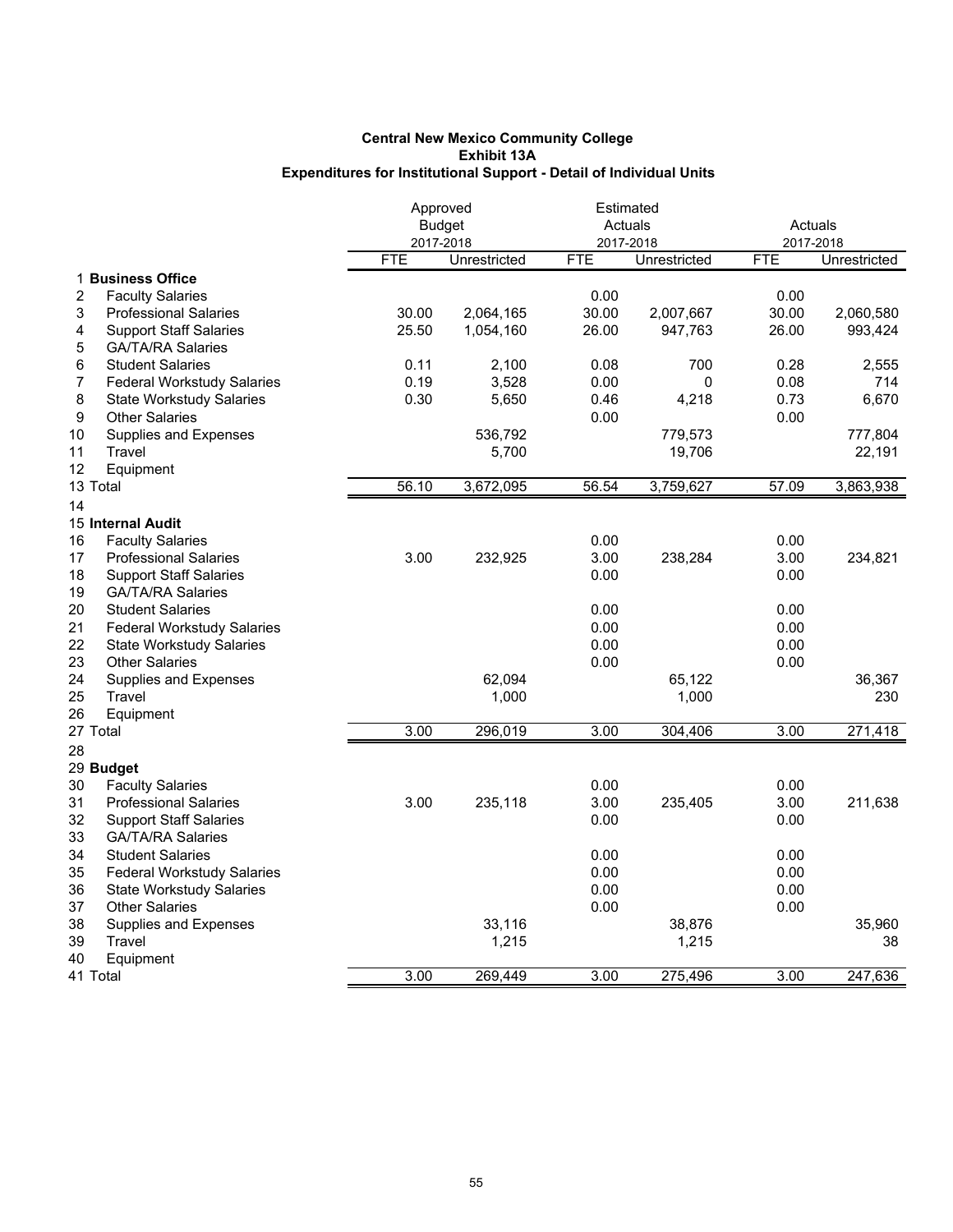|                                         | Approved   |               | Estimated  |              |            |              |
|-----------------------------------------|------------|---------------|------------|--------------|------------|--------------|
|                                         |            | <b>Budget</b> |            | Actuals      | Actuals    |              |
|                                         |            | 2017-2018     |            | 2017-2018    | 2017-2018  |              |
|                                         | <b>FTE</b> | Unrestricted  | <b>FTE</b> | Unrestricted | <b>FTE</b> | Unrestricted |
| 1 Business Office                       |            |               |            |              |            |              |
| <b>Faculty Salaries</b><br>2            |            |               | 0.00       |              | 0.00       |              |
| 3<br><b>Professional Salaries</b>       | 30.00      | 2,064,165     | 30.00      | 2,007,667    | 30.00      | 2,060,580    |
| <b>Support Staff Salaries</b><br>4      | 25.50      | 1,054,160     | 26.00      | 947,763      | 26.00      | 993,424      |
| 5<br><b>GA/TA/RA Salaries</b>           |            |               |            |              |            |              |
| 6<br><b>Student Salaries</b>            | 0.11       | 2,100         | 0.08       | 700          | 0.28       | 2,555        |
| 7<br><b>Federal Workstudy Salaries</b>  | 0.19       | 3,528         | 0.00       | 0            | 0.08       | 714          |
| 8<br><b>State Workstudy Salaries</b>    | 0.30       | 5,650         | 0.46       | 4,218        | 0.73       | 6,670        |
| 9<br><b>Other Salaries</b>              |            |               | 0.00       |              | 0.00       |              |
| 10<br>Supplies and Expenses             |            | 536,792       |            | 779,573      |            | 777,804      |
| 11<br>Travel                            |            | 5,700         |            | 19,706       |            | 22,191       |
| 12<br>Equipment                         |            |               |            |              |            |              |
| 13 Total                                | 56.10      | 3,672,095     | 56.54      | 3,759,627    | 57.09      | 3,863,938    |
| 14                                      |            |               |            |              |            |              |
| <b>15 Internal Audit</b>                |            |               |            |              |            |              |
| <b>Faculty Salaries</b>                 |            |               |            |              |            |              |
| 16                                      |            |               | 0.00       |              | 0.00       |              |
| 17<br><b>Professional Salaries</b>      | 3.00       | 232,925       | 3.00       | 238,284      | 3.00       | 234,821      |
| 18<br><b>Support Staff Salaries</b>     |            |               | 0.00       |              | 0.00       |              |
| 19<br><b>GA/TA/RA Salaries</b>          |            |               |            |              |            |              |
| 20<br><b>Student Salaries</b>           |            |               | 0.00       |              | 0.00       |              |
| 21<br><b>Federal Workstudy Salaries</b> |            |               | 0.00       |              | 0.00       |              |
| 22<br><b>State Workstudy Salaries</b>   |            |               | 0.00       |              | 0.00       |              |
| 23<br><b>Other Salaries</b>             |            |               | 0.00       |              | 0.00       |              |
| 24<br>Supplies and Expenses             |            | 62,094        |            | 65,122       |            | 36,367       |
| 25<br>Travel                            |            | 1,000         |            | 1,000        |            | 230          |
| 26<br>Equipment                         |            |               |            |              |            |              |
| 27 Total                                | 3.00       | 296,019       | 3.00       | 304,406      | 3.00       | 271,418      |
| 28                                      |            |               |            |              |            |              |
| 29 Budget                               |            |               |            |              |            |              |
| 30<br><b>Faculty Salaries</b>           |            |               | 0.00       |              | 0.00       |              |
| 31<br><b>Professional Salaries</b>      | 3.00       | 235,118       | 3.00       | 235,405      | 3.00       | 211,638      |
| 32<br><b>Support Staff Salaries</b>     |            |               | 0.00       |              | 0.00       |              |
| 33<br><b>GA/TA/RA Salaries</b>          |            |               |            |              |            |              |
| 34<br><b>Student Salaries</b>           |            |               | 0.00       |              | 0.00       |              |
| 35<br><b>Federal Workstudy Salaries</b> |            |               | 0.00       |              | 0.00       |              |
| 36<br><b>State Workstudy Salaries</b>   |            |               | 0.00       |              | 0.00       |              |
| 37<br><b>Other Salaries</b>             |            |               | 0.00       |              | 0.00       |              |
| 38<br>Supplies and Expenses             |            | 33,116        |            | 38,876       |            | 35,960       |
| 39<br>Travel                            |            | 1,215         |            | 1,215        |            | 38           |
| 40<br>Equipment                         |            |               |            |              |            |              |
| 41 Total                                | 3.00       | 269,449       | 3.00       | 275,496      | 3.00       | 247,636      |
|                                         |            |               |            |              |            |              |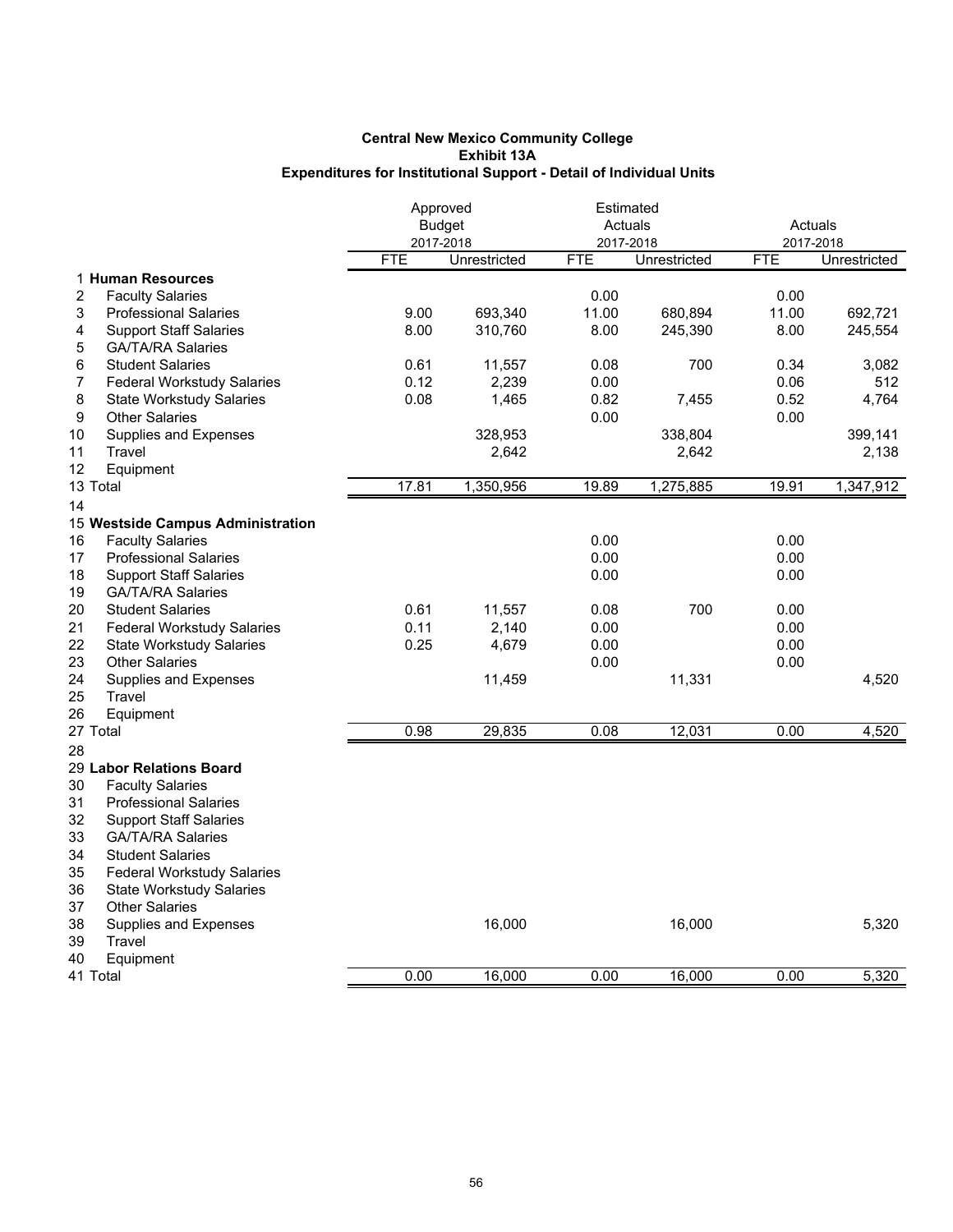|                                         |            | Approved      | Estimated  |              |            |              |
|-----------------------------------------|------------|---------------|------------|--------------|------------|--------------|
|                                         |            | <b>Budget</b> |            | Actuals      |            | Actuals      |
|                                         |            | 2017-2018     |            | 2017-2018    | 2017-2018  |              |
|                                         | <b>FTE</b> | Unrestricted  | <b>FTE</b> | Unrestricted | <b>FTE</b> | Unrestricted |
| 1 Human Resources                       |            |               |            |              |            |              |
| 2<br><b>Faculty Salaries</b>            |            |               | 0.00       |              | 0.00       |              |
| 3<br><b>Professional Salaries</b>       | 9.00       | 693,340       | 11.00      | 680,894      | 11.00      | 692,721      |
| 4<br><b>Support Staff Salaries</b>      | 8.00       | 310,760       | 8.00       | 245,390      | 8.00       | 245,554      |
| <b>GA/TA/RA Salaries</b><br>5           |            |               |            |              |            |              |
| 6<br><b>Student Salaries</b>            | 0.61       | 11,557        | 0.08       | 700          | 0.34       | 3,082        |
| 7<br><b>Federal Workstudy Salaries</b>  | 0.12       | 2,239         | 0.00       |              | 0.06       | 512          |
| 8<br><b>State Workstudy Salaries</b>    | 0.08       | 1,465         | 0.82       | 7,455        | 0.52       | 4,764        |
| 9<br><b>Other Salaries</b>              |            |               | 0.00       |              | 0.00       |              |
| 10<br>Supplies and Expenses             |            | 328,953       |            | 338,804      |            | 399,141      |
| Travel<br>11                            |            | 2,642         |            | 2,642        |            | 2,138        |
| 12<br>Equipment                         |            |               |            |              |            |              |
| 13 Total                                | 17.81      | 1,350,956     | 19.89      | 1,275,885    | 19.91      | 1,347,912    |
| 14                                      |            |               |            |              |            |              |
| 15 Westside Campus Administration       |            |               |            |              |            |              |
| 16<br><b>Faculty Salaries</b>           |            |               | 0.00       |              | 0.00       |              |
| 17<br><b>Professional Salaries</b>      |            |               | 0.00       |              | 0.00       |              |
| 18<br><b>Support Staff Salaries</b>     |            |               | 0.00       |              | 0.00       |              |
| 19<br><b>GA/TA/RA Salaries</b>          |            |               |            |              |            |              |
| 20<br><b>Student Salaries</b>           | 0.61       | 11,557        | 0.08       | 700          | 0.00       |              |
| 21<br><b>Federal Workstudy Salaries</b> | 0.11       | 2,140         | 0.00       |              | 0.00       |              |
| 22<br><b>State Workstudy Salaries</b>   | 0.25       | 4,679         | 0.00       |              | 0.00       |              |
| 23<br><b>Other Salaries</b>             |            |               | 0.00       |              | 0.00       |              |
| 24<br>Supplies and Expenses             |            | 11,459        |            | 11,331       |            | 4,520        |
| 25<br>Travel                            |            |               |            |              |            |              |
| 26<br>Equipment                         |            |               |            |              |            |              |
| 27 Total                                | 0.98       | 29,835        | 0.08       | 12,031       | 0.00       | 4,520        |
| 28                                      |            |               |            |              |            |              |
| 29 Labor Relations Board                |            |               |            |              |            |              |
| 30<br><b>Faculty Salaries</b>           |            |               |            |              |            |              |
| 31<br><b>Professional Salaries</b>      |            |               |            |              |            |              |
| 32<br><b>Support Staff Salaries</b>     |            |               |            |              |            |              |
| 33<br><b>GA/TA/RA Salaries</b>          |            |               |            |              |            |              |
| 34<br><b>Student Salaries</b>           |            |               |            |              |            |              |
| 35<br><b>Federal Workstudy Salaries</b> |            |               |            |              |            |              |
| 36<br><b>State Workstudy Salaries</b>   |            |               |            |              |            |              |
| 37<br><b>Other Salaries</b>             |            |               |            |              |            |              |
| 38<br>Supplies and Expenses             |            | 16,000        |            | 16,000       |            | 5,320        |
| 39<br>Travel                            |            |               |            |              |            |              |
| 40<br>Equipment                         |            |               |            |              |            |              |
| 41 Total                                | 0.00       | 16,000        | 0.00       | 16,000       | 0.00       | 5,320        |
|                                         |            |               |            |              |            |              |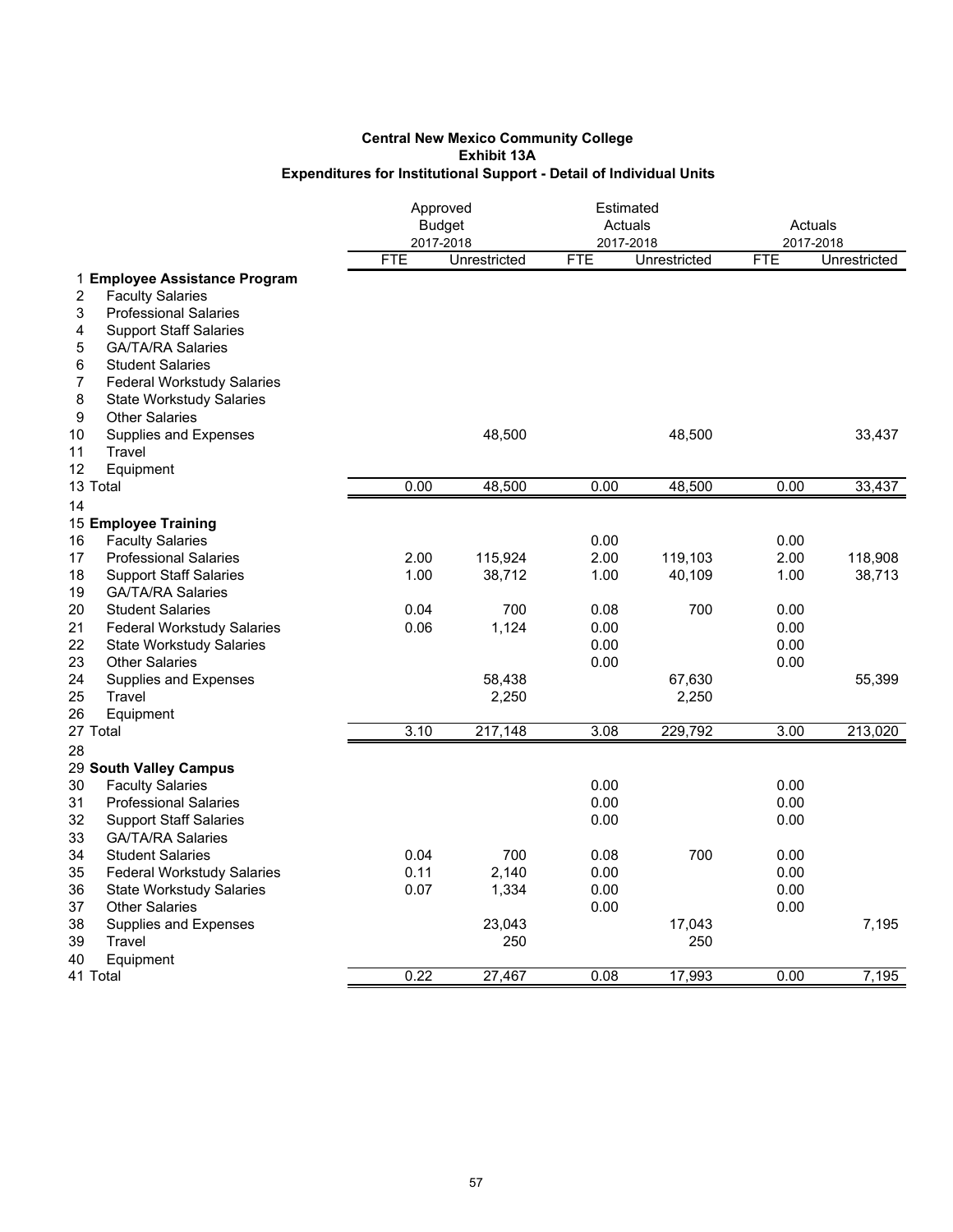|                                             |            | Approved<br><b>Budget</b> | Estimated<br>Actuals<br>2017-2018 |               | Actuals<br>2017-2018 |              |
|---------------------------------------------|------------|---------------------------|-----------------------------------|---------------|----------------------|--------------|
|                                             | <b>FTE</b> | 2017-2018<br>Unrestricted | <b>FTE</b>                        | Unrestricted  | <b>FTE</b>           | Unrestricted |
| 1 Employee Assistance Program               |            |                           |                                   |               |                      |              |
| <b>Faculty Salaries</b><br>2                |            |                           |                                   |               |                      |              |
| 3<br><b>Professional Salaries</b>           |            |                           |                                   |               |                      |              |
| 4<br><b>Support Staff Salaries</b>          |            |                           |                                   |               |                      |              |
| 5<br><b>GA/TA/RA Salaries</b>               |            |                           |                                   |               |                      |              |
| <b>Student Salaries</b><br>6                |            |                           |                                   |               |                      |              |
| 7<br><b>Federal Workstudy Salaries</b>      |            |                           |                                   |               |                      |              |
| 8<br><b>State Workstudy Salaries</b>        |            |                           |                                   |               |                      |              |
| 9<br><b>Other Salaries</b>                  |            |                           |                                   |               |                      |              |
| 10<br>Supplies and Expenses                 |            | 48,500                    |                                   | 48,500        |                      | 33,437       |
| 11<br>Travel<br>12                          |            |                           |                                   |               |                      |              |
| Equipment<br>13 Total                       | 0.00       | 48,500                    | 0.00                              | 48,500        | 0.00                 | 33,437       |
|                                             |            |                           |                                   |               |                      |              |
| 14<br>15 Employee Training                  |            |                           |                                   |               |                      |              |
| 16<br><b>Faculty Salaries</b>               |            |                           | 0.00                              |               | 0.00                 |              |
| 17<br><b>Professional Salaries</b>          | 2.00       | 115,924                   | 2.00                              | 119,103       | 2.00                 | 118,908      |
| 18<br><b>Support Staff Salaries</b>         | 1.00       | 38,712                    | 1.00                              | 40,109        | 1.00                 | 38,713       |
| 19<br><b>GA/TA/RA Salaries</b>              |            |                           |                                   |               |                      |              |
| 20<br><b>Student Salaries</b>               | 0.04       | 700                       | 0.08                              | 700           | 0.00                 |              |
| 21<br><b>Federal Workstudy Salaries</b>     | 0.06       | 1,124                     | 0.00                              |               | 0.00                 |              |
| 22<br><b>State Workstudy Salaries</b>       |            |                           | 0.00                              |               | 0.00                 |              |
| 23<br><b>Other Salaries</b>                 |            |                           | 0.00                              |               | 0.00                 |              |
| 24<br>Supplies and Expenses                 |            | 58,438                    |                                   | 67,630        |                      | 55,399       |
| 25<br>Travel                                |            | 2,250                     |                                   | 2,250         |                      |              |
| 26<br>Equipment                             |            |                           |                                   |               |                      |              |
| 27 Total                                    | 3.10       | 217,148                   | 3.08                              | 229,792       | 3.00                 | 213,020      |
| 28                                          |            |                           |                                   |               |                      |              |
| 29 South Valley Campus                      |            |                           |                                   |               |                      |              |
| 30<br><b>Faculty Salaries</b>               |            |                           | 0.00                              |               | 0.00                 |              |
| 31<br><b>Professional Salaries</b>          |            |                           | 0.00                              |               | 0.00                 |              |
| 32<br><b>Support Staff Salaries</b>         |            |                           | 0.00                              |               | 0.00                 |              |
| 33<br><b>GA/TA/RA Salaries</b>              |            |                           |                                   |               |                      |              |
| 34<br><b>Student Salaries</b>               | 0.04       | 700                       | 0.08                              | 700           | 0.00                 |              |
| 35<br><b>Federal Workstudy Salaries</b>     | 0.11       | 2,140                     | 0.00                              |               | 0.00                 |              |
| 36<br><b>State Workstudy Salaries</b>       | 0.07       | 1,334                     | 0.00                              |               | 0.00                 |              |
| 37<br><b>Other Salaries</b>                 |            |                           | 0.00                              |               | 0.00                 |              |
| 38<br>Supplies and Expenses<br>39<br>Travel |            | 23,043<br>250             |                                   | 17,043<br>250 |                      | 7,195        |
| 40<br>Equipment                             |            |                           |                                   |               |                      |              |
| 41 Total                                    | 0.22       | 27,467                    | 0.08                              | 17,993        | 0.00                 | 7,195        |
|                                             |            |                           |                                   |               |                      |              |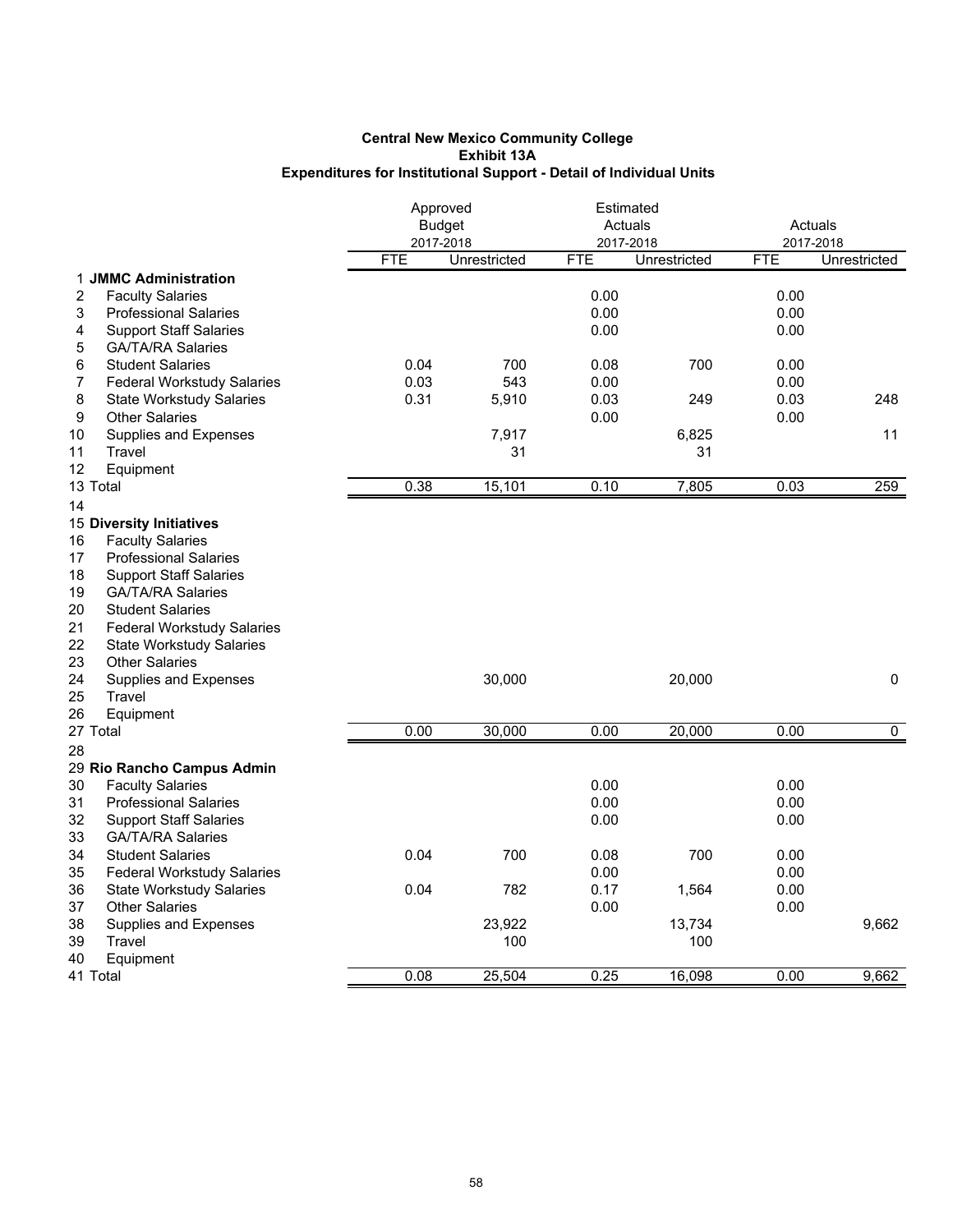|                                         |            | Approved<br><b>Budget</b> | Estimated<br>Actuals |              | Actuals    |                |
|-----------------------------------------|------------|---------------------------|----------------------|--------------|------------|----------------|
|                                         |            | 2017-2018                 | 2017-2018            |              |            | 2017-2018      |
|                                         | <b>FTE</b> | Unrestricted              | <b>FTE</b>           | Unrestricted | <b>FTE</b> | Unrestricted   |
| 1 JMMC Administration                   |            |                           |                      |              |            |                |
| 2<br><b>Faculty Salaries</b>            |            |                           | 0.00                 |              | 0.00       |                |
| 3<br><b>Professional Salaries</b>       |            |                           | 0.00                 |              | 0.00       |                |
| <b>Support Staff Salaries</b><br>4      |            |                           | 0.00                 |              | 0.00       |                |
| <b>GA/TA/RA Salaries</b><br>5           |            |                           |                      |              |            |                |
| 6<br><b>Student Salaries</b>            | 0.04       | 700                       | 0.08                 | 700          | 0.00       |                |
| 7<br><b>Federal Workstudy Salaries</b>  | 0.03       | 543                       | 0.00                 |              | 0.00       |                |
| 8<br><b>State Workstudy Salaries</b>    | 0.31       | 5,910                     | 0.03                 | 249          | 0.03       | 248            |
| 9<br><b>Other Salaries</b>              |            |                           | 0.00                 |              | 0.00       |                |
| 10<br>Supplies and Expenses             |            | 7,917                     |                      | 6,825        |            | 11             |
| 11<br>Travel                            |            | 31                        |                      | 31           |            |                |
| 12<br>Equipment                         |            |                           |                      |              |            |                |
| 13 Total                                | 0.38       | 15,101                    | 0.10                 | 7,805        | 0.03       | 259            |
| 14                                      |            |                           |                      |              |            |                |
| <b>15 Diversity Initiatives</b>         |            |                           |                      |              |            |                |
| <b>Faculty Salaries</b><br>16           |            |                           |                      |              |            |                |
| 17<br><b>Professional Salaries</b>      |            |                           |                      |              |            |                |
| 18<br><b>Support Staff Salaries</b>     |            |                           |                      |              |            |                |
| 19<br><b>GA/TA/RA Salaries</b>          |            |                           |                      |              |            |                |
| 20<br><b>Student Salaries</b>           |            |                           |                      |              |            |                |
| 21<br><b>Federal Workstudy Salaries</b> |            |                           |                      |              |            |                |
| 22<br><b>State Workstudy Salaries</b>   |            |                           |                      |              |            |                |
| 23<br><b>Other Salaries</b>             |            |                           |                      |              |            |                |
| 24<br>Supplies and Expenses             |            | 30,000                    |                      | 20,000       |            | 0              |
| 25<br>Travel                            |            |                           |                      |              |            |                |
| 26<br>Equipment                         |            |                           |                      |              |            |                |
| 27 Total                                | 0.00       | 30,000                    | 0.00                 | 20,000       | 0.00       | $\overline{0}$ |
| 28                                      |            |                           |                      |              |            |                |
| 29 Rio Rancho Campus Admin              |            |                           |                      |              |            |                |
| 30<br><b>Faculty Salaries</b>           |            |                           | 0.00                 |              | 0.00       |                |
| 31<br><b>Professional Salaries</b>      |            |                           | 0.00                 |              | 0.00       |                |
| 32<br><b>Support Staff Salaries</b>     |            |                           | 0.00                 |              | 0.00       |                |
| 33<br><b>GA/TA/RA Salaries</b>          |            |                           |                      |              |            |                |
| 34<br><b>Student Salaries</b>           | 0.04       | 700                       | 0.08                 | 700          | 0.00       |                |
| 35<br><b>Federal Workstudy Salaries</b> |            |                           | 0.00                 |              | 0.00       |                |
| 36<br><b>State Workstudy Salaries</b>   | 0.04       | 782                       | 0.17                 | 1,564        | 0.00       |                |
| 37<br><b>Other Salaries</b>             |            |                           | 0.00                 |              | 0.00       |                |
| 38<br>Supplies and Expenses             |            | 23,922                    |                      | 13,734       |            | 9,662          |
| 39<br>Travel                            |            | 100                       |                      | 100          |            |                |
| 40<br>Equipment                         |            |                           |                      |              |            |                |
| 41 Total                                | 0.08       | 25,504                    | 0.25                 | 16,098       | 0.00       | 9,662          |
|                                         |            |                           |                      |              |            |                |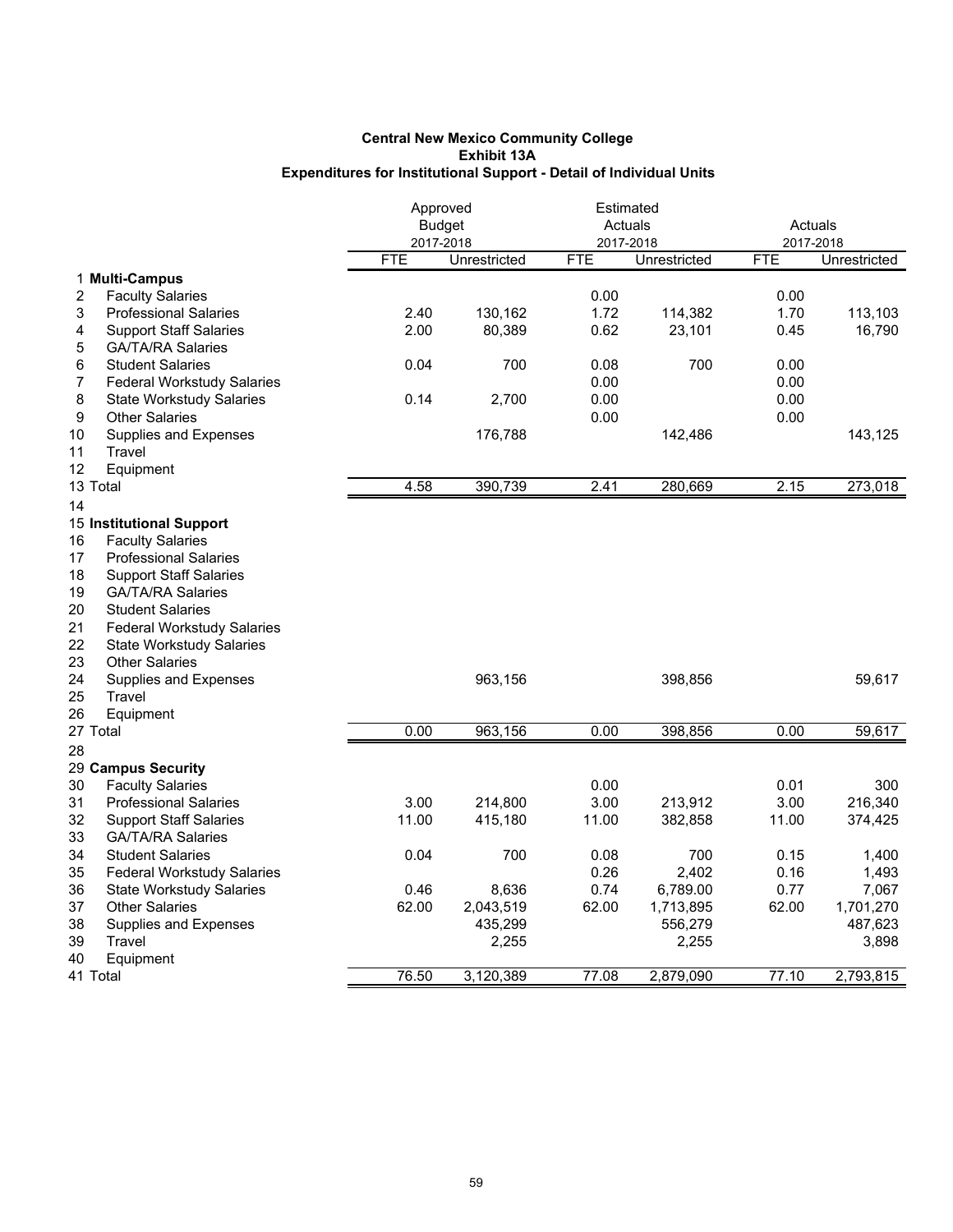|                                         | Approved   |               | Estimated  |              |            |                     |
|-----------------------------------------|------------|---------------|------------|--------------|------------|---------------------|
|                                         |            | <b>Budget</b> |            | Actuals      | Actuals    |                     |
|                                         |            | 2017-2018     | 2017-2018  |              | 2017-2018  |                     |
|                                         | <b>FTE</b> | Unrestricted  | <b>FTE</b> | Unrestricted | <b>FTE</b> | <b>Unrestricted</b> |
| 1 Multi-Campus                          |            |               |            |              |            |                     |
| 2<br><b>Faculty Salaries</b>            |            |               | 0.00       |              | 0.00       |                     |
| 3<br><b>Professional Salaries</b>       | 2.40       | 130,162       | 1.72       | 114,382      | 1.70       | 113,103             |
| 4<br><b>Support Staff Salaries</b>      | 2.00       | 80,389        | 0.62       | 23,101       | 0.45       | 16,790              |
| 5<br><b>GA/TA/RA Salaries</b>           |            |               |            |              |            |                     |
| 6<br><b>Student Salaries</b>            | 0.04       | 700           | 0.08       | 700          | 0.00       |                     |
| 7<br><b>Federal Workstudy Salaries</b>  |            |               | 0.00       |              | 0.00       |                     |
| 8<br><b>State Workstudy Salaries</b>    | 0.14       | 2,700         | 0.00       |              | 0.00       |                     |
| 9<br><b>Other Salaries</b>              |            |               | 0.00       |              | 0.00       |                     |
| 10<br>Supplies and Expenses             |            | 176,788       |            | 142,486      |            | 143,125             |
| 11<br>Travel                            |            |               |            |              |            |                     |
| 12<br>Equipment                         |            |               |            |              |            |                     |
| 13 Total                                | 4.58       | 390,739       | 2.41       | 280,669      | 2.15       | 273,018             |
| 14                                      |            |               |            |              |            |                     |
| 15 Institutional Support                |            |               |            |              |            |                     |
| 16<br><b>Faculty Salaries</b>           |            |               |            |              |            |                     |
| 17<br><b>Professional Salaries</b>      |            |               |            |              |            |                     |
| 18<br><b>Support Staff Salaries</b>     |            |               |            |              |            |                     |
| 19<br><b>GA/TA/RA Salaries</b>          |            |               |            |              |            |                     |
| 20<br><b>Student Salaries</b>           |            |               |            |              |            |                     |
| 21<br><b>Federal Workstudy Salaries</b> |            |               |            |              |            |                     |
| 22<br><b>State Workstudy Salaries</b>   |            |               |            |              |            |                     |
| 23<br><b>Other Salaries</b>             |            |               |            |              |            |                     |
| 24                                      |            |               |            |              |            |                     |
| Supplies and Expenses<br>25             |            | 963,156       |            | 398,856      |            | 59,617              |
| Travel                                  |            |               |            |              |            |                     |
| 26<br>Equipment                         |            |               |            |              | 0.00       |                     |
| 27 Total                                | 0.00       | 963,156       | 0.00       | 398,856      |            | 59,617              |
| 28                                      |            |               |            |              |            |                     |
| 29 Campus Security                      |            |               |            |              |            |                     |
| 30<br><b>Faculty Salaries</b>           |            |               | 0.00       |              | 0.01       | 300                 |
| 31<br><b>Professional Salaries</b>      | 3.00       | 214,800       | 3.00       | 213,912      | 3.00       | 216,340             |
| 32<br><b>Support Staff Salaries</b>     | 11.00      | 415,180       | 11.00      | 382,858      | 11.00      | 374,425             |
| 33<br><b>GA/TA/RA Salaries</b>          |            |               |            |              |            |                     |
| 34<br><b>Student Salaries</b>           | 0.04       | 700           | 0.08       | 700          | 0.15       | 1,400               |
| 35<br><b>Federal Workstudy Salaries</b> |            |               | 0.26       | 2,402        | 0.16       | 1,493               |
| 36<br><b>State Workstudy Salaries</b>   | 0.46       | 8,636         | 0.74       | 6,789.00     | 0.77       | 7,067               |
| 37<br><b>Other Salaries</b>             | 62.00      | 2,043,519     | 62.00      | 1,713,895    | 62.00      | 1,701,270           |
| 38<br>Supplies and Expenses             |            | 435,299       |            | 556,279      |            | 487,623             |
| 39<br>Travel                            |            | 2,255         |            | 2,255        |            | 3,898               |
| Equipment<br>40                         |            |               |            |              |            |                     |
| 41 Total                                | 76.50      | 3,120,389     | 77.08      | 2,879,090    | 77.10      | 2,793,815           |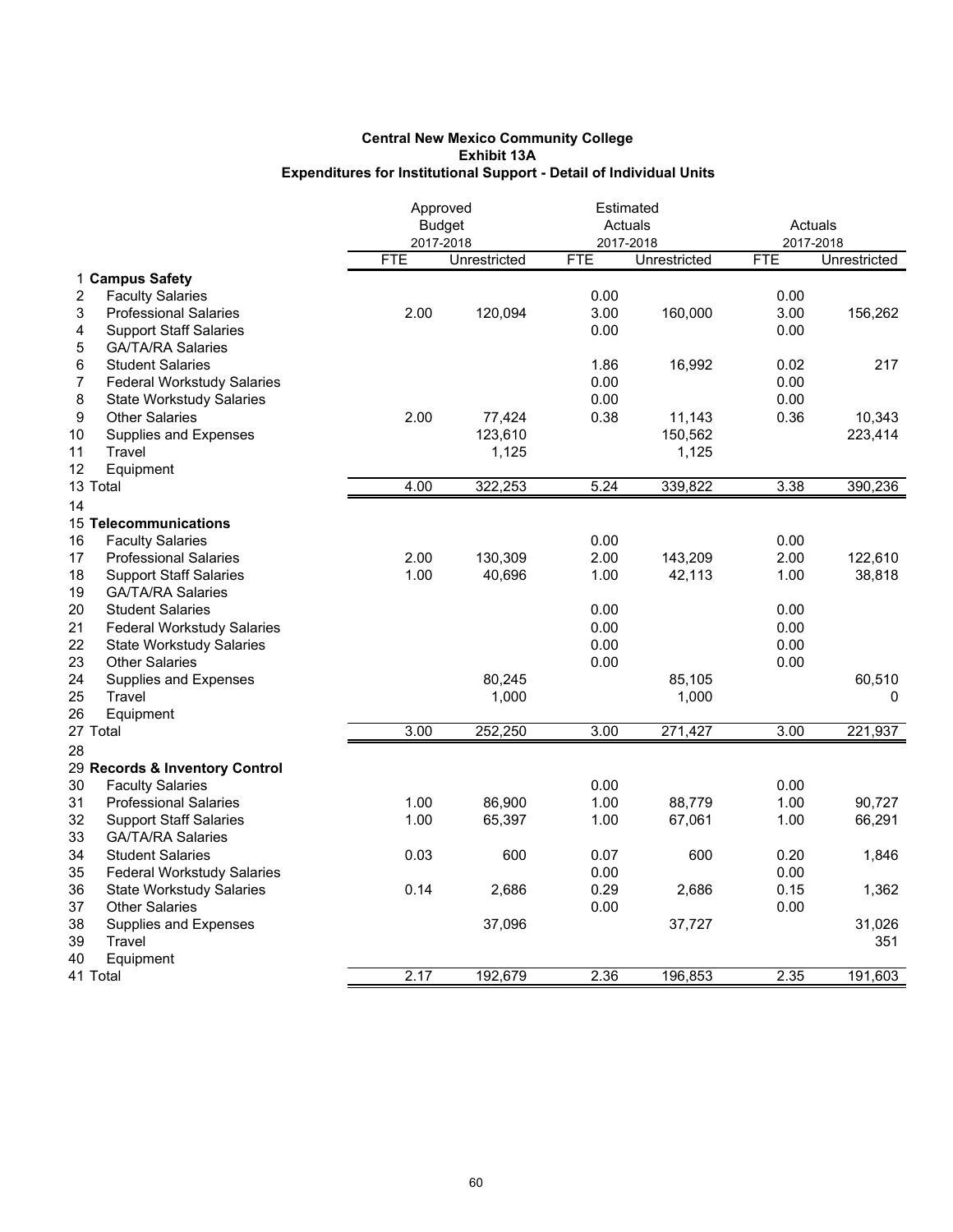|                                              | Approved   |               | Estimated  |              |            |              |
|----------------------------------------------|------------|---------------|------------|--------------|------------|--------------|
|                                              |            | <b>Budget</b> |            | Actuals      | Actuals    |              |
|                                              |            | 2017-2018     |            | 2017-2018    | 2017-2018  |              |
|                                              | <b>FTE</b> | Unrestricted  | <b>FTE</b> | Unrestricted | <b>FTE</b> | Unrestricted |
| 1 Campus Safety                              |            |               |            |              |            |              |
| 2<br><b>Faculty Salaries</b>                 |            |               | 0.00       |              | 0.00       |              |
| 3<br><b>Professional Salaries</b>            | 2.00       | 120,094       | 3.00       | 160,000      | 3.00       | 156,262      |
| 4<br><b>Support Staff Salaries</b>           |            |               | 0.00       |              | 0.00       |              |
| 5<br><b>GA/TA/RA Salaries</b>                |            |               |            |              |            |              |
| 6<br><b>Student Salaries</b>                 |            |               | 1.86       | 16,992       | 0.02       | 217          |
| <b>Federal Workstudy Salaries</b><br>7       |            |               | 0.00       |              | 0.00       |              |
| 8<br><b>State Workstudy Salaries</b>         |            |               | 0.00       |              | 0.00       |              |
| 9<br><b>Other Salaries</b>                   | 2.00       | 77,424        | 0.38       | 11,143       | 0.36       | 10,343       |
| 10<br>Supplies and Expenses                  |            | 123,610       |            | 150,562      |            | 223,414      |
| 11<br>Travel                                 |            | 1,125         |            | 1,125        |            |              |
| 12<br>Equipment                              |            |               |            |              |            |              |
| 13 Total                                     | 4.00       | 322,253       | 5.24       | 339,822      | 3.38       | 390,236      |
| 14                                           |            |               |            |              |            |              |
| 15 Telecommunications                        |            |               |            |              |            |              |
| 16<br><b>Faculty Salaries</b>                |            |               | 0.00       |              | 0.00       |              |
| 17<br><b>Professional Salaries</b>           | 2.00       | 130,309       | 2.00       | 143,209      | 2.00       | 122,610      |
| 18<br><b>Support Staff Salaries</b>          | 1.00       | 40,696        | 1.00       | 42,113       | 1.00       | 38,818       |
| 19<br><b>GA/TA/RA Salaries</b>               |            |               |            |              |            |              |
| 20<br><b>Student Salaries</b>                |            |               | 0.00       |              | 0.00       |              |
| 21<br><b>Federal Workstudy Salaries</b>      |            |               | 0.00       |              | 0.00       |              |
| 22<br><b>State Workstudy Salaries</b>        |            |               | 0.00       |              | 0.00       |              |
| 23<br><b>Other Salaries</b>                  |            |               | 0.00       |              | 0.00       |              |
| 24                                           |            | 80,245        |            | 85,105       |            |              |
| <b>Supplies and Expenses</b><br>25<br>Travel |            | 1,000         |            |              |            | 60,510<br>0  |
| 26                                           |            |               |            | 1,000        |            |              |
| Equipment<br>27 Total                        | 3.00       | 252,250       | 3.00       | 271,427      | 3.00       | 221,937      |
|                                              |            |               |            |              |            |              |
| 28                                           |            |               |            |              |            |              |
| 29 Records & Inventory Control               |            |               |            |              |            |              |
| 30<br><b>Faculty Salaries</b>                |            |               | 0.00       |              | 0.00       |              |
| 31<br><b>Professional Salaries</b>           | 1.00       | 86,900        | 1.00       | 88,779       | 1.00       | 90,727       |
| 32<br><b>Support Staff Salaries</b>          | 1.00       | 65,397        | 1.00       | 67,061       | 1.00       | 66,291       |
| 33<br><b>GA/TA/RA Salaries</b>               |            |               |            |              |            |              |
| 34<br><b>Student Salaries</b>                | 0.03       | 600           | 0.07       | 600          | 0.20       | 1,846        |
| 35<br><b>Federal Workstudy Salaries</b>      |            |               | 0.00       |              | 0.00       |              |
| 36<br><b>State Workstudy Salaries</b>        | 0.14       | 2,686         | 0.29       | 2,686        | 0.15       | 1,362        |
| 37<br><b>Other Salaries</b>                  |            |               | 0.00       |              | 0.00       |              |
| 38<br>Supplies and Expenses                  |            | 37,096        |            | 37,727       |            | 31,026       |
| Travel<br>39                                 |            |               |            |              |            | 351          |
| 40<br>Equipment                              |            |               |            |              |            |              |
| 41 Total                                     | 2.17       | 192,679       | 2.36       | 196,853      | 2.35       | 191,603      |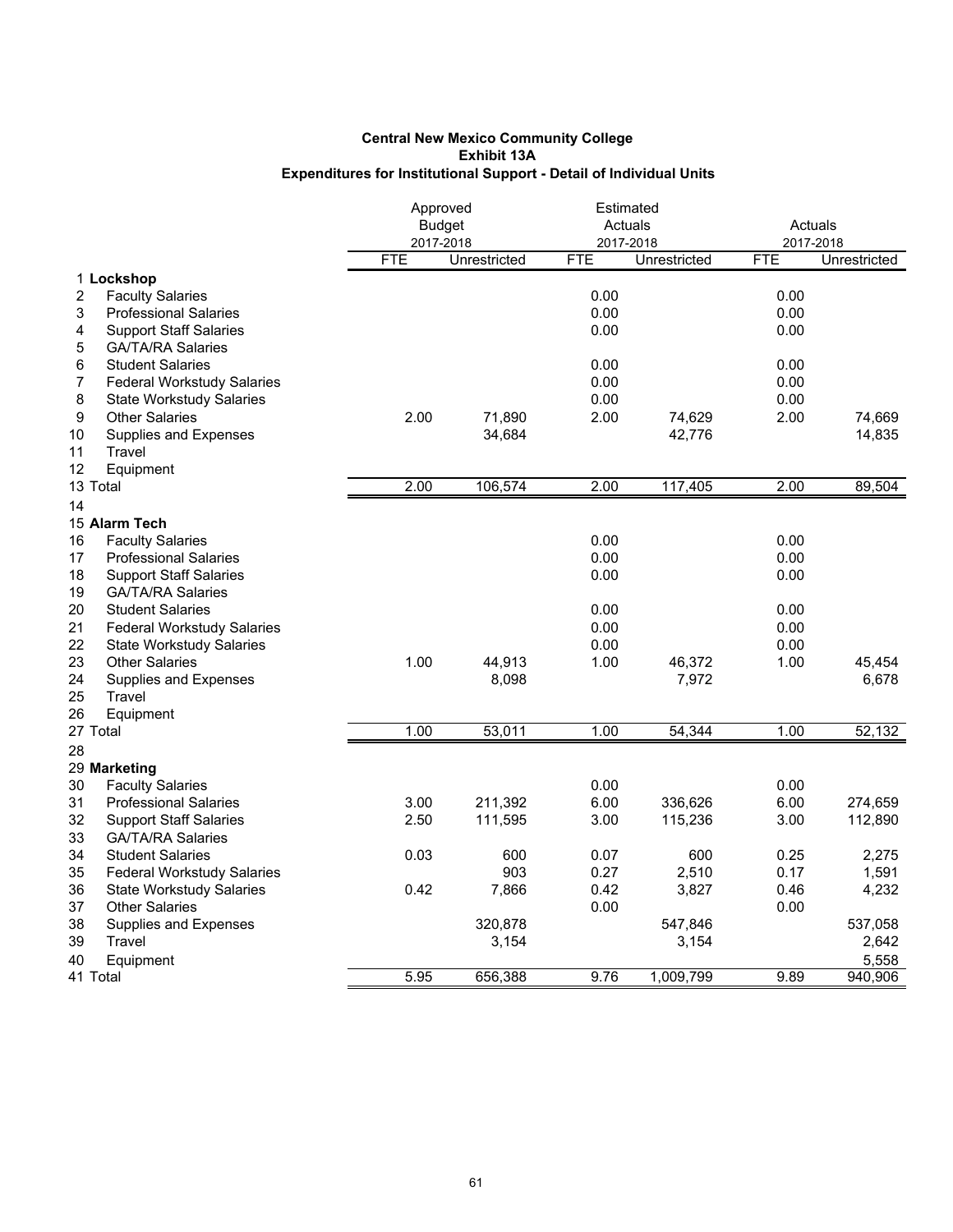|                                           | Approved<br><b>Budget</b><br>2017-2018 |                 | Estimated<br>Actuals<br>2017-2018 |                 | Actuals<br>2017-2018 |                 |
|-------------------------------------------|----------------------------------------|-----------------|-----------------------------------|-----------------|----------------------|-----------------|
|                                           | <b>FTE</b>                             | Unrestricted    | <b>FTE</b>                        | Unrestricted    | <b>FTE</b>           | Unrestricted    |
| 1 Lockshop                                |                                        |                 |                                   |                 |                      |                 |
| $\overline{c}$<br><b>Faculty Salaries</b> |                                        |                 | 0.00                              |                 | 0.00                 |                 |
| 3<br><b>Professional Salaries</b>         |                                        |                 | 0.00                              |                 | 0.00                 |                 |
| 4<br><b>Support Staff Salaries</b>        |                                        |                 | 0.00                              |                 | 0.00                 |                 |
| 5<br><b>GA/TA/RA Salaries</b>             |                                        |                 |                                   |                 |                      |                 |
| 6<br><b>Student Salaries</b>              |                                        |                 | 0.00                              |                 | 0.00                 |                 |
| <b>Federal Workstudy Salaries</b><br>7    |                                        |                 | 0.00                              |                 | 0.00                 |                 |
| 8<br><b>State Workstudy Salaries</b>      |                                        |                 | 0.00                              |                 | 0.00                 |                 |
| 9<br><b>Other Salaries</b>                | 2.00                                   | 71,890          | 2.00                              | 74,629          | 2.00                 | 74,669          |
| Supplies and Expenses<br>10               |                                        | 34,684          |                                   | 42,776          |                      | 14,835          |
| 11<br>Travel                              |                                        |                 |                                   |                 |                      |                 |
| 12<br>Equipment                           |                                        |                 |                                   |                 |                      |                 |
| 13 Total                                  | 2.00                                   | 106,574         | 2.00                              | 117,405         | 2.00                 | 89,504          |
| 14                                        |                                        |                 |                                   |                 |                      |                 |
| 15 Alarm Tech                             |                                        |                 |                                   |                 |                      |                 |
| 16<br><b>Faculty Salaries</b>             |                                        |                 | 0.00                              |                 | 0.00                 |                 |
| 17<br><b>Professional Salaries</b>        |                                        |                 | 0.00                              |                 | 0.00                 |                 |
| 18<br><b>Support Staff Salaries</b>       |                                        |                 | 0.00                              |                 | 0.00                 |                 |
| 19<br><b>GA/TA/RA Salaries</b>            |                                        |                 |                                   |                 |                      |                 |
| 20<br><b>Student Salaries</b>             |                                        |                 | 0.00                              |                 | 0.00                 |                 |
| 21<br><b>Federal Workstudy Salaries</b>   |                                        |                 | 0.00                              |                 | 0.00                 |                 |
| 22<br><b>State Workstudy Salaries</b>     |                                        |                 | 0.00                              |                 | 0.00                 |                 |
| 23<br><b>Other Salaries</b><br>24         | 1.00                                   | 44,913<br>8,098 | 1.00                              | 46,372<br>7,972 | 1.00                 | 45,454<br>6,678 |
| Supplies and Expenses<br>25<br>Travel     |                                        |                 |                                   |                 |                      |                 |
| 26<br>Equipment                           |                                        |                 |                                   |                 |                      |                 |
| 27 Total                                  | 1.00                                   | 53,011          | 1.00                              | 54,344          | 1.00                 | 52,132          |
| 28                                        |                                        |                 |                                   |                 |                      |                 |
| 29 Marketing                              |                                        |                 |                                   |                 |                      |                 |
| 30<br><b>Faculty Salaries</b>             |                                        |                 | 0.00                              |                 | 0.00                 |                 |
| 31<br><b>Professional Salaries</b>        | 3.00                                   | 211,392         | 6.00                              | 336,626         | 6.00                 | 274,659         |
| 32<br><b>Support Staff Salaries</b>       | 2.50                                   | 111,595         | 3.00                              | 115,236         | 3.00                 | 112,890         |
| 33<br><b>GA/TA/RA Salaries</b>            |                                        |                 |                                   |                 |                      |                 |
| 34<br><b>Student Salaries</b>             | 0.03                                   | 600             | 0.07                              | 600             | 0.25                 | 2,275           |
| 35<br><b>Federal Workstudy Salaries</b>   |                                        | 903             | 0.27                              | 2,510           | 0.17                 | 1,591           |
| 36<br><b>State Workstudy Salaries</b>     | 0.42                                   | 7,866           | 0.42                              | 3,827           | 0.46                 | 4,232           |
| 37<br><b>Other Salaries</b>               |                                        |                 | 0.00                              |                 | 0.00                 |                 |
| 38<br>Supplies and Expenses               |                                        | 320,878         |                                   | 547,846         |                      | 537,058         |
| Travel<br>39                              |                                        | 3,154           |                                   | 3,154           |                      | 2,642           |
| 40<br>Equipment                           |                                        |                 |                                   |                 |                      | 5,558           |
| 41 Total                                  | 5.95                                   | 656,388         | 9.76                              | 1,009,799       | 9.89                 | 940,906         |
|                                           |                                        |                 |                                   |                 |                      |                 |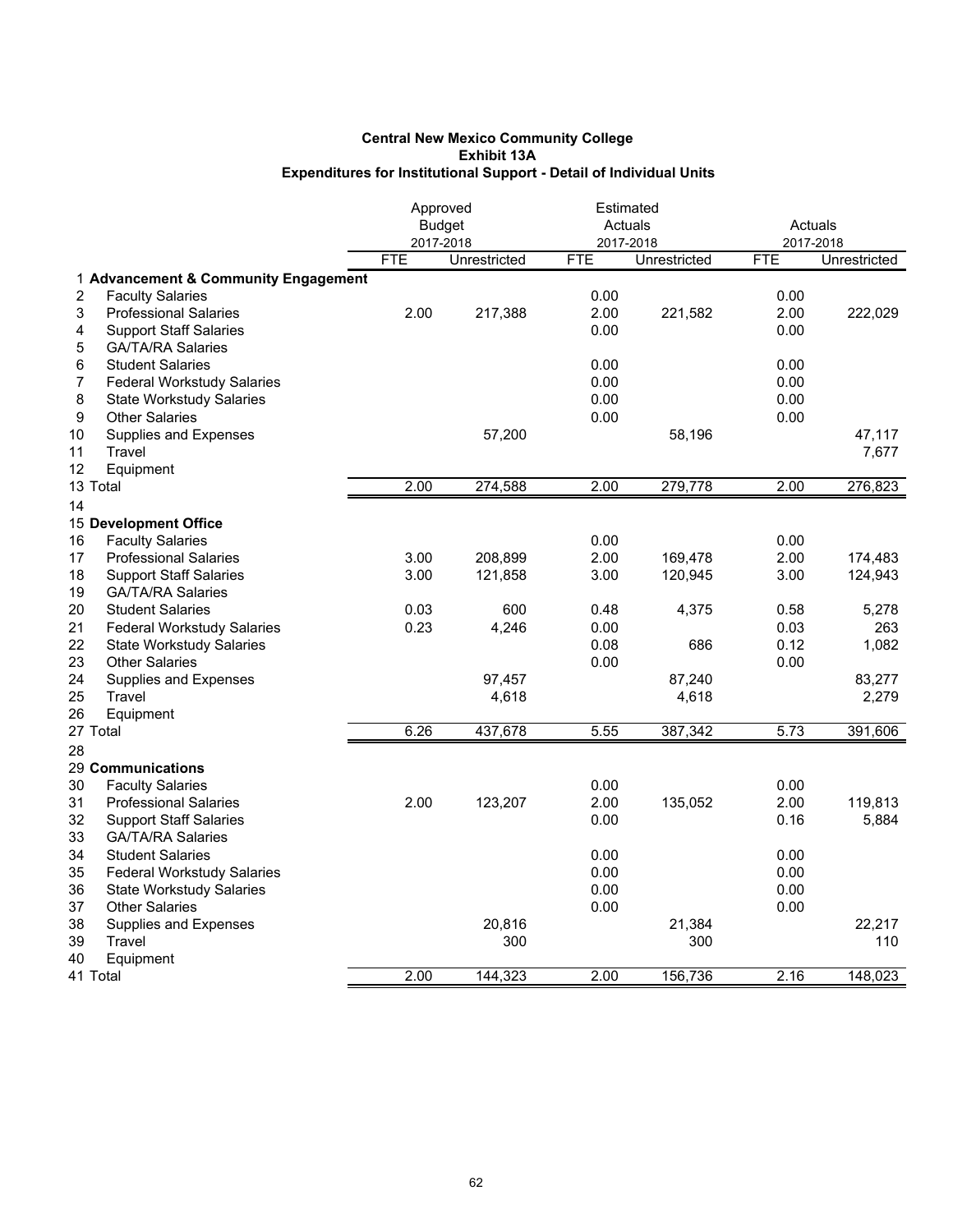|                                         |            | Approved      | Estimated  |              |            |              |
|-----------------------------------------|------------|---------------|------------|--------------|------------|--------------|
|                                         |            | <b>Budget</b> |            | Actuals      |            | Actuals      |
|                                         |            | 2017-2018     |            | 2017-2018    | 2017-2018  |              |
|                                         | <b>FTE</b> | Unrestricted  | <b>FTE</b> | Unrestricted | <b>FTE</b> | Unrestricted |
| 1 Advancement & Community Engagement    |            |               |            |              |            |              |
| 2<br><b>Faculty Salaries</b>            |            |               | 0.00       |              | 0.00       |              |
| 3<br><b>Professional Salaries</b>       | 2.00       | 217,388       | 2.00       | 221,582      | 2.00       | 222,029      |
| <b>Support Staff Salaries</b><br>4      |            |               | 0.00       |              | 0.00       |              |
| <b>GA/TA/RA Salaries</b><br>5           |            |               |            |              |            |              |
| 6<br><b>Student Salaries</b>            |            |               | 0.00       |              | 0.00       |              |
| 7<br><b>Federal Workstudy Salaries</b>  |            |               | 0.00       |              | 0.00       |              |
| 8<br><b>State Workstudy Salaries</b>    |            |               | 0.00       |              | 0.00       |              |
| 9<br><b>Other Salaries</b>              |            |               | 0.00       |              | 0.00       |              |
| 10<br>Supplies and Expenses             |            | 57,200        |            | 58,196       |            | 47,117       |
| 11<br>Travel                            |            |               |            |              |            | 7,677        |
| 12<br>Equipment                         |            |               |            |              |            |              |
| 13 Total                                | 2.00       | 274,588       | 2.00       | 279,778      | 2.00       | 276,823      |
| 14                                      |            |               |            |              |            |              |
| 15 Development Office                   |            |               |            |              |            |              |
| 16<br><b>Faculty Salaries</b>           |            |               | 0.00       |              | 0.00       |              |
| 17<br><b>Professional Salaries</b>      | 3.00       | 208,899       | 2.00       | 169,478      | 2.00       | 174,483      |
| 18<br><b>Support Staff Salaries</b>     | 3.00       | 121,858       | 3.00       | 120,945      | 3.00       | 124,943      |
| 19<br><b>GA/TA/RA Salaries</b>          |            |               |            |              |            |              |
| 20<br><b>Student Salaries</b>           | 0.03       | 600           | 0.48       | 4,375        | 0.58       | 5,278        |
| 21<br><b>Federal Workstudy Salaries</b> | 0.23       | 4,246         | 0.00       |              | 0.03       | 263          |
| 22<br><b>State Workstudy Salaries</b>   |            |               | 0.08       | 686          | 0.12       | 1,082        |
| 23<br><b>Other Salaries</b>             |            |               | 0.00       |              | 0.00       |              |
| 24<br>Supplies and Expenses             |            | 97,457        |            | 87,240       |            | 83,277       |
| 25<br>Travel                            |            | 4,618         |            | 4,618        |            | 2,279        |
| 26<br>Equipment                         |            |               |            |              |            |              |
| 27 Total                                | 6.26       | 437,678       | 5.55       | 387,342      | 5.73       | 391,606      |
| 28                                      |            |               |            |              |            |              |
| 29 Communications                       |            |               |            |              |            |              |
| 30<br><b>Faculty Salaries</b>           |            |               | 0.00       |              | 0.00       |              |
| 31<br><b>Professional Salaries</b>      | 2.00       | 123,207       | 2.00       | 135,052      | 2.00       | 119,813      |
| 32<br><b>Support Staff Salaries</b>     |            |               | 0.00       |              | 0.16       | 5,884        |
| 33<br><b>GA/TA/RA Salaries</b>          |            |               |            |              |            |              |
| 34<br><b>Student Salaries</b>           |            |               | 0.00       |              | 0.00       |              |
| 35<br><b>Federal Workstudy Salaries</b> |            |               | 0.00       |              | 0.00       |              |
| 36<br><b>State Workstudy Salaries</b>   |            |               | 0.00       |              | 0.00       |              |
| 37<br><b>Other Salaries</b>             |            |               | 0.00       |              | 0.00       |              |
| 38<br>Supplies and Expenses             |            | 20,816        |            | 21,384       |            | 22,217       |
| 39<br>Travel                            |            | 300           |            | 300          |            | 110          |
| 40<br>Equipment                         |            |               |            |              |            |              |
| 41 Total                                | 2.00       | 144,323       | 2.00       | 156,736      | 2.16       | 148,023      |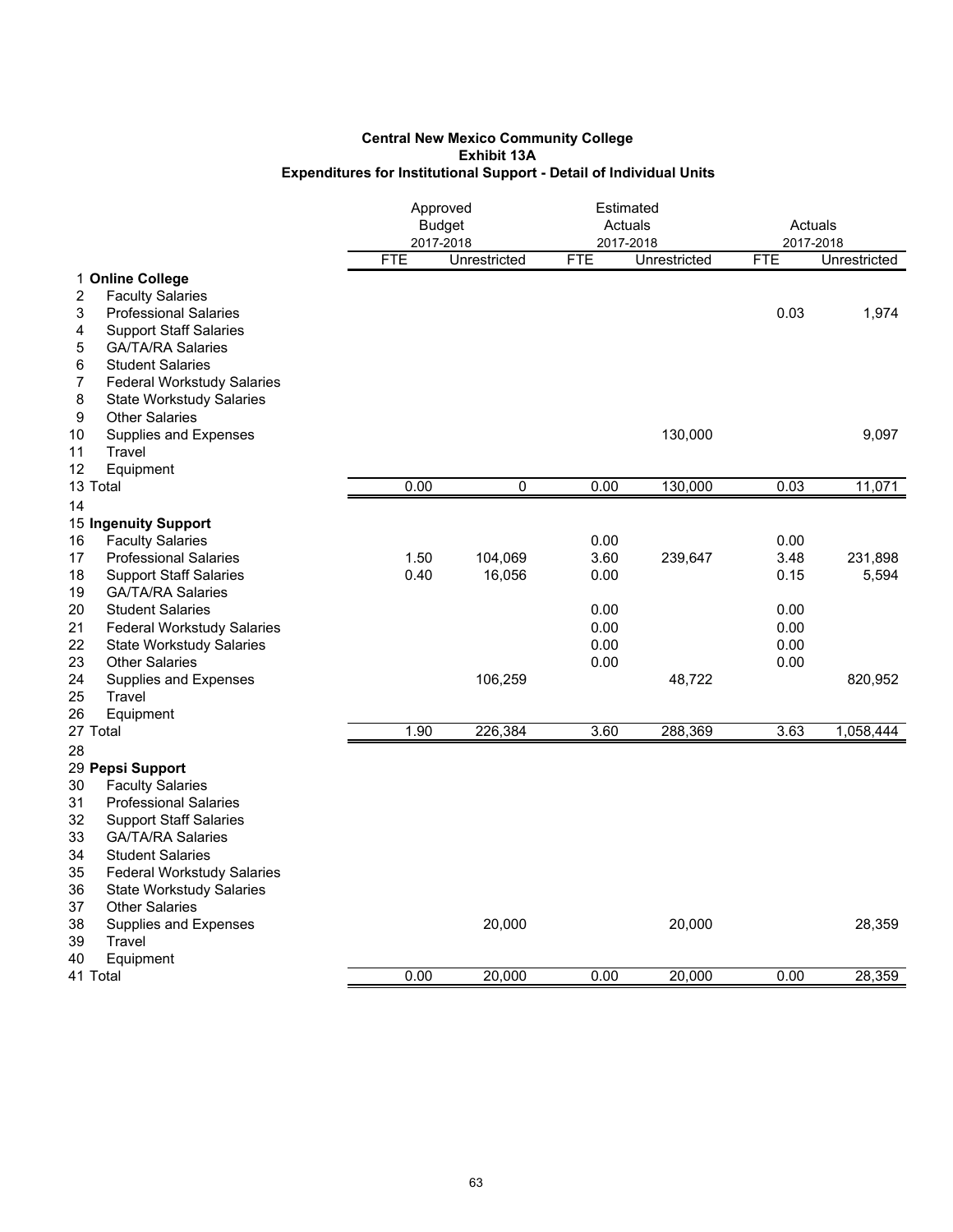|                                                                           | Approved<br><b>Budget</b><br>2017-2018 |              | Estimated<br>Actuals<br>2017-2018 |              | Actuals<br>2017-2018 |              |
|---------------------------------------------------------------------------|----------------------------------------|--------------|-----------------------------------|--------------|----------------------|--------------|
|                                                                           | <b>FTE</b>                             | Unrestricted | <b>FTE</b>                        | Unrestricted | <b>FTE</b>           | Unrestricted |
| 1 Online College                                                          |                                        |              |                                   |              |                      |              |
| 2<br><b>Faculty Salaries</b>                                              |                                        |              |                                   |              |                      |              |
| 3<br><b>Professional Salaries</b>                                         |                                        |              |                                   |              | 0.03                 | 1,974        |
| 4<br><b>Support Staff Salaries</b>                                        |                                        |              |                                   |              |                      |              |
| <b>GA/TA/RA Salaries</b><br>5                                             |                                        |              |                                   |              |                      |              |
| <b>Student Salaries</b><br>6                                              |                                        |              |                                   |              |                      |              |
| 7<br><b>Federal Workstudy Salaries</b>                                    |                                        |              |                                   |              |                      |              |
| 8<br><b>State Workstudy Salaries</b>                                      |                                        |              |                                   |              |                      |              |
| 9<br><b>Other Salaries</b>                                                |                                        |              |                                   |              |                      |              |
| 10<br>Supplies and Expenses<br>11<br>Travel                               |                                        |              |                                   | 130,000      |                      | 9,097        |
| 12<br>Equipment                                                           |                                        |              |                                   |              |                      |              |
| 13 Total                                                                  | 0.00                                   | 0            | 0.00                              | 130,000      | 0.03                 | 11,071       |
| 14                                                                        |                                        |              |                                   |              |                      |              |
| 15 Ingenuity Support                                                      |                                        |              |                                   |              |                      |              |
| <b>Faculty Salaries</b><br>16                                             |                                        |              | 0.00                              |              | 0.00                 |              |
| 17<br><b>Professional Salaries</b>                                        | 1.50                                   | 104,069      | 3.60                              | 239,647      | 3.48                 | 231,898      |
| <b>Support Staff Salaries</b><br>18                                       | 0.40                                   | 16,056       | 0.00                              |              | 0.15                 | 5,594        |
| 19<br><b>GA/TA/RA Salaries</b>                                            |                                        |              |                                   |              |                      |              |
| 20<br><b>Student Salaries</b>                                             |                                        |              | 0.00                              |              | 0.00                 |              |
| 21<br><b>Federal Workstudy Salaries</b>                                   |                                        |              | 0.00                              |              | 0.00                 |              |
| 22<br><b>State Workstudy Salaries</b>                                     |                                        |              | 0.00                              |              | 0.00                 |              |
| 23<br><b>Other Salaries</b>                                               |                                        |              | 0.00                              |              | 0.00                 |              |
| 24<br>Supplies and Expenses                                               |                                        | 106,259      |                                   | 48,722       |                      | 820,952      |
| 25<br>Travel                                                              |                                        |              |                                   |              |                      |              |
| 26<br>Equipment                                                           |                                        |              |                                   |              |                      |              |
| 27 Total                                                                  | 1.90                                   | 226,384      | 3.60                              | 288,369      | 3.63                 | 1,058,444    |
| 28                                                                        |                                        |              |                                   |              |                      |              |
| 29 Pepsi Support                                                          |                                        |              |                                   |              |                      |              |
| 30<br><b>Faculty Salaries</b>                                             |                                        |              |                                   |              |                      |              |
| 31<br><b>Professional Salaries</b><br>32<br><b>Support Staff Salaries</b> |                                        |              |                                   |              |                      |              |
| 33<br><b>GA/TA/RA Salaries</b>                                            |                                        |              |                                   |              |                      |              |
| 34<br><b>Student Salaries</b>                                             |                                        |              |                                   |              |                      |              |
| 35<br>Federal Workstudy Salaries                                          |                                        |              |                                   |              |                      |              |
| 36<br><b>State Workstudy Salaries</b>                                     |                                        |              |                                   |              |                      |              |
| 37<br><b>Other Salaries</b>                                               |                                        |              |                                   |              |                      |              |
| 38<br>Supplies and Expenses                                               |                                        | 20,000       |                                   | 20,000       |                      | 28,359       |
| 39<br>Travel                                                              |                                        |              |                                   |              |                      |              |
| 40<br>Equipment                                                           |                                        |              |                                   |              |                      |              |
| 41 Total                                                                  | 0.00                                   | 20,000       | 0.00                              | 20,000       | 0.00                 | 28,359       |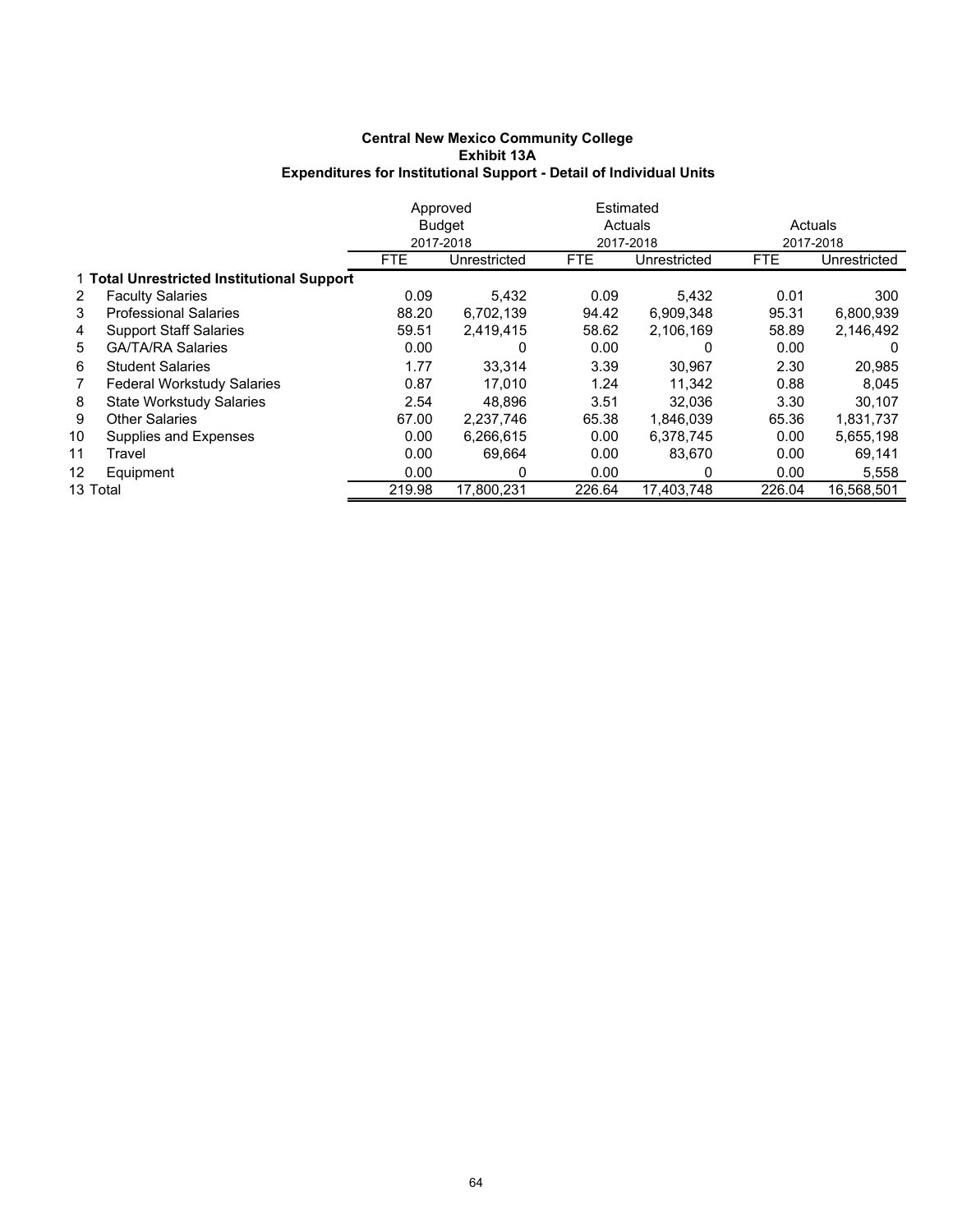|          |                                            | Approved      |              |            | Estimated    |            |              |
|----------|--------------------------------------------|---------------|--------------|------------|--------------|------------|--------------|
|          |                                            | <b>Budget</b> |              |            | Actuals      | Actuals    |              |
|          |                                            |               | 2017-2018    |            | 2017-2018    | 2017-2018  |              |
|          |                                            | <b>FTE</b>    | Unrestricted | <b>FTE</b> | Unrestricted | <b>FTE</b> | Unrestricted |
|          | 1 Total Unrestricted Institutional Support |               |              |            |              |            |              |
| 2        | <b>Faculty Salaries</b>                    | 0.09          | 5,432        | 0.09       | 5,432        | 0.01       | 300          |
| 3        | <b>Professional Salaries</b>               | 88.20         | 6,702,139    | 94.42      | 6,909,348    | 95.31      | 6,800,939    |
| 4        | <b>Support Staff Salaries</b>              | 59.51         | 2,419,415    | 58.62      | 2,106,169    | 58.89      | 2,146,492    |
| 5        | <b>GA/TA/RA Salaries</b>                   | 0.00          | 0            | 0.00       | 0            | 0.00       | $\Omega$     |
| 6        | <b>Student Salaries</b>                    | 1.77          | 33,314       | 3.39       | 30,967       | 2.30       | 20,985       |
| 7        | <b>Federal Workstudy Salaries</b>          | 0.87          | 17.010       | 1.24       | 11.342       | 0.88       | 8,045        |
| 8        | <b>State Workstudy Salaries</b>            | 2.54          | 48.896       | 3.51       | 32.036       | 3.30       | 30,107       |
| 9        | <b>Other Salaries</b>                      | 67.00         | 2.237.746    | 65.38      | 1.846.039    | 65.36      | 1,831,737    |
| 10       | Supplies and Expenses                      | 0.00          | 6,266,615    | 0.00       | 6.378.745    | 0.00       | 5,655,198    |
| 11       | Travel                                     | 0.00          | 69.664       | 0.00       | 83.670       | 0.00       | 69,141       |
| 12       | Equipment                                  | 0.00          | 0            | 0.00       | 0            | 0.00       | 5,558        |
| 13 Total |                                            | 219.98        | 17,800,231   | 226.64     | 17.403.748   | 226.04     | 16,568,501   |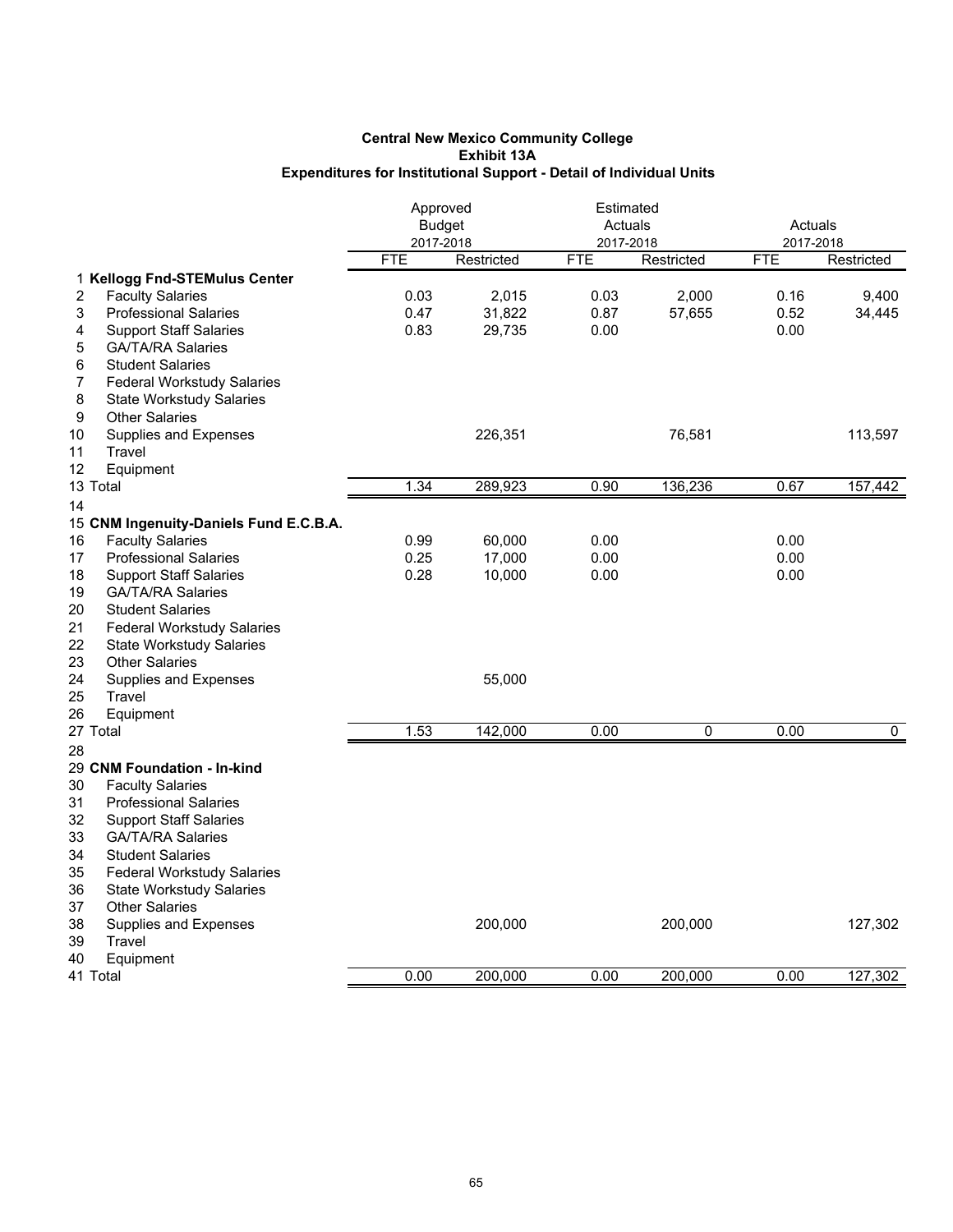|                                         | Approved   | <b>Budget</b> | Estimated<br>Actuals |            | Actuals    |                |
|-----------------------------------------|------------|---------------|----------------------|------------|------------|----------------|
|                                         | 2017-2018  |               | 2017-2018            |            | 2017-2018  |                |
|                                         | <b>FTE</b> | Restricted    | <b>FTE</b>           | Restricted | <b>FTE</b> | Restricted     |
| 1 Kellogg Fnd-STEMulus Center           |            |               |                      |            |            |                |
| <b>Faculty Salaries</b><br>2            | 0.03       | 2,015         | 0.03                 | 2,000      | 0.16       | 9,400          |
| 3<br><b>Professional Salaries</b>       | 0.47       | 31,822        | 0.87                 | 57,655     | 0.52       | 34,445         |
| 4<br><b>Support Staff Salaries</b>      | 0.83       | 29,735        | 0.00                 |            | 0.00       |                |
| <b>GA/TA/RA Salaries</b><br>5           |            |               |                      |            |            |                |
| 6<br><b>Student Salaries</b>            |            |               |                      |            |            |                |
| <b>Federal Workstudy Salaries</b><br>7  |            |               |                      |            |            |                |
| 8<br><b>State Workstudy Salaries</b>    |            |               |                      |            |            |                |
| 9<br><b>Other Salaries</b>              |            |               |                      |            |            |                |
| 10<br>Supplies and Expenses             |            | 226,351       |                      | 76,581     |            | 113,597        |
| 11<br>Travel                            |            |               |                      |            |            |                |
| 12<br>Equipment                         |            |               |                      |            |            |                |
| 13 Total                                | 1.34       | 289,923       | 0.90                 | 136,236    | 0.67       | 157,442        |
| 14                                      |            |               |                      |            |            |                |
| 15 CNM Ingenuity-Daniels Fund E.C.B.A.  |            |               |                      |            |            |                |
| <b>Faculty Salaries</b><br>16           | 0.99       | 60,000        | 0.00                 |            | 0.00       |                |
| <b>Professional Salaries</b><br>17      | 0.25       | 17,000        | 0.00                 |            | 0.00       |                |
| 18<br><b>Support Staff Salaries</b>     | 0.28       | 10,000        | 0.00                 |            | 0.00       |                |
| 19<br><b>GA/TA/RA Salaries</b>          |            |               |                      |            |            |                |
| 20<br><b>Student Salaries</b>           |            |               |                      |            |            |                |
| 21<br><b>Federal Workstudy Salaries</b> |            |               |                      |            |            |                |
| 22<br><b>State Workstudy Salaries</b>   |            |               |                      |            |            |                |
| 23<br><b>Other Salaries</b>             |            |               |                      |            |            |                |
| 24<br>Supplies and Expenses             |            | 55,000        |                      |            |            |                |
| 25<br>Travel                            |            |               |                      |            |            |                |
| 26<br>Equipment                         |            |               |                      |            |            |                |
| 27 Total                                | 1.53       | 142,000       | 0.00                 | 0          | 0.00       | $\overline{0}$ |
| 28                                      |            |               |                      |            |            |                |
| 29 CNM Foundation - In-kind             |            |               |                      |            |            |                |
| 30<br><b>Faculty Salaries</b>           |            |               |                      |            |            |                |
| 31<br><b>Professional Salaries</b>      |            |               |                      |            |            |                |
| 32<br><b>Support Staff Salaries</b>     |            |               |                      |            |            |                |
| 33<br><b>GA/TA/RA Salaries</b>          |            |               |                      |            |            |                |
| 34<br><b>Student Salaries</b>           |            |               |                      |            |            |                |
| 35<br><b>Federal Workstudy Salaries</b> |            |               |                      |            |            |                |
| 36<br><b>State Workstudy Salaries</b>   |            |               |                      |            |            |                |
| 37<br><b>Other Salaries</b>             |            |               |                      |            |            |                |
| 38<br>Supplies and Expenses             |            | 200,000       |                      | 200,000    |            | 127,302        |
| 39<br>Travel                            |            |               |                      |            |            |                |
| 40<br>Equipment                         |            |               |                      |            |            |                |
| 41 Total                                | 0.00       | 200,000       | 0.00                 | 200,000    | 0.00       | 127,302        |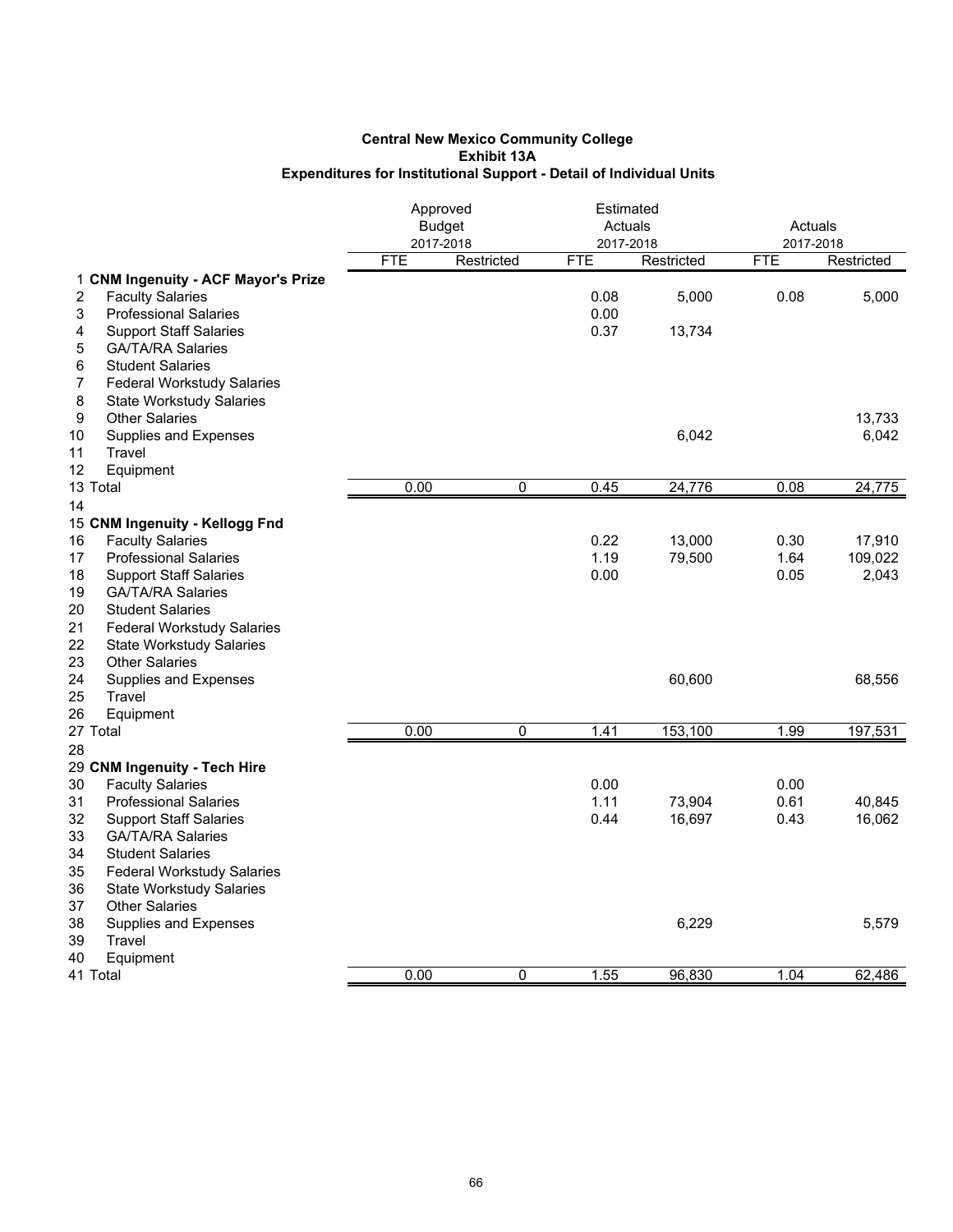|                                                               | Approved<br><b>Budget</b><br>2017-2018 |            | Estimated<br>Actuals<br>2017-2018 |            | Actuals<br>2017-2018 |            |
|---------------------------------------------------------------|----------------------------------------|------------|-----------------------------------|------------|----------------------|------------|
|                                                               | <b>FTE</b>                             | Restricted | <b>FTE</b>                        | Restricted | <b>FTE</b>           | Restricted |
| 1 CNM Ingenuity - ACF Mayor's Prize                           |                                        |            |                                   |            |                      |            |
| 2<br><b>Faculty Salaries</b>                                  |                                        |            | 0.08                              | 5,000      | 0.08                 | 5,000      |
| 3<br><b>Professional Salaries</b>                             |                                        |            | 0.00                              |            |                      |            |
| 4<br><b>Support Staff Salaries</b>                            |                                        |            | 0.37                              | 13,734     |                      |            |
| <b>GA/TA/RA Salaries</b><br>5                                 |                                        |            |                                   |            |                      |            |
| 6<br><b>Student Salaries</b>                                  |                                        |            |                                   |            |                      |            |
| 7<br><b>Federal Workstudy Salaries</b>                        |                                        |            |                                   |            |                      |            |
| 8<br><b>State Workstudy Salaries</b>                          |                                        |            |                                   |            |                      |            |
| 9<br><b>Other Salaries</b>                                    |                                        |            |                                   |            |                      | 13,733     |
| 10<br>Supplies and Expenses                                   |                                        |            |                                   | 6,042      |                      | 6,042      |
| Travel<br>11                                                  |                                        |            |                                   |            |                      |            |
| 12<br>Equipment                                               |                                        |            |                                   |            |                      |            |
| 13 Total                                                      | 0.00                                   | $\Omega$   | 0.45                              | 24,776     | 0.08                 | 24,775     |
| 14                                                            |                                        |            |                                   |            |                      |            |
| 15 CNM Ingenuity - Kellogg Fnd                                |                                        |            |                                   |            |                      |            |
| <b>Faculty Salaries</b><br>16                                 |                                        |            | 0.22                              | 13,000     | 0.30                 | 17,910     |
| 17<br><b>Professional Salaries</b>                            |                                        |            | 1.19                              | 79,500     | 1.64                 | 109,022    |
| 18<br><b>Support Staff Salaries</b>                           |                                        |            | 0.00                              |            | 0.05                 | 2,043      |
| 19<br><b>GA/TA/RA Salaries</b>                                |                                        |            |                                   |            |                      |            |
| 20<br><b>Student Salaries</b>                                 |                                        |            |                                   |            |                      |            |
| 21<br><b>Federal Workstudy Salaries</b>                       |                                        |            |                                   |            |                      |            |
| 22<br><b>State Workstudy Salaries</b>                         |                                        |            |                                   |            |                      |            |
| 23<br><b>Other Salaries</b>                                   |                                        |            |                                   |            |                      |            |
| 24<br>Supplies and Expenses                                   |                                        |            |                                   | 60,600     |                      | 68,556     |
| 25<br>Travel                                                  |                                        |            |                                   |            |                      |            |
| 26<br>Equipment                                               |                                        |            | 1.41                              |            | 1.99                 |            |
| 27 Total                                                      | 0.00                                   | 0          |                                   | 153,100    |                      | 197,531    |
| 28                                                            |                                        |            |                                   |            |                      |            |
| 29 CNM Ingenuity - Tech Hire<br><b>Faculty Salaries</b><br>30 |                                        |            | 0.00                              |            | 0.00                 |            |
| 31<br><b>Professional Salaries</b>                            |                                        |            | 1.11                              | 73,904     | 0.61                 | 40,845     |
| 32<br><b>Support Staff Salaries</b>                           |                                        |            | 0.44                              | 16,697     | 0.43                 | 16,062     |
| 33<br><b>GA/TA/RA Salaries</b>                                |                                        |            |                                   |            |                      |            |
| 34<br><b>Student Salaries</b>                                 |                                        |            |                                   |            |                      |            |
| 35<br><b>Federal Workstudy Salaries</b>                       |                                        |            |                                   |            |                      |            |
| 36<br><b>State Workstudy Salaries</b>                         |                                        |            |                                   |            |                      |            |
| 37<br><b>Other Salaries</b>                                   |                                        |            |                                   |            |                      |            |
| 38<br>Supplies and Expenses                                   |                                        |            |                                   | 6,229      |                      | 5,579      |
| 39<br>Travel                                                  |                                        |            |                                   |            |                      |            |
| 40<br>Equipment                                               |                                        |            |                                   |            |                      |            |
| 41 Total                                                      | 0.00                                   | 0          | 1.55                              | 96,830     | 1.04                 | 62,486     |
|                                                               |                                        |            |                                   |            |                      |            |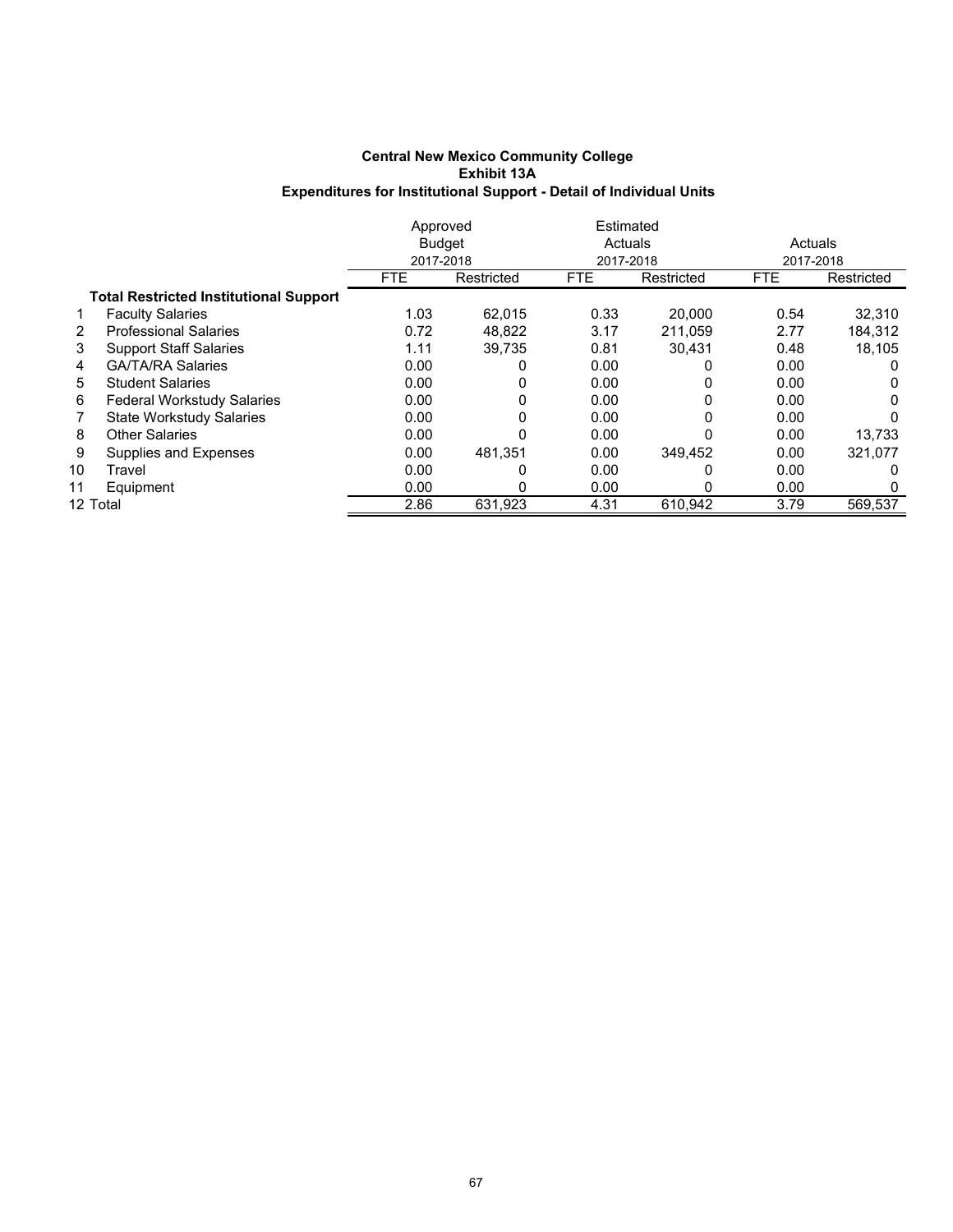|    |                                               | Approved   |               | Estimated  |            |            |            |  |
|----|-----------------------------------------------|------------|---------------|------------|------------|------------|------------|--|
|    |                                               |            | <b>Budget</b> | Actuals    |            | Actuals    |            |  |
|    |                                               |            | 2017-2018     |            | 2017-2018  |            | 2017-2018  |  |
|    |                                               | <b>FTE</b> | Restricted    | <b>FTE</b> | Restricted | <b>FTE</b> | Restricted |  |
|    | <b>Total Restricted Institutional Support</b> |            |               |            |            |            |            |  |
|    | <b>Faculty Salaries</b>                       | 1.03       | 62.015        | 0.33       | 20,000     | 0.54       | 32,310     |  |
| 2  | <b>Professional Salaries</b>                  | 0.72       | 48.822        | 3.17       | 211.059    | 2.77       | 184.312    |  |
| 3  | <b>Support Staff Salaries</b>                 | 1.11       | 39.735        | 0.81       | 30.431     | 0.48       | 18,105     |  |
| 4  | <b>GA/TA/RA Salaries</b>                      | 0.00       | 0             | 0.00       |            | 0.00       | 0          |  |
| 5  | <b>Student Salaries</b>                       | 0.00       | 0             | 0.00       |            | 0.00       | 0          |  |
| 6  | <b>Federal Workstudy Salaries</b>             | 0.00       | 0             | 0.00       |            | 0.00       | 0          |  |
| 7  | <b>State Workstudy Salaries</b>               | 0.00       | 0             | 0.00       | 0          | 0.00       | 0          |  |
| 8  | <b>Other Salaries</b>                         | 0.00       | 0             | 0.00       |            | 0.00       | 13.733     |  |
| 9  | Supplies and Expenses                         | 0.00       | 481.351       | 0.00       | 349.452    | 0.00       | 321,077    |  |
| 10 | Travel                                        | 0.00       | 0             | 0.00       |            | 0.00       | O          |  |
| 11 | Equipment                                     | 0.00       | 0             | 0.00       |            | 0.00       | 0          |  |
|    | 12 Total                                      | 2.86       | 631,923       | 4.31       | 610,942    | 3.79       | 569,537    |  |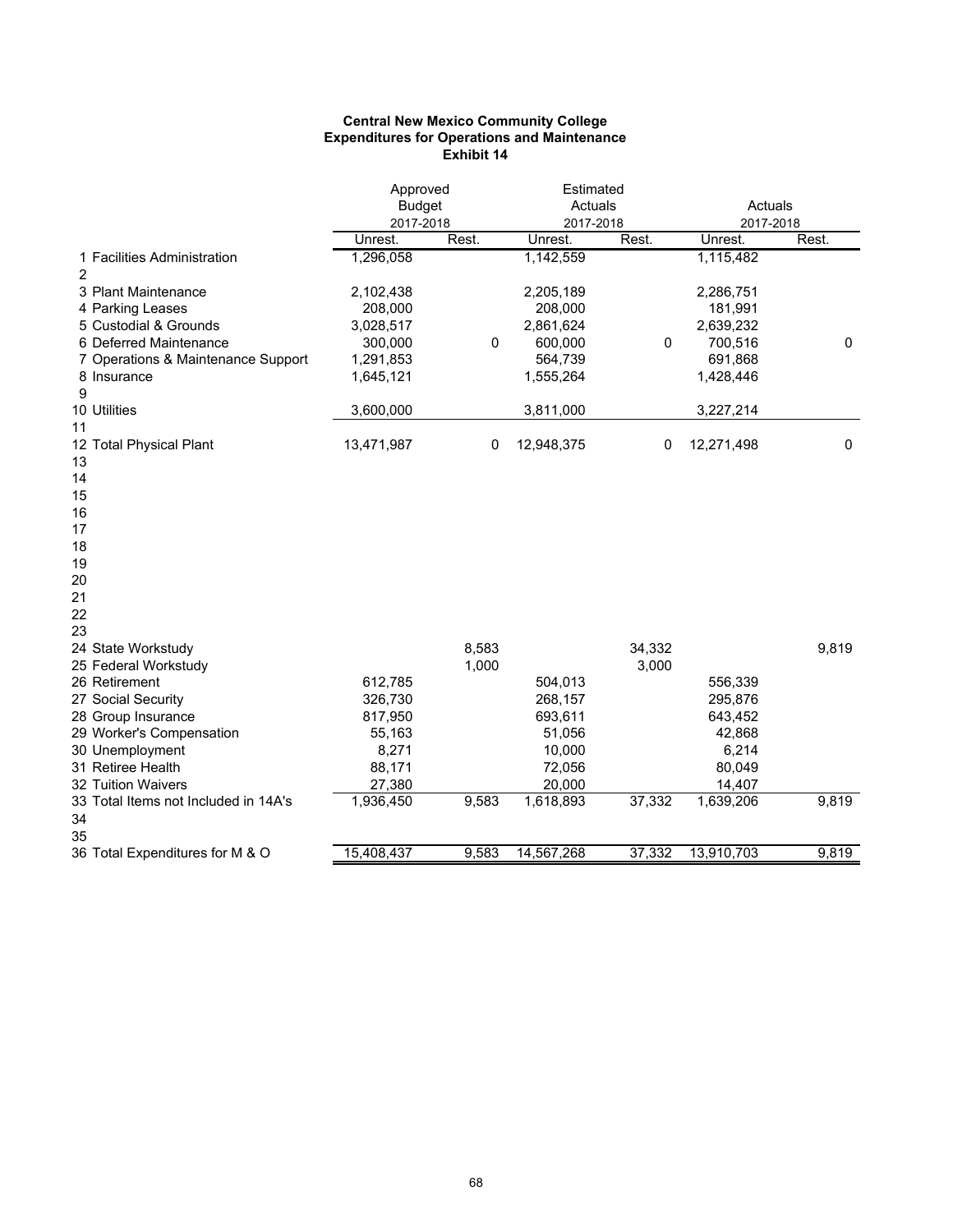### **Central New Mexico Community College Expenditures for Operations and Maintenance Exhibit 14**

|                                         | Approved         |       | Estimated        |        |                     |             |
|-----------------------------------------|------------------|-------|------------------|--------|---------------------|-------------|
|                                         | <b>Budget</b>    |       | Actuals          |        | Actuals             |             |
|                                         | 2017-2018        |       | 2017-2018        |        | 2017-2018           |             |
|                                         | Unrest.          | Rest. | Unrest.          | Rest.  | Unrest.             | Rest.       |
| 1 Facilities Administration<br>2        | 1,296,058        |       | 1,142,559        |        | 1,115,482           |             |
| 3 Plant Maintenance                     | 2,102,438        |       | 2,205,189        |        | 2,286,751           |             |
| 4 Parking Leases                        | 208,000          |       | 208,000          |        | 181,991             |             |
| 5 Custodial & Grounds                   | 3,028,517        |       | 2,861,624        |        | 2,639,232           |             |
| 6 Deferred Maintenance                  | 300,000          | 0     | 600,000          | 0      | 700,516             | 0           |
| 7 Operations & Maintenance Support      | 1,291,853        |       | 564,739          |        | 691,868             |             |
| 8 Insurance                             | 1,645,121        |       | 1,555,264        |        | 1,428,446           |             |
| 9                                       |                  |       |                  |        |                     |             |
| 10 Utilities                            | 3,600,000        |       | 3,811,000        |        | 3,227,214           |             |
| 11                                      |                  |       |                  |        |                     |             |
| 12 Total Physical Plant                 | 13,471,987       | 0     | 12,948,375       | 0      | 12,271,498          | $\mathbf 0$ |
| 13                                      |                  |       |                  |        |                     |             |
| 14                                      |                  |       |                  |        |                     |             |
| 15                                      |                  |       |                  |        |                     |             |
| 16                                      |                  |       |                  |        |                     |             |
| 17                                      |                  |       |                  |        |                     |             |
| 18                                      |                  |       |                  |        |                     |             |
| 19                                      |                  |       |                  |        |                     |             |
| 20                                      |                  |       |                  |        |                     |             |
| 21                                      |                  |       |                  |        |                     |             |
| 22                                      |                  |       |                  |        |                     |             |
| 23                                      |                  |       |                  |        |                     |             |
| 24 State Workstudy                      |                  | 8,583 |                  | 34,332 |                     | 9,819       |
| 25 Federal Workstudy                    |                  | 1,000 |                  | 3,000  |                     |             |
| 26 Retirement                           | 612,785          |       | 504,013          |        | 556,339             |             |
| 27 Social Security                      | 326,730          |       | 268,157          |        | 295,876             |             |
| 28 Group Insurance                      | 817,950          |       | 693,611          |        | 643,452             |             |
| 29 Worker's Compensation                | 55,163           |       | 51,056           |        | 42,868              |             |
| 30 Unemployment                         | 8,271            |       | 10,000           |        | 6,214               |             |
| 31 Retiree Health<br>32 Tuition Waivers | 88,171<br>27,380 |       | 72,056<br>20,000 |        | 80,049              |             |
| 33 Total Items not Included in 14A's    | 1,936,450        | 9,583 | 1,618,893        | 37,332 | 14,407<br>1,639,206 | 9,819       |
| 34                                      |                  |       |                  |        |                     |             |
| 35                                      |                  |       |                  |        |                     |             |
| 36 Total Expenditures for M & O         | 15,408,437       | 9,583 | 14,567,268       | 37,332 | 13,910,703          | 9,819       |
|                                         |                  |       |                  |        |                     |             |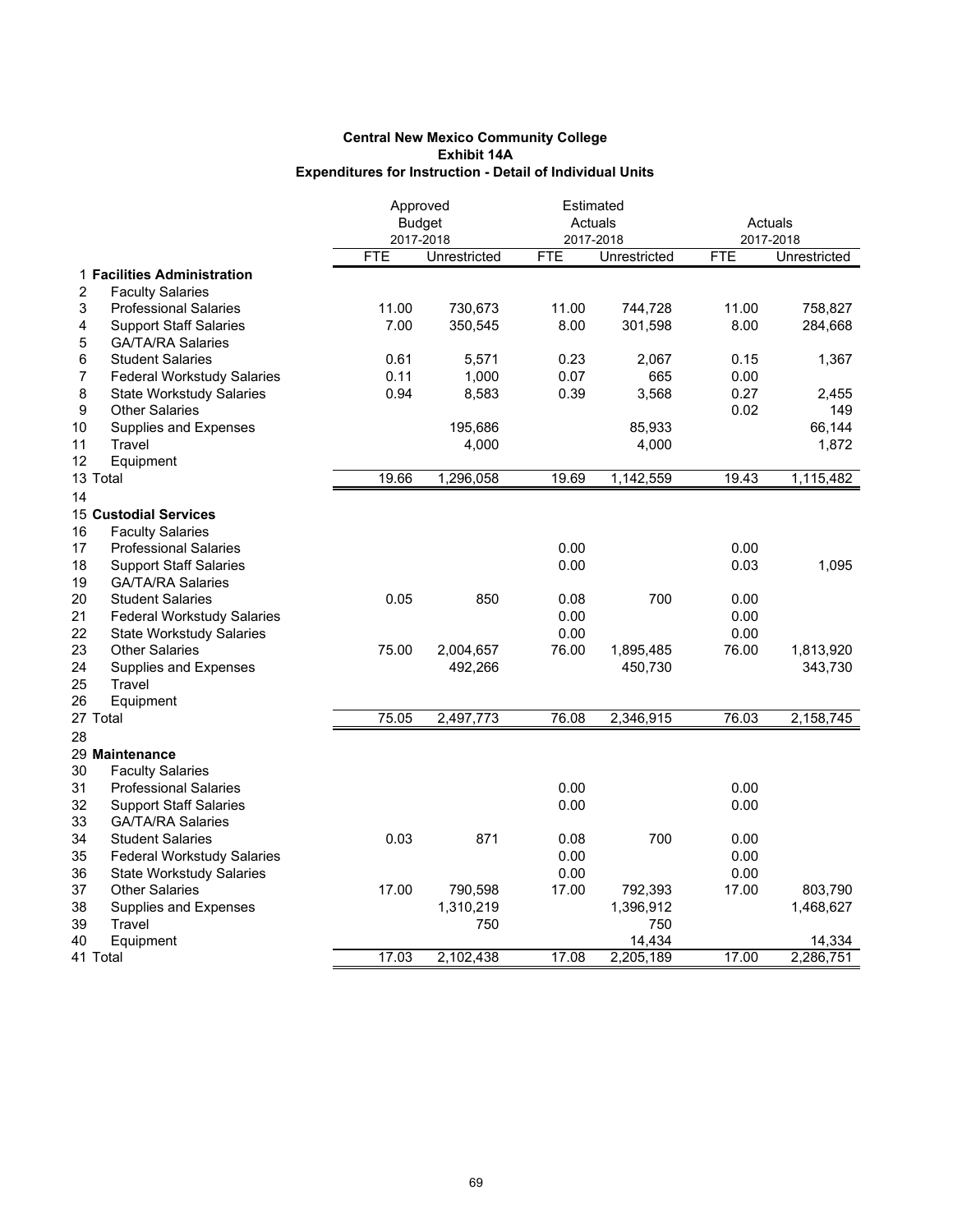|                                         | Approved      |              |            | Estimated    |            |                     |
|-----------------------------------------|---------------|--------------|------------|--------------|------------|---------------------|
|                                         | <b>Budget</b> |              |            | Actuals      |            | Actuals             |
|                                         | 2017-2018     |              |            | 2017-2018    |            | 2017-2018           |
|                                         | <b>FTE</b>    | Unrestricted | <b>FTE</b> | Unrestricted | <b>FTE</b> | <b>Unrestricted</b> |
| 1 Facilities Administration             |               |              |            |              |            |                     |
| <b>Faculty Salaries</b><br>2            |               |              |            |              |            |                     |
| 3<br><b>Professional Salaries</b>       | 11.00         | 730,673      | 11.00      | 744,728      | 11.00      | 758,827             |
| <b>Support Staff Salaries</b><br>4      | 7.00          | 350,545      | 8.00       | 301,598      | 8.00       | 284,668             |
| 5<br><b>GA/TA/RA Salaries</b>           |               |              |            |              |            |                     |
| 6<br><b>Student Salaries</b>            | 0.61          | 5,571        | 0.23       | 2,067        | 0.15       | 1,367               |
| <b>Federal Workstudy Salaries</b><br>7  | 0.11          | 1,000        | 0.07       | 665          | 0.00       |                     |
| 8<br><b>State Workstudy Salaries</b>    | 0.94          | 8,583        | 0.39       | 3,568        | 0.27       | 2,455               |
| 9<br><b>Other Salaries</b>              |               |              |            |              | 0.02       | 149                 |
| 10<br><b>Supplies and Expenses</b>      |               | 195,686      |            | 85,933       |            | 66,144              |
| Travel<br>11                            |               | 4,000        |            | 4,000        |            | 1,872               |
| 12<br>Equipment                         |               |              |            |              |            |                     |
| 13 Total                                | 19.66         | 1,296,058    | 19.69      | 1,142,559    | 19.43      | 1,115,482           |
| 14                                      |               |              |            |              |            |                     |
| <b>15 Custodial Services</b>            |               |              |            |              |            |                     |
| 16<br><b>Faculty Salaries</b>           |               |              |            |              |            |                     |
| 17<br><b>Professional Salaries</b>      |               |              | 0.00       |              | 0.00       |                     |
| 18<br><b>Support Staff Salaries</b>     |               |              | 0.00       |              | 0.03       | 1,095               |
| 19<br><b>GA/TA/RA Salaries</b>          |               |              |            |              |            |                     |
| 20<br><b>Student Salaries</b>           | 0.05          | 850          | 0.08       | 700          | 0.00       |                     |
| 21<br><b>Federal Workstudy Salaries</b> |               |              | 0.00       |              | 0.00       |                     |
| 22<br><b>State Workstudy Salaries</b>   |               |              | 0.00       |              | 0.00       |                     |
| 23<br><b>Other Salaries</b>             | 75.00         | 2,004,657    | 76.00      | 1,895,485    | 76.00      | 1,813,920           |
| 24<br><b>Supplies and Expenses</b>      |               | 492,266      |            | 450,730      |            | 343,730             |
| 25<br>Travel                            |               |              |            |              |            |                     |
| 26<br>Equipment                         |               |              |            |              |            |                     |
| 27 Total                                | 75.05         | 2,497,773    | 76.08      | 2,346,915    | 76.03      | 2,158,745           |
|                                         |               |              |            |              |            |                     |
| 28                                      |               |              |            |              |            |                     |
| 29 Maintenance                          |               |              |            |              |            |                     |
| 30<br><b>Faculty Salaries</b>           |               |              |            |              |            |                     |
| 31<br><b>Professional Salaries</b>      |               |              | 0.00       |              | 0.00       |                     |
| 32<br><b>Support Staff Salaries</b>     |               |              | 0.00       |              | 0.00       |                     |
| 33<br><b>GA/TA/RA Salaries</b>          |               |              |            |              |            |                     |
| 34<br><b>Student Salaries</b>           | 0.03          | 871          | 0.08       | 700          | 0.00       |                     |
| 35<br><b>Federal Workstudy Salaries</b> |               |              | 0.00       |              | 0.00       |                     |
| 36<br><b>State Workstudy Salaries</b>   |               |              | 0.00       |              | 0.00       |                     |
| 37<br><b>Other Salaries</b>             | 17.00         | 790,598      | 17.00      | 792,393      | 17.00      | 803,790             |
| 38<br>Supplies and Expenses             |               | 1,310,219    |            | 1,396,912    |            | 1,468,627           |
| 39<br>Travel                            |               | 750          |            | 750          |            |                     |
| Equipment<br>40                         |               |              |            | 14,434       |            | 14,334              |
| 41 Total                                | 17.03         | 2.102.438    | 17.08      | 2,205,189    | 17.00      | 2,286,751           |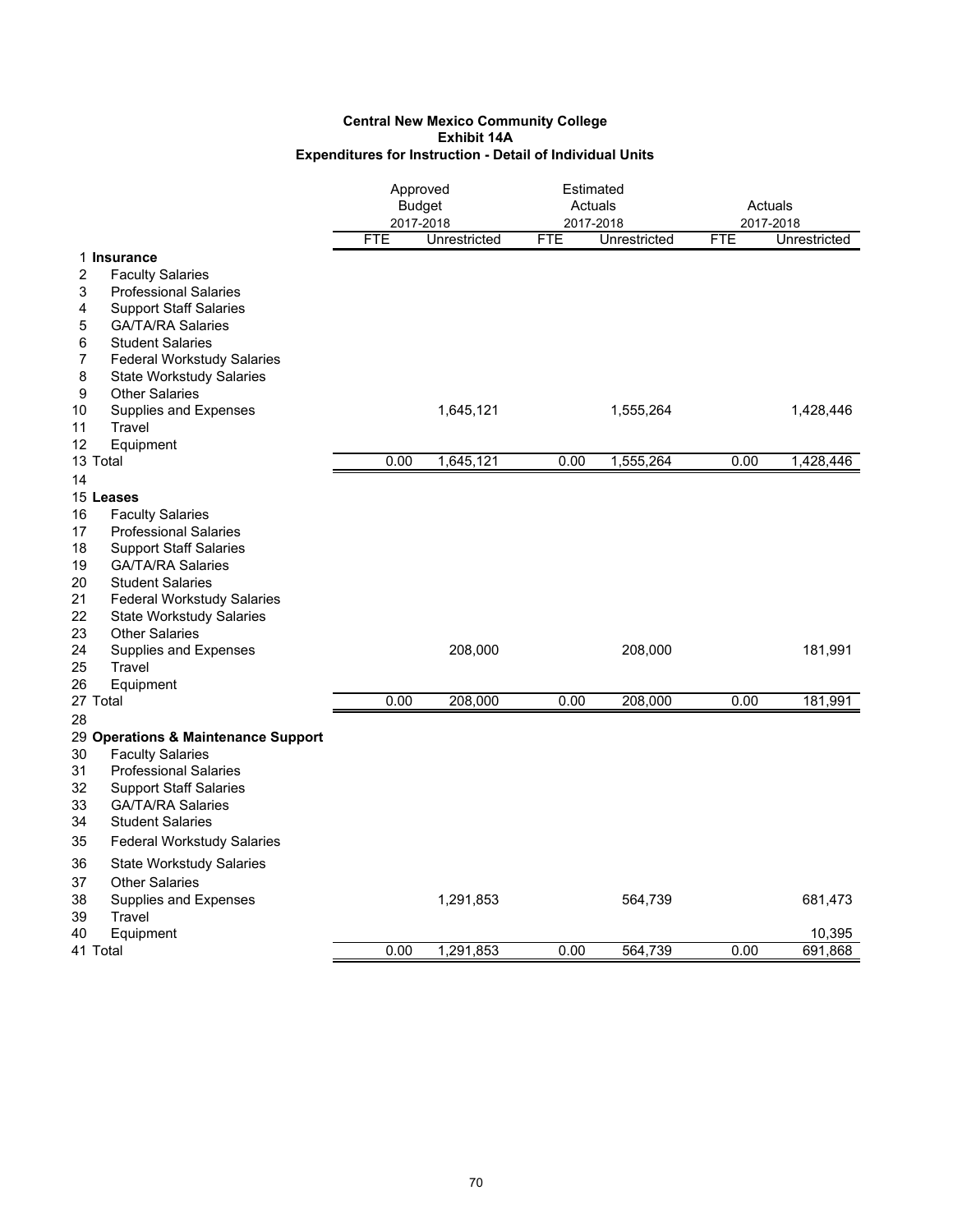|                                         | Approved   | Estimated     |            |              |      |              |
|-----------------------------------------|------------|---------------|------------|--------------|------|--------------|
|                                         |            | <b>Budget</b> |            | Actuals      |      | Actuals      |
|                                         |            | 2017-2018     |            | 2017-2018    |      | 2017-2018    |
|                                         | <b>FTE</b> | Unrestricted  | <b>FTE</b> | Unrestricted | FTE  | Unrestricted |
| 1 Insurance                             |            |               |            |              |      |              |
| 2<br><b>Faculty Salaries</b>            |            |               |            |              |      |              |
| 3<br><b>Professional Salaries</b>       |            |               |            |              |      |              |
| <b>Support Staff Salaries</b><br>4      |            |               |            |              |      |              |
| 5<br><b>GA/TA/RA Salaries</b>           |            |               |            |              |      |              |
| <b>Student Salaries</b><br>6            |            |               |            |              |      |              |
| 7<br><b>Federal Workstudy Salaries</b>  |            |               |            |              |      |              |
| 8<br><b>State Workstudy Salaries</b>    |            |               |            |              |      |              |
| 9<br><b>Other Salaries</b>              |            |               |            |              |      |              |
| 10<br><b>Supplies and Expenses</b>      |            | 1,645,121     |            | 1,555,264    |      | 1,428,446    |
| 11<br>Travel                            |            |               |            |              |      |              |
| Equipment<br>12                         |            |               |            |              |      |              |
| 13 Total                                | 0.00       | 1,645,121     | 0.00       | 1,555,264    | 0.00 | 1,428,446    |
| 14                                      |            |               |            |              |      |              |
| 15 Leases                               |            |               |            |              |      |              |
| 16<br><b>Faculty Salaries</b>           |            |               |            |              |      |              |
| 17<br><b>Professional Salaries</b>      |            |               |            |              |      |              |
| 18<br><b>Support Staff Salaries</b>     |            |               |            |              |      |              |
| 19<br><b>GA/TA/RA Salaries</b>          |            |               |            |              |      |              |
| 20<br><b>Student Salaries</b>           |            |               |            |              |      |              |
| 21<br><b>Federal Workstudy Salaries</b> |            |               |            |              |      |              |
| 22<br><b>State Workstudy Salaries</b>   |            |               |            |              |      |              |
| 23<br><b>Other Salaries</b>             |            |               |            |              |      |              |
| 24<br>Supplies and Expenses             |            | 208,000       |            | 208,000      |      | 181,991      |
| 25<br>Travel                            |            |               |            |              |      |              |
| 26<br>Equipment                         |            |               |            |              |      |              |
| 27 Total                                | 0.00       | 208,000       | 0.00       | 208,000      | 0.00 | 181,991      |
| 28                                      |            |               |            |              |      |              |
| 29 Operations & Maintenance Support     |            |               |            |              |      |              |
| 30<br><b>Faculty Salaries</b>           |            |               |            |              |      |              |
| 31<br><b>Professional Salaries</b>      |            |               |            |              |      |              |
| 32<br><b>Support Staff Salaries</b>     |            |               |            |              |      |              |
| <b>GA/TA/RA Salaries</b><br>33          |            |               |            |              |      |              |
| 34<br><b>Student Salaries</b>           |            |               |            |              |      |              |
| 35                                      |            |               |            |              |      |              |
| <b>Federal Workstudy Salaries</b>       |            |               |            |              |      |              |
| 36<br><b>State Workstudy Salaries</b>   |            |               |            |              |      |              |
| 37<br><b>Other Salaries</b>             |            |               |            |              |      |              |
| 38<br><b>Supplies and Expenses</b>      |            | 1,291,853     |            | 564,739      |      | 681,473      |
| 39<br>Travel                            |            |               |            |              |      |              |
| 40<br>Equipment                         |            |               |            |              |      | 10,395       |
| 41 Total                                | 0.00       | 1,291,853     | 0.00       | 564,739      | 0.00 | 691,868      |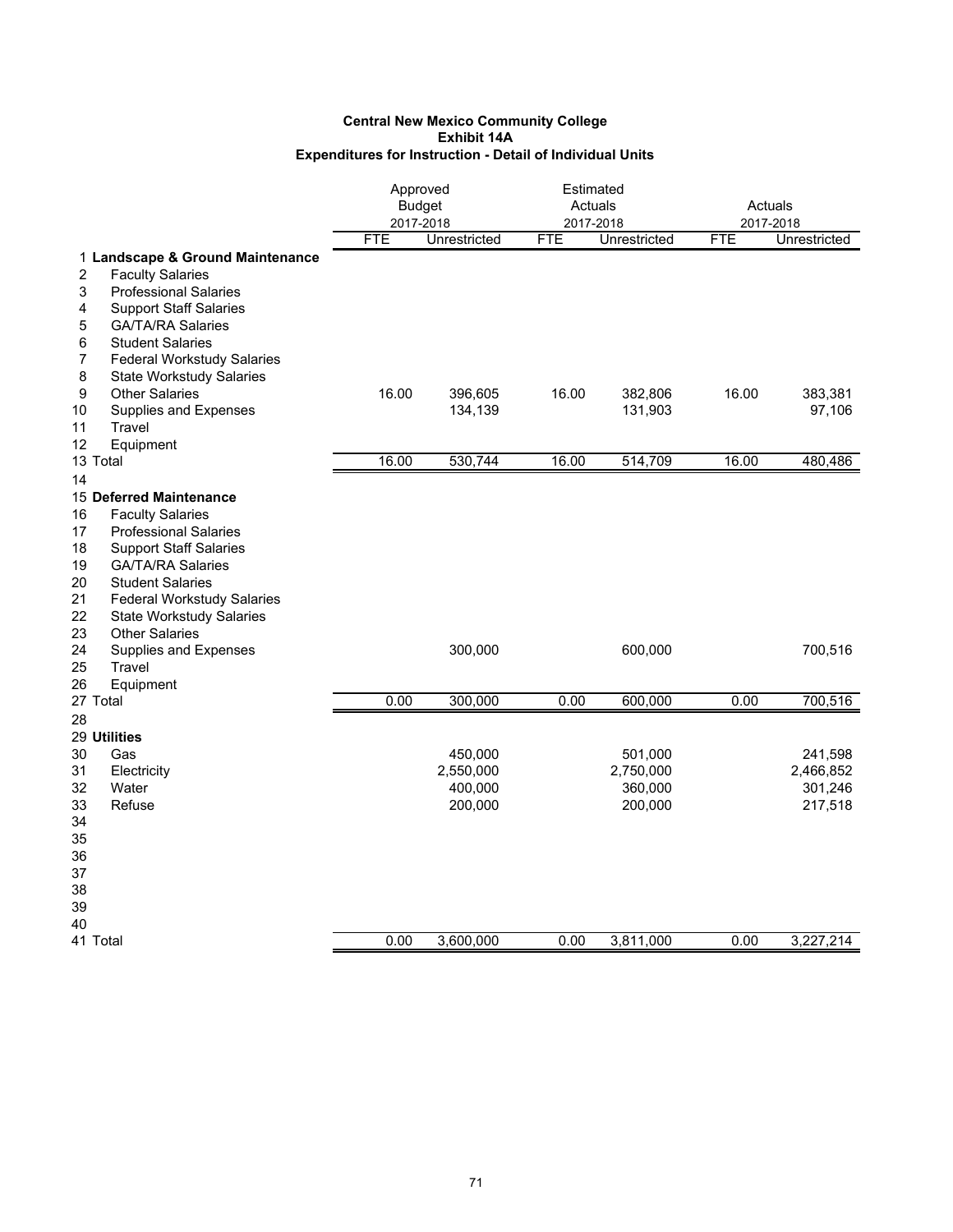### **Central New Mexico Community College Exhibit 14A Expenditures for Instruction - Detail of Individual Units**

|                                         | Approved<br><b>Budget</b><br>2017-2018<br><b>FTE</b><br>Unrestricted |           | Estimated<br>Actuals<br>2017-2018<br><b>FTE</b><br>Unrestricted |           | Actuals<br>2017-2018<br><b>FTE</b><br>Unrestricted |           |
|-----------------------------------------|----------------------------------------------------------------------|-----------|-----------------------------------------------------------------|-----------|----------------------------------------------------|-----------|
| 1 Landscape & Ground Maintenance        |                                                                      |           |                                                                 |           |                                                    |           |
| 2<br><b>Faculty Salaries</b>            |                                                                      |           |                                                                 |           |                                                    |           |
| 3<br><b>Professional Salaries</b>       |                                                                      |           |                                                                 |           |                                                    |           |
| 4<br><b>Support Staff Salaries</b>      |                                                                      |           |                                                                 |           |                                                    |           |
| 5<br><b>GA/TA/RA Salaries</b>           |                                                                      |           |                                                                 |           |                                                    |           |
| 6<br><b>Student Salaries</b>            |                                                                      |           |                                                                 |           |                                                    |           |
| 7<br><b>Federal Workstudy Salaries</b>  |                                                                      |           |                                                                 |           |                                                    |           |
| 8<br><b>State Workstudy Salaries</b>    |                                                                      |           |                                                                 |           |                                                    |           |
| 9<br><b>Other Salaries</b>              | 16.00                                                                | 396,605   | 16.00                                                           | 382,806   | 16.00                                              | 383,381   |
| 10<br>Supplies and Expenses             |                                                                      | 134,139   |                                                                 | 131,903   |                                                    | 97,106    |
| 11<br>Travel                            |                                                                      |           |                                                                 |           |                                                    |           |
| 12<br>Equipment                         |                                                                      |           |                                                                 |           |                                                    |           |
| 13 Total                                | 16.00                                                                | 530,744   | 16.00                                                           | 514,709   | 16.00                                              | 480,486   |
| 14                                      |                                                                      |           |                                                                 |           |                                                    |           |
| 15 Deferred Maintenance                 |                                                                      |           |                                                                 |           |                                                    |           |
| <b>Faculty Salaries</b><br>16           |                                                                      |           |                                                                 |           |                                                    |           |
| 17<br><b>Professional Salaries</b>      |                                                                      |           |                                                                 |           |                                                    |           |
| 18<br><b>Support Staff Salaries</b>     |                                                                      |           |                                                                 |           |                                                    |           |
| <b>GA/TA/RA Salaries</b><br>19          |                                                                      |           |                                                                 |           |                                                    |           |
| 20<br><b>Student Salaries</b>           |                                                                      |           |                                                                 |           |                                                    |           |
| 21<br><b>Federal Workstudy Salaries</b> |                                                                      |           |                                                                 |           |                                                    |           |
| 22<br><b>State Workstudy Salaries</b>   |                                                                      |           |                                                                 |           |                                                    |           |
| <b>Other Salaries</b><br>23             |                                                                      |           |                                                                 |           |                                                    |           |
| 24<br>Supplies and Expenses             |                                                                      | 300,000   |                                                                 | 600,000   |                                                    | 700,516   |
| 25<br>Travel                            |                                                                      |           |                                                                 |           |                                                    |           |
| 26<br>Equipment                         |                                                                      |           |                                                                 |           |                                                    |           |
| 27 Total                                | 0.00                                                                 | 300,000   | 0.00                                                            | 600,000   | 0.00                                               | 700,516   |
| 28                                      |                                                                      |           |                                                                 |           |                                                    |           |
| 29 Utilities                            |                                                                      |           |                                                                 |           |                                                    |           |
| 30<br>Gas                               |                                                                      | 450,000   |                                                                 | 501,000   |                                                    | 241,598   |
| 31<br>Electricity                       |                                                                      | 2,550,000 |                                                                 | 2,750,000 |                                                    | 2,466,852 |
| 32<br>Water                             |                                                                      | 400,000   |                                                                 | 360,000   |                                                    | 301,246   |
| 33<br>Refuse                            |                                                                      | 200,000   |                                                                 | 200,000   |                                                    | 217,518   |
| 34                                      |                                                                      |           |                                                                 |           |                                                    |           |
| 35                                      |                                                                      |           |                                                                 |           |                                                    |           |
| 36                                      |                                                                      |           |                                                                 |           |                                                    |           |
| 37                                      |                                                                      |           |                                                                 |           |                                                    |           |
| 38                                      |                                                                      |           |                                                                 |           |                                                    |           |
| 39                                      |                                                                      |           |                                                                 |           |                                                    |           |
| 40<br>41 Total                          | 0.00                                                                 | 3,600,000 | 0.00                                                            | 3,811,000 | 0.00                                               | 3,227,214 |
|                                         |                                                                      |           |                                                                 |           |                                                    |           |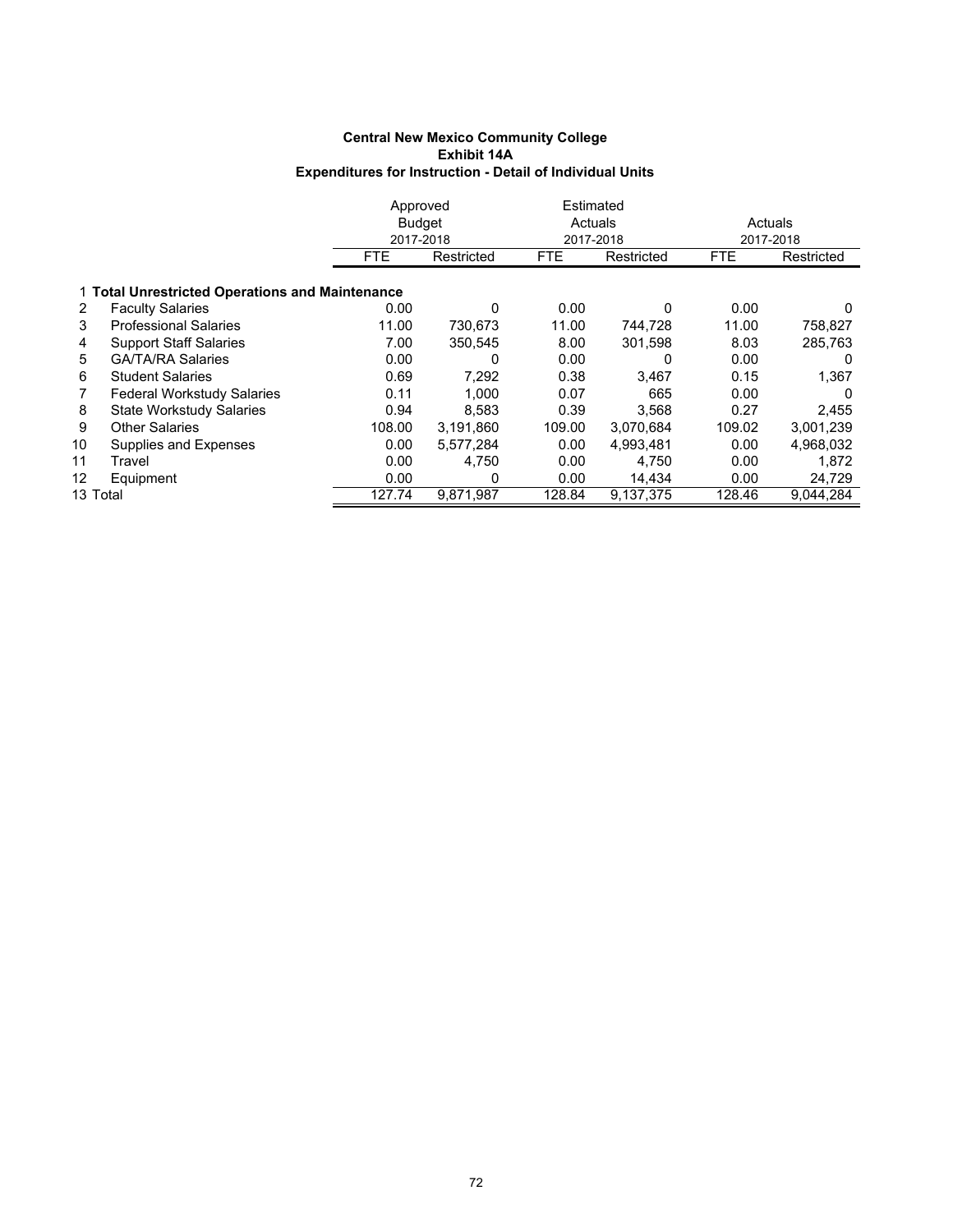### **Central New Mexico Community College Exhibit 14A Expenditures for Instruction - Detail of Individual Units**

|          |                                                 | Approved      |            |            | Estimated  |            |            |  |  |  |  |  |
|----------|-------------------------------------------------|---------------|------------|------------|------------|------------|------------|--|--|--|--|--|
|          |                                                 | <b>Budget</b> |            | Actuals    |            |            | Actuals    |  |  |  |  |  |
|          |                                                 | 2017-2018     |            | 2017-2018  |            |            | 2017-2018  |  |  |  |  |  |
|          |                                                 | <b>FTE</b>    | Restricted | <b>FTE</b> | Restricted | <b>FTE</b> | Restricted |  |  |  |  |  |
|          | 1 Total Unrestricted Operations and Maintenance |               |            |            |            |            |            |  |  |  |  |  |
| 2        | <b>Faculty Salaries</b>                         | 0.00          | 0          | 0.00       | 0          | 0.00       | 0          |  |  |  |  |  |
| 3        | <b>Professional Salaries</b>                    | 11.00         | 730,673    | 11.00      | 744,728    | 11.00      | 758,827    |  |  |  |  |  |
| 4        | <b>Support Staff Salaries</b>                   | 7.00          | 350,545    | 8.00       | 301,598    | 8.03       | 285,763    |  |  |  |  |  |
| 5.       | <b>GA/TA/RA Salaries</b>                        | 0.00          | 0          | 0.00       | 0          | 0.00       | $\Omega$   |  |  |  |  |  |
| 6        | <b>Student Salaries</b>                         | 0.69          | 7,292      | 0.38       | 3,467      | 0.15       | 1,367      |  |  |  |  |  |
|          | <b>Federal Workstudy Salaries</b>               | 0.11          | 1,000      | 0.07       | 665        | 0.00       | $\Omega$   |  |  |  |  |  |
| 8        | <b>State Workstudy Salaries</b>                 | 0.94          | 8,583      | 0.39       | 3,568      | 0.27       | 2,455      |  |  |  |  |  |
| 9        | <b>Other Salaries</b>                           | 108.00        | 3,191,860  | 109.00     | 3,070,684  | 109.02     | 3,001,239  |  |  |  |  |  |
| 10       | Supplies and Expenses                           | 0.00          | 5.577.284  | 0.00       | 4,993,481  | 0.00       | 4,968,032  |  |  |  |  |  |
| 11       | Travel                                          | 0.00          | 4,750      | 0.00       | 4,750      | 0.00       | 1,872      |  |  |  |  |  |
| 12       | Equipment                                       | 0.00          | 0          | 0.00       | 14,434     | 0.00       | 24,729     |  |  |  |  |  |
| 13 Total |                                                 | 127.74        | 9,871,987  | 128.84     | 9,137,375  | 128.46     | 9,044,284  |  |  |  |  |  |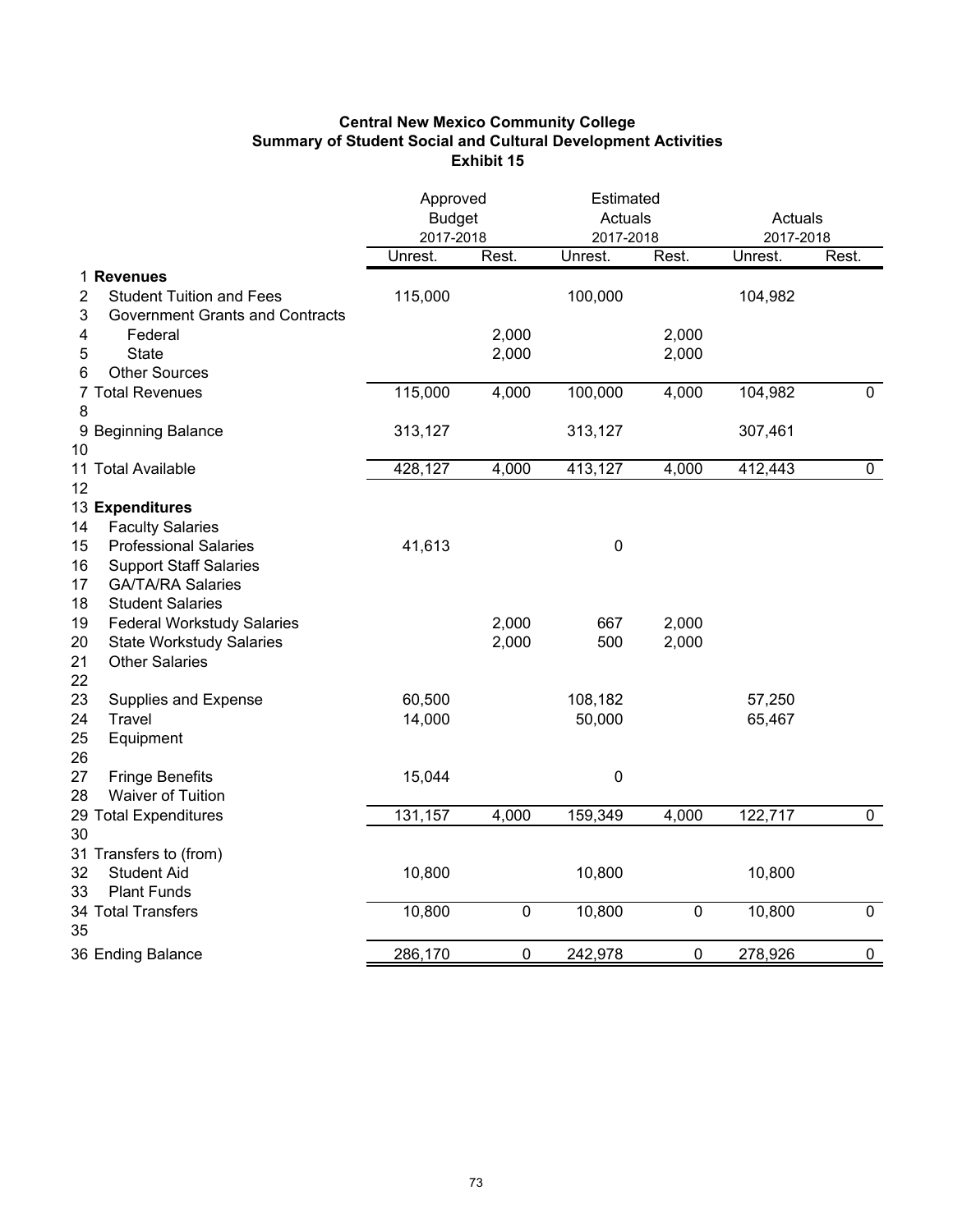# **Central New Mexico Community College Summary of Student Social and Cultural Development Activities Exhibit 15**

|                                                                                                                       | Approved<br><b>Budget</b><br>2017-2018 |                | Estimated<br>Actuals<br>2017-2018 |                | Actuals<br>2017-2018 |             |
|-----------------------------------------------------------------------------------------------------------------------|----------------------------------------|----------------|-----------------------------------|----------------|----------------------|-------------|
|                                                                                                                       | Unrest.                                | Rest.          | Unrest.                           | Rest.          | Unrest.              | Rest.       |
| 1 Revenues<br><b>Student Tuition and Fees</b><br>2<br>3<br><b>Government Grants and Contracts</b>                     | 115,000                                |                | 100,000                           |                | 104,982              |             |
| 4<br>Federal                                                                                                          |                                        | 2,000          |                                   | 2,000          |                      |             |
| 5<br><b>State</b><br><b>Other Sources</b><br>6                                                                        |                                        | 2,000          |                                   | 2,000          |                      |             |
| 7 Total Revenues<br>8                                                                                                 | 115,000                                | 4,000          | 100,000                           | 4,000          | 104,982              | $\mathbf 0$ |
| 9 Beginning Balance<br>10                                                                                             | 313,127                                |                | 313,127                           |                | 307,461              |             |
| 11 Total Available                                                                                                    | 428,127                                | 4,000          | 413,127                           | 4,000          | 412,443              | $\pmb{0}$   |
| 12<br>13 Expenditures                                                                                                 |                                        |                |                                   |                |                      |             |
| <b>Faculty Salaries</b><br>14                                                                                         |                                        |                |                                   |                |                      |             |
| <b>Professional Salaries</b><br>15<br><b>Support Staff Salaries</b><br>16<br><b>GA/TA/RA Salaries</b><br>17           | 41,613                                 |                | $\pmb{0}$                         |                |                      |             |
| <b>Student Salaries</b><br>18                                                                                         |                                        |                |                                   |                |                      |             |
| <b>Federal Workstudy Salaries</b><br>19<br>20<br><b>State Workstudy Salaries</b><br>21<br><b>Other Salaries</b><br>22 |                                        | 2,000<br>2,000 | 667<br>500                        | 2,000<br>2,000 |                      |             |
| 23<br><b>Supplies and Expense</b>                                                                                     | 60,500                                 |                | 108,182                           |                | 57,250               |             |
| 24<br>Travel<br>25<br>Equipment<br>26                                                                                 | 14,000                                 |                | 50,000                            |                | 65,467               |             |
| 27<br><b>Fringe Benefits</b><br>Waiver of Tuition<br>28                                                               | 15,044                                 |                | $\pmb{0}$                         |                |                      |             |
| 29 Total Expenditures                                                                                                 | 131,157                                | 4,000          | 159,349                           | 4,000          | 122,717              | $\mathbf 0$ |
| 30<br>31 Transfers to (from)                                                                                          |                                        |                |                                   |                |                      |             |
| 32<br><b>Student Aid</b><br><b>Plant Funds</b><br>33                                                                  | 10,800                                 |                | 10,800                            |                | 10,800               |             |
| 34 Total Transfers<br>35                                                                                              | 10,800                                 | $\pmb{0}$      | 10,800                            | $\pmb{0}$      | 10,800               | $\mathbf 0$ |
| 36 Ending Balance                                                                                                     | 286,170                                | 0              | 242,978                           | 0              | 278,926              | $\mathbf 0$ |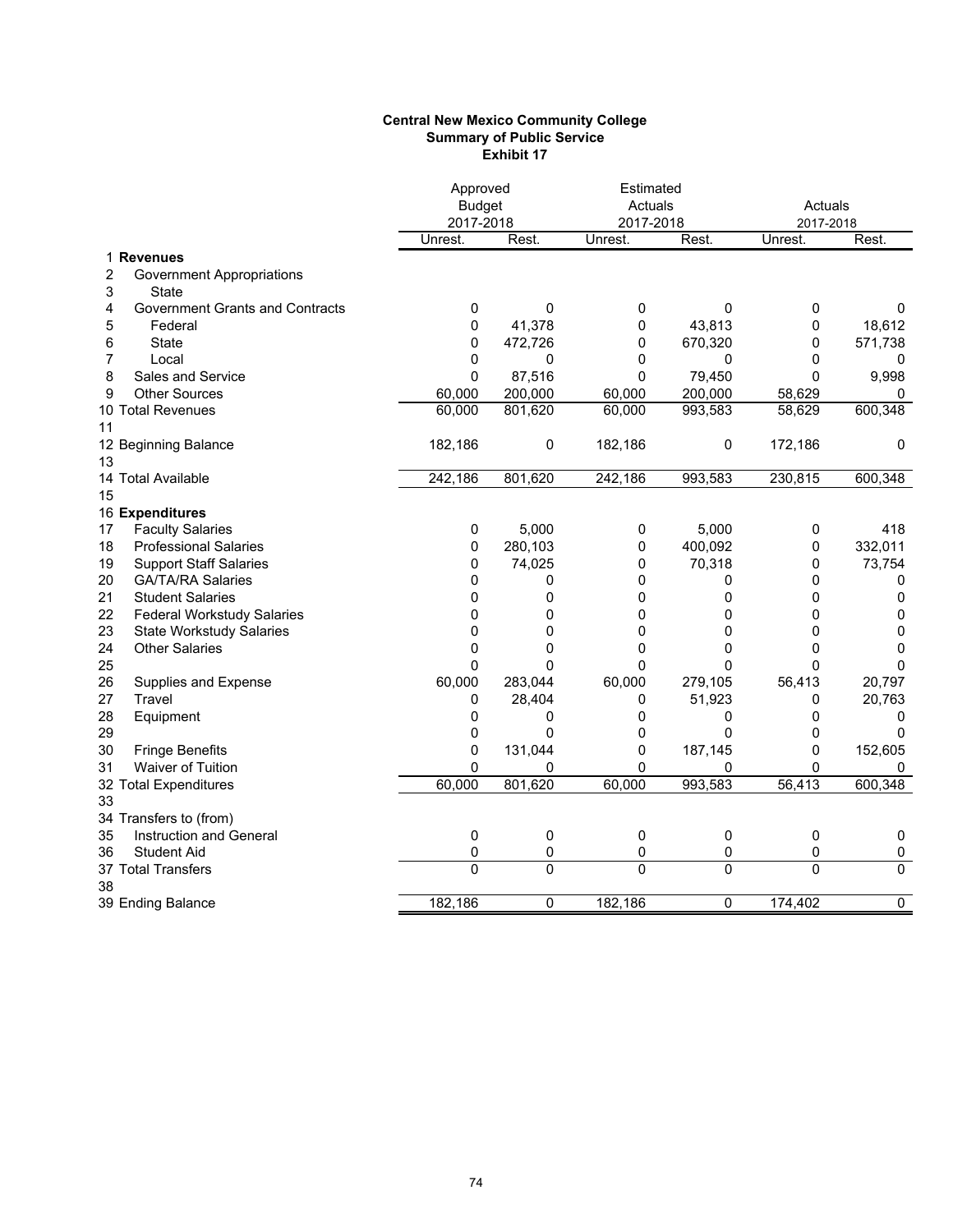#### **Central New Mexico Community College Summary of Public Service Exhibit 17**

|                                         | Approved       |                | Estimated |                |           |             |
|-----------------------------------------|----------------|----------------|-----------|----------------|-----------|-------------|
|                                         | <b>Budget</b>  |                | Actuals   |                | Actuals   |             |
|                                         | 2017-2018      |                | 2017-2018 |                | 2017-2018 |             |
|                                         | Unrest.        | Rest.          | Unrest.   | Rest.          | Unrest.   | Rest.       |
| 1 Revenues                              |                |                |           |                |           |             |
| 2<br><b>Government Appropriations</b>   |                |                |           |                |           |             |
| 3<br><b>State</b>                       |                |                |           |                |           |             |
| 4<br>Government Grants and Contracts    | 0              | 0              | 0         | 0              | 0         | 0           |
| 5<br>Federal                            | 0              | 41,378         | 0         | 43,813         | 0         | 18,612      |
| 6<br><b>State</b>                       | 0              | 472,726        | 0         | 670,320        | 0         | 571,738     |
| 7<br>Local                              | 0              | 0              | 0         | 0              | 0         | 0           |
| 8<br>Sales and Service                  | 0              | 87,516         | $\Omega$  | 79,450         | 0         | 9,998       |
| <b>Other Sources</b><br>9               | 60,000         | 200,000        | 60,000    | 200,000        | 58,629    | 0           |
| 10 Total Revenues                       | 60,000         | 801,620        | 60,000    | 993,583        | 58,629    | 600,348     |
| 11                                      |                |                |           |                |           |             |
| 12 Beginning Balance                    | 182,186        | 0              | 182,186   | 0              | 172,186   | $\mathbf 0$ |
| 13                                      |                |                |           |                |           |             |
| 14 Total Available                      | 242,186        | 801,620        | 242,186   | 993,583        | 230,815   | 600,348     |
| 15                                      |                |                |           |                |           |             |
| 16 Expenditures                         |                |                |           |                |           |             |
| 17<br><b>Faculty Salaries</b>           | 0              | 5,000          | 0         | 5,000          | 0         | 418         |
| 18<br><b>Professional Salaries</b>      | 0              | 280,103        | 0         | 400,092        | 0         | 332,011     |
| <b>Support Staff Salaries</b><br>19     | 0              | 74,025         | 0         | 70,318         | 0         | 73,754      |
| 20<br><b>GA/TA/RA Salaries</b>          | 0              | 0              | 0         | 0              | 0         | 0           |
| 21<br><b>Student Salaries</b>           | 0              | 0              | 0         | 0              | 0         | 0           |
| 22<br><b>Federal Workstudy Salaries</b> | 0              | 0              | 0         | 0              | 0         | 0           |
| 23<br><b>State Workstudy Salaries</b>   | 0              | 0              | 0         | 0              | 0         | $\mathbf 0$ |
| 24<br><b>Other Salaries</b>             | 0              | 0              | 0         | 0              | 0         | 0           |
| 25                                      | 0              | $\overline{0}$ | 0         | 0              | 0         | 0           |
| 26<br>Supplies and Expense              | 60,000         | 283,044        | 60,000    | 279,105        | 56,413    | 20,797      |
| Travel<br>27                            | 0              | 28,404         | 0         | 51,923         | 0         | 20,763      |
| 28<br>Equipment                         | 0              | 0              | 0         | 0              | 0         | 0           |
| 29                                      | 0              | $\mathbf{0}$   | 0         | 0              | 0         | $\Omega$    |
| 30<br><b>Fringe Benefits</b>            | 0              | 131,044        | 0         | 187,145        | 0         | 152,605     |
| Waiver of Tuition<br>31                 | $\overline{0}$ | 0              | $\Omega$  | 0              | $\Omega$  | 0           |
| 32 Total Expenditures                   | 60,000         | 801,620        | 60,000    | 993,583        | 56,413    | 600,348     |
| 33                                      |                |                |           |                |           |             |
| 34 Transfers to (from)                  |                |                |           |                |           |             |
| 35<br>Instruction and General           | 0              | $\pmb{0}$      | 0         | 0              | 0         | $\pmb{0}$   |
| 36<br><b>Student Aid</b>                | $\mathbf 0$    | 0              | 0         | 0              | 0         | $\pmb{0}$   |
| 37 Total Transfers                      | $\mathbf 0$    | $\overline{0}$ | $\Omega$  | 0              | $\Omega$  | $\mathbf 0$ |
| 38                                      |                |                |           |                |           |             |
| 39 Ending Balance                       | 182,186        | 0              | 182,186   | $\overline{0}$ | 174,402   | 0           |
|                                         |                |                |           |                |           |             |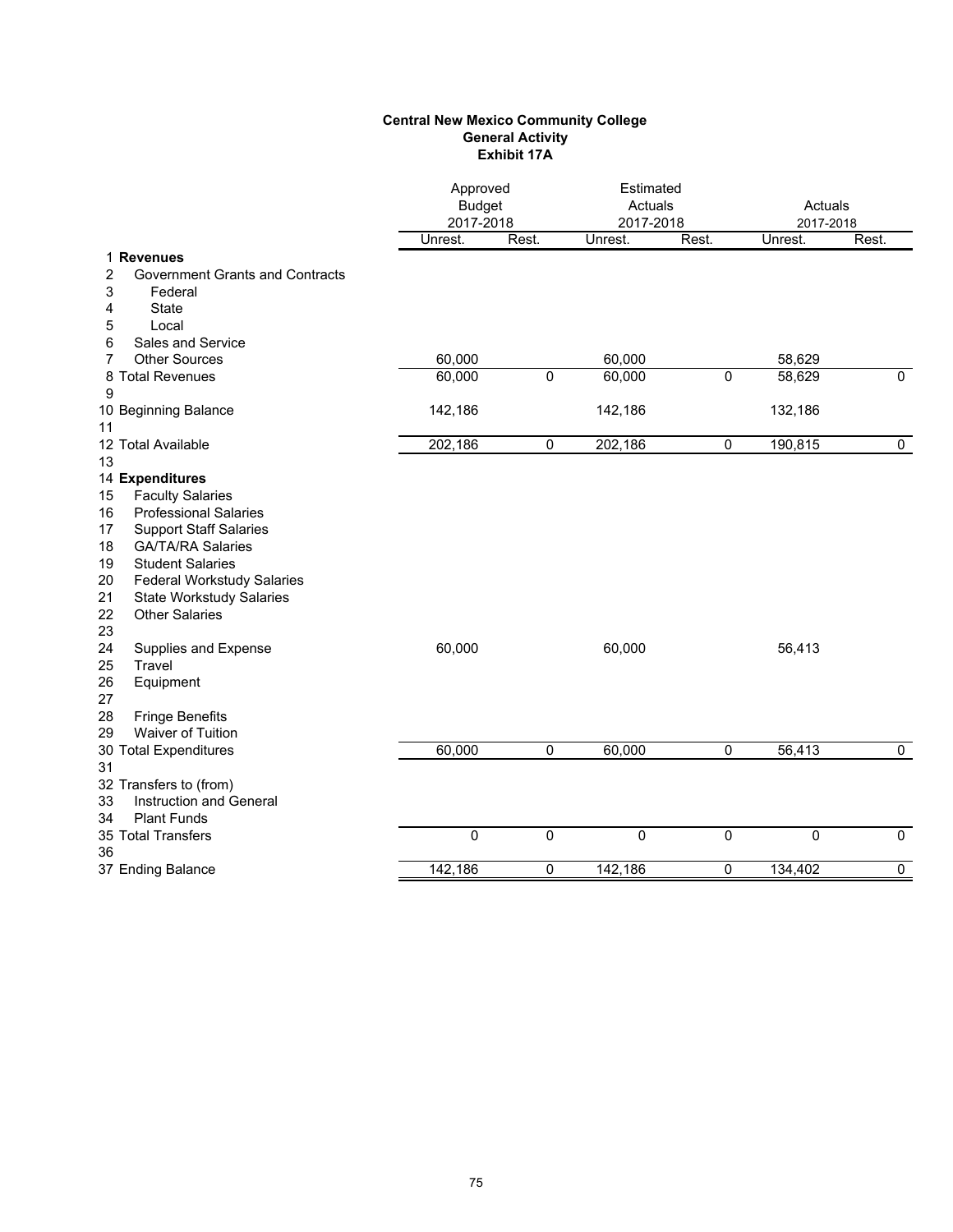### **Central New Mexico Community College General Activity Exhibit 17A**

|                                                                                                                                                                                                                                                                                                                                                         |                  | Approved<br><b>Budget</b><br>2017-2018 |                  | Estimated<br>Actuals<br>2017-2018 |                  | Actuals<br>2017-2018 |
|---------------------------------------------------------------------------------------------------------------------------------------------------------------------------------------------------------------------------------------------------------------------------------------------------------------------------------------------------------|------------------|----------------------------------------|------------------|-----------------------------------|------------------|----------------------|
|                                                                                                                                                                                                                                                                                                                                                         | Unrest.          | Rest.                                  | Unrest.          | Rest.                             | Unrest.          | Rest.                |
| 1 Revenues<br><b>Government Grants and Contracts</b><br>2<br>3<br>Federal<br><b>State</b><br>4<br>5<br>Local                                                                                                                                                                                                                                            |                  |                                        |                  |                                   |                  |                      |
| Sales and Service<br>6                                                                                                                                                                                                                                                                                                                                  |                  |                                        |                  |                                   |                  |                      |
| <b>Other Sources</b><br>7<br>8 Total Revenues<br>9                                                                                                                                                                                                                                                                                                      | 60,000<br>60,000 | $\mathbf{0}$                           | 60,000<br>60,000 | $\overline{0}$                    | 58,629<br>58,629 | $\mathbf{0}$         |
| 10 Beginning Balance<br>11                                                                                                                                                                                                                                                                                                                              | 142,186          |                                        | 142,186          |                                   | 132,186          |                      |
| 12 Total Available<br>13                                                                                                                                                                                                                                                                                                                                | 202,186          | 0                                      | 202,186          | $\mathbf 0$                       | 190,815          | 0                    |
| 14 Expenditures<br><b>Faculty Salaries</b><br>15<br><b>Professional Salaries</b><br>16<br><b>Support Staff Salaries</b><br>17<br>18<br><b>GA/TA/RA Salaries</b><br><b>Student Salaries</b><br>19<br>20<br><b>Federal Workstudy Salaries</b><br>21<br><b>State Workstudy Salaries</b><br><b>Other Salaries</b><br>22<br>23<br>24<br>Supplies and Expense | 60,000           |                                        | 60,000           |                                   | 56,413           |                      |
| Travel<br>25<br>26<br>Equipment<br>27<br><b>Fringe Benefits</b><br>28<br><b>Waiver of Tuition</b><br>29<br>30 Total Expenditures<br>31                                                                                                                                                                                                                  | 60,000           | $\mathbf 0$                            | 60,000           | $\mathbf 0$                       | 56,413           | $\mathbf 0$          |
| 32 Transfers to (from)<br>33<br>Instruction and General<br><b>Plant Funds</b><br>34                                                                                                                                                                                                                                                                     |                  |                                        |                  |                                   |                  |                      |
| 35 Total Transfers<br>36                                                                                                                                                                                                                                                                                                                                | $\mathbf 0$      | 0                                      | $\mathbf 0$      | $\mathbf 0$                       | 0                | $\mathbf 0$          |
| 37 Ending Balance                                                                                                                                                                                                                                                                                                                                       | 142,186          | 0                                      | 142,186          | 0                                 | 134,402          | $\overline{0}$       |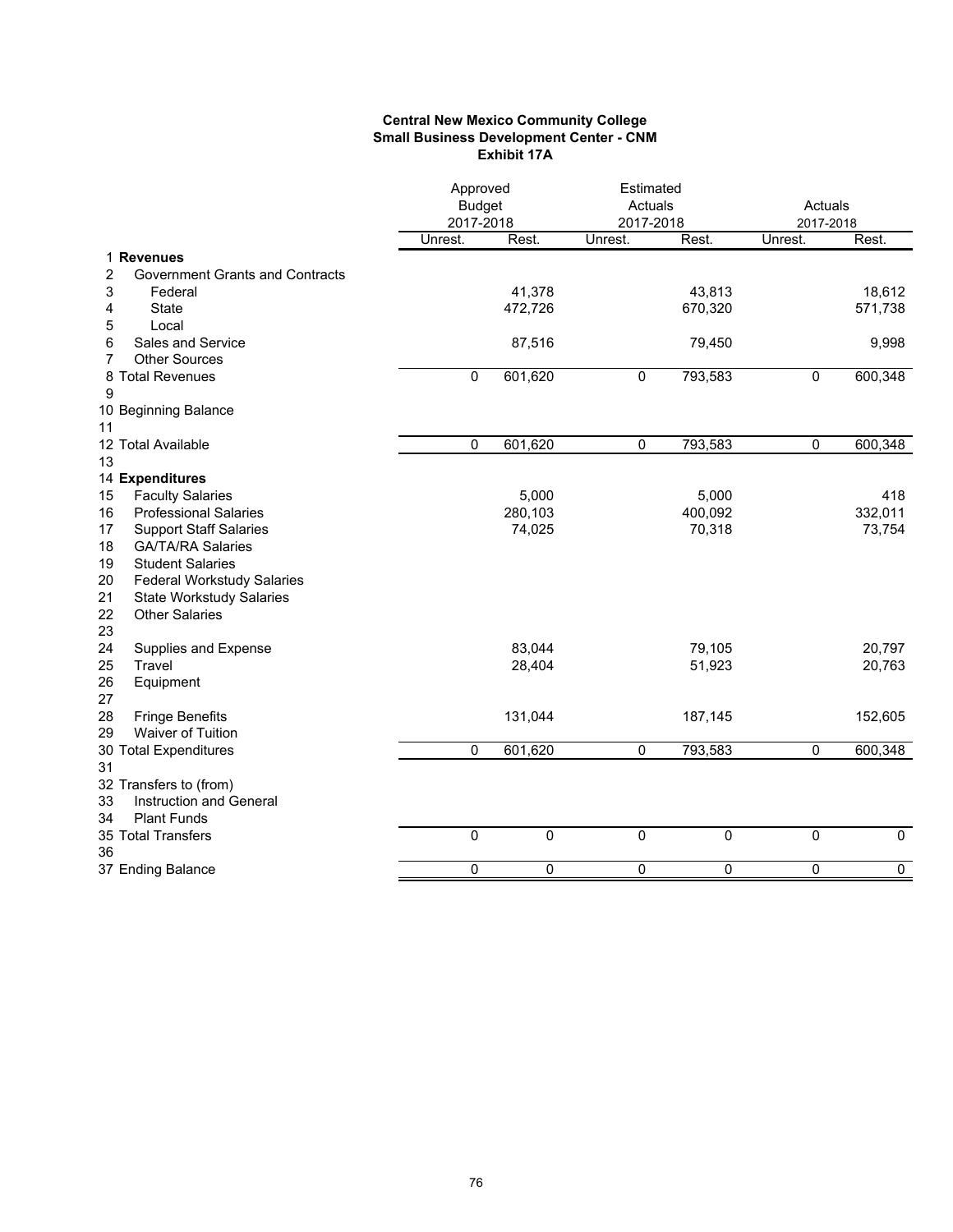### **Central New Mexico Community College Small Business Development Center - CNM Exhibit 17A**

|                                                     |             | Approved<br><b>Budget</b><br>2017-2018 |             | Estimated<br>Actuals<br>2017-2018 |             | Actuals<br>2017-2018 |
|-----------------------------------------------------|-------------|----------------------------------------|-------------|-----------------------------------|-------------|----------------------|
|                                                     | Unrest.     | Rest.                                  | Unrest.     | Rest.                             | Unrest.     | Rest.                |
| 1 Revenues                                          |             |                                        |             |                                   |             |                      |
| 2<br><b>Government Grants and Contracts</b>         |             |                                        |             |                                   |             |                      |
| 3<br>Federal                                        |             | 41,378                                 |             | 43,813                            |             | 18,612               |
| 4<br><b>State</b>                                   |             | 472,726                                |             | 670,320                           |             | 571,738              |
| Local<br>5                                          |             |                                        |             |                                   |             |                      |
| Sales and Service<br>6<br>7<br><b>Other Sources</b> |             | 87,516                                 |             | 79,450                            |             | 9,998                |
|                                                     | $\mathbf 0$ | 601,620                                |             | 793,583                           | $\mathbf 0$ | 600,348              |
| 8 Total Revenues<br>9                               |             |                                        | 0           |                                   |             |                      |
| 10 Beginning Balance                                |             |                                        |             |                                   |             |                      |
| 11                                                  |             |                                        |             |                                   |             |                      |
| 12 Total Available                                  | 0           | 601,620                                | 0           | 793,583                           | $\mathbf 0$ | 600,348              |
| 13                                                  |             |                                        |             |                                   |             |                      |
| 14 Expenditures                                     |             |                                        |             |                                   |             |                      |
| <b>Faculty Salaries</b><br>15                       |             | 5,000                                  |             | 5,000                             |             | 418                  |
| <b>Professional Salaries</b><br>16                  |             | 280,103                                |             | 400,092                           |             | 332,011              |
| 17<br><b>Support Staff Salaries</b>                 |             | 74,025                                 |             | 70,318                            |             | 73,754               |
| 18<br><b>GA/TA/RA Salaries</b>                      |             |                                        |             |                                   |             |                      |
| 19<br><b>Student Salaries</b>                       |             |                                        |             |                                   |             |                      |
| 20<br><b>Federal Workstudy Salaries</b>             |             |                                        |             |                                   |             |                      |
| 21<br><b>State Workstudy Salaries</b>               |             |                                        |             |                                   |             |                      |
| 22<br><b>Other Salaries</b>                         |             |                                        |             |                                   |             |                      |
| 23                                                  |             |                                        |             |                                   |             |                      |
| 24<br>Supplies and Expense                          |             | 83,044                                 |             | 79,105                            |             | 20,797               |
| 25<br>Travel                                        |             | 28,404                                 |             | 51,923                            |             | 20,763               |
| 26<br>Equipment                                     |             |                                        |             |                                   |             |                      |
| 27                                                  |             |                                        |             |                                   |             |                      |
| 28<br><b>Fringe Benefits</b>                        |             | 131,044                                |             | 187,145                           |             | 152,605              |
| Waiver of Tuition<br>29                             |             |                                        |             |                                   |             |                      |
| 30 Total Expenditures                               | $\mathbf 0$ | 601,620                                | 0           | 793,583                           | $\mathbf 0$ | 600,348              |
| 31                                                  |             |                                        |             |                                   |             |                      |
| 32 Transfers to (from)                              |             |                                        |             |                                   |             |                      |
| 33<br>Instruction and General                       |             |                                        |             |                                   |             |                      |
| 34<br><b>Plant Funds</b>                            |             |                                        |             |                                   |             |                      |
| 35 Total Transfers                                  | $\mathbf 0$ | $\mathbf 0$                            | $\mathbf 0$ | $\mathbf 0$                       | $\mathbf 0$ | $\mathbf 0$          |
| 36                                                  |             |                                        |             |                                   |             |                      |
| 37 Ending Balance                                   | $\mathbf 0$ | $\mathbf 0$                            | $\mathbf 0$ | $\mathbf 0$                       | $\mathbf 0$ | $\overline{0}$       |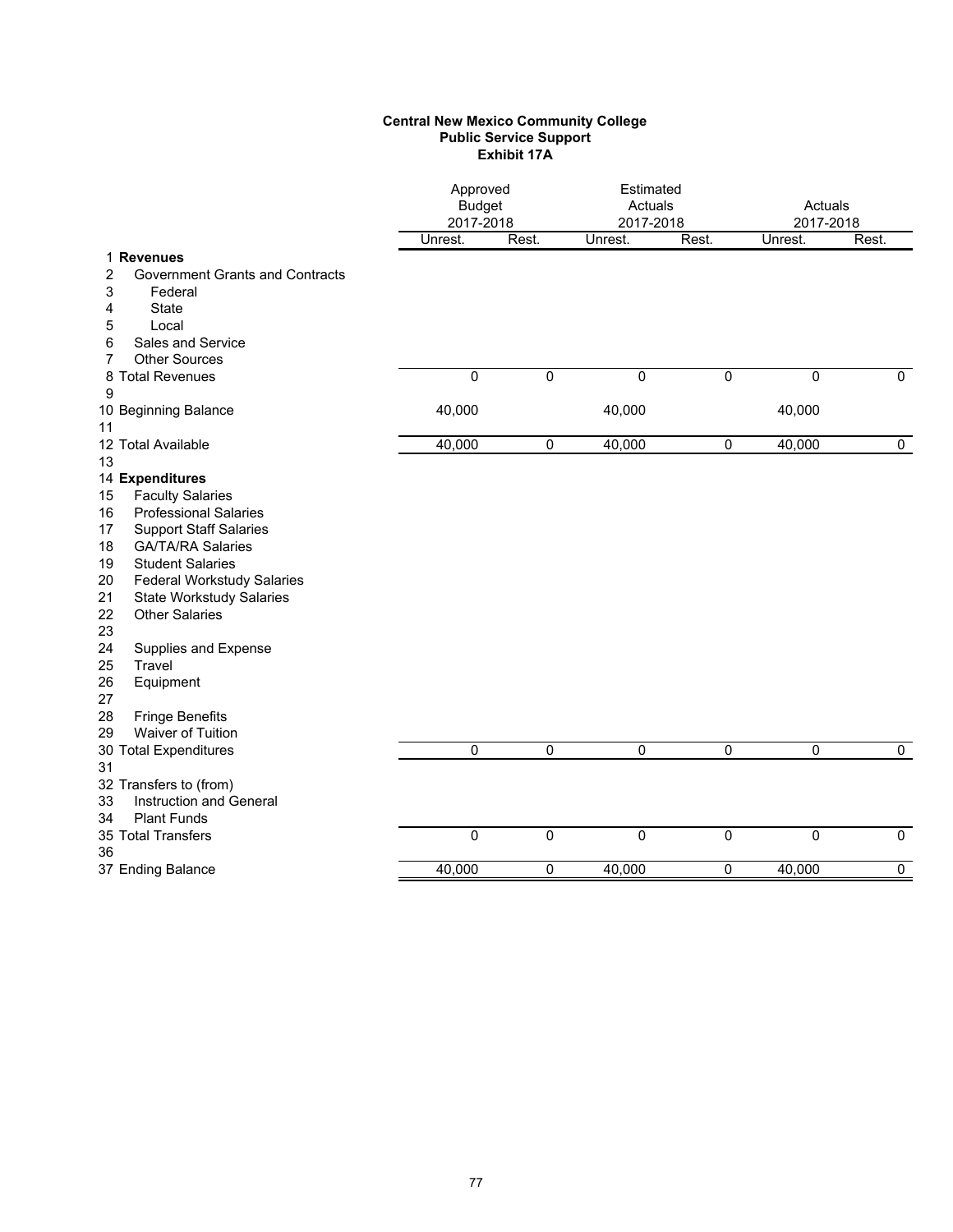### **Central New Mexico Community College Public Service Support Exhibit 17A**

| Rest.<br>Rest.<br>Rest.<br>Unrest.<br>Unrest.<br>Unrest.<br>1 Revenues<br>$\overline{\mathbf{c}}$<br><b>Government Grants and Contracts</b><br>3<br>Federal<br><b>State</b><br>4<br>5<br>Local<br>Sales and Service<br>6<br><b>Other Sources</b><br>7<br>$\mathbf 0$<br>0<br>$\overline{0}$<br>$\overline{0}$<br>0<br>8 Total Revenues<br>$\mathbf 0$<br>9<br>40,000<br>40,000<br>40,000<br>10 Beginning Balance<br>11<br>12 Total Available<br>40,000<br>0<br>40,000<br>$\pmb{0}$<br>40,000<br>$\mathbf 0$<br>13<br>14 Expenditures<br><b>Faculty Salaries</b><br>15<br><b>Professional Salaries</b><br>16<br>17<br><b>Support Staff Salaries</b><br><b>GA/TA/RA Salaries</b><br>18<br><b>Student Salaries</b><br>19<br>20<br><b>Federal Workstudy Salaries</b><br>21<br><b>State Workstudy Salaries</b><br><b>Other Salaries</b><br>22<br>23<br>24<br>Supplies and Expense<br>25<br>Travel<br>26<br>Equipment<br>27<br><b>Fringe Benefits</b><br>28<br>Waiver of Tuition<br>29<br>$\mathbf 0$<br>$\mathbf 0$<br>0<br>$\mathbf 0$<br>$\mathbf 0$<br>$\mathbf 0$<br>30 Total Expenditures<br>31<br>32 Transfers to (from)<br>Instruction and General<br>33<br><b>Plant Funds</b><br>34<br>35 Total Transfers<br>$\mathbf 0$<br>0<br>$\mathbf 0$<br>$\mathbf 0$<br>0<br>$\mathbf 0$<br>36<br>$\overline{0}$<br>40,000<br>0<br>40,000<br>0<br>40,000<br>37 Ending Balance | Approved<br><b>Budget</b><br>2017-2018 |  | Estimated<br>Actuals<br>2017-2018 |  | Actuals<br>2017-2018 |  |
|-------------------------------------------------------------------------------------------------------------------------------------------------------------------------------------------------------------------------------------------------------------------------------------------------------------------------------------------------------------------------------------------------------------------------------------------------------------------------------------------------------------------------------------------------------------------------------------------------------------------------------------------------------------------------------------------------------------------------------------------------------------------------------------------------------------------------------------------------------------------------------------------------------------------------------------------------------------------------------------------------------------------------------------------------------------------------------------------------------------------------------------------------------------------------------------------------------------------------------------------------------------------------------------------------------------------------------------------------------------------------|----------------------------------------|--|-----------------------------------|--|----------------------|--|
|                                                                                                                                                                                                                                                                                                                                                                                                                                                                                                                                                                                                                                                                                                                                                                                                                                                                                                                                                                                                                                                                                                                                                                                                                                                                                                                                                                         |                                        |  |                                   |  |                      |  |
|                                                                                                                                                                                                                                                                                                                                                                                                                                                                                                                                                                                                                                                                                                                                                                                                                                                                                                                                                                                                                                                                                                                                                                                                                                                                                                                                                                         |                                        |  |                                   |  |                      |  |
|                                                                                                                                                                                                                                                                                                                                                                                                                                                                                                                                                                                                                                                                                                                                                                                                                                                                                                                                                                                                                                                                                                                                                                                                                                                                                                                                                                         |                                        |  |                                   |  |                      |  |
|                                                                                                                                                                                                                                                                                                                                                                                                                                                                                                                                                                                                                                                                                                                                                                                                                                                                                                                                                                                                                                                                                                                                                                                                                                                                                                                                                                         |                                        |  |                                   |  |                      |  |
|                                                                                                                                                                                                                                                                                                                                                                                                                                                                                                                                                                                                                                                                                                                                                                                                                                                                                                                                                                                                                                                                                                                                                                                                                                                                                                                                                                         |                                        |  |                                   |  |                      |  |
|                                                                                                                                                                                                                                                                                                                                                                                                                                                                                                                                                                                                                                                                                                                                                                                                                                                                                                                                                                                                                                                                                                                                                                                                                                                                                                                                                                         |                                        |  |                                   |  |                      |  |
|                                                                                                                                                                                                                                                                                                                                                                                                                                                                                                                                                                                                                                                                                                                                                                                                                                                                                                                                                                                                                                                                                                                                                                                                                                                                                                                                                                         |                                        |  |                                   |  |                      |  |
|                                                                                                                                                                                                                                                                                                                                                                                                                                                                                                                                                                                                                                                                                                                                                                                                                                                                                                                                                                                                                                                                                                                                                                                                                                                                                                                                                                         |                                        |  |                                   |  |                      |  |
|                                                                                                                                                                                                                                                                                                                                                                                                                                                                                                                                                                                                                                                                                                                                                                                                                                                                                                                                                                                                                                                                                                                                                                                                                                                                                                                                                                         |                                        |  |                                   |  |                      |  |
|                                                                                                                                                                                                                                                                                                                                                                                                                                                                                                                                                                                                                                                                                                                                                                                                                                                                                                                                                                                                                                                                                                                                                                                                                                                                                                                                                                         |                                        |  |                                   |  |                      |  |
|                                                                                                                                                                                                                                                                                                                                                                                                                                                                                                                                                                                                                                                                                                                                                                                                                                                                                                                                                                                                                                                                                                                                                                                                                                                                                                                                                                         |                                        |  |                                   |  |                      |  |
|                                                                                                                                                                                                                                                                                                                                                                                                                                                                                                                                                                                                                                                                                                                                                                                                                                                                                                                                                                                                                                                                                                                                                                                                                                                                                                                                                                         |                                        |  |                                   |  |                      |  |
|                                                                                                                                                                                                                                                                                                                                                                                                                                                                                                                                                                                                                                                                                                                                                                                                                                                                                                                                                                                                                                                                                                                                                                                                                                                                                                                                                                         |                                        |  |                                   |  |                      |  |
|                                                                                                                                                                                                                                                                                                                                                                                                                                                                                                                                                                                                                                                                                                                                                                                                                                                                                                                                                                                                                                                                                                                                                                                                                                                                                                                                                                         |                                        |  |                                   |  |                      |  |
|                                                                                                                                                                                                                                                                                                                                                                                                                                                                                                                                                                                                                                                                                                                                                                                                                                                                                                                                                                                                                                                                                                                                                                                                                                                                                                                                                                         |                                        |  |                                   |  |                      |  |
|                                                                                                                                                                                                                                                                                                                                                                                                                                                                                                                                                                                                                                                                                                                                                                                                                                                                                                                                                                                                                                                                                                                                                                                                                                                                                                                                                                         |                                        |  |                                   |  |                      |  |
|                                                                                                                                                                                                                                                                                                                                                                                                                                                                                                                                                                                                                                                                                                                                                                                                                                                                                                                                                                                                                                                                                                                                                                                                                                                                                                                                                                         |                                        |  |                                   |  |                      |  |
|                                                                                                                                                                                                                                                                                                                                                                                                                                                                                                                                                                                                                                                                                                                                                                                                                                                                                                                                                                                                                                                                                                                                                                                                                                                                                                                                                                         |                                        |  |                                   |  |                      |  |
|                                                                                                                                                                                                                                                                                                                                                                                                                                                                                                                                                                                                                                                                                                                                                                                                                                                                                                                                                                                                                                                                                                                                                                                                                                                                                                                                                                         |                                        |  |                                   |  |                      |  |
|                                                                                                                                                                                                                                                                                                                                                                                                                                                                                                                                                                                                                                                                                                                                                                                                                                                                                                                                                                                                                                                                                                                                                                                                                                                                                                                                                                         |                                        |  |                                   |  |                      |  |
|                                                                                                                                                                                                                                                                                                                                                                                                                                                                                                                                                                                                                                                                                                                                                                                                                                                                                                                                                                                                                                                                                                                                                                                                                                                                                                                                                                         |                                        |  |                                   |  |                      |  |
|                                                                                                                                                                                                                                                                                                                                                                                                                                                                                                                                                                                                                                                                                                                                                                                                                                                                                                                                                                                                                                                                                                                                                                                                                                                                                                                                                                         |                                        |  |                                   |  |                      |  |
|                                                                                                                                                                                                                                                                                                                                                                                                                                                                                                                                                                                                                                                                                                                                                                                                                                                                                                                                                                                                                                                                                                                                                                                                                                                                                                                                                                         |                                        |  |                                   |  |                      |  |
|                                                                                                                                                                                                                                                                                                                                                                                                                                                                                                                                                                                                                                                                                                                                                                                                                                                                                                                                                                                                                                                                                                                                                                                                                                                                                                                                                                         |                                        |  |                                   |  |                      |  |
|                                                                                                                                                                                                                                                                                                                                                                                                                                                                                                                                                                                                                                                                                                                                                                                                                                                                                                                                                                                                                                                                                                                                                                                                                                                                                                                                                                         |                                        |  |                                   |  |                      |  |
|                                                                                                                                                                                                                                                                                                                                                                                                                                                                                                                                                                                                                                                                                                                                                                                                                                                                                                                                                                                                                                                                                                                                                                                                                                                                                                                                                                         |                                        |  |                                   |  |                      |  |
|                                                                                                                                                                                                                                                                                                                                                                                                                                                                                                                                                                                                                                                                                                                                                                                                                                                                                                                                                                                                                                                                                                                                                                                                                                                                                                                                                                         |                                        |  |                                   |  |                      |  |
|                                                                                                                                                                                                                                                                                                                                                                                                                                                                                                                                                                                                                                                                                                                                                                                                                                                                                                                                                                                                                                                                                                                                                                                                                                                                                                                                                                         |                                        |  |                                   |  |                      |  |
|                                                                                                                                                                                                                                                                                                                                                                                                                                                                                                                                                                                                                                                                                                                                                                                                                                                                                                                                                                                                                                                                                                                                                                                                                                                                                                                                                                         |                                        |  |                                   |  |                      |  |
|                                                                                                                                                                                                                                                                                                                                                                                                                                                                                                                                                                                                                                                                                                                                                                                                                                                                                                                                                                                                                                                                                                                                                                                                                                                                                                                                                                         |                                        |  |                                   |  |                      |  |
|                                                                                                                                                                                                                                                                                                                                                                                                                                                                                                                                                                                                                                                                                                                                                                                                                                                                                                                                                                                                                                                                                                                                                                                                                                                                                                                                                                         |                                        |  |                                   |  |                      |  |
|                                                                                                                                                                                                                                                                                                                                                                                                                                                                                                                                                                                                                                                                                                                                                                                                                                                                                                                                                                                                                                                                                                                                                                                                                                                                                                                                                                         |                                        |  |                                   |  |                      |  |
|                                                                                                                                                                                                                                                                                                                                                                                                                                                                                                                                                                                                                                                                                                                                                                                                                                                                                                                                                                                                                                                                                                                                                                                                                                                                                                                                                                         |                                        |  |                                   |  |                      |  |
|                                                                                                                                                                                                                                                                                                                                                                                                                                                                                                                                                                                                                                                                                                                                                                                                                                                                                                                                                                                                                                                                                                                                                                                                                                                                                                                                                                         |                                        |  |                                   |  |                      |  |
|                                                                                                                                                                                                                                                                                                                                                                                                                                                                                                                                                                                                                                                                                                                                                                                                                                                                                                                                                                                                                                                                                                                                                                                                                                                                                                                                                                         |                                        |  |                                   |  |                      |  |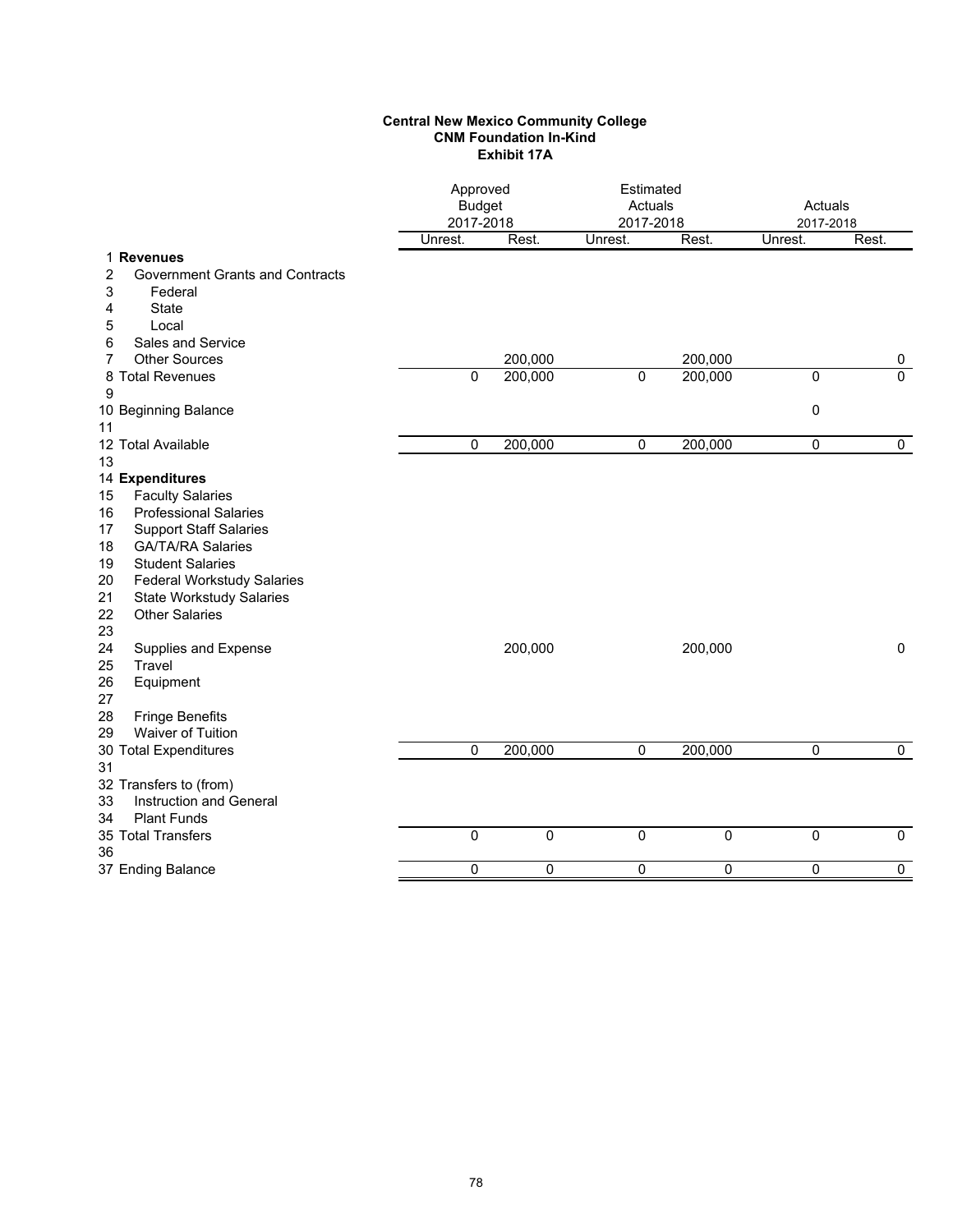### **Central New Mexico Community College CNM Foundation In-Kind Exhibit 17A**

|                                                                      | Approved<br><b>Budget</b><br>2017-2018 |             | Estimated<br>Actuals<br>2017-2018 |             | Actuals<br>2017-2018 |                |
|----------------------------------------------------------------------|----------------------------------------|-------------|-----------------------------------|-------------|----------------------|----------------|
|                                                                      | Unrest.                                | Rest.       | Unrest.                           | Rest.       | Unrest.              | Rest.          |
| 1 Revenues                                                           |                                        |             |                                   |             |                      |                |
| 2<br><b>Government Grants and Contracts</b><br>3<br>Federal          |                                        |             |                                   |             |                      |                |
| <b>State</b><br>4                                                    |                                        |             |                                   |             |                      |                |
| 5<br>Local                                                           |                                        |             |                                   |             |                      |                |
| Sales and Service<br>6                                               |                                        |             |                                   |             |                      |                |
| <b>Other Sources</b><br>7                                            |                                        | 200,000     |                                   | 200,000     |                      | 0              |
| 8 Total Revenues                                                     | $\Omega$                               | 200,000     | $\mathbf 0$                       | 200,000     | $\mathbf 0$          | $\overline{0}$ |
| 9                                                                    |                                        |             |                                   |             |                      |                |
| 10 Beginning Balance                                                 |                                        |             |                                   |             | $\mathbf 0$          |                |
| 11                                                                   |                                        |             |                                   |             |                      |                |
| 12 Total Available                                                   | 0                                      | 200,000     | 0                                 | 200,000     | $\pmb{0}$            | $\mathbf 0$    |
| 13                                                                   |                                        |             |                                   |             |                      |                |
| 14 Expenditures                                                      |                                        |             |                                   |             |                      |                |
| <b>Faculty Salaries</b><br>15                                        |                                        |             |                                   |             |                      |                |
| <b>Professional Salaries</b><br>16                                   |                                        |             |                                   |             |                      |                |
| <b>Support Staff Salaries</b><br>17                                  |                                        |             |                                   |             |                      |                |
| <b>GA/TA/RA Salaries</b><br>18                                       |                                        |             |                                   |             |                      |                |
| 19<br><b>Student Salaries</b>                                        |                                        |             |                                   |             |                      |                |
| 20<br><b>Federal Workstudy Salaries</b>                              |                                        |             |                                   |             |                      |                |
| 21<br><b>State Workstudy Salaries</b><br><b>Other Salaries</b><br>22 |                                        |             |                                   |             |                      |                |
| 23                                                                   |                                        |             |                                   |             |                      |                |
| 24<br>Supplies and Expense                                           |                                        | 200,000     |                                   | 200,000     |                      | $\pmb{0}$      |
| 25<br>Travel                                                         |                                        |             |                                   |             |                      |                |
| 26<br>Equipment                                                      |                                        |             |                                   |             |                      |                |
| 27                                                                   |                                        |             |                                   |             |                      |                |
| 28<br><b>Fringe Benefits</b>                                         |                                        |             |                                   |             |                      |                |
| Waiver of Tuition<br>29                                              |                                        |             |                                   |             |                      |                |
| 30 Total Expenditures                                                | $\mathbf 0$                            | 200,000     | $\mathbf 0$                       | 200,000     | 0                    | 0              |
| 31                                                                   |                                        |             |                                   |             |                      |                |
| 32 Transfers to (from)                                               |                                        |             |                                   |             |                      |                |
| Instruction and General<br>33                                        |                                        |             |                                   |             |                      |                |
| <b>Plant Funds</b><br>34                                             |                                        |             |                                   |             |                      |                |
| 35 Total Transfers                                                   | $\mathbf 0$                            | $\mathbf 0$ | 0                                 | $\mathbf 0$ | 0                    | $\mathbf 0$    |
| 36                                                                   |                                        |             |                                   |             |                      |                |
| 37 Ending Balance                                                    | $\mathbf 0$                            | 0           | 0                                 | $\mathbf 0$ | 0                    | $\mathbf 0$    |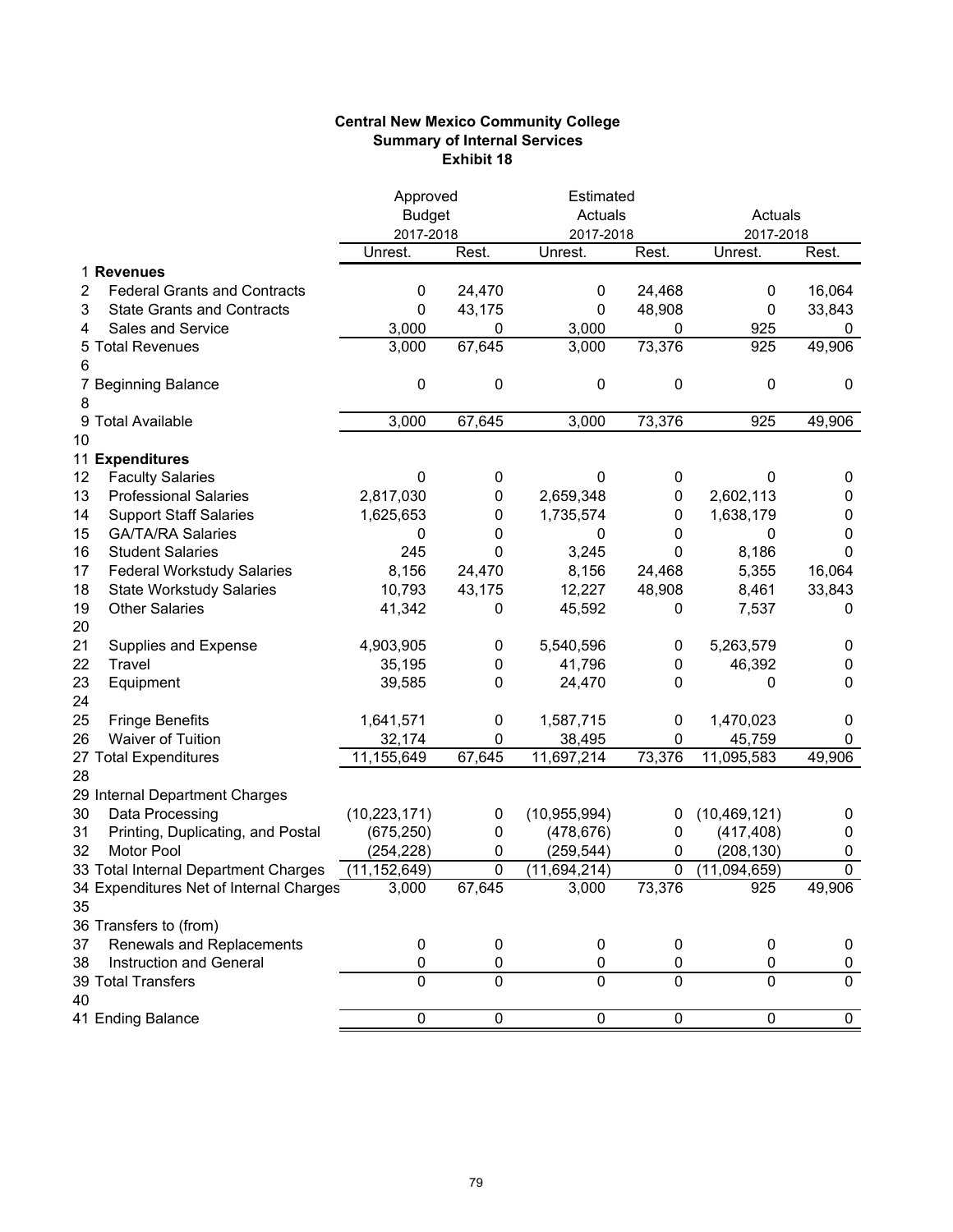## **Central New Mexico Community College Summary of Internal Services Exhibit 18**

|    |                                         | Approved       |                | Estimated      |                |                |                |
|----|-----------------------------------------|----------------|----------------|----------------|----------------|----------------|----------------|
|    |                                         | <b>Budget</b>  |                | Actuals        |                | Actuals        |                |
|    |                                         | 2017-2018      |                | 2017-2018      |                | 2017-2018      |                |
|    |                                         | Unrest.        | Rest.          | Unrest.        | Rest.          | Unrest.        | Rest.          |
|    | 1 Revenues                              |                |                |                |                |                |                |
| 2  | <b>Federal Grants and Contracts</b>     | 0              | 24,470         | 0              | 24,468         | 0              | 16,064         |
| 3  | <b>State Grants and Contracts</b>       | 0              | 43,175         | 0              | 48,908         | 0              | 33,843         |
| 4  | Sales and Service                       | 3,000          | 0              | 3,000          | 0              | 925            | 0              |
| 5  | <b>Total Revenues</b>                   | 3,000          | 67,645         | 3,000          | 73,376         | 925            | 49,906         |
| 6  |                                         |                |                |                |                |                |                |
|    | 7 Beginning Balance                     | 0              | 0              | 0              | 0              | 0              | 0              |
| 8  |                                         |                |                |                |                |                |                |
| 9  | <b>Total Available</b>                  | 3,000          | 67,645         | 3,000          | 73,376         | 925            | 49,906         |
| 10 |                                         |                |                |                |                |                |                |
|    | 11 Expenditures                         |                |                |                |                |                |                |
| 12 | <b>Faculty Salaries</b>                 | 0              | 0              | 0              | 0              | 0              | 0              |
| 13 | <b>Professional Salaries</b>            | 2,817,030      | 0              | 2,659,348      | 0              | 2,602,113      | 0              |
| 14 | <b>Support Staff Salaries</b>           | 1,625,653      | 0              | 1,735,574      | 0              | 1,638,179      | 0              |
| 15 | <b>GA/TA/RA Salaries</b>                | 0              | 0              | 0              | 0              | 0              | 0              |
| 16 | <b>Student Salaries</b>                 | 245            | 0              | 3,245          | 0              | 8,186          | 0              |
| 17 | <b>Federal Workstudy Salaries</b>       | 8,156          | 24,470         | 8,156          | 24,468         | 5,355          | 16,064         |
| 18 | <b>State Workstudy Salaries</b>         | 10,793         | 43,175         | 12,227         | 48,908         | 8,461          | 33,843         |
| 19 | <b>Other Salaries</b>                   | 41,342         | 0              | 45,592         | 0              | 7,537          | 0              |
| 20 |                                         |                |                |                |                |                |                |
| 21 | Supplies and Expense                    | 4,903,905      | 0              | 5,540,596      | 0              | 5,263,579      | 0              |
| 22 | Travel                                  | 35,195         | 0              | 41,796         | 0              | 46,392         | 0              |
| 23 | Equipment                               | 39,585         | 0              | 24,470         | 0              | 0              | 0              |
| 24 |                                         |                |                |                |                |                |                |
| 25 | <b>Fringe Benefits</b>                  | 1,641,571      | 0              | 1,587,715      | 0              | 1,470,023      | 0              |
| 26 | Waiver of Tuition                       | 32,174         | 0              | 38,495         | 0              | 45,759         | 0              |
|    | 27 Total Expenditures                   | 11,155,649     | 67,645         | 11,697,214     | 73,376         | 11,095,583     | 49,906         |
| 28 |                                         |                |                |                |                |                |                |
|    | 29 Internal Department Charges          |                |                |                |                |                |                |
| 30 | Data Processing                         | (10, 223, 171) | 0              | (10, 955, 994) | 0              | (10, 469, 121) | 0              |
| 31 | Printing, Duplicating, and Postal       | (675, 250)     | 0              | (478, 676)     | 0              | (417, 408)     | 0              |
| 32 | <b>Motor Pool</b>                       | (254,228)      | 0              | (259,544)      | 0              | (208, 130)     | 0              |
|    | 33 Total Internal Department Charges    | (11, 152, 649) | 0              | (11,694,214)   | 0              | (11,094,659)   | $\overline{0}$ |
|    | 34 Expenditures Net of Internal Charges | 3,000          | 67,645         | 3,000          | 73,376         | 925            | 49,906         |
| 35 |                                         |                |                |                |                |                |                |
|    | 36 Transfers to (from)                  |                |                |                |                |                |                |
| 37 | Renewals and Replacements               | 0              | $\pmb{0}$      | 0              | 0              | 0              | 0              |
| 38 | Instruction and General                 | 0              | 0              | 0              | 0              | 0              | 0              |
|    | 39 Total Transfers                      | $\mathbf{0}$   | $\overline{0}$ | $\overline{0}$ | 0              | $\overline{0}$ | $\overline{0}$ |
| 40 |                                         |                |                |                |                |                |                |
|    | 41 Ending Balance                       | $\overline{0}$ | $\overline{0}$ | $\overline{0}$ | $\overline{0}$ | $\overline{0}$ | $\overline{0}$ |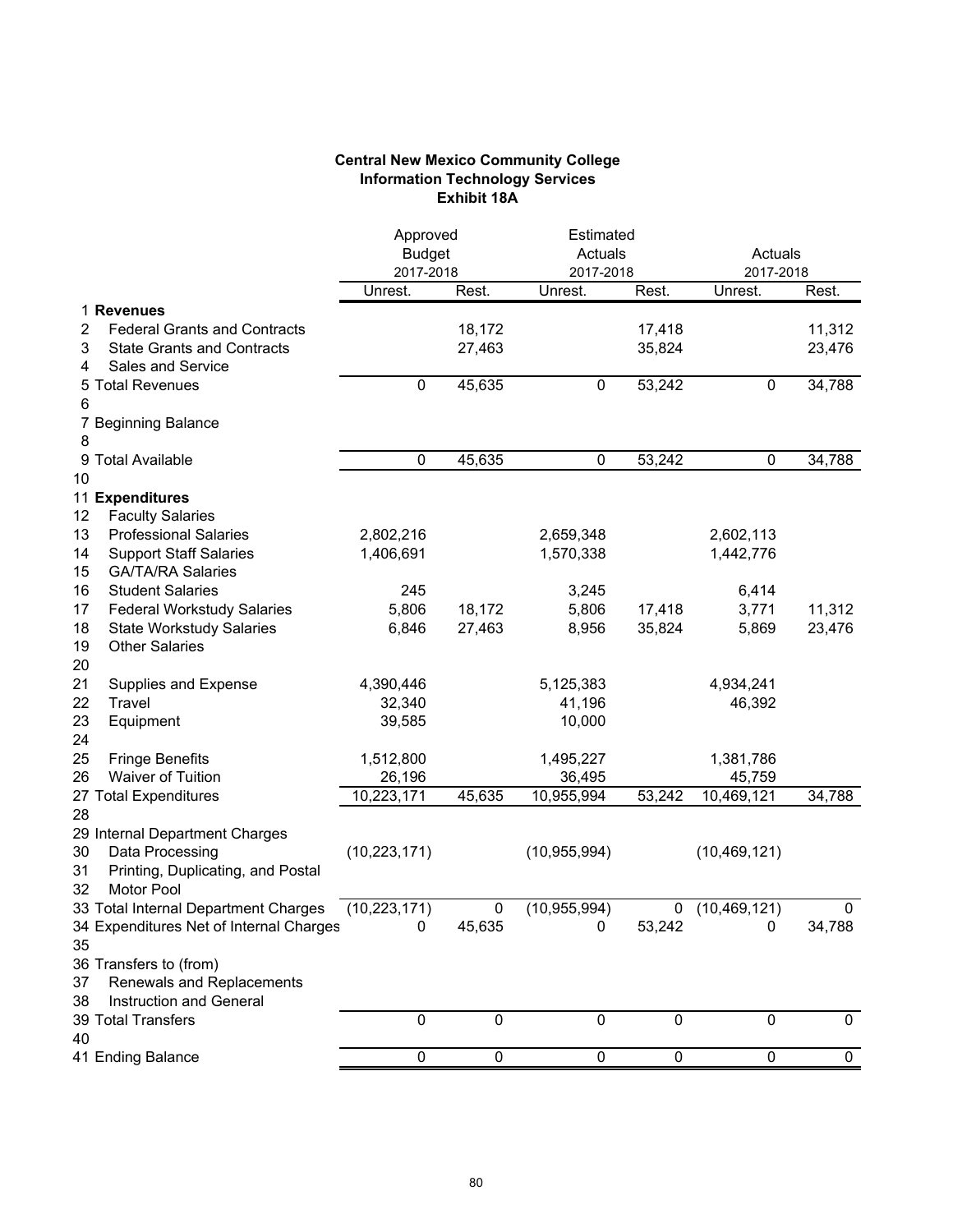## **Central New Mexico Community College Information Technology Services Exhibit 18A**

|              |                                                                                        | Approved<br><b>Budget</b><br>2017-2018 |                  |                | Estimated<br>Actuals<br>2017-2018 |                | Actuals<br>2017-2018 |
|--------------|----------------------------------------------------------------------------------------|----------------------------------------|------------------|----------------|-----------------------------------|----------------|----------------------|
|              |                                                                                        | Unrest.                                | Rest.            | Unrest.        | Rest.                             | Unrest.        | Rest.                |
| 2<br>3       | 1 Revenues<br><b>Federal Grants and Contracts</b><br><b>State Grants and Contracts</b> |                                        | 18,172<br>27,463 |                | 17,418<br>35,824                  |                | 11,312<br>23,476     |
| 4<br>5.<br>6 | <b>Sales and Service</b><br><b>Total Revenues</b>                                      | 0                                      | 45,635           | 0              | 53,242                            | 0              | 34,788               |
| 7<br>8       | <b>Beginning Balance</b>                                                               |                                        |                  |                |                                   |                |                      |
| 9            | <b>Total Available</b>                                                                 | 0                                      | 45,635           | 0              | 53,242                            | 0              | 34,788               |
| 10           |                                                                                        |                                        |                  |                |                                   |                |                      |
|              | 11 Expenditures                                                                        |                                        |                  |                |                                   |                |                      |
| 12           | <b>Faculty Salaries</b>                                                                |                                        |                  |                |                                   |                |                      |
| 13           | <b>Professional Salaries</b>                                                           | 2,802,216                              |                  | 2,659,348      |                                   | 2,602,113      |                      |
| 14           | <b>Support Staff Salaries</b>                                                          | 1,406,691                              |                  | 1,570,338      |                                   | 1,442,776      |                      |
| 15<br>16     | <b>GA/TA/RA Salaries</b><br><b>Student Salaries</b>                                    | 245                                    |                  | 3,245          |                                   | 6,414          |                      |
| 17           | <b>Federal Workstudy Salaries</b>                                                      | 5,806                                  | 18,172           | 5,806          | 17,418                            | 3,771          | 11,312               |
| 18           | <b>State Workstudy Salaries</b>                                                        | 6,846                                  | 27,463           | 8,956          | 35,824                            | 5,869          | 23,476               |
| 19           | <b>Other Salaries</b>                                                                  |                                        |                  |                |                                   |                |                      |
| 20           |                                                                                        |                                        |                  |                |                                   |                |                      |
| 21           | Supplies and Expense                                                                   | 4,390,446                              |                  | 5,125,383      |                                   | 4,934,241      |                      |
| 22           | Travel                                                                                 | 32,340                                 |                  | 41,196         |                                   | 46,392         |                      |
| 23           | Equipment                                                                              | 39,585                                 |                  | 10,000         |                                   |                |                      |
| 24           |                                                                                        |                                        |                  |                |                                   |                |                      |
| 25           | <b>Fringe Benefits</b>                                                                 | 1,512,800                              |                  | 1,495,227      |                                   | 1,381,786      |                      |
| 26           | <b>Waiver of Tuition</b>                                                               | 26,196                                 |                  | 36,495         |                                   | 45,759         |                      |
|              | 27 Total Expenditures                                                                  | 10,223,171                             | 45,635           | 10,955,994     | 53,242                            | 10,469,121     | 34,788               |
| 28           |                                                                                        |                                        |                  |                |                                   |                |                      |
| 30           | 29 Internal Department Charges<br>Data Processing                                      | (10, 223, 171)                         |                  | (10, 955, 994) |                                   | (10, 469, 121) |                      |
| 31           | Printing, Duplicating, and Postal                                                      |                                        |                  |                |                                   |                |                      |
| 32           | <b>Motor Pool</b>                                                                      |                                        |                  |                |                                   |                |                      |
|              | 33 Total Internal Department Charges                                                   | (10, 223, 171)                         | $\pmb{0}$        | (10, 955, 994) | 0                                 | (10, 469, 121) | $\pmb{0}$            |
|              | 34 Expenditures Net of Internal Charges                                                | $\pmb{0}$                              | 45,635           | $\pmb{0}$      | 53,242                            | $\pmb{0}$      | 34,788               |
| 35           |                                                                                        |                                        |                  |                |                                   |                |                      |
|              | 36 Transfers to (from)                                                                 |                                        |                  |                |                                   |                |                      |
| 37           | Renewals and Replacements                                                              |                                        |                  |                |                                   |                |                      |
| 38           | Instruction and General                                                                |                                        |                  |                |                                   |                |                      |
|              | 39 Total Transfers                                                                     | $\pmb{0}$                              | $\mathbf 0$      | $\mathbf 0$    | 0                                 | $\mathbf 0$    | 0                    |
| 40           | 41 Ending Balance                                                                      | 0                                      | $\pmb{0}$        | $\overline{0}$ | 0                                 | 0              | $\mathbf 0$          |
|              |                                                                                        |                                        |                  |                |                                   |                |                      |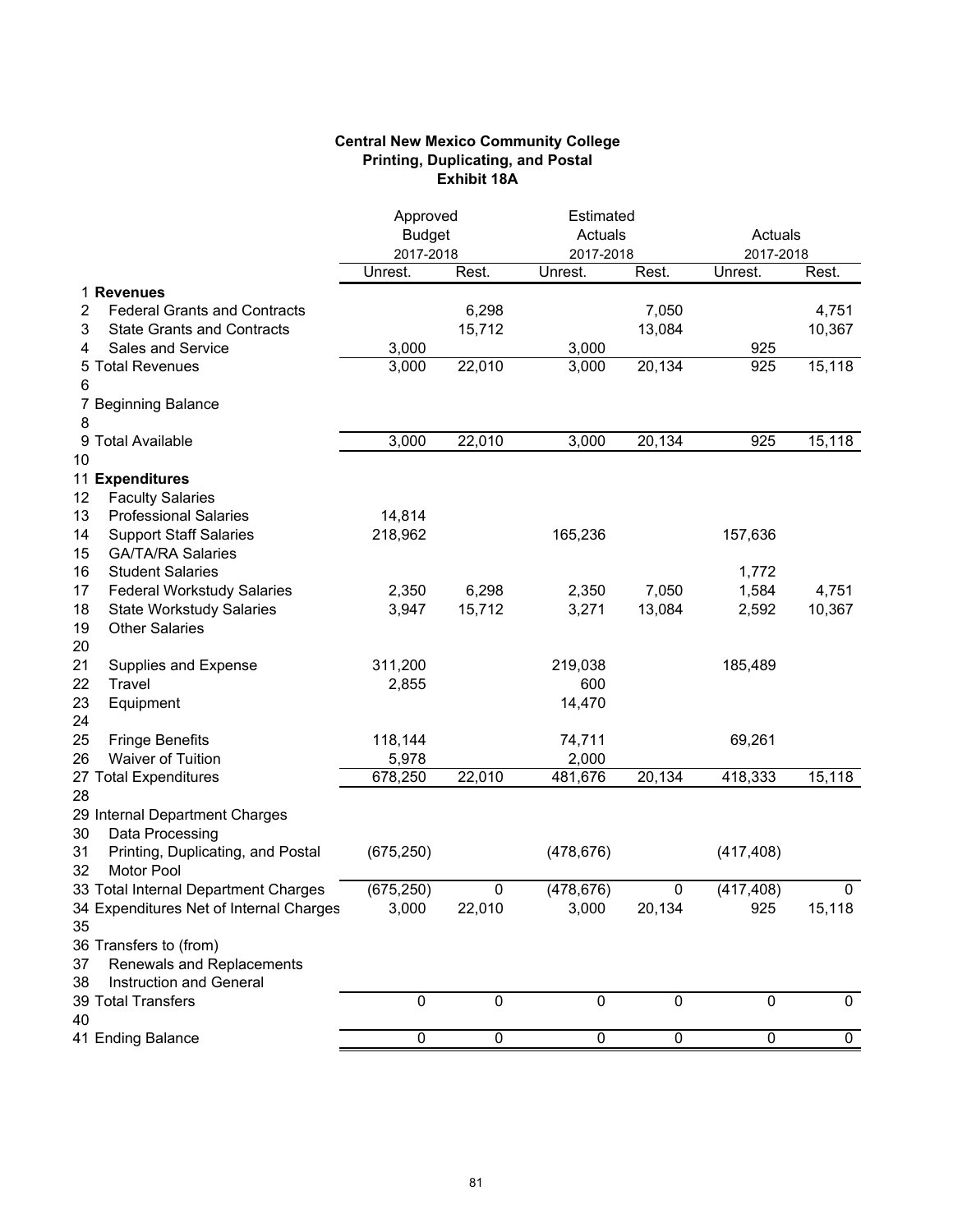# **Central New Mexico Community College Printing, Duplicating, and Postal Exhibit 18A**

|    |                                         | Approved       |                | Estimated      |                |                |             |
|----|-----------------------------------------|----------------|----------------|----------------|----------------|----------------|-------------|
|    |                                         | <b>Budget</b>  |                | Actuals        |                | Actuals        |             |
|    |                                         | 2017-2018      |                | 2017-2018      |                | 2017-2018      |             |
|    |                                         | Unrest.        | Rest.          | Unrest.        | Rest.          | Unrest.        | Rest.       |
|    | 1 Revenues                              |                |                |                |                |                |             |
| 2  | <b>Federal Grants and Contracts</b>     |                | 6,298          |                | 7,050          |                | 4,751       |
| 3  | <b>State Grants and Contracts</b>       |                | 15,712         |                | 13,084         |                | 10,367      |
| 4  | Sales and Service                       | 3,000          |                | 3,000          |                | 925            |             |
| 5  | <b>Total Revenues</b>                   | 3,000          | 22,010         | 3,000          | 20,134         | 925            | 15,118      |
| 6  |                                         |                |                |                |                |                |             |
|    | 7 Beginning Balance                     |                |                |                |                |                |             |
| 8  |                                         |                |                |                |                |                |             |
| 9  | <b>Total Available</b>                  | 3,000          | 22,010         | 3,000          | 20,134         | 925            | 15,118      |
| 10 |                                         |                |                |                |                |                |             |
|    | 11 Expenditures                         |                |                |                |                |                |             |
| 12 | <b>Faculty Salaries</b>                 |                |                |                |                |                |             |
| 13 | <b>Professional Salaries</b>            | 14,814         |                |                |                |                |             |
| 14 | <b>Support Staff Salaries</b>           | 218,962        |                | 165,236        |                | 157,636        |             |
| 15 | <b>GA/TA/RA Salaries</b>                |                |                |                |                |                |             |
| 16 | <b>Student Salaries</b>                 |                |                |                |                | 1,772          |             |
| 17 | <b>Federal Workstudy Salaries</b>       | 2,350          | 6,298          | 2,350          | 7,050          | 1,584          | 4,751       |
| 18 | <b>State Workstudy Salaries</b>         | 3,947          | 15,712         | 3,271          | 13,084         | 2,592          | 10,367      |
| 19 | <b>Other Salaries</b>                   |                |                |                |                |                |             |
| 20 |                                         |                |                |                |                |                |             |
| 21 | Supplies and Expense                    | 311,200        |                | 219,038        |                | 185,489        |             |
| 22 | Travel                                  | 2,855          |                | 600            |                |                |             |
| 23 | Equipment                               |                |                | 14,470         |                |                |             |
| 24 |                                         |                |                |                |                |                |             |
| 25 | <b>Fringe Benefits</b>                  | 118,144        |                | 74,711         |                | 69,261         |             |
| 26 | Waiver of Tuition                       | 5,978          |                | 2,000          |                |                |             |
|    | 27 Total Expenditures                   | 678,250        | 22,010         | 481,676        | 20,134         | 418,333        | 15,118      |
| 28 |                                         |                |                |                |                |                |             |
|    | 29 Internal Department Charges          |                |                |                |                |                |             |
| 30 | Data Processing                         |                |                |                |                |                |             |
| 31 | Printing, Duplicating, and Postal       | (675, 250)     |                | (478, 676)     |                | (417, 408)     |             |
| 32 | Motor Pool                              |                |                |                |                |                |             |
|    | 33 Total Internal Department Charges    | (675, 250)     | 0              | (478, 676)     | 0              | (417, 408)     | 0           |
|    | 34 Expenditures Net of Internal Charges | 3,000          | 22,010         | 3,000          | 20,134         | 925            | 15,118      |
| 35 |                                         |                |                |                |                |                |             |
|    | 36 Transfers to (from)                  |                |                |                |                |                |             |
| 37 | Renewals and Replacements               |                |                |                |                |                |             |
| 38 | Instruction and General                 |                |                |                |                |                |             |
|    | 39 Total Transfers                      | $\pmb{0}$      | $\mathbf 0$    | $\pmb{0}$      | $\pmb{0}$      | $\pmb{0}$      | 0           |
| 40 |                                         |                |                |                |                |                |             |
|    | 41 Ending Balance                       | $\overline{0}$ | $\overline{0}$ | $\overline{0}$ | $\overline{0}$ | $\overline{0}$ | $\mathbf 0$ |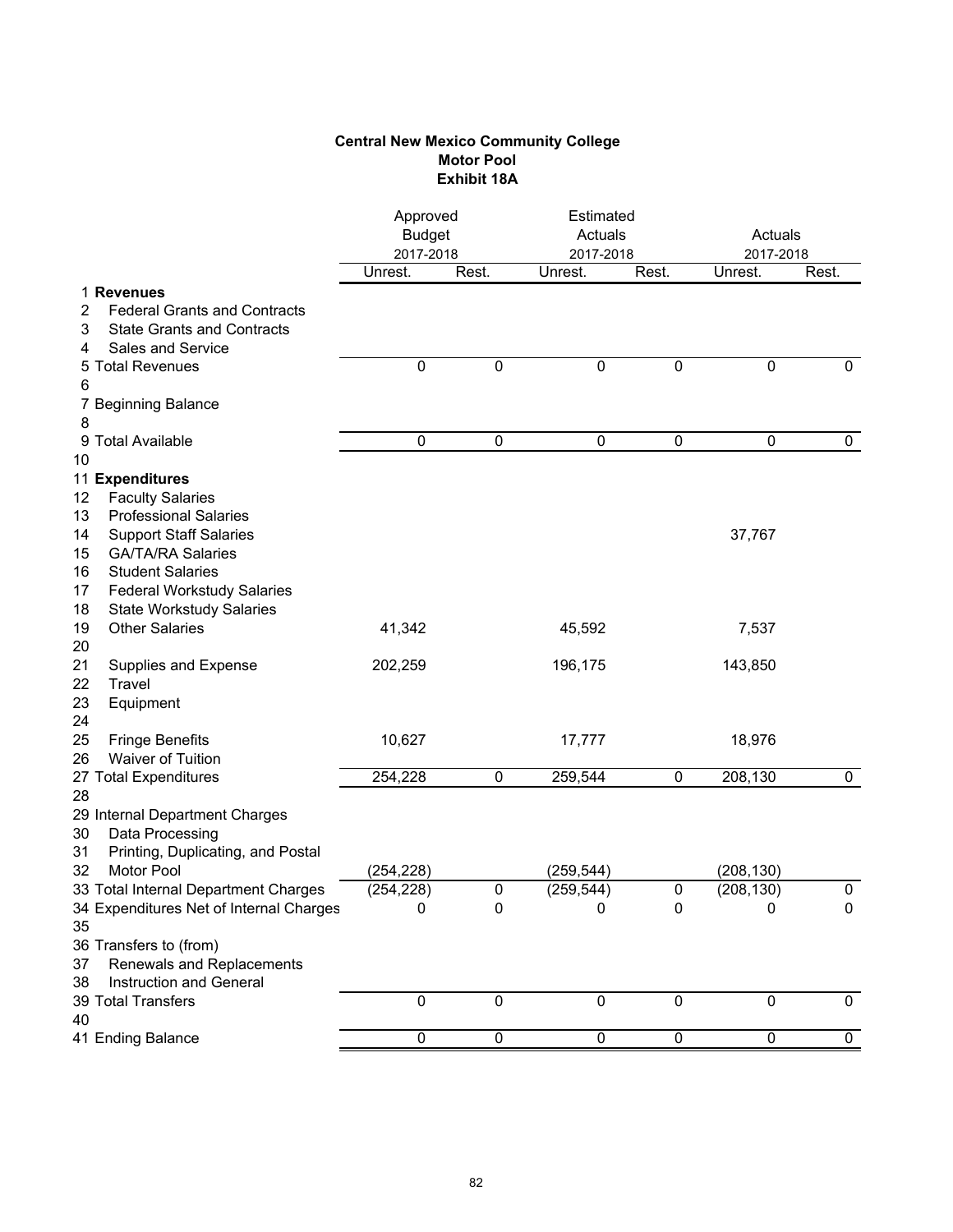# **Central New Mexico Community College Motor Pool Exhibit 18A**

| Rest.<br>Rest.<br>Unrest.<br>Unrest.<br>Rest.<br>Unrest.<br>1 Revenues<br><b>Federal Grants and Contracts</b><br>2<br>3<br><b>State Grants and Contracts</b><br><b>Sales and Service</b><br>4<br><b>Total Revenues</b><br>$\mathbf 0$<br>$\pmb{0}$<br>0<br>$\pmb{0}$<br>$\pmb{0}$<br>$\mathbf 0$<br>5<br>6<br>7 Beginning Balance<br>8<br>0<br>0<br>0<br>0<br>0<br>9<br><b>Total Available</b><br>0<br>10<br>11 Expenditures<br><b>Faculty Salaries</b><br>12<br>13<br><b>Professional Salaries</b><br><b>Support Staff Salaries</b><br>14<br>37,767<br><b>GA/TA/RA Salaries</b><br>15<br><b>Student Salaries</b><br>16<br>17<br><b>Federal Workstudy Salaries</b><br>18<br><b>State Workstudy Salaries</b><br>19<br><b>Other Salaries</b><br>41,342<br>45,592<br>7,537<br>20<br>21<br>Supplies and Expense<br>202,259<br>196,175<br>143,850<br>22<br>Travel<br>23<br>Equipment<br>24<br>25<br><b>Fringe Benefits</b><br>10,627<br>17,777<br>18,976<br>26<br><b>Waiver of Tuition</b><br>254,228<br>0<br>259,544<br>0<br>208,130<br>27 Total Expenditures<br>0<br>28<br>29 Internal Department Charges<br>30<br>Data Processing<br>Printing, Duplicating, and Postal<br>31<br>32<br><b>Motor Pool</b><br>(254, 228)<br>(259, 544)<br>(208, 130)<br>$\pmb{0}$<br>$\pmb{0}$<br>(208, 130)<br>$\pmb{0}$<br>33 Total Internal Department Charges<br>(254, 228)<br>(259, 544)<br>34 Expenditures Net of Internal Charges<br>0<br>0<br>$\pmb{0}$<br>0<br>0<br>$\pmb{0}$<br>35<br>36 Transfers to (from)<br>Renewals and Replacements<br>37<br>Instruction and General<br>38<br>$\mathbf 0$<br>$\pmb{0}$<br>$\pmb{0}$<br>$\pmb{0}$<br>$\pmb{0}$<br>39 Total Transfers<br>$\mathbf 0$<br>40 |                   |   | Approved<br><b>Budget</b><br>2017-2018 |   | Estimated<br>Actuals<br>2017-2018 |   | Actuals<br>2017-2018 |
|-------------------------------------------------------------------------------------------------------------------------------------------------------------------------------------------------------------------------------------------------------------------------------------------------------------------------------------------------------------------------------------------------------------------------------------------------------------------------------------------------------------------------------------------------------------------------------------------------------------------------------------------------------------------------------------------------------------------------------------------------------------------------------------------------------------------------------------------------------------------------------------------------------------------------------------------------------------------------------------------------------------------------------------------------------------------------------------------------------------------------------------------------------------------------------------------------------------------------------------------------------------------------------------------------------------------------------------------------------------------------------------------------------------------------------------------------------------------------------------------------------------------------------------------------------------------------------------------------------------------------------------------------------------------------------------|-------------------|---|----------------------------------------|---|-----------------------------------|---|----------------------|
|                                                                                                                                                                                                                                                                                                                                                                                                                                                                                                                                                                                                                                                                                                                                                                                                                                                                                                                                                                                                                                                                                                                                                                                                                                                                                                                                                                                                                                                                                                                                                                                                                                                                                     |                   |   |                                        |   |                                   |   |                      |
|                                                                                                                                                                                                                                                                                                                                                                                                                                                                                                                                                                                                                                                                                                                                                                                                                                                                                                                                                                                                                                                                                                                                                                                                                                                                                                                                                                                                                                                                                                                                                                                                                                                                                     |                   |   |                                        |   |                                   |   |                      |
|                                                                                                                                                                                                                                                                                                                                                                                                                                                                                                                                                                                                                                                                                                                                                                                                                                                                                                                                                                                                                                                                                                                                                                                                                                                                                                                                                                                                                                                                                                                                                                                                                                                                                     |                   |   |                                        |   |                                   |   |                      |
|                                                                                                                                                                                                                                                                                                                                                                                                                                                                                                                                                                                                                                                                                                                                                                                                                                                                                                                                                                                                                                                                                                                                                                                                                                                                                                                                                                                                                                                                                                                                                                                                                                                                                     |                   |   |                                        |   |                                   |   |                      |
|                                                                                                                                                                                                                                                                                                                                                                                                                                                                                                                                                                                                                                                                                                                                                                                                                                                                                                                                                                                                                                                                                                                                                                                                                                                                                                                                                                                                                                                                                                                                                                                                                                                                                     |                   |   |                                        |   |                                   |   |                      |
|                                                                                                                                                                                                                                                                                                                                                                                                                                                                                                                                                                                                                                                                                                                                                                                                                                                                                                                                                                                                                                                                                                                                                                                                                                                                                                                                                                                                                                                                                                                                                                                                                                                                                     |                   |   |                                        |   |                                   |   |                      |
|                                                                                                                                                                                                                                                                                                                                                                                                                                                                                                                                                                                                                                                                                                                                                                                                                                                                                                                                                                                                                                                                                                                                                                                                                                                                                                                                                                                                                                                                                                                                                                                                                                                                                     |                   |   |                                        |   |                                   |   |                      |
|                                                                                                                                                                                                                                                                                                                                                                                                                                                                                                                                                                                                                                                                                                                                                                                                                                                                                                                                                                                                                                                                                                                                                                                                                                                                                                                                                                                                                                                                                                                                                                                                                                                                                     |                   |   |                                        |   |                                   |   |                      |
|                                                                                                                                                                                                                                                                                                                                                                                                                                                                                                                                                                                                                                                                                                                                                                                                                                                                                                                                                                                                                                                                                                                                                                                                                                                                                                                                                                                                                                                                                                                                                                                                                                                                                     |                   |   |                                        |   |                                   |   |                      |
|                                                                                                                                                                                                                                                                                                                                                                                                                                                                                                                                                                                                                                                                                                                                                                                                                                                                                                                                                                                                                                                                                                                                                                                                                                                                                                                                                                                                                                                                                                                                                                                                                                                                                     |                   |   |                                        |   |                                   |   |                      |
|                                                                                                                                                                                                                                                                                                                                                                                                                                                                                                                                                                                                                                                                                                                                                                                                                                                                                                                                                                                                                                                                                                                                                                                                                                                                                                                                                                                                                                                                                                                                                                                                                                                                                     |                   |   |                                        |   |                                   |   |                      |
|                                                                                                                                                                                                                                                                                                                                                                                                                                                                                                                                                                                                                                                                                                                                                                                                                                                                                                                                                                                                                                                                                                                                                                                                                                                                                                                                                                                                                                                                                                                                                                                                                                                                                     |                   |   |                                        |   |                                   |   |                      |
|                                                                                                                                                                                                                                                                                                                                                                                                                                                                                                                                                                                                                                                                                                                                                                                                                                                                                                                                                                                                                                                                                                                                                                                                                                                                                                                                                                                                                                                                                                                                                                                                                                                                                     |                   |   |                                        |   |                                   |   |                      |
|                                                                                                                                                                                                                                                                                                                                                                                                                                                                                                                                                                                                                                                                                                                                                                                                                                                                                                                                                                                                                                                                                                                                                                                                                                                                                                                                                                                                                                                                                                                                                                                                                                                                                     |                   |   |                                        |   |                                   |   |                      |
|                                                                                                                                                                                                                                                                                                                                                                                                                                                                                                                                                                                                                                                                                                                                                                                                                                                                                                                                                                                                                                                                                                                                                                                                                                                                                                                                                                                                                                                                                                                                                                                                                                                                                     |                   |   |                                        |   |                                   |   |                      |
|                                                                                                                                                                                                                                                                                                                                                                                                                                                                                                                                                                                                                                                                                                                                                                                                                                                                                                                                                                                                                                                                                                                                                                                                                                                                                                                                                                                                                                                                                                                                                                                                                                                                                     |                   |   |                                        |   |                                   |   |                      |
|                                                                                                                                                                                                                                                                                                                                                                                                                                                                                                                                                                                                                                                                                                                                                                                                                                                                                                                                                                                                                                                                                                                                                                                                                                                                                                                                                                                                                                                                                                                                                                                                                                                                                     |                   |   |                                        |   |                                   |   |                      |
|                                                                                                                                                                                                                                                                                                                                                                                                                                                                                                                                                                                                                                                                                                                                                                                                                                                                                                                                                                                                                                                                                                                                                                                                                                                                                                                                                                                                                                                                                                                                                                                                                                                                                     |                   |   |                                        |   |                                   |   |                      |
|                                                                                                                                                                                                                                                                                                                                                                                                                                                                                                                                                                                                                                                                                                                                                                                                                                                                                                                                                                                                                                                                                                                                                                                                                                                                                                                                                                                                                                                                                                                                                                                                                                                                                     |                   |   |                                        |   |                                   |   |                      |
|                                                                                                                                                                                                                                                                                                                                                                                                                                                                                                                                                                                                                                                                                                                                                                                                                                                                                                                                                                                                                                                                                                                                                                                                                                                                                                                                                                                                                                                                                                                                                                                                                                                                                     |                   |   |                                        |   |                                   |   |                      |
|                                                                                                                                                                                                                                                                                                                                                                                                                                                                                                                                                                                                                                                                                                                                                                                                                                                                                                                                                                                                                                                                                                                                                                                                                                                                                                                                                                                                                                                                                                                                                                                                                                                                                     |                   |   |                                        |   |                                   |   |                      |
|                                                                                                                                                                                                                                                                                                                                                                                                                                                                                                                                                                                                                                                                                                                                                                                                                                                                                                                                                                                                                                                                                                                                                                                                                                                                                                                                                                                                                                                                                                                                                                                                                                                                                     |                   |   |                                        |   |                                   |   |                      |
|                                                                                                                                                                                                                                                                                                                                                                                                                                                                                                                                                                                                                                                                                                                                                                                                                                                                                                                                                                                                                                                                                                                                                                                                                                                                                                                                                                                                                                                                                                                                                                                                                                                                                     |                   |   |                                        |   |                                   |   |                      |
|                                                                                                                                                                                                                                                                                                                                                                                                                                                                                                                                                                                                                                                                                                                                                                                                                                                                                                                                                                                                                                                                                                                                                                                                                                                                                                                                                                                                                                                                                                                                                                                                                                                                                     |                   |   |                                        |   |                                   |   |                      |
|                                                                                                                                                                                                                                                                                                                                                                                                                                                                                                                                                                                                                                                                                                                                                                                                                                                                                                                                                                                                                                                                                                                                                                                                                                                                                                                                                                                                                                                                                                                                                                                                                                                                                     |                   |   |                                        |   |                                   |   |                      |
|                                                                                                                                                                                                                                                                                                                                                                                                                                                                                                                                                                                                                                                                                                                                                                                                                                                                                                                                                                                                                                                                                                                                                                                                                                                                                                                                                                                                                                                                                                                                                                                                                                                                                     |                   |   |                                        |   |                                   |   |                      |
|                                                                                                                                                                                                                                                                                                                                                                                                                                                                                                                                                                                                                                                                                                                                                                                                                                                                                                                                                                                                                                                                                                                                                                                                                                                                                                                                                                                                                                                                                                                                                                                                                                                                                     |                   |   |                                        |   |                                   |   |                      |
|                                                                                                                                                                                                                                                                                                                                                                                                                                                                                                                                                                                                                                                                                                                                                                                                                                                                                                                                                                                                                                                                                                                                                                                                                                                                                                                                                                                                                                                                                                                                                                                                                                                                                     |                   |   |                                        |   |                                   |   |                      |
|                                                                                                                                                                                                                                                                                                                                                                                                                                                                                                                                                                                                                                                                                                                                                                                                                                                                                                                                                                                                                                                                                                                                                                                                                                                                                                                                                                                                                                                                                                                                                                                                                                                                                     |                   |   |                                        |   |                                   |   |                      |
|                                                                                                                                                                                                                                                                                                                                                                                                                                                                                                                                                                                                                                                                                                                                                                                                                                                                                                                                                                                                                                                                                                                                                                                                                                                                                                                                                                                                                                                                                                                                                                                                                                                                                     |                   |   |                                        |   |                                   |   |                      |
|                                                                                                                                                                                                                                                                                                                                                                                                                                                                                                                                                                                                                                                                                                                                                                                                                                                                                                                                                                                                                                                                                                                                                                                                                                                                                                                                                                                                                                                                                                                                                                                                                                                                                     |                   |   |                                        |   |                                   |   |                      |
|                                                                                                                                                                                                                                                                                                                                                                                                                                                                                                                                                                                                                                                                                                                                                                                                                                                                                                                                                                                                                                                                                                                                                                                                                                                                                                                                                                                                                                                                                                                                                                                                                                                                                     |                   |   |                                        |   |                                   |   |                      |
|                                                                                                                                                                                                                                                                                                                                                                                                                                                                                                                                                                                                                                                                                                                                                                                                                                                                                                                                                                                                                                                                                                                                                                                                                                                                                                                                                                                                                                                                                                                                                                                                                                                                                     |                   |   |                                        |   |                                   |   |                      |
|                                                                                                                                                                                                                                                                                                                                                                                                                                                                                                                                                                                                                                                                                                                                                                                                                                                                                                                                                                                                                                                                                                                                                                                                                                                                                                                                                                                                                                                                                                                                                                                                                                                                                     |                   |   |                                        |   |                                   |   |                      |
|                                                                                                                                                                                                                                                                                                                                                                                                                                                                                                                                                                                                                                                                                                                                                                                                                                                                                                                                                                                                                                                                                                                                                                                                                                                                                                                                                                                                                                                                                                                                                                                                                                                                                     |                   |   |                                        |   |                                   |   |                      |
|                                                                                                                                                                                                                                                                                                                                                                                                                                                                                                                                                                                                                                                                                                                                                                                                                                                                                                                                                                                                                                                                                                                                                                                                                                                                                                                                                                                                                                                                                                                                                                                                                                                                                     |                   |   |                                        |   |                                   |   |                      |
|                                                                                                                                                                                                                                                                                                                                                                                                                                                                                                                                                                                                                                                                                                                                                                                                                                                                                                                                                                                                                                                                                                                                                                                                                                                                                                                                                                                                                                                                                                                                                                                                                                                                                     |                   |   |                                        |   |                                   |   |                      |
|                                                                                                                                                                                                                                                                                                                                                                                                                                                                                                                                                                                                                                                                                                                                                                                                                                                                                                                                                                                                                                                                                                                                                                                                                                                                                                                                                                                                                                                                                                                                                                                                                                                                                     |                   |   |                                        |   |                                   |   |                      |
|                                                                                                                                                                                                                                                                                                                                                                                                                                                                                                                                                                                                                                                                                                                                                                                                                                                                                                                                                                                                                                                                                                                                                                                                                                                                                                                                                                                                                                                                                                                                                                                                                                                                                     |                   |   |                                        |   |                                   |   |                      |
|                                                                                                                                                                                                                                                                                                                                                                                                                                                                                                                                                                                                                                                                                                                                                                                                                                                                                                                                                                                                                                                                                                                                                                                                                                                                                                                                                                                                                                                                                                                                                                                                                                                                                     | 41 Ending Balance | 0 | $\pmb{0}$                              | 0 | $\pmb{0}$                         | 0 | $\mathbf 0$          |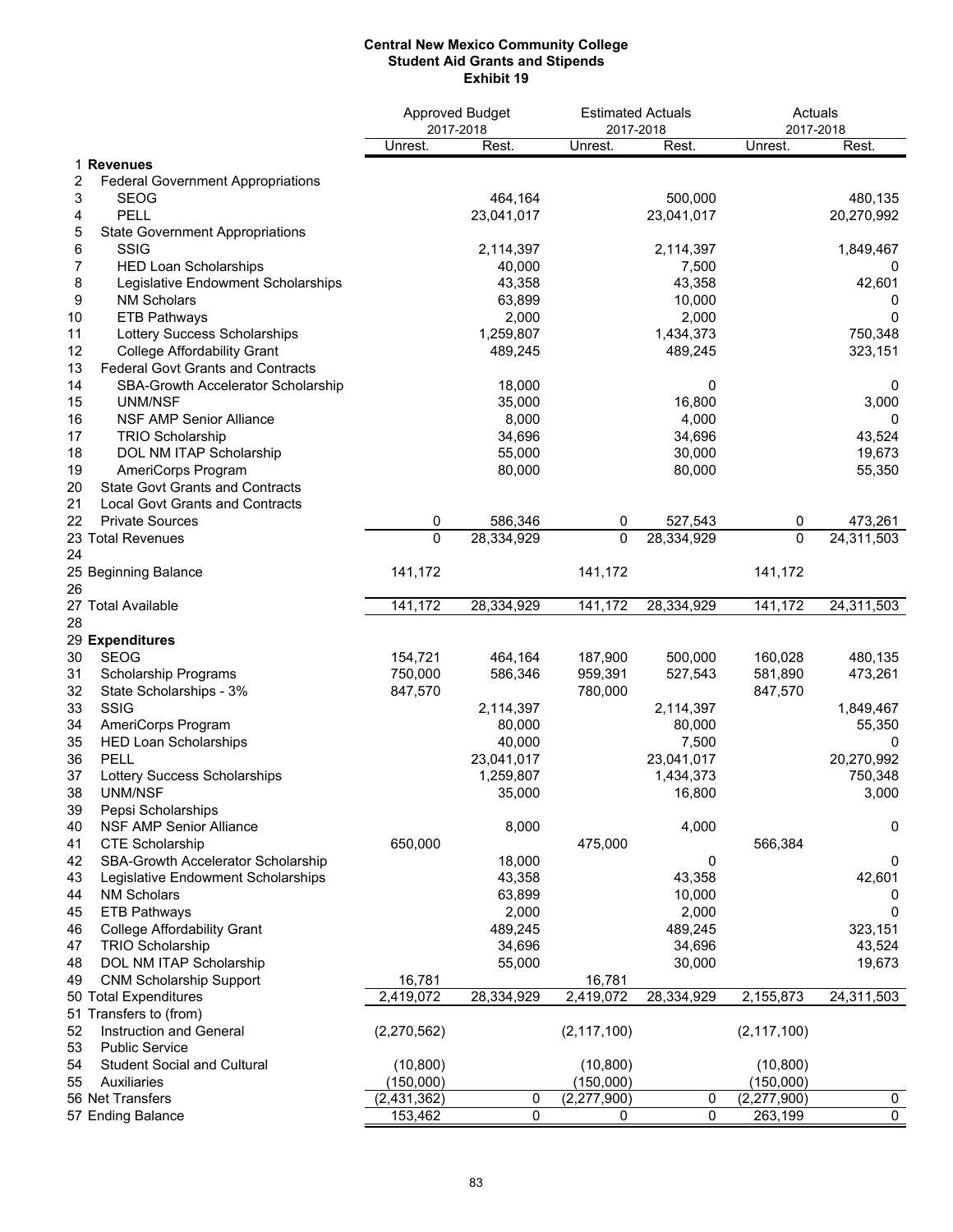### **Central New Mexico Community College Student Aid Grants and Stipends Exhibit 19**

|                                                |               | Approved Budget<br>2017-2018 | <b>Estimated Actuals</b><br>2017-2018 |            | Actuals<br>2017-2018 |            |
|------------------------------------------------|---------------|------------------------------|---------------------------------------|------------|----------------------|------------|
|                                                | Unrest.       | Rest.                        | Unrest.                               | Rest.      | Unrest.              | Rest.      |
| 1 Revenues                                     |               |                              |                                       |            |                      |            |
| 2<br><b>Federal Government Appropriations</b>  |               |                              |                                       |            |                      |            |
| 3<br><b>SEOG</b>                               |               | 464,164                      |                                       | 500,000    |                      | 480,135    |
| <b>PELL</b><br>4                               |               | 23,041,017                   |                                       | 23,041,017 |                      | 20,270,992 |
| 5<br><b>State Government Appropriations</b>    |               |                              |                                       |            |                      |            |
| <b>SSIG</b><br>6                               |               | 2,114,397                    |                                       | 2,114,397  |                      | 1,849,467  |
| 7<br><b>HED Loan Scholarships</b>              |               | 40,000                       |                                       | 7,500      |                      | 0          |
| 8<br>Legislative Endowment Scholarships        |               | 43,358                       |                                       | 43,358     |                      | 42,601     |
| 9<br><b>NM Scholars</b>                        |               | 63,899                       |                                       | 10,000     |                      | U          |
| 10<br><b>ETB Pathways</b>                      |               | 2,000                        |                                       | 2,000      |                      | 0          |
| Lottery Success Scholarships<br>11             |               | 1,259,807                    |                                       | 1,434,373  |                      | 750,348    |
| 12<br><b>College Affordability Grant</b>       |               | 489,245                      |                                       | 489,245    |                      | 323,151    |
| 13<br><b>Federal Govt Grants and Contracts</b> |               |                              |                                       |            |                      |            |
| 14<br>SBA-Growth Accelerator Scholarship       |               | 18,000                       |                                       | 0          |                      | 0          |
| 15<br>UNM/NSF                                  |               | 35,000                       |                                       | 16,800     |                      | 3,000      |
| 16<br><b>NSF AMP Senior Alliance</b>           |               | 8,000                        |                                       | 4,000      |                      | 0          |
| 17<br><b>TRIO Scholarship</b>                  |               | 34,696                       |                                       | 34,696     |                      | 43,524     |
| 18<br>DOL NM ITAP Scholarship                  |               | 55,000                       |                                       | 30,000     |                      | 19,673     |
| AmeriCorps Program<br>19                       |               | 80,000                       |                                       | 80,000     |                      | 55,350     |
| <b>State Govt Grants and Contracts</b><br>20   |               |                              |                                       |            |                      |            |
| <b>Local Govt Grants and Contracts</b><br>21   |               |                              |                                       |            |                      |            |
| 22<br><b>Private Sources</b>                   | 0             | 586,346                      | 0                                     | 527,543    | 0                    | 473,261    |
| 23 Total Revenues                              | $\mathbf{0}$  | 28,334,929                   | $\mathbf{0}$                          | 28,334,929 | 0                    | 24,311,503 |
| 24                                             |               |                              |                                       |            |                      |            |
| 25 Beginning Balance                           | 141,172       |                              | 141,172                               |            | 141,172              |            |
| 26                                             |               |                              |                                       |            |                      |            |
| 27 Total Available                             | 141,172       | 28,334,929                   | 141,172                               | 28,334,929 | 141,172              | 24,311,503 |
| 28                                             |               |                              |                                       |            |                      |            |
| 29 Expenditures                                |               |                              |                                       |            |                      |            |
| <b>SEOG</b><br>30                              | 154,721       | 464,164                      | 187,900                               | 500,000    | 160,028              | 480,135    |
| 31<br>Scholarship Programs                     | 750,000       | 586,346                      | 959,391                               | 527,543    | 581,890              | 473,261    |
| 32<br>State Scholarships - 3%                  | 847,570       |                              | 780,000                               |            | 847,570              |            |
| SSIG<br>33                                     |               | 2,114,397                    |                                       | 2,114,397  |                      | 1,849,467  |
| 34<br>AmeriCorps Program                       |               | 80,000                       |                                       | 80,000     |                      | 55,350     |
| 35<br><b>HED Loan Scholarships</b>             |               | 40,000                       |                                       | 7,500      |                      | 0          |
| 36<br>PELL                                     |               | 23,041,017                   |                                       | 23,041,017 |                      | 20,270,992 |
| 37<br>Lottery Success Scholarships             |               | 1,259,807                    |                                       | 1,434,373  |                      | 750,348    |
| 38<br>UNM/NSF                                  |               | 35,000                       |                                       | 16,800     |                      | 3,000      |
| Pepsi Scholarships<br>39                       |               |                              |                                       |            |                      |            |
| NSF AMP Senior Alliance<br>40                  |               | 8,000                        |                                       | 4,000      |                      | 0          |
| <b>CTE Scholarship</b><br>41                   | 650,000       |                              | 475,000                               |            | 566,384              |            |
| SBA-Growth Accelerator Scholarship<br>42       |               | 18,000                       |                                       | 0          |                      | 0          |
| 43<br>Legislative Endowment Scholarships       |               | 43,358                       |                                       | 43,358     |                      | 42,601     |
| <b>NM Scholars</b><br>44                       |               | 63,899                       |                                       | 10,000     |                      | 0          |
| 45<br><b>ETB Pathways</b>                      |               | 2,000                        |                                       | 2,000      |                      | 0          |
| <b>College Affordability Grant</b><br>46       |               | 489,245                      |                                       | 489,245    |                      | 323,151    |
| <b>TRIO Scholarship</b><br>47                  |               | 34,696                       |                                       | 34,696     |                      | 43,524     |
| 48<br>DOL NM ITAP Scholarship                  |               | 55,000                       |                                       | 30,000     |                      | 19,673     |
| 49<br><b>CNM Scholarship Support</b>           | 16,781        |                              | 16,781                                |            |                      |            |
| 50 Total Expenditures                          | 2,419,072     | 28,334,929                   | 2,419,072                             | 28,334,929 | 2,155,873            | 24,311,503 |
| 51 Transfers to (from)                         |               |                              |                                       |            |                      |            |
| 52<br>Instruction and General                  | (2,270,562)   |                              | (2, 117, 100)                         |            | (2, 117, 100)        |            |
| <b>Public Service</b><br>53                    |               |                              |                                       |            |                      |            |
| 54<br><b>Student Social and Cultural</b>       | (10, 800)     |                              | (10, 800)                             |            | (10, 800)            |            |
| Auxiliaries<br>55                              | (150,000)     |                              | (150,000)                             |            | (150,000)            |            |
| 56 Net Transfers                               | (2, 431, 362) | 0                            | (2,277,900)                           | 0          | (2,277,900)          | 0          |
| 57 Ending Balance                              | 153,462       | 0                            | 0                                     | 0          | 263,199              | 0          |
|                                                |               |                              |                                       |            |                      |            |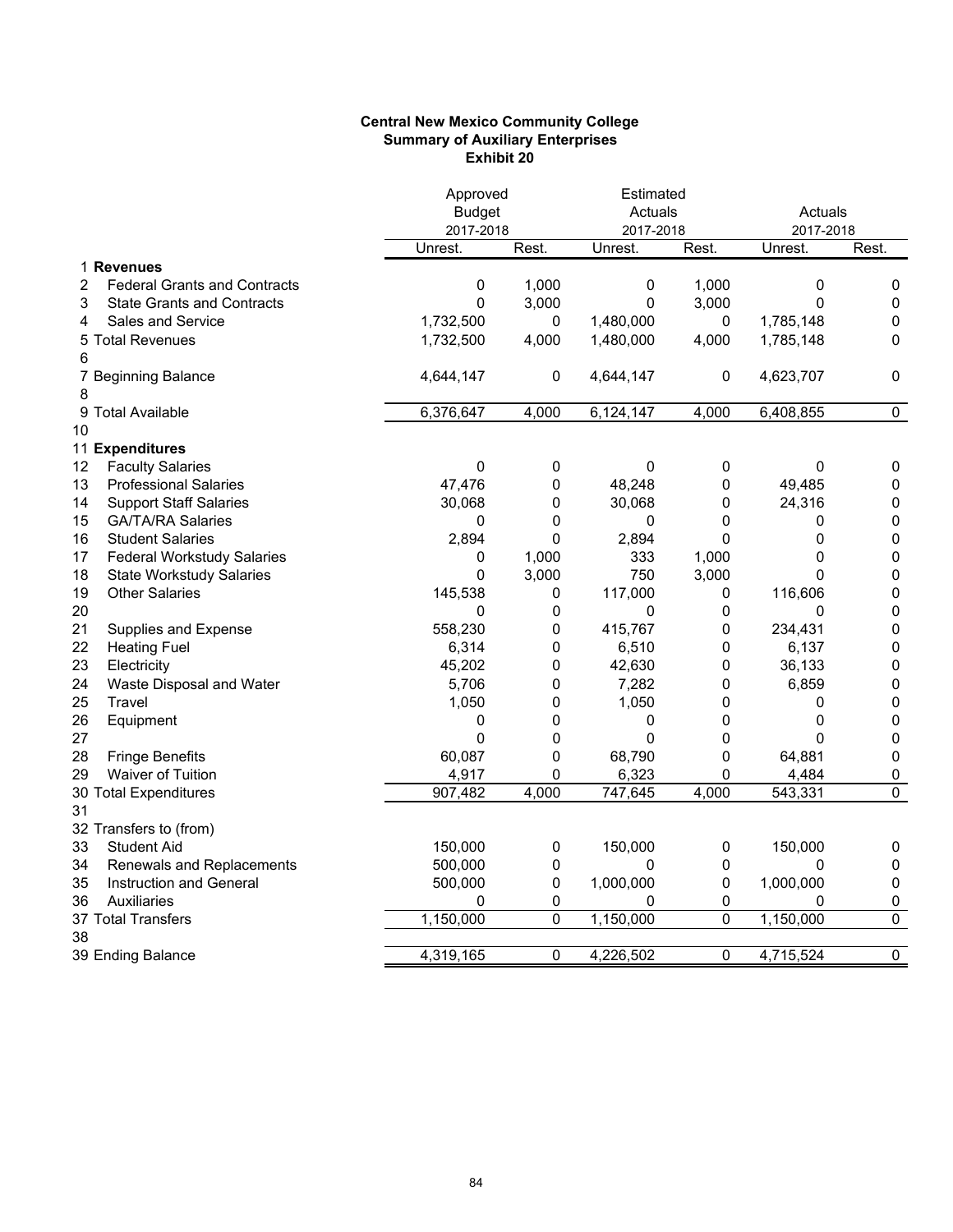## **Central New Mexico Community College Summary of Auxiliary Enterprises Exhibit 20**

|                                          | Approved      |       | Estimated |       |           |                |
|------------------------------------------|---------------|-------|-----------|-------|-----------|----------------|
|                                          | <b>Budget</b> |       | Actuals   |       | Actuals   |                |
|                                          | 2017-2018     |       | 2017-2018 |       | 2017-2018 |                |
|                                          | Unrest.       | Rest. | Unrest.   | Rest. | Unrest.   | Rest.          |
| 1 Revenues                               |               |       |           |       |           |                |
| 2<br><b>Federal Grants and Contracts</b> | 0             | 1,000 | 0         | 1,000 | 0         | 0              |
| 3<br><b>State Grants and Contracts</b>   | 0             | 3,000 | 0         | 3,000 | 0         | $\mathbf 0$    |
| <b>Sales and Service</b><br>4            | 1,732,500     | 0     | 1,480,000 | 0     | 1,785,148 | 0              |
| 5 Total Revenues                         | 1,732,500     | 4,000 | 1,480,000 | 4,000 | 1,785,148 | 0              |
| 6                                        |               |       |           |       |           |                |
| 7 Beginning Balance                      | 4,644,147     | 0     | 4,644,147 | 0     | 4,623,707 | 0              |
| 8                                        |               |       |           |       |           |                |
| 9 Total Available                        | 6,376,647     | 4,000 | 6,124,147 | 4,000 | 6,408,855 | 0              |
| 10                                       |               |       |           |       |           |                |
| 11 Expenditures                          |               |       |           |       |           |                |
| 12<br><b>Faculty Salaries</b>            | 0             | 0     | 0         | 0     | 0         | 0              |
| 13<br><b>Professional Salaries</b>       | 47,476        | 0     | 48,248    | 0     | 49,485    | $\pmb{0}$      |
| <b>Support Staff Salaries</b><br>14      | 30,068        | 0     | 30,068    | 0     | 24,316    | $\pmb{0}$      |
| <b>GA/TA/RA Salaries</b><br>15           | 0             | 0     | 0         | 0     | 0         | $\pmb{0}$      |
| 16<br><b>Student Salaries</b>            | 2,894         | 0     | 2,894     | 0     | 0         | $\pmb{0}$      |
| 17<br><b>Federal Workstudy Salaries</b>  | 0             | 1,000 | 333       | 1,000 | 0         | $\pmb{0}$      |
| 18<br><b>State Workstudy Salaries</b>    | 0             | 3,000 | 750       | 3,000 | 0         | $\pmb{0}$      |
| 19<br><b>Other Salaries</b>              | 145,538       | 0     | 117,000   | 0     | 116,606   | $\pmb{0}$      |
| 20                                       | 0             | 0     | 0         | 0     | 0         | $\pmb{0}$      |
| 21<br>Supplies and Expense               | 558,230       | 0     | 415,767   | 0     | 234,431   | $\pmb{0}$      |
| 22<br><b>Heating Fuel</b>                | 6,314         | 0     | 6,510     | 0     | 6,137     | $\pmb{0}$      |
| 23<br>Electricity                        | 45,202        | 0     | 42,630    | 0     | 36,133    | 0              |
| 24<br>Waste Disposal and Water           | 5,706         | 0     | 7,282     | 0     | 6,859     | $\pmb{0}$      |
| 25<br>Travel                             | 1,050         | 0     | 1,050     | 0     | 0         | 0              |
| 26<br>Equipment                          | 0             | 0     | 0         | 0     | 0         | 0              |
| 27                                       | $\mathbf 0$   | 0     | 0         | 0     | 0         | 0              |
| 28<br><b>Fringe Benefits</b>             | 60,087        | 0     | 68,790    | 0     | 64,881    | $\pmb{0}$      |
| Waiver of Tuition<br>29                  | 4,917         | 0     | 6,323     | 0     | 4,484     | 0              |
| 30 Total Expenditures                    | 907,482       | 4,000 | 747,645   | 4,000 | 543,331   | $\overline{0}$ |
| 31                                       |               |       |           |       |           |                |
| 32 Transfers to (from)                   |               |       |           |       |           |                |
| <b>Student Aid</b><br>33                 | 150,000       | 0     | 150,000   | 0     | 150,000   | 0              |
| 34<br><b>Renewals and Replacements</b>   | 500,000       | 0     | 0         | 0     | 0         | 0              |
| 35<br>Instruction and General            | 500,000       | 0     | 1,000,000 | 0     | 1,000,000 | $\pmb{0}$      |
| Auxiliaries<br>36                        | 0             | 0     | 0         | 0     | 0         | 0              |
| 37 Total Transfers                       | 1,150,000     | 0     | 1,150,000 | 0     | 1,150,000 | $\pmb{0}$      |
| 38                                       |               |       |           |       |           |                |
| 39 Ending Balance                        | 4,319,165     | 0     | 4,226,502 | 0     | 4,715,524 | $\pmb{0}$      |
|                                          |               |       |           |       |           |                |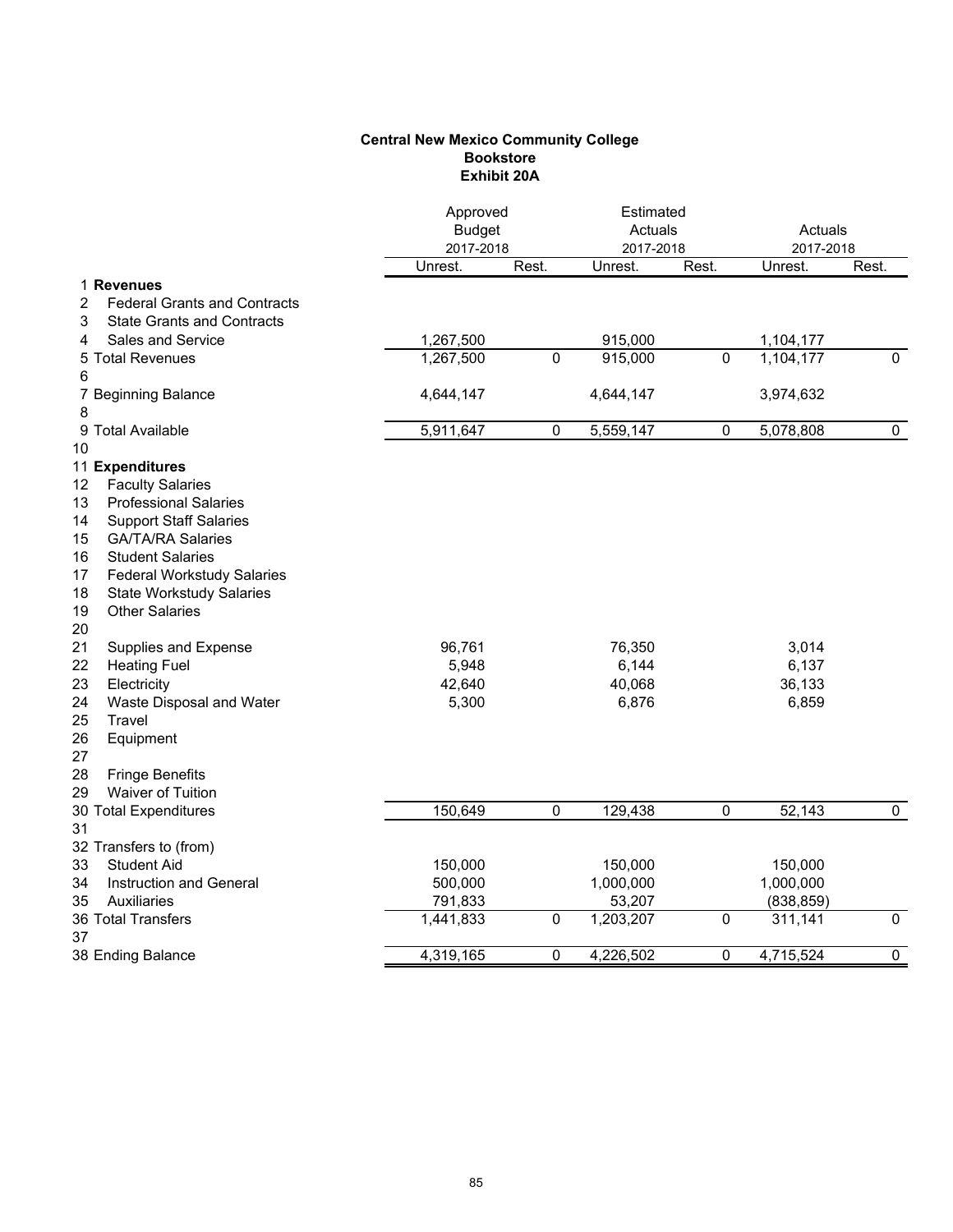# **Central New Mexico Community College Bookstore Exhibit 20A**

|                                          | Approved<br><b>Budget</b><br>2017-2018 |                | Estimated<br>Actuals<br>2017-2018 |           | Actuals<br>2017-2018 |                |  |
|------------------------------------------|----------------------------------------|----------------|-----------------------------------|-----------|----------------------|----------------|--|
|                                          | Unrest.                                | Rest.          | Unrest.                           | Rest.     | Unrest.              | Rest.          |  |
| 1 Revenues                               |                                        |                |                                   |           |                      |                |  |
| 2<br><b>Federal Grants and Contracts</b> |                                        |                |                                   |           |                      |                |  |
| 3<br><b>State Grants and Contracts</b>   |                                        |                |                                   |           |                      |                |  |
| Sales and Service<br>4                   | 1,267,500                              |                | 915,000                           |           | 1,104,177            |                |  |
| 5 Total Revenues                         | 1,267,500                              | $\overline{0}$ | 915,000                           | 0         | 1,104,177            | $\overline{0}$ |  |
| 6                                        |                                        |                |                                   |           |                      |                |  |
| 7 Beginning Balance                      | 4,644,147                              |                | 4,644,147                         |           | 3,974,632            |                |  |
| 8                                        |                                        |                |                                   |           |                      |                |  |
| 9 Total Available                        | 5,911,647                              | 0              | 5,559,147                         | $\pmb{0}$ | 5,078,808            | $\mathbf 0$    |  |
| 10                                       |                                        |                |                                   |           |                      |                |  |
| 11 Expenditures                          |                                        |                |                                   |           |                      |                |  |
| 12<br><b>Faculty Salaries</b>            |                                        |                |                                   |           |                      |                |  |
| <b>Professional Salaries</b><br>13       |                                        |                |                                   |           |                      |                |  |
| 14<br><b>Support Staff Salaries</b>      |                                        |                |                                   |           |                      |                |  |
| 15<br><b>GA/TA/RA Salaries</b>           |                                        |                |                                   |           |                      |                |  |
| 16<br><b>Student Salaries</b>            |                                        |                |                                   |           |                      |                |  |
| 17<br><b>Federal Workstudy Salaries</b>  |                                        |                |                                   |           |                      |                |  |
| 18<br><b>State Workstudy Salaries</b>    |                                        |                |                                   |           |                      |                |  |
| 19<br><b>Other Salaries</b>              |                                        |                |                                   |           |                      |                |  |
| 20                                       |                                        |                |                                   |           |                      |                |  |
| 21<br>Supplies and Expense               | 96,761                                 |                | 76,350                            |           | 3,014                |                |  |
| 22<br><b>Heating Fuel</b>                | 5,948                                  |                | 6,144                             |           | 6,137                |                |  |
| 23<br>Electricity                        | 42,640                                 |                | 40,068                            |           | 36,133               |                |  |
| 24<br>Waste Disposal and Water           | 5,300                                  |                | 6,876                             |           | 6,859                |                |  |
| 25<br>Travel                             |                                        |                |                                   |           |                      |                |  |
| 26<br>Equipment                          |                                        |                |                                   |           |                      |                |  |
| 27                                       |                                        |                |                                   |           |                      |                |  |
| 28<br><b>Fringe Benefits</b>             |                                        |                |                                   |           |                      |                |  |
| Waiver of Tuition<br>29                  |                                        |                |                                   |           |                      |                |  |
| 30 Total Expenditures                    | 150,649                                | $\pmb{0}$      | 129,438                           | $\pmb{0}$ | 52,143               | $\mathbf{0}$   |  |
| 31                                       |                                        |                |                                   |           |                      |                |  |
| 32 Transfers to (from)                   |                                        |                |                                   |           |                      |                |  |
| 33<br><b>Student Aid</b>                 | 150,000                                |                | 150,000                           |           | 150,000              |                |  |
| 34<br><b>Instruction and General</b>     | 500,000                                |                | 1,000,000                         |           | 1,000,000            |                |  |
| 35<br>Auxiliaries                        | 791,833                                |                | 53,207                            |           | (838, 859)           |                |  |
| 36 Total Transfers                       | 1,441,833                              | 0              | 1,203,207                         | 0         | 311,141              | $\overline{0}$ |  |
| 37                                       |                                        |                |                                   |           |                      |                |  |
| 38 Ending Balance                        | 4,319,165                              | 0              | 4,226,502                         | 0         | 4,715,524            | $\overline{0}$ |  |
|                                          |                                        |                |                                   |           |                      |                |  |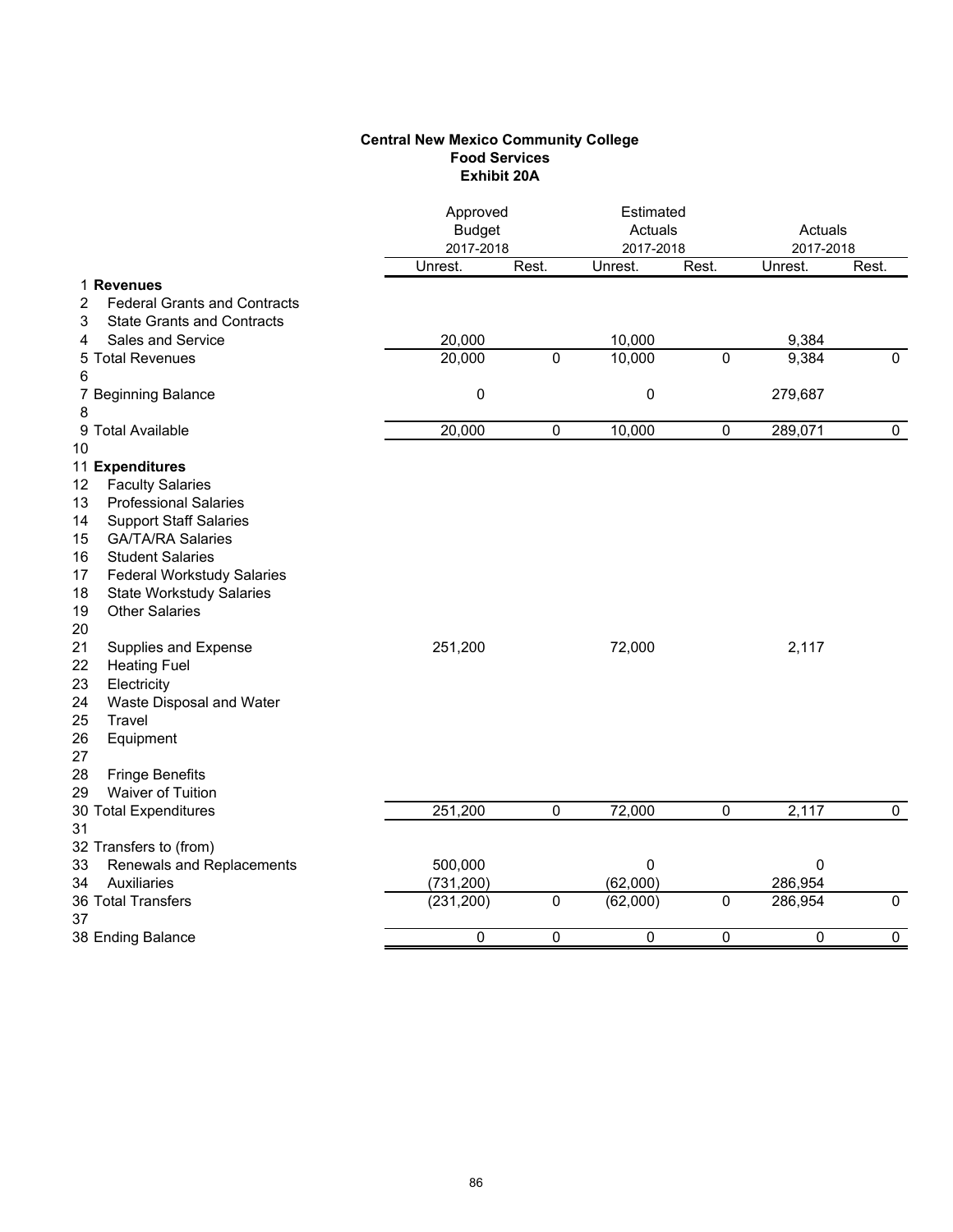# **Central New Mexico Community College Food Services Exhibit 20A**

|                                          | Approved<br><b>Budget</b><br>2017-2018 |             | Estimated<br>Actuals<br>2017-2018 |           | Actuals<br>2017-2018 |              |  |
|------------------------------------------|----------------------------------------|-------------|-----------------------------------|-----------|----------------------|--------------|--|
|                                          | Unrest.                                | Rest.       | Unrest.                           | Rest.     | Unrest.              | Rest.        |  |
| 1 Revenues                               |                                        |             |                                   |           |                      |              |  |
| 2<br><b>Federal Grants and Contracts</b> |                                        |             |                                   |           |                      |              |  |
| <b>State Grants and Contracts</b><br>3   |                                        |             |                                   |           |                      |              |  |
| Sales and Service<br>4                   | 20,000                                 |             | 10,000                            |           | 9,384                |              |  |
| 5 Total Revenues                         | $\overline{20,000}$                    | $\mathbf 0$ | 10,000                            | $\Omega$  | 9,384                | $\mathbf{0}$ |  |
| 6                                        |                                        |             |                                   |           |                      |              |  |
| 7 Beginning Balance                      | 0                                      |             | $\boldsymbol{0}$                  |           | 279,687              |              |  |
| 8                                        |                                        |             |                                   |           |                      |              |  |
| 9 Total Available                        | 20,000                                 | 0           | 10,000                            | 0         | 289,071              | $\mathbf 0$  |  |
| 10                                       |                                        |             |                                   |           |                      |              |  |
| 11 Expenditures                          |                                        |             |                                   |           |                      |              |  |
| <b>Faculty Salaries</b><br>12            |                                        |             |                                   |           |                      |              |  |
| <b>Professional Salaries</b><br>13       |                                        |             |                                   |           |                      |              |  |
| 14<br><b>Support Staff Salaries</b>      |                                        |             |                                   |           |                      |              |  |
| 15<br><b>GA/TA/RA Salaries</b>           |                                        |             |                                   |           |                      |              |  |
| 16<br><b>Student Salaries</b>            |                                        |             |                                   |           |                      |              |  |
| 17<br><b>Federal Workstudy Salaries</b>  |                                        |             |                                   |           |                      |              |  |
| 18<br><b>State Workstudy Salaries</b>    |                                        |             |                                   |           |                      |              |  |
| <b>Other Salaries</b><br>19              |                                        |             |                                   |           |                      |              |  |
| 20                                       |                                        |             |                                   |           |                      |              |  |
| 21<br>Supplies and Expense               | 251,200                                |             | 72,000                            |           | 2,117                |              |  |
| 22<br><b>Heating Fuel</b>                |                                        |             |                                   |           |                      |              |  |
| 23<br>Electricity                        |                                        |             |                                   |           |                      |              |  |
| 24<br>Waste Disposal and Water           |                                        |             |                                   |           |                      |              |  |
| 25<br>Travel                             |                                        |             |                                   |           |                      |              |  |
| 26<br>Equipment                          |                                        |             |                                   |           |                      |              |  |
| 27                                       |                                        |             |                                   |           |                      |              |  |
| 28<br><b>Fringe Benefits</b>             |                                        |             |                                   |           |                      |              |  |
| Waiver of Tuition<br>29                  |                                        |             |                                   |           |                      |              |  |
| 30 Total Expenditures                    | 251,200                                | 0           | 72,000                            | 0         | 2,117                | $\mathbf 0$  |  |
| 31                                       |                                        |             |                                   |           |                      |              |  |
| 32 Transfers to (from)                   |                                        |             |                                   |           |                      |              |  |
| 33<br>Renewals and Replacements          | 500,000                                |             | 0                                 |           | $\mathbf 0$          |              |  |
| 34<br>Auxiliaries                        | (731, 200)                             |             | (62,000)                          |           | 286,954              |              |  |
| <b>36 Total Transfers</b>                | (231, 200)                             | $\mathbf 0$ | (62,000)                          | $\pmb{0}$ | 286,954              | $\mathbf 0$  |  |
| 37                                       |                                        |             |                                   |           |                      |              |  |
| 38 Ending Balance                        | 0                                      | 0           | 0                                 | 0         | 0                    | $\mathbf 0$  |  |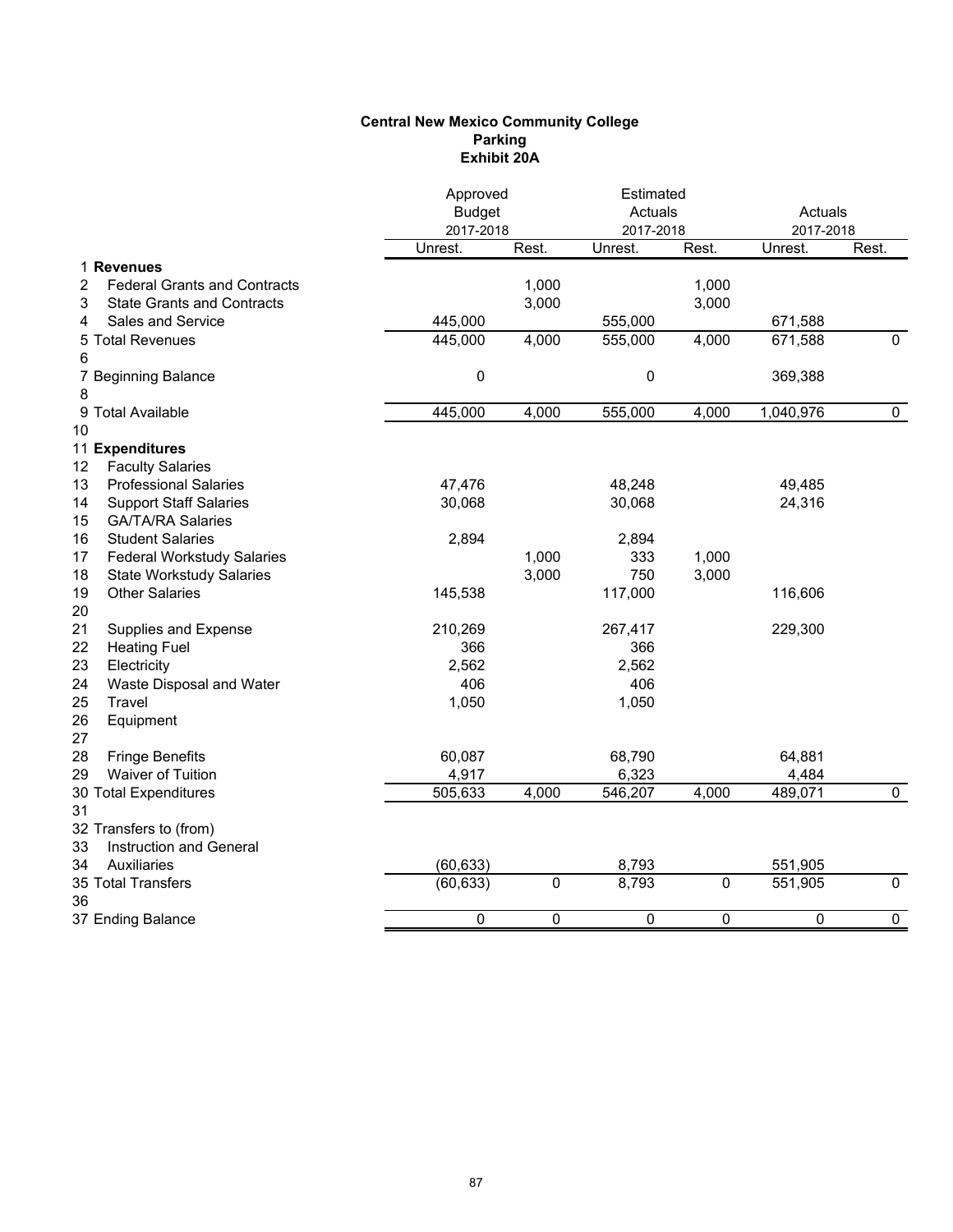## **Central New Mexico Community College Parking Exhibit 20A**

| 1 Revenues<br>1,000<br><b>Federal Grants and Contracts</b><br>1,000<br>2<br>3,000<br>3,000<br><b>State Grants and Contracts</b><br>3<br>Sales and Service<br>445,000<br>555,000<br>671,588<br>4<br>445,000<br>555,000<br>671,588<br>$\mathbf 0$<br>5 Total Revenues<br>4,000<br>4,000<br>6<br>0<br>0<br>369,388<br>7 Beginning Balance<br>8<br>9 Total Available<br>445,000<br>4,000<br>4,000<br>1,040,976<br>555,000<br>0<br><b>Faculty Salaries</b><br><b>Professional Salaries</b><br>47,476<br>48,248<br>49,485<br><b>Support Staff Salaries</b><br>24,316<br>30,068<br>30,068<br><b>GA/TA/RA Salaries</b><br><b>Student Salaries</b><br>2,894<br>2,894<br><b>Federal Workstudy Salaries</b><br>1,000<br>333<br>1,000<br>3,000<br>750<br>3,000<br><b>State Workstudy Salaries</b><br><b>Other Salaries</b><br>117,000<br>145,538<br>116,606<br>210,269<br>229,300<br>Supplies and Expense<br>267,417<br><b>Heating Fuel</b><br>366<br>366<br>Electricity<br>2,562<br>2,562<br>406<br>Waste Disposal and Water<br>406<br>Travel<br>1,050<br>1,050<br>Equipment<br><b>Fringe Benefits</b><br>68,790<br>60,087<br>64,881<br>Waiver of Tuition<br>4,917<br>6,323<br>4,484<br>505,633<br>546,207<br>489,071<br>4,000<br>4,000<br>0<br>Instruction and General<br>Auxiliaries<br>(60, 633)<br>8,793<br>551,905<br>$\overline{0}$<br>(60, 633)<br>8,793<br>0<br>551,905<br>$\mathbf 0$<br>0<br>0<br>0<br>0<br>0<br>0 |                        | Approved<br><b>Budget</b><br>2017-2018 |       | Estimated<br>Actuals<br>2017-2018 |       | Actuals<br>2017-2018 |       |  |
|-------------------------------------------------------------------------------------------------------------------------------------------------------------------------------------------------------------------------------------------------------------------------------------------------------------------------------------------------------------------------------------------------------------------------------------------------------------------------------------------------------------------------------------------------------------------------------------------------------------------------------------------------------------------------------------------------------------------------------------------------------------------------------------------------------------------------------------------------------------------------------------------------------------------------------------------------------------------------------------------------------------------------------------------------------------------------------------------------------------------------------------------------------------------------------------------------------------------------------------------------------------------------------------------------------------------------------------------------------------------------------------------------------------------|------------------------|----------------------------------------|-------|-----------------------------------|-------|----------------------|-------|--|
|                                                                                                                                                                                                                                                                                                                                                                                                                                                                                                                                                                                                                                                                                                                                                                                                                                                                                                                                                                                                                                                                                                                                                                                                                                                                                                                                                                                                                   |                        | Unrest.                                | Rest. | Unrest.                           | Rest. | Unrest.              | Rest. |  |
|                                                                                                                                                                                                                                                                                                                                                                                                                                                                                                                                                                                                                                                                                                                                                                                                                                                                                                                                                                                                                                                                                                                                                                                                                                                                                                                                                                                                                   |                        |                                        |       |                                   |       |                      |       |  |
|                                                                                                                                                                                                                                                                                                                                                                                                                                                                                                                                                                                                                                                                                                                                                                                                                                                                                                                                                                                                                                                                                                                                                                                                                                                                                                                                                                                                                   |                        |                                        |       |                                   |       |                      |       |  |
|                                                                                                                                                                                                                                                                                                                                                                                                                                                                                                                                                                                                                                                                                                                                                                                                                                                                                                                                                                                                                                                                                                                                                                                                                                                                                                                                                                                                                   |                        |                                        |       |                                   |       |                      |       |  |
|                                                                                                                                                                                                                                                                                                                                                                                                                                                                                                                                                                                                                                                                                                                                                                                                                                                                                                                                                                                                                                                                                                                                                                                                                                                                                                                                                                                                                   |                        |                                        |       |                                   |       |                      |       |  |
|                                                                                                                                                                                                                                                                                                                                                                                                                                                                                                                                                                                                                                                                                                                                                                                                                                                                                                                                                                                                                                                                                                                                                                                                                                                                                                                                                                                                                   |                        |                                        |       |                                   |       |                      |       |  |
|                                                                                                                                                                                                                                                                                                                                                                                                                                                                                                                                                                                                                                                                                                                                                                                                                                                                                                                                                                                                                                                                                                                                                                                                                                                                                                                                                                                                                   |                        |                                        |       |                                   |       |                      |       |  |
|                                                                                                                                                                                                                                                                                                                                                                                                                                                                                                                                                                                                                                                                                                                                                                                                                                                                                                                                                                                                                                                                                                                                                                                                                                                                                                                                                                                                                   | 10                     |                                        |       |                                   |       |                      |       |  |
|                                                                                                                                                                                                                                                                                                                                                                                                                                                                                                                                                                                                                                                                                                                                                                                                                                                                                                                                                                                                                                                                                                                                                                                                                                                                                                                                                                                                                   | 11 Expenditures<br>12  |                                        |       |                                   |       |                      |       |  |
|                                                                                                                                                                                                                                                                                                                                                                                                                                                                                                                                                                                                                                                                                                                                                                                                                                                                                                                                                                                                                                                                                                                                                                                                                                                                                                                                                                                                                   | 13                     |                                        |       |                                   |       |                      |       |  |
|                                                                                                                                                                                                                                                                                                                                                                                                                                                                                                                                                                                                                                                                                                                                                                                                                                                                                                                                                                                                                                                                                                                                                                                                                                                                                                                                                                                                                   | 14                     |                                        |       |                                   |       |                      |       |  |
|                                                                                                                                                                                                                                                                                                                                                                                                                                                                                                                                                                                                                                                                                                                                                                                                                                                                                                                                                                                                                                                                                                                                                                                                                                                                                                                                                                                                                   | 15                     |                                        |       |                                   |       |                      |       |  |
|                                                                                                                                                                                                                                                                                                                                                                                                                                                                                                                                                                                                                                                                                                                                                                                                                                                                                                                                                                                                                                                                                                                                                                                                                                                                                                                                                                                                                   | 16                     |                                        |       |                                   |       |                      |       |  |
|                                                                                                                                                                                                                                                                                                                                                                                                                                                                                                                                                                                                                                                                                                                                                                                                                                                                                                                                                                                                                                                                                                                                                                                                                                                                                                                                                                                                                   | 17                     |                                        |       |                                   |       |                      |       |  |
|                                                                                                                                                                                                                                                                                                                                                                                                                                                                                                                                                                                                                                                                                                                                                                                                                                                                                                                                                                                                                                                                                                                                                                                                                                                                                                                                                                                                                   | 18                     |                                        |       |                                   |       |                      |       |  |
|                                                                                                                                                                                                                                                                                                                                                                                                                                                                                                                                                                                                                                                                                                                                                                                                                                                                                                                                                                                                                                                                                                                                                                                                                                                                                                                                                                                                                   | 19                     |                                        |       |                                   |       |                      |       |  |
|                                                                                                                                                                                                                                                                                                                                                                                                                                                                                                                                                                                                                                                                                                                                                                                                                                                                                                                                                                                                                                                                                                                                                                                                                                                                                                                                                                                                                   | 20                     |                                        |       |                                   |       |                      |       |  |
|                                                                                                                                                                                                                                                                                                                                                                                                                                                                                                                                                                                                                                                                                                                                                                                                                                                                                                                                                                                                                                                                                                                                                                                                                                                                                                                                                                                                                   | 21                     |                                        |       |                                   |       |                      |       |  |
|                                                                                                                                                                                                                                                                                                                                                                                                                                                                                                                                                                                                                                                                                                                                                                                                                                                                                                                                                                                                                                                                                                                                                                                                                                                                                                                                                                                                                   | 22                     |                                        |       |                                   |       |                      |       |  |
|                                                                                                                                                                                                                                                                                                                                                                                                                                                                                                                                                                                                                                                                                                                                                                                                                                                                                                                                                                                                                                                                                                                                                                                                                                                                                                                                                                                                                   | 23                     |                                        |       |                                   |       |                      |       |  |
|                                                                                                                                                                                                                                                                                                                                                                                                                                                                                                                                                                                                                                                                                                                                                                                                                                                                                                                                                                                                                                                                                                                                                                                                                                                                                                                                                                                                                   | 24                     |                                        |       |                                   |       |                      |       |  |
|                                                                                                                                                                                                                                                                                                                                                                                                                                                                                                                                                                                                                                                                                                                                                                                                                                                                                                                                                                                                                                                                                                                                                                                                                                                                                                                                                                                                                   | 25                     |                                        |       |                                   |       |                      |       |  |
|                                                                                                                                                                                                                                                                                                                                                                                                                                                                                                                                                                                                                                                                                                                                                                                                                                                                                                                                                                                                                                                                                                                                                                                                                                                                                                                                                                                                                   | 26                     |                                        |       |                                   |       |                      |       |  |
|                                                                                                                                                                                                                                                                                                                                                                                                                                                                                                                                                                                                                                                                                                                                                                                                                                                                                                                                                                                                                                                                                                                                                                                                                                                                                                                                                                                                                   | 27                     |                                        |       |                                   |       |                      |       |  |
|                                                                                                                                                                                                                                                                                                                                                                                                                                                                                                                                                                                                                                                                                                                                                                                                                                                                                                                                                                                                                                                                                                                                                                                                                                                                                                                                                                                                                   | 28                     |                                        |       |                                   |       |                      |       |  |
|                                                                                                                                                                                                                                                                                                                                                                                                                                                                                                                                                                                                                                                                                                                                                                                                                                                                                                                                                                                                                                                                                                                                                                                                                                                                                                                                                                                                                   | 29                     |                                        |       |                                   |       |                      |       |  |
|                                                                                                                                                                                                                                                                                                                                                                                                                                                                                                                                                                                                                                                                                                                                                                                                                                                                                                                                                                                                                                                                                                                                                                                                                                                                                                                                                                                                                   | 30 Total Expenditures  |                                        |       |                                   |       |                      |       |  |
|                                                                                                                                                                                                                                                                                                                                                                                                                                                                                                                                                                                                                                                                                                                                                                                                                                                                                                                                                                                                                                                                                                                                                                                                                                                                                                                                                                                                                   | 31                     |                                        |       |                                   |       |                      |       |  |
|                                                                                                                                                                                                                                                                                                                                                                                                                                                                                                                                                                                                                                                                                                                                                                                                                                                                                                                                                                                                                                                                                                                                                                                                                                                                                                                                                                                                                   | 32 Transfers to (from) |                                        |       |                                   |       |                      |       |  |
|                                                                                                                                                                                                                                                                                                                                                                                                                                                                                                                                                                                                                                                                                                                                                                                                                                                                                                                                                                                                                                                                                                                                                                                                                                                                                                                                                                                                                   | 33                     |                                        |       |                                   |       |                      |       |  |
|                                                                                                                                                                                                                                                                                                                                                                                                                                                                                                                                                                                                                                                                                                                                                                                                                                                                                                                                                                                                                                                                                                                                                                                                                                                                                                                                                                                                                   | 34                     |                                        |       |                                   |       |                      |       |  |
|                                                                                                                                                                                                                                                                                                                                                                                                                                                                                                                                                                                                                                                                                                                                                                                                                                                                                                                                                                                                                                                                                                                                                                                                                                                                                                                                                                                                                   | 35 Total Transfers     |                                        |       |                                   |       |                      |       |  |
|                                                                                                                                                                                                                                                                                                                                                                                                                                                                                                                                                                                                                                                                                                                                                                                                                                                                                                                                                                                                                                                                                                                                                                                                                                                                                                                                                                                                                   | 36                     |                                        |       |                                   |       |                      |       |  |
|                                                                                                                                                                                                                                                                                                                                                                                                                                                                                                                                                                                                                                                                                                                                                                                                                                                                                                                                                                                                                                                                                                                                                                                                                                                                                                                                                                                                                   | 37 Ending Balance      |                                        |       |                                   |       |                      |       |  |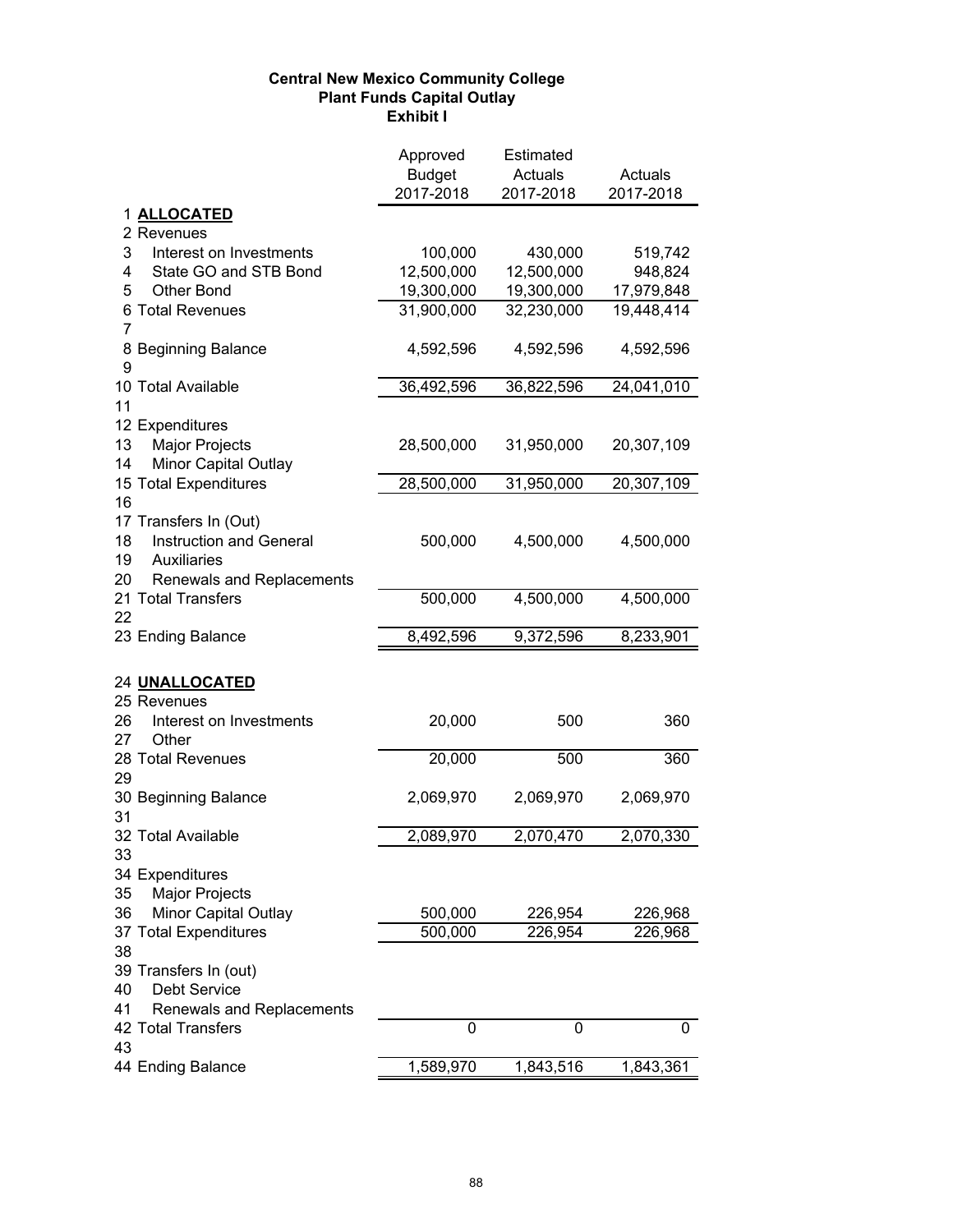# **Central New Mexico Community College Plant Funds Capital Outlay Exhibit I**

|                                                     | Approved<br><b>Budget</b><br>2017-2018 | Estimated<br>Actuals<br>2017-2018 | Actuals<br>2017-2018 |
|-----------------------------------------------------|----------------------------------------|-----------------------------------|----------------------|
| 1 ALLOCATED                                         |                                        |                                   |                      |
| 2 Revenues                                          |                                        |                                   |                      |
| 3<br>Interest on Investments                        | 100,000                                | 430,000                           | 519,742              |
| 4<br>State GO and STB Bond                          | 12,500,000                             | 12,500,000                        | 948,824              |
| 5<br><b>Other Bond</b>                              | 19,300,000                             | 19,300,000                        | 17,979,848           |
| 6 Total Revenues                                    | 31,900,000                             | 32,230,000                        | 19,448,414           |
| $\overline{7}$                                      |                                        |                                   |                      |
| 8 Beginning Balance                                 | 4,592,596                              | 4,592,596                         | 4,592,596            |
| 9                                                   |                                        |                                   |                      |
| 10 Total Available                                  | 36,492,596                             | 36,822,596                        | 24,041,010           |
| 11                                                  |                                        |                                   |                      |
| 12 Expenditures                                     |                                        |                                   |                      |
| Major Projects<br>13                                | 28,500,000                             | 31,950,000                        | 20,307,109           |
| 14<br>Minor Capital Outlay<br>15 Total Expenditures |                                        |                                   | 20,307,109           |
| 16                                                  | 28,500,000                             | 31,950,000                        |                      |
| 17 Transfers In (Out)                               |                                        |                                   |                      |
| Instruction and General<br>18                       | 500,000                                | 4,500,000                         | 4,500,000            |
| 19<br>Auxiliaries                                   |                                        |                                   |                      |
| Renewals and Replacements<br>20                     |                                        |                                   |                      |
| 21 Total Transfers                                  | 500,000                                | 4,500,000                         | 4,500,000            |
| 22                                                  |                                        |                                   |                      |
| 23 Ending Balance                                   | 8,492,596                              | 9,372,596                         | 8,233,901            |
| 24 UNALLOCATED                                      |                                        |                                   |                      |
| 25 Revenues                                         |                                        |                                   |                      |
| Interest on Investments<br>26<br>27<br>Other        | 20,000                                 | 500                               | 360                  |
| 28 Total Revenues                                   | 20,000                                 | 500                               | 360                  |
| 29                                                  |                                        |                                   |                      |
| 30 Beginning Balance                                | 2,069,970                              | 2,069,970                         | 2,069,970            |
| 31                                                  |                                        |                                   |                      |
| 32 Total Available                                  | 2,089,970                              | 2,070,470                         | 2,070,330            |
| 33<br>34 Expenditures                               |                                        |                                   |                      |
| 35<br>Major Projects                                |                                        |                                   |                      |
| Minor Capital Outlay<br>36                          | 500,000                                | 226,954                           | 226,968              |
| 37 Total Expenditures                               | 500,000                                | 226,954                           | 226,968              |
| 38                                                  |                                        |                                   |                      |
| 39 Transfers In (out)                               |                                        |                                   |                      |
| Debt Service<br>40                                  |                                        |                                   |                      |
| Renewals and Replacements<br>41                     |                                        |                                   |                      |
| 42 Total Transfers<br>43                            | 0                                      | 0                                 | 0                    |
| 44 Ending Balance                                   | 1,589,970                              | 1,843,516                         | 1,843,361            |
|                                                     |                                        |                                   |                      |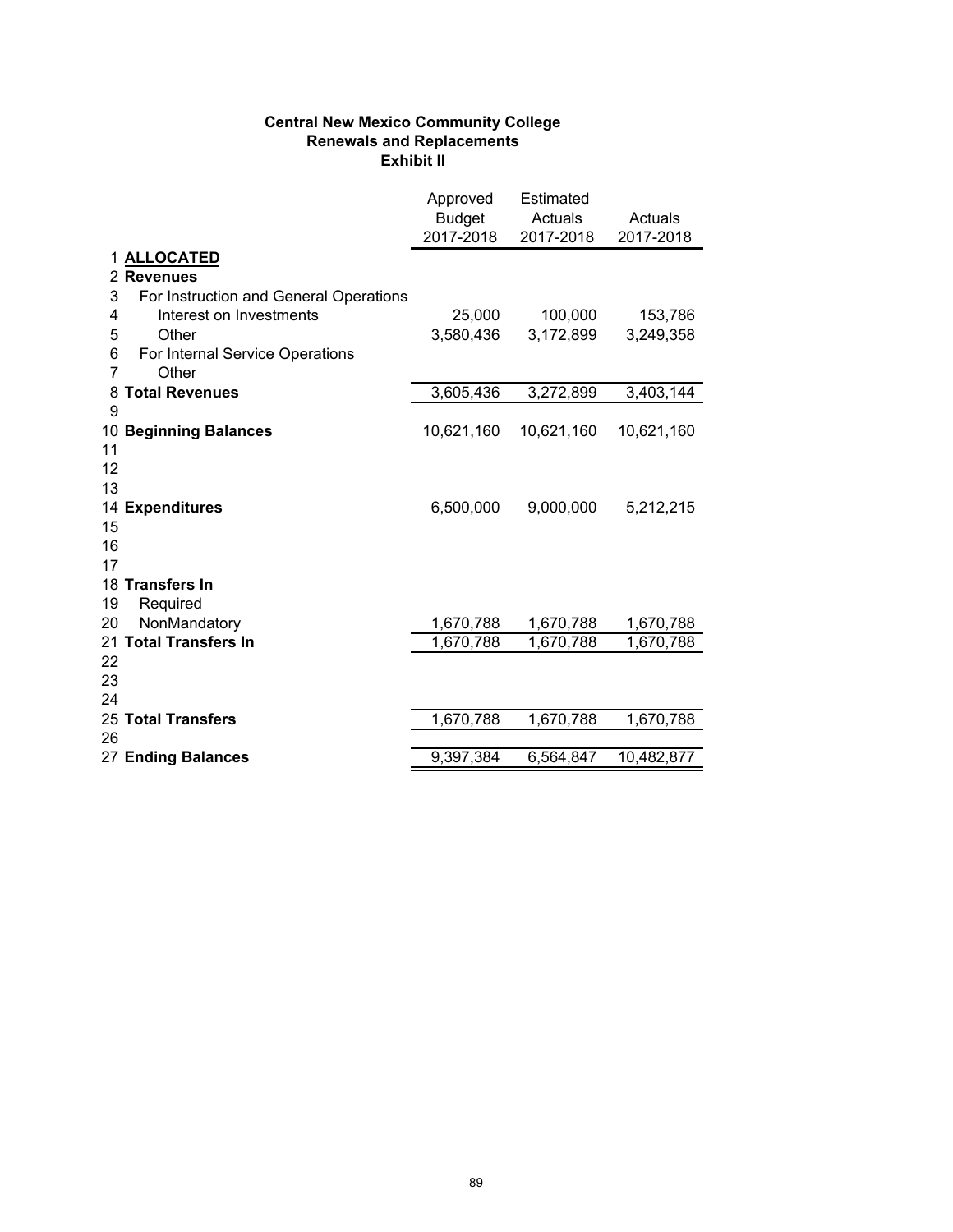# **Central New Mexico Community College Renewals and Replacements Exhibit II**

|    |                                        | Approved<br><b>Budget</b><br>2017-2018 | <b>Estimated</b><br>Actuals<br>2017-2018 | Actuals<br>2017-2018 |
|----|----------------------------------------|----------------------------------------|------------------------------------------|----------------------|
|    | 1 ALLOCATED                            |                                        |                                          |                      |
|    | 2 Revenues                             |                                        |                                          |                      |
| 3  | For Instruction and General Operations |                                        |                                          |                      |
| 4  | Interest on Investments                | 25,000                                 | 100,000                                  | 153,786              |
| 5  | Other                                  | 3,580,436                              | 3,172,899                                | 3,249,358            |
| 6  | For Internal Service Operations        |                                        |                                          |                      |
| 7  | Other                                  |                                        |                                          |                      |
| 8  | <b>Total Revenues</b>                  | 3,605,436                              | 3,272,899                                | 3,403,144            |
| 9  |                                        |                                        |                                          |                      |
|    | 10 Beginning Balances                  | 10,621,160                             | 10,621,160                               | 10,621,160           |
| 11 |                                        |                                        |                                          |                      |
| 12 |                                        |                                        |                                          |                      |
| 13 |                                        |                                        |                                          |                      |
|    | 14 Expenditures                        | 6,500,000                              | 9,000,000                                | 5,212,215            |
| 15 |                                        |                                        |                                          |                      |
| 16 |                                        |                                        |                                          |                      |
| 17 | 18 Transfers In                        |                                        |                                          |                      |
| 19 | Required                               |                                        |                                          |                      |
| 20 | NonMandatory                           | 1,670,788                              | 1,670,788                                | 1,670,788            |
|    | 21 Total Transfers In                  | 1,670,788                              | 1,670,788                                | 1,670,788            |
| 22 |                                        |                                        |                                          |                      |
| 23 |                                        |                                        |                                          |                      |
| 24 |                                        |                                        |                                          |                      |
|    | 25 Total Transfers                     | 1,670,788                              | 1,670,788                                | 1,670,788            |
| 26 |                                        |                                        |                                          |                      |
|    | 27 Ending Balances                     | 9,397,384                              | 6,564,847                                | 10,482,877           |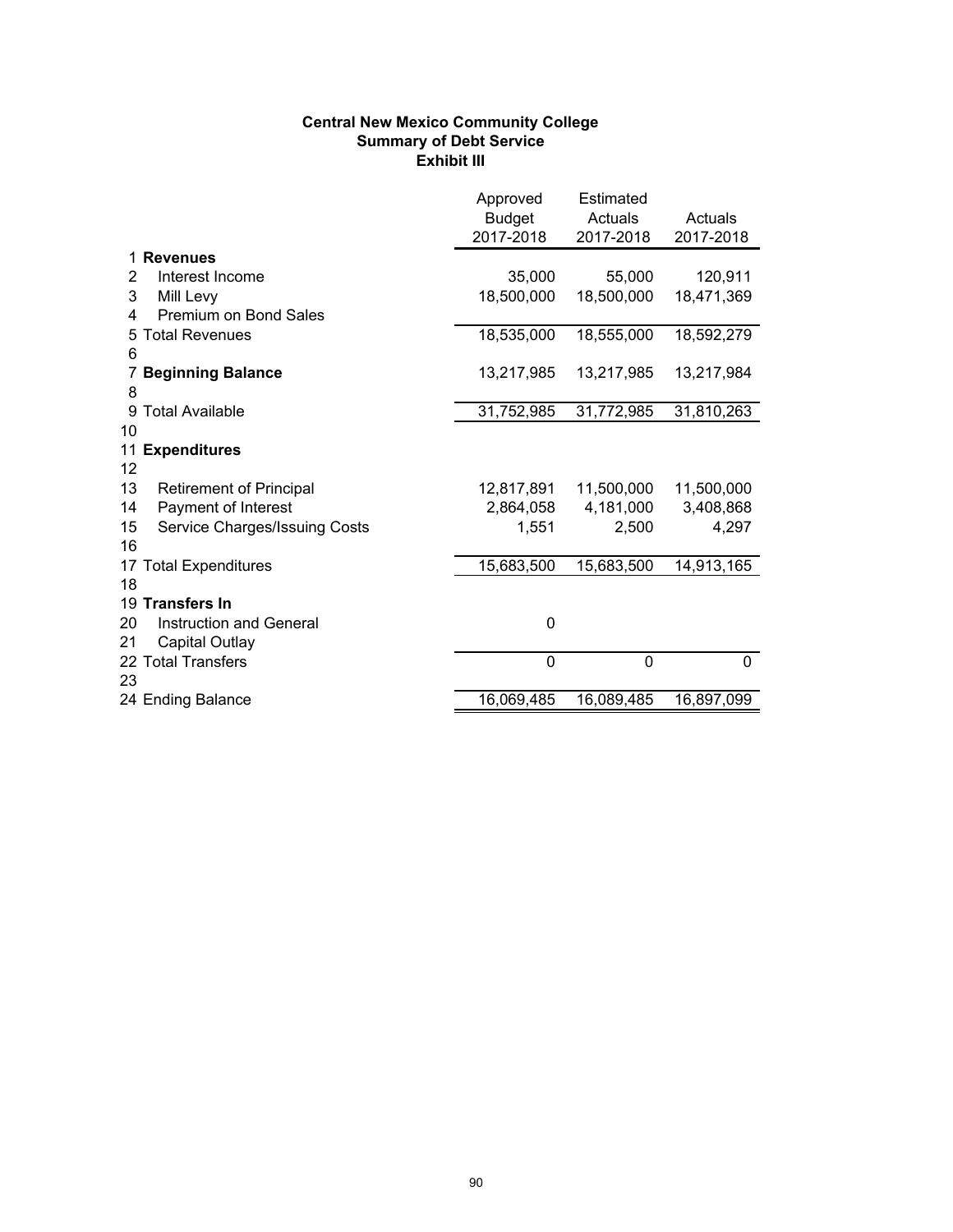# **Central New Mexico Community College Summary of Debt Service Exhibit III**

|                                      | Approved<br><b>Budget</b><br>2017-2018 | <b>Estimated</b><br>Actuals<br>2017-2018 | Actuals<br>2017-2018 |
|--------------------------------------|----------------------------------------|------------------------------------------|----------------------|
| <b>Revenues</b>                      |                                        |                                          |                      |
| Interest Income<br>2                 | 35,000                                 | 55,000                                   | 120,911              |
| 3<br>Mill Levy                       | 18,500,000                             | 18,500,000                               | 18,471,369           |
| <b>Premium on Bond Sales</b><br>4    |                                        |                                          |                      |
| 5 Total Revenues                     | 18,535,000                             | 18,555,000                               | 18,592,279           |
| 6                                    |                                        |                                          |                      |
| <b>Beginning Balance</b><br>7        | 13,217,985                             | 13,217,985                               | 13,217,984           |
| 8                                    |                                        |                                          |                      |
| 9 Total Available                    | 31,752,985                             | 31,772,985                               | 31,810,263           |
| 10                                   |                                        |                                          |                      |
| 11 Expenditures                      |                                        |                                          |                      |
| 12                                   |                                        |                                          |                      |
| 13<br><b>Retirement of Principal</b> | 12,817,891                             | 11,500,000                               | 11,500,000           |
| Payment of Interest<br>14            | 2,864,058                              | 4,181,000                                | 3,408,868            |
| 15<br>Service Charges/Issuing Costs  | 1,551                                  | 2,500                                    | 4,297                |
| 16                                   |                                        |                                          |                      |
| 17 Total Expenditures                | 15,683,500                             | 15,683,500                               | 14,913,165           |
| 18                                   |                                        |                                          |                      |
| 19 Transfers In                      |                                        |                                          |                      |
| <b>Instruction and General</b><br>20 | 0                                      |                                          |                      |
| 21<br><b>Capital Outlay</b>          |                                        |                                          |                      |
| 22 Total Transfers                   | $\mathbf{0}$                           | 0                                        | 0                    |
| 23                                   |                                        |                                          |                      |
| 24 Ending Balance                    | 16,069,485                             | 16,089,485                               | 16,897,099           |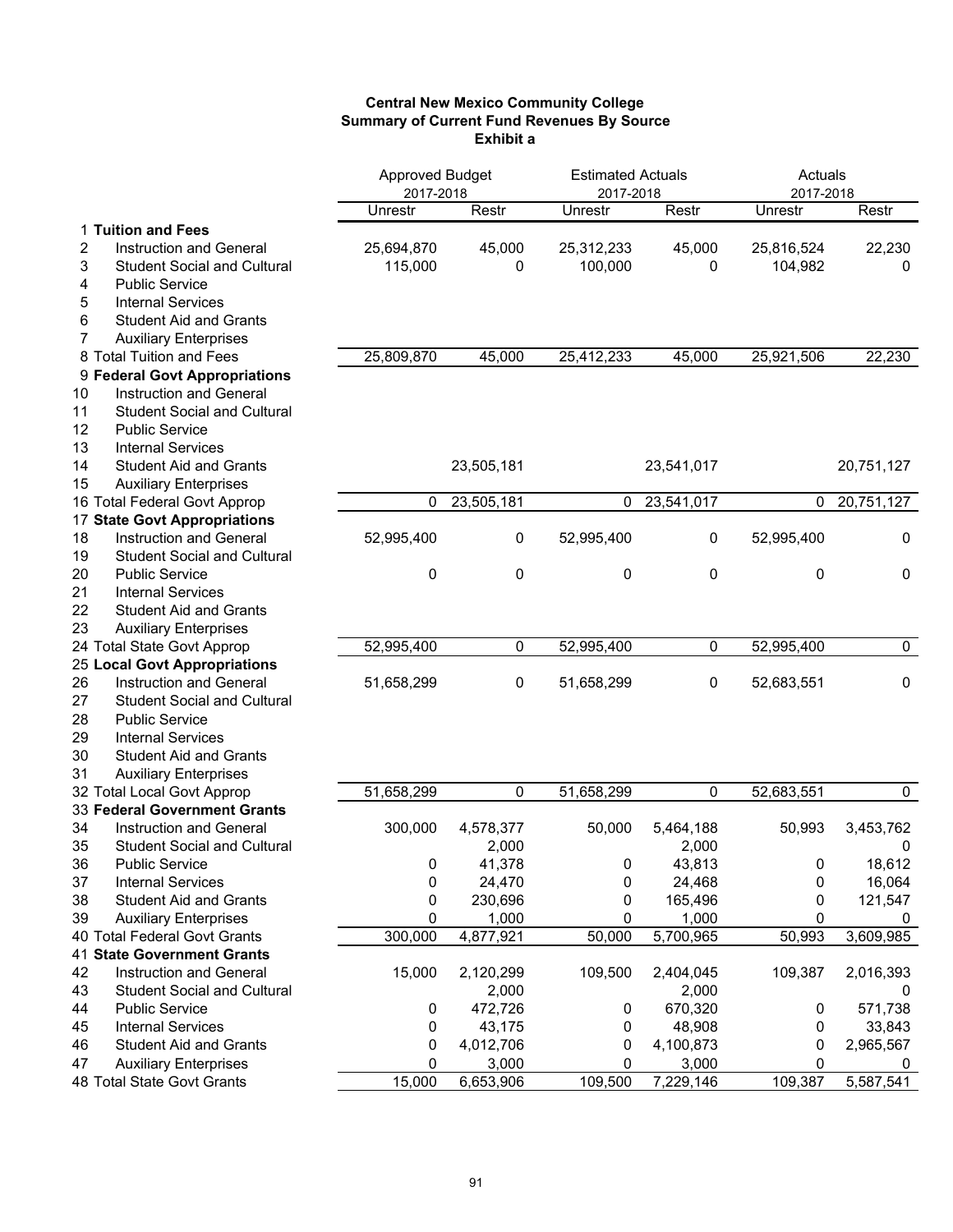## **Central New Mexico Community College Summary of Current Fund Revenues By Source Exhibit a**

|    |                                     | <b>Approved Budget</b> |            | <b>Estimated Actuals</b> |            | Actuals    |             |
|----|-------------------------------------|------------------------|------------|--------------------------|------------|------------|-------------|
|    |                                     | 2017-2018              |            | 2017-2018                |            | 2017-2018  |             |
|    |                                     | Unrestr                | Restr      | Unrestr                  | Restr      | Unrestr    | Restr       |
|    | 1 Tuition and Fees                  |                        |            |                          |            |            |             |
| 2  | Instruction and General             | 25,694,870             | 45,000     | 25,312,233               | 45,000     | 25,816,524 | 22,230      |
| 3  | <b>Student Social and Cultural</b>  | 115,000                | 0          | 100,000                  | 0          | 104,982    | 0           |
| 4  | <b>Public Service</b>               |                        |            |                          |            |            |             |
| 5  | <b>Internal Services</b>            |                        |            |                          |            |            |             |
| 6  | <b>Student Aid and Grants</b>       |                        |            |                          |            |            |             |
| 7  | <b>Auxiliary Enterprises</b>        |                        |            |                          |            |            |             |
|    | 8 Total Tuition and Fees            | 25,809,870             | 45,000     | 25,412,233               | 45,000     | 25,921,506 | 22,230      |
|    | 9 Federal Govt Appropriations       |                        |            |                          |            |            |             |
| 10 | Instruction and General             |                        |            |                          |            |            |             |
| 11 | <b>Student Social and Cultural</b>  |                        |            |                          |            |            |             |
| 12 | <b>Public Service</b>               |                        |            |                          |            |            |             |
| 13 | <b>Internal Services</b>            |                        |            |                          |            |            |             |
| 14 | <b>Student Aid and Grants</b>       |                        | 23,505,181 |                          | 23,541,017 |            | 20,751,127  |
| 15 | <b>Auxiliary Enterprises</b>        |                        |            |                          |            |            |             |
|    | 16 Total Federal Govt Approp        | 0                      | 23,505,181 | 0                        | 23,541,017 | 0          | 20,751,127  |
|    | 17 State Govt Appropriations        |                        |            |                          |            |            |             |
| 18 | Instruction and General             | 52,995,400             | 0          | 52,995,400               | 0          | 52,995,400 | $\mathbf 0$ |
| 19 | <b>Student Social and Cultural</b>  |                        |            |                          |            |            |             |
| 20 | <b>Public Service</b>               | 0                      | 0          | 0                        | 0          | 0          | 0           |
| 21 | <b>Internal Services</b>            |                        |            |                          |            |            |             |
| 22 | <b>Student Aid and Grants</b>       |                        |            |                          |            |            |             |
| 23 | <b>Auxiliary Enterprises</b>        |                        |            |                          |            |            |             |
|    | 24 Total State Govt Approp          | 52,995,400             | 0          | 52,995,400               | 0          | 52,995,400 | $\pmb{0}$   |
|    | <b>25 Local Govt Appropriations</b> |                        |            |                          |            |            |             |
| 26 | Instruction and General             | 51,658,299             | 0          | 51,658,299               | 0          | 52,683,551 | $\pmb{0}$   |
| 27 | <b>Student Social and Cultural</b>  |                        |            |                          |            |            |             |
| 28 | <b>Public Service</b>               |                        |            |                          |            |            |             |
| 29 | <b>Internal Services</b>            |                        |            |                          |            |            |             |
| 30 | <b>Student Aid and Grants</b>       |                        |            |                          |            |            |             |
| 31 | <b>Auxiliary Enterprises</b>        |                        |            |                          |            |            |             |
|    | 32 Total Local Govt Approp          | 51,658,299             | 0          | 51,658,299               | 0          | 52,683,551 | $\mathbf 0$ |
|    | 33 Federal Government Grants        |                        |            |                          |            |            |             |
| 34 | Instruction and General             | 300,000                | 4,578,377  | 50,000                   | 5,464,188  | 50,993     | 3,453,762   |
| 35 | <b>Student Social and Cultural</b>  |                        | 2,000      |                          | 2,000      |            | 0           |
| 36 | <b>Public Service</b>               | 0                      | 41,378     | 0                        | 43,813     | 0          | 18,612      |
| 37 | <b>Internal Services</b>            | 0                      | 24,470     | 0                        | 24,468     | 0          | 16,064      |
| 38 | <b>Student Aid and Grants</b>       | 0                      | 230,696    | 0                        | 165,496    | 0          | 121,547     |
| 39 | <b>Auxiliary Enterprises</b>        | 0                      | 1,000      | 0                        | 1,000      | 0          | 0           |
|    | 40 Total Federal Govt Grants        | 300,000                | 4,877,921  | 50,000                   | 5,700,965  | 50,993     | 3,609,985   |
|    | <b>41 State Government Grants</b>   |                        |            |                          |            |            |             |
| 42 | Instruction and General             | 15,000                 | 2,120,299  | 109,500                  | 2,404,045  | 109,387    | 2,016,393   |
| 43 | <b>Student Social and Cultural</b>  |                        | 2,000      |                          | 2,000      |            | 0           |
| 44 | <b>Public Service</b>               | 0                      | 472,726    | 0                        | 670,320    | 0          | 571,738     |
| 45 | <b>Internal Services</b>            | 0                      | 43,175     | 0                        | 48,908     | 0          | 33,843      |
| 46 | <b>Student Aid and Grants</b>       | 0                      | 4,012,706  | 0                        | 4,100,873  | 0          | 2,965,567   |
| 47 | <b>Auxiliary Enterprises</b>        | 0                      | 3,000      | 0                        | 3,000      | 0          | 0           |
|    | 48 Total State Govt Grants          | 15,000                 | 6,653,906  | 109,500                  | 7,229,146  | 109,387    | 5,587,541   |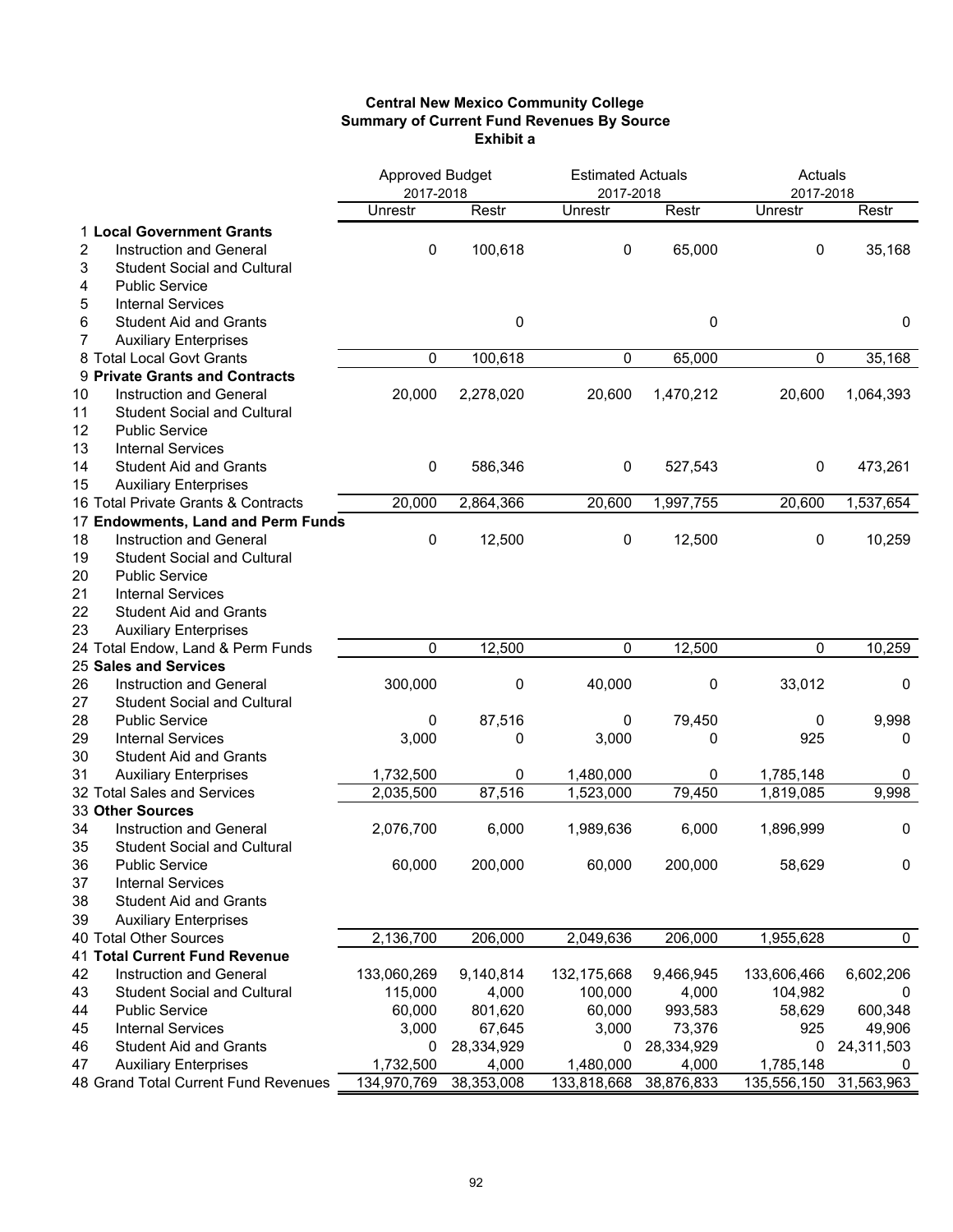## **Central New Mexico Community College Summary of Current Fund Revenues By Source Exhibit a**

|                                          | <b>Approved Budget</b> |            | <b>Estimated Actuals</b> |            | Actuals              |             |
|------------------------------------------|------------------------|------------|--------------------------|------------|----------------------|-------------|
|                                          | 2017-2018<br>Unrestr   | Restr      | 2017-2018<br>Unrestr     | Restr      | 2017-2018<br>Unrestr | Restr       |
|                                          |                        |            |                          |            |                      |             |
| 1 Local Government Grants                |                        |            |                          |            |                      |             |
| 2<br><b>Instruction and General</b>      | 0                      | 100,618    | 0                        | 65,000     | 0                    | 35,168      |
| 3<br><b>Student Social and Cultural</b>  |                        |            |                          |            |                      |             |
| 4<br><b>Public Service</b>               |                        |            |                          |            |                      |             |
| 5<br><b>Internal Services</b>            |                        |            |                          |            |                      |             |
| 6<br><b>Student Aid and Grants</b>       |                        | 0          |                          | 0          |                      | $\mathbf 0$ |
| 7<br><b>Auxiliary Enterprises</b>        |                        |            |                          |            |                      |             |
| 8 Total Local Govt Grants                | 0                      | 100,618    | 0                        | 65,000     | $\pmb{0}$            | 35,168      |
| 9 Private Grants and Contracts           |                        |            |                          |            |                      |             |
| 10<br><b>Instruction and General</b>     | 20,000                 | 2,278,020  | 20,600                   | 1,470,212  | 20,600               | 1,064,393   |
| 11<br><b>Student Social and Cultural</b> |                        |            |                          |            |                      |             |
| 12<br><b>Public Service</b>              |                        |            |                          |            |                      |             |
| 13<br><b>Internal Services</b>           |                        |            |                          |            |                      |             |
| <b>Student Aid and Grants</b><br>14      | 0                      | 586,346    | 0                        | 527,543    | 0                    | 473,261     |
| 15<br><b>Auxiliary Enterprises</b>       |                        |            |                          |            |                      |             |
| 16 Total Private Grants & Contracts      | 20,000                 | 2,864,366  | 20,600                   | 1,997,755  | 20,600               | 1,537,654   |
| 17 Endowments, Land and Perm Funds       |                        |            |                          |            |                      |             |
| 18<br>Instruction and General            | 0                      | 12,500     | 0                        | 12,500     | 0                    | 10,259      |
| 19<br><b>Student Social and Cultural</b> |                        |            |                          |            |                      |             |
| <b>Public Service</b><br>20              |                        |            |                          |            |                      |             |
| 21<br><b>Internal Services</b>           |                        |            |                          |            |                      |             |
| 22<br><b>Student Aid and Grants</b>      |                        |            |                          |            |                      |             |
| 23<br><b>Auxiliary Enterprises</b>       |                        |            |                          |            |                      |             |
| 24 Total Endow, Land & Perm Funds        | 0                      | 12,500     | 0                        | 12,500     | 0                    | 10,259      |
| 25 Sales and Services                    |                        |            |                          |            |                      |             |
| 26<br>Instruction and General            | 300,000                | 0          | 40,000                   | 0          | 33,012               | 0           |
| 27<br><b>Student Social and Cultural</b> |                        |            |                          |            |                      |             |
| 28<br><b>Public Service</b>              | 0                      | 87,516     | 0                        | 79,450     | 0                    | 9,998       |
| 29<br><b>Internal Services</b>           | 3,000                  | 0          | 3,000                    | 0          | 925                  | 0           |
| 30<br><b>Student Aid and Grants</b>      |                        |            |                          |            |                      |             |
| 31                                       |                        |            |                          |            |                      |             |
| <b>Auxiliary Enterprises</b>             | 1,732,500              | 0          | 1,480,000                | 0          | 1,785,148            | 0           |
| 32 Total Sales and Services              | 2,035,500              | 87,516     | 1,523,000                | 79,450     | 1,819,085            | 9,998       |
| 33 Other Sources                         |                        |            |                          |            |                      |             |
| 34<br><b>Instruction and General</b>     | 2,076,700              | 6,000      | 1,989,636                | 6,000      | 1,896,999            | 0           |
| 35<br><b>Student Social and Cultural</b> |                        |            |                          |            |                      |             |
| 36<br><b>Public Service</b>              | 60,000                 | 200,000    | 60,000                   | 200,000    | 58,629               | 0           |
| 37<br><b>Internal Services</b>           |                        |            |                          |            |                      |             |
| 38<br><b>Student Aid and Grants</b>      |                        |            |                          |            |                      |             |
| 39<br><b>Auxiliary Enterprises</b>       |                        |            |                          |            |                      |             |
| 40 Total Other Sources                   | 2,136,700              | 206,000    | 2,049,636                | 206,000    | 1,955,628            | 0           |
| 41 Total Current Fund Revenue            |                        |            |                          |            |                      |             |
| 42<br>Instruction and General            | 133,060,269            | 9,140,814  | 132, 175, 668            | 9,466,945  | 133,606,466          | 6,602,206   |
| 43<br><b>Student Social and Cultural</b> | 115,000                | 4,000      | 100,000                  | 4,000      | 104,982              | 0           |
| <b>Public Service</b><br>44              | 60,000                 | 801,620    | 60,000                   | 993,583    | 58,629               | 600,348     |
| 45<br><b>Internal Services</b>           | 3,000                  | 67,645     | 3,000                    | 73,376     | 925                  | 49,906      |
| 46<br><b>Student Aid and Grants</b>      | 0                      | 28,334,929 | 0                        | 28,334,929 | 0                    | 24,311,503  |
| <b>Auxiliary Enterprises</b><br>47       | 1,732,500              | 4,000      | 1,480,000                | 4,000      | 1,785,148            | 0           |
| 48 Grand Total Current Fund Revenues     | 134,970,769            | 38,353,008 | 133,818,668              | 38,876,833 | 135,556,150          | 31,563,963  |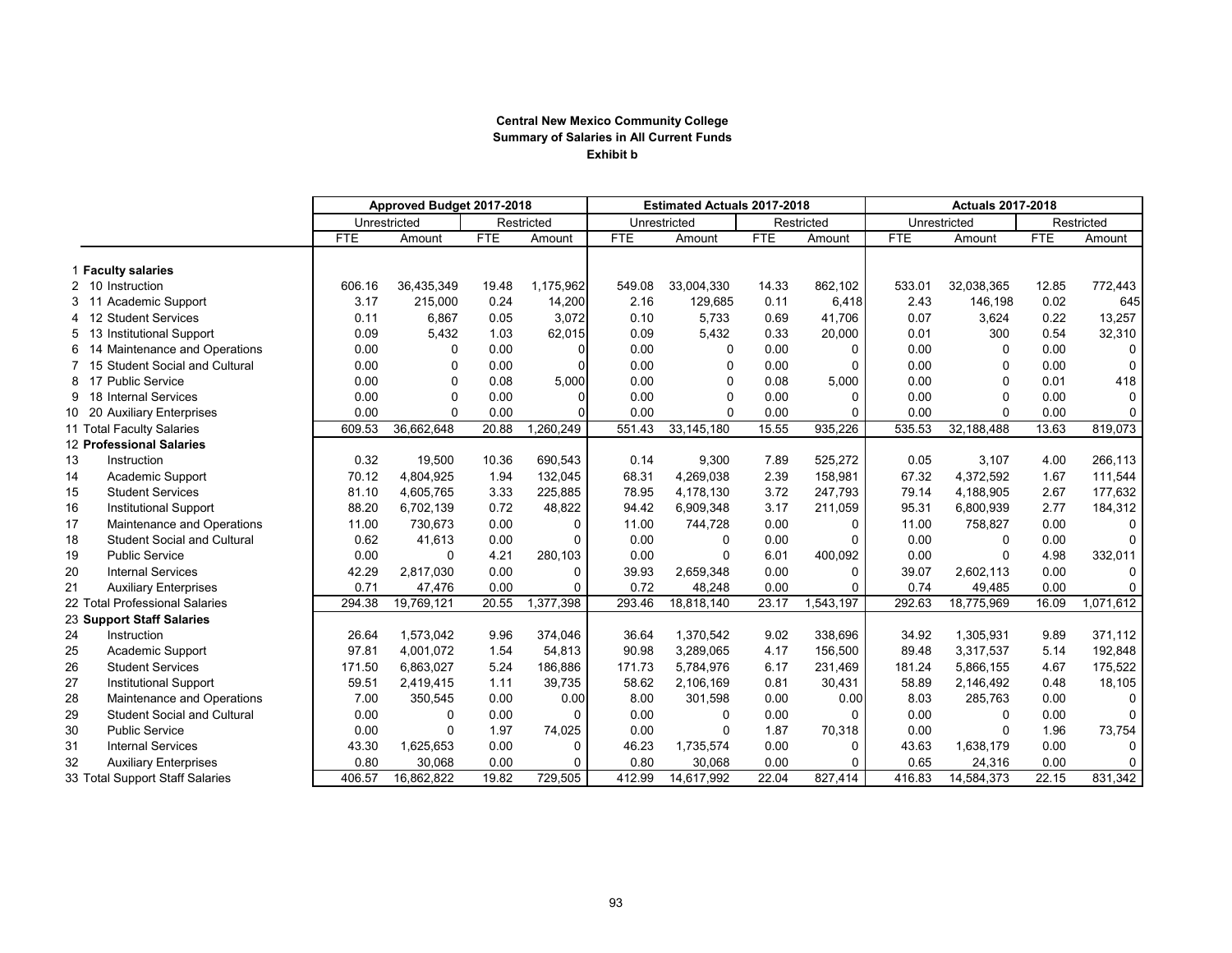## **Central New Mexico Community College Summary of Salaries in All Current Funds Exhibit b**

|                |                                    | Approved Budget 2017-2018 |              |            |            | <b>Estimated Actuals 2017-2018</b> |              |            | <b>Actuals 2017-2018</b> |            |              |            |              |
|----------------|------------------------------------|---------------------------|--------------|------------|------------|------------------------------------|--------------|------------|--------------------------|------------|--------------|------------|--------------|
|                |                                    |                           | Unrestricted |            | Restricted |                                    | Unrestricted |            | Restricted               |            | Unrestricted |            | Restricted   |
|                |                                    | <b>FTE</b>                | Amount       | <b>FTE</b> | Amount     | <b>FTE</b>                         | Amount       | <b>FTE</b> | Amount                   | <b>FTE</b> | Amount       | <b>FTE</b> | Amount       |
|                | 1 Faculty salaries                 |                           |              |            |            |                                    |              |            |                          |            |              |            |              |
|                | 2 10 Instruction                   | 606.16                    | 36,435,349   | 19.48      | 1,175,962  | 549.08                             | 33,004,330   | 14.33      | 862.102                  | 533.01     | 32,038,365   | 12.85      | 772,443      |
| 3              | Academic Support<br>11             | 3.17                      | 215,000      | 0.24       | 14,200     | 2.16                               | 129,685      | 0.11       | 6,418                    | 2.43       | 146,198      | 0.02       | 645          |
| 4              | 12 Student Services                | 0.11                      | 6,867        | 0.05       | 3,072      | 0.10                               | 5,733        | 0.69       | 41,706                   | 0.07       | 3,624        | 0.22       | 13,257       |
| 5              | 13 Institutional Support           | 0.09                      | 5,432        | 1.03       | 62,015     | 0.09                               | 5,432        | 0.33       | 20,000                   | 0.01       | 300          | 0.54       | 32,310       |
| 6              | 14 Maintenance and Operations      | 0.00                      | $\Omega$     | 0.00       |            | 0.00                               | $\Omega$     | 0.00       | $\Omega$                 | 0.00       | $\Omega$     | 0.00       | $\mathbf 0$  |
| $\overline{7}$ | 15 Student Social and Cultural     | 0.00                      | 0            | 0.00       |            | 0.00                               | $\Omega$     | 0.00       | $\Omega$                 | 0.00       | $\Omega$     | 0.00       | $\mathbf 0$  |
| 8              | <b>Public Service</b><br>17        | 0.00                      | 0            | 0.08       | 5,000      | 0.00                               | $\mathbf 0$  | 0.08       | 5,000                    | 0.00       | $\Omega$     | 0.01       | 418          |
| 9              | 18 Internal Services               | 0.00                      | $\Omega$     | 0.00       |            | 0.00                               | $\Omega$     | 0.00       | 0                        | 0.00       | $\Omega$     | 0.00       | 0            |
| 10 20          | <b>Auxiliary Enterprises</b>       | 0.00                      | $\Omega$     | 0.00       |            | 0.00                               | $\Omega$     | 0.00       | $\Omega$                 | 0.00       | $\Omega$     | 0.00       | 0            |
|                | 11 Total Faculty Salaries          | 609.53                    | 36,662,648   | 20.88      | 1,260,249  | 551.43                             | 33, 145, 180 | 15.55      | 935,226                  | 535.53     | 32,188,488   | 13.63      | 819,073      |
|                | 12 Professional Salaries           |                           |              |            |            |                                    |              |            |                          |            |              |            |              |
| 13             | Instruction                        | 0.32                      | 19,500       | 10.36      | 690,543    | 0.14                               | 9,300        | 7.89       | 525,272                  | 0.05       | 3,107        | 4.00       | 266,113      |
| 14             | Academic Support                   | 70.12                     | 4.804.925    | 1.94       | 132,045    | 68.31                              | 4,269,038    | 2.39       | 158,981                  | 67.32      | 4,372,592    | 1.67       | 111,544      |
| 15             | <b>Student Services</b>            | 81.10                     | 4,605,765    | 3.33       | 225,885    | 78.95                              | 4.178.130    | 3.72       | 247,793                  | 79.14      | 4.188.905    | 2.67       | 177,632      |
| 16             | <b>Institutional Support</b>       | 88.20                     | 6,702,139    | 0.72       | 48,822     | 94.42                              | 6,909,348    | 3.17       | 211,059                  | 95.31      | 6,800,939    | 2.77       | 184,312      |
| 17             | Maintenance and Operations         | 11.00                     | 730,673      | 0.00       | 0          | 11.00                              | 744,728      | 0.00       | 0                        | 11.00      | 758,827      | 0.00       | $\mathbf 0$  |
| 18             | <b>Student Social and Cultural</b> | 0.62                      | 41,613       | 0.00       | $\Omega$   | 0.00                               | $\Omega$     | 0.00       | 0                        | 0.00       | 0            | 0.00       | $\mathbf 0$  |
| 19             | <b>Public Service</b>              | 0.00                      | $\Omega$     | 4.21       | 280,103    | 0.00                               | $\Omega$     | 6.01       | 400,092                  | 0.00       | $\Omega$     | 4.98       | 332,011      |
| 20             | <b>Internal Services</b>           | 42.29                     | 2,817,030    | 0.00       | 0          | 39.93                              | 2,659,348    | 0.00       | $\Omega$                 | 39.07      | 2,602,113    | 0.00       | 0            |
| 21             | <b>Auxiliary Enterprises</b>       | 0.71                      | 47,476       | 0.00       | $\Omega$   | 0.72                               | 48,248       | 0.00       | $\Omega$                 | 0.74       | 49,485       | 0.00       | 0            |
|                | 22 Total Professional Salaries     | 294.38                    | 19,769,121   | 20.55      | 1,377,398  | 293.46                             | 18,818,140   | 23.17      | 1,543,197                | 292.63     | 18,775,969   | 16.09      | 1,071,612    |
|                | 23 Support Staff Salaries          |                           |              |            |            |                                    |              |            |                          |            |              |            |              |
| 24             | Instruction                        | 26.64                     | 1,573,042    | 9.96       | 374,046    | 36.64                              | 1,370,542    | 9.02       | 338,696                  | 34.92      | 1,305,931    | 9.89       | 371,112      |
| 25             | Academic Support                   | 97.81                     | 4,001,072    | 1.54       | 54,813     | 90.98                              | 3,289,065    | 4.17       | 156,500                  | 89.48      | 3,317,537    | 5.14       | 192,848      |
| 26             | <b>Student Services</b>            | 171.50                    | 6,863,027    | 5.24       | 186,886    | 171.73                             | 5,784,976    | 6.17       | 231,469                  | 181.24     | 5,866,155    | 4.67       | 175,522      |
| 27             | <b>Institutional Support</b>       | 59.51                     | 2,419,415    | 1.11       | 39,735     | 58.62                              | 2,106,169    | 0.81       | 30,431                   | 58.89      | 2,146,492    | 0.48       | 18,105       |
| 28             | Maintenance and Operations         | 7.00                      | 350,545      | 0.00       | 0.00       | 8.00                               | 301,598      | 0.00       | 0.00                     | 8.03       | 285,763      | 0.00       | $\mathbf 0$  |
| 29             | <b>Student Social and Cultural</b> | 0.00                      | $\mathbf{0}$ | 0.00       | $\Omega$   | 0.00                               | $\Omega$     | 0.00       | $\Omega$                 | 0.00       | $\Omega$     | 0.00       | $\mathbf{0}$ |
| 30             | <b>Public Service</b>              | 0.00                      | $\mathbf{0}$ | 1.97       | 74,025     | 0.00                               | $\Omega$     | 1.87       | 70,318                   | 0.00       | $\mathbf 0$  | 1.96       | 73,754       |
| 31             | <b>Internal Services</b>           | 43.30                     | 1,625,653    | 0.00       | 0          | 46.23                              | 1,735,574    | 0.00       | 0                        | 43.63      | 1,638,179    | 0.00       | $\mathbf 0$  |
| 32             | <b>Auxiliary Enterprises</b>       | 0.80                      | 30,068       | 0.00       | $\Omega$   | 0.80                               | 30,068       | 0.00       | 0                        | 0.65       | 24,316       | 0.00       | 0            |
|                | 33 Total Support Staff Salaries    | 406.57                    | 16,862,822   | 19.82      | 729,505    | 412.99                             | 14,617,992   | 22.04      | 827,414                  | 416.83     | 14,584,373   | 22.15      | 831,342      |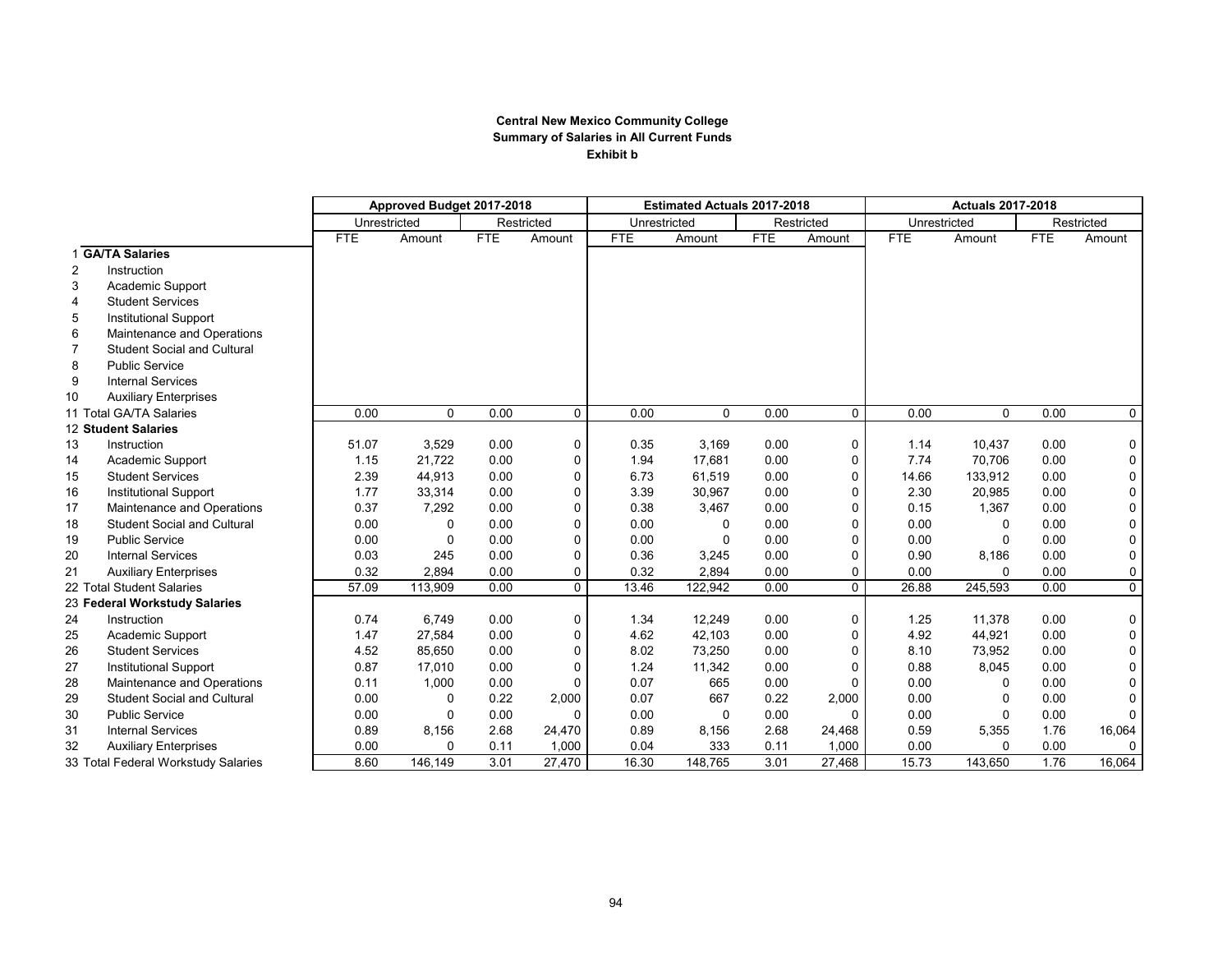## **Central New Mexico Community College Summary of Salaries in All Current Funds Exhibit b**

|    |                                     | Approved Budget 2017-2018 |         |            |            | <b>Estimated Actuals 2017-2018</b> |          |            | <b>Actuals 2017-2018</b> |              |          |            |              |
|----|-------------------------------------|---------------------------|---------|------------|------------|------------------------------------|----------|------------|--------------------------|--------------|----------|------------|--------------|
|    |                                     | Unrestricted              |         |            | Restricted | Unrestricted                       |          |            | Restricted               | Unrestricted |          | Restricted |              |
|    |                                     | <b>FTE</b>                | Amount  | <b>FTE</b> | Amount     | <b>FTE</b>                         | Amount   | <b>FTE</b> | Amount                   | <b>FTE</b>   | Amount   | <b>FTE</b> | Amount       |
|    | 1 GA/TA Salaries                    |                           |         |            |            |                                    |          |            |                          |              |          |            |              |
| 2  | Instruction                         |                           |         |            |            |                                    |          |            |                          |              |          |            |              |
| 3  | Academic Support                    |                           |         |            |            |                                    |          |            |                          |              |          |            |              |
| 4  | <b>Student Services</b>             |                           |         |            |            |                                    |          |            |                          |              |          |            |              |
| 5  | <b>Institutional Support</b>        |                           |         |            |            |                                    |          |            |                          |              |          |            |              |
| 6  | Maintenance and Operations          |                           |         |            |            |                                    |          |            |                          |              |          |            |              |
| 7  | <b>Student Social and Cultural</b>  |                           |         |            |            |                                    |          |            |                          |              |          |            |              |
| 8  | <b>Public Service</b>               |                           |         |            |            |                                    |          |            |                          |              |          |            |              |
| 9  | <b>Internal Services</b>            |                           |         |            |            |                                    |          |            |                          |              |          |            |              |
| 10 | <b>Auxiliary Enterprises</b>        |                           |         |            |            |                                    |          |            |                          |              |          |            |              |
|    | 11 Total GA/TA Salaries             | 0.00                      | 0       | 0.00       | 0          | 0.00                               | 0        | 0.00       | $\mathbf 0$              | 0.00         | $\Omega$ | 0.00       | $\mathsf{O}$ |
|    | 12 Student Salaries                 |                           |         |            |            |                                    |          |            |                          |              |          |            |              |
| 13 | Instruction                         | 51.07                     | 3,529   | 0.00       | 0          | 0.35                               | 3,169    | 0.00       | 0                        | 1.14         | 10,437   | 0.00       | 0            |
| 14 | Academic Support                    | 1.15                      | 21,722  | 0.00       | 0          | 1.94                               | 17,681   | 0.00       | 0                        | 7.74         | 70,706   | 0.00       | 0            |
| 15 | <b>Student Services</b>             | 2.39                      | 44,913  | 0.00       | 0          | 6.73                               | 61,519   | 0.00       | 0                        | 14.66        | 133,912  | 0.00       | 0            |
| 16 | <b>Institutional Support</b>        | 1.77                      | 33,314  | 0.00       | 0          | 3.39                               | 30,967   | 0.00       | 0                        | 2.30         | 20,985   | 0.00       | 0            |
| 17 | Maintenance and Operations          | 0.37                      | 7,292   | 0.00       | 0          | 0.38                               | 3,467    | 0.00       | 0                        | 0.15         | 1,367    | 0.00       | 0            |
| 18 | <b>Student Social and Cultural</b>  | 0.00                      | 0       | 0.00       | 0          | 0.00                               | 0        | 0.00       | 0                        | 0.00         | 0        | 0.00       | 0            |
| 19 | <b>Public Service</b>               | 0.00                      | 0       | 0.00       | $\Omega$   | 0.00                               | $\Omega$ | 0.00       | 0                        | 0.00         | 0        | 0.00       | 0            |
| 20 | <b>Internal Services</b>            | 0.03                      | 245     | 0.00       | 0          | 0.36                               | 3,245    | 0.00       | 0                        | 0.90         | 8,186    | 0.00       | 0            |
| 21 | <b>Auxiliary Enterprises</b>        | 0.32                      | 2,894   | 0.00       | 0          | 0.32                               | 2,894    | 0.00       | 0                        | 0.00         | $\Omega$ | 0.00       | 0            |
|    | 22 Total Student Salaries           | 57.09                     | 113,909 | 0.00       | 0          | 13.46                              | 122,942  | 0.00       | $\mathbf{0}$             | 26.88        | 245,593  | 0.00       | $\mathsf{O}$ |
|    | 23 Federal Workstudy Salaries       |                           |         |            |            |                                    |          |            |                          |              |          |            |              |
| 24 | Instruction                         | 0.74                      | 6,749   | 0.00       | 0          | 1.34                               | 12,249   | 0.00       | $\mathbf 0$              | 1.25         | 11,378   | 0.00       | 0            |
| 25 | Academic Support                    | 1.47                      | 27,584  | 0.00       | 0          | 4.62                               | 42,103   | 0.00       | $\Omega$                 | 4.92         | 44,921   | 0.00       | 0            |
| 26 | <b>Student Services</b>             | 4.52                      | 85,650  | 0.00       | $\Omega$   | 8.02                               | 73,250   | 0.00       | 0                        | 8.10         | 73,952   | 0.00       | 0            |
| 27 | <b>Institutional Support</b>        | 0.87                      | 17,010  | 0.00       | $\Omega$   | 1.24                               | 11,342   | 0.00       | $\Omega$                 | 0.88         | 8,045    | 0.00       | 0            |
| 28 | Maintenance and Operations          | 0.11                      | 1,000   | 0.00       |            | 0.07                               | 665      | 0.00       | $\Omega$                 | 0.00         | 0        | 0.00       | 0            |
| 29 | <b>Student Social and Cultural</b>  | 0.00                      | 0       | 0.22       | 2,000      | 0.07                               | 667      | 0.22       | 2,000                    | 0.00         |          | 0.00       | $\mathbf 0$  |
| 30 | <b>Public Service</b>               | 0.00                      | 0       | 0.00       | $\Omega$   | 0.00                               | $\Omega$ | 0.00       | $\Omega$                 | 0.00         | $\Omega$ | 0.00       | $\mathbf 0$  |
| 31 | <b>Internal Services</b>            | 0.89                      | 8,156   | 2.68       | 24,470     | 0.89                               | 8,156    | 2.68       | 24,468                   | 0.59         | 5,355    | 1.76       | 16,064       |
| 32 | <b>Auxiliary Enterprises</b>        | 0.00                      | 0       | 0.11       | 1,000      | 0.04                               | 333      | 0.11       | 1,000                    | 0.00         | $\Omega$ | 0.00       | 0            |
|    | 33 Total Federal Workstudy Salaries | 8.60                      | 146,149 | 3.01       | 27,470     | 16.30                              | 148,765  | 3.01       | 27,468                   | 15.73        | 143,650  | 1.76       | 16,064       |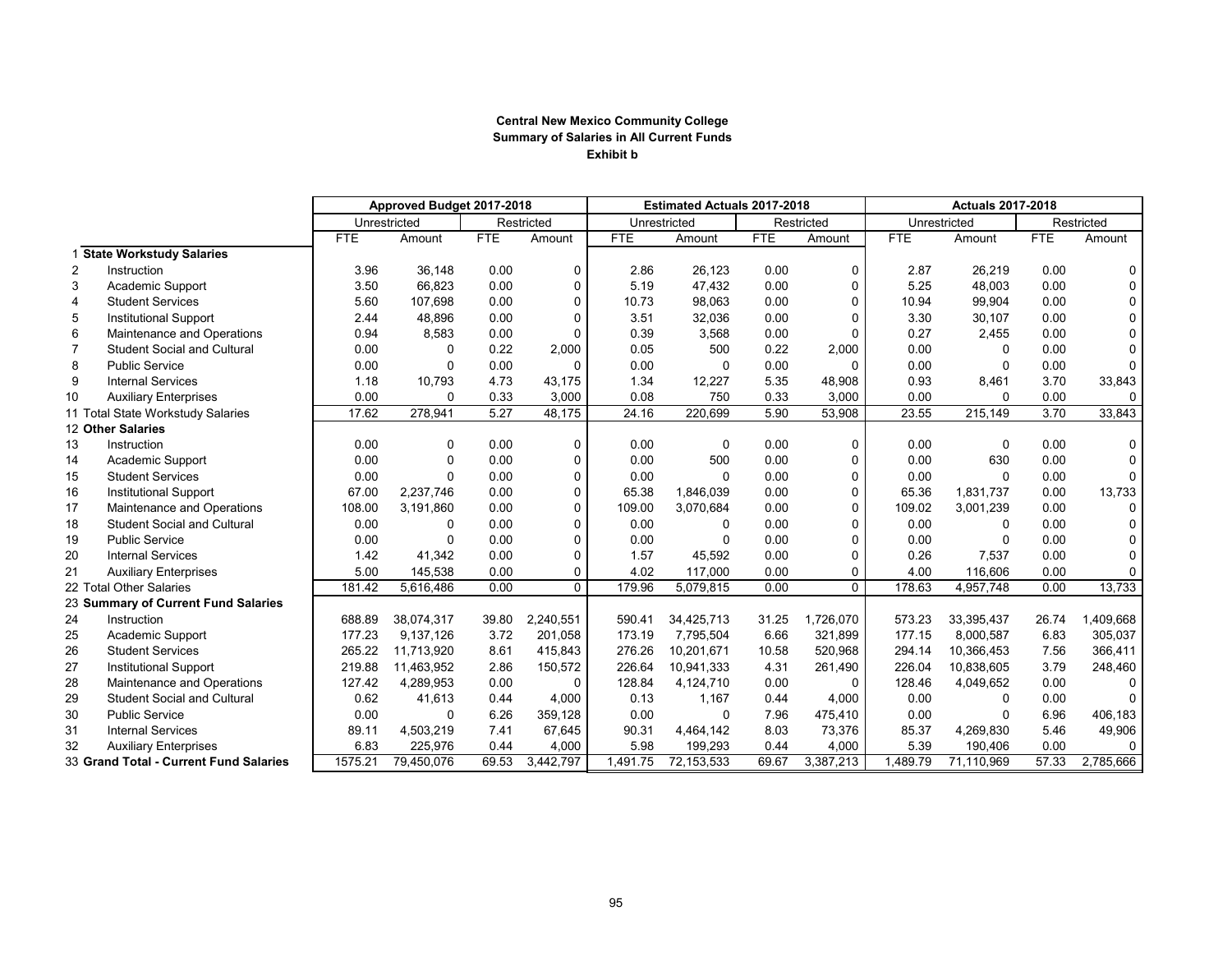## **Central New Mexico Community College Summary of Salaries in All Current Funds Exhibit b**

|                                        |                                     | Approved Budget 2017-2018 |              |            | <b>Estimated Actuals 2017-2018</b> |            |              |            | <b>Actuals 2017-2018</b> |              |            |            |                |
|----------------------------------------|-------------------------------------|---------------------------|--------------|------------|------------------------------------|------------|--------------|------------|--------------------------|--------------|------------|------------|----------------|
|                                        |                                     |                           | Unrestricted |            | Restricted                         |            | Unrestricted |            | Restricted               | Unrestricted |            | Restricted |                |
|                                        |                                     | FTE                       | Amount       | <b>FTE</b> | Amount                             | <b>FTE</b> | Amount       | <b>FTE</b> | Amount                   | <b>FTE</b>   | Amount     | <b>FTE</b> | Amount         |
|                                        | <b>State Workstudy Salaries</b>     |                           |              |            |                                    |            |              |            |                          |              |            |            |                |
| $\overline{2}$                         | Instruction                         | 3.96                      | 36,148       | 0.00       | 0                                  | 2.86       | 26,123       | 0.00       | 0                        | 2.87         | 26,219     | 0.00       | $\mathbf 0$    |
| 3                                      | Academic Support                    | 3.50                      | 66,823       | 0.00       | 0                                  | 5.19       | 47,432       | 0.00       | 0                        | 5.25         | 48,003     | 0.00       | $\mathbf 0$    |
| $\overline{4}$                         | <b>Student Services</b>             | 5.60                      | 107,698      | 0.00       | $\mathbf 0$                        | 10.73      | 98,063       | 0.00       | 0                        | 10.94        | 99,904     | 0.00       | $\mathbf 0$    |
| 5                                      | <b>Institutional Support</b>        | 2.44                      | 48,896       | 0.00       | $\mathbf 0$                        | 3.51       | 32,036       | 0.00       | $\mathbf 0$              | 3.30         | 30,107     | 0.00       | $\mathbf 0$    |
| 6                                      | Maintenance and Operations          | 0.94                      | 8,583        | 0.00       | $\Omega$                           | 0.39       | 3,568        | 0.00       | $\Omega$                 | 0.27         | 2,455      | 0.00       | $\mathbf 0$    |
| 7                                      | <b>Student Social and Cultural</b>  | 0.00                      | $\Omega$     | 0.22       | 2,000                              | 0.05       | 500          | 0.22       | 2,000                    | 0.00         | $\Omega$   | 0.00       | $\overline{0}$ |
| 8                                      | <b>Public Service</b>               | 0.00                      | $\Omega$     | 0.00       | $\Omega$                           | 0.00       | 0            | 0.00       | 0                        | 0.00         | 0          | 0.00       | $\Omega$       |
| 9                                      | <b>Internal Services</b>            | 1.18                      | 10,793       | 4.73       | 43,175                             | 1.34       | 12,227       | 5.35       | 48,908                   | 0.93         | 8,461      | 3.70       | 33,843         |
| 10                                     | <b>Auxiliary Enterprises</b>        | 0.00                      | $\Omega$     | 0.33       | 3,000                              | 0.08       | 750          | 0.33       | 3,000                    | 0.00         | $\Omega$   | 0.00       | $\Omega$       |
|                                        | 11 Total State Workstudy Salaries   | 17.62                     | 278,941      | 5.27       | 48,175                             | 24.16      | 220,699      | 5.90       | 53,908                   | 23.55        | 215,149    | 3.70       | 33,843         |
|                                        | 12 Other Salaries                   |                           |              |            |                                    |            |              |            |                          |              |            |            |                |
| 13                                     | Instruction                         | 0.00                      | 0            | 0.00       | 0                                  | 0.00       | 0            | 0.00       | 0                        | 0.00         | 0          | 0.00       | $\mathbf 0$    |
| 14                                     | Academic Support                    | 0.00                      | $\Omega$     | 0.00       | $\Omega$                           | 0.00       | 500          | 0.00       | $\Omega$                 | 0.00         | 630        | 0.00       | $\mathbf 0$    |
| 15                                     | <b>Student Services</b>             | 0.00                      | $\Omega$     | 0.00       | $\Omega$                           | 0.00       | $\Omega$     | 0.00       | $\Omega$                 | 0.00         | $\Omega$   | 0.00       | $\mathbf 0$    |
| 16                                     | <b>Institutional Support</b>        | 67.00                     | 2,237,746    | 0.00       | $\Omega$                           | 65.38      | 1,846,039    | 0.00       | 0                        | 65.36        | 1.831.737  | 0.00       | 13,733         |
| 17                                     | Maintenance and Operations          | 108.00                    | 3,191,860    | 0.00       | $\Omega$                           | 109.00     | 3,070,684    | 0.00       | $\Omega$                 | 109.02       | 3.001.239  | 0.00       | $\Omega$       |
| 18                                     | <b>Student Social and Cultural</b>  | 0.00                      | 0            | 0.00       | $\mathbf 0$                        | 0.00       | $\mathbf{0}$ | 0.00       | 0                        | 0.00         | 0          | 0.00       | $\mathbf 0$    |
| 19                                     | <b>Public Service</b>               | 0.00                      | $\Omega$     | 0.00       | $\mathbf 0$                        | 0.00       | $\Omega$     | 0.00       | 0                        | 0.00         | $\Omega$   | 0.00       | $\mathbf 0$    |
| 20                                     | <b>Internal Services</b>            | 1.42                      | 41,342       | 0.00       | $\mathbf 0$                        | 1.57       | 45,592       | 0.00       | 0                        | 0.26         | 7,537      | 0.00       | $\mathbf 0$    |
| 21                                     | <b>Auxiliary Enterprises</b>        | 5.00                      | 145,538      | 0.00       | 0                                  | 4.02       | 117.000      | 0.00       | 0                        | 4.00         | 116,606    | 0.00       | $\mathbf 0$    |
|                                        | 22 Total Other Salaries             | 181.42                    | 5,616,486    | 0.00       | $\Omega$                           | 179.96     | 5,079,815    | 0.00       | $\Omega$                 | 178.63       | 4,957,748  | 0.00       | 13,733         |
|                                        | 23 Summary of Current Fund Salaries |                           |              |            |                                    |            |              |            |                          |              |            |            |                |
| 24                                     | Instruction                         | 688.89                    | 38,074,317   | 39.80      | 2,240,551                          | 590.41     | 34,425,713   | 31.25      | 1,726,070                | 573.23       | 33,395,437 | 26.74      | 1,409,668      |
| 25                                     | Academic Support                    | 177.23                    | 9,137,126    | 3.72       | 201.058                            | 173.19     | 7,795,504    | 6.66       | 321,899                  | 177.15       | 8,000,587  | 6.83       | 305,037        |
| 26                                     | <b>Student Services</b>             | 265.22                    | 11,713,920   | 8.61       | 415,843                            | 276.26     | 10,201,671   | 10.58      | 520,968                  | 294.14       | 10,366,453 | 7.56       | 366,411        |
| 27                                     | <b>Institutional Support</b>        | 219.88                    | 11,463,952   | 2.86       | 150,572                            | 226.64     | 10,941,333   | 4.31       | 261,490                  | 226.04       | 10,838,605 | 3.79       | 248,460        |
| 28                                     | Maintenance and Operations          | 127.42                    | 4,289,953    | 0.00       | $\Omega$                           | 128.84     | 4,124,710    | 0.00       | $\Omega$                 | 128.46       | 4,049,652  | 0.00       | $\Omega$       |
| 29                                     | <b>Student Social and Cultural</b>  | 0.62                      | 41,613       | 0.44       | 4,000                              | 0.13       | 1,167        | 0.44       | 4,000                    | 0.00         | 0          | 0.00       | $\mathbf 0$    |
| 30                                     | <b>Public Service</b>               | 0.00                      | 0            | 6.26       | 359,128                            | 0.00       | 0            | 7.96       | 475,410                  | 0.00         | $\Omega$   | 6.96       | 406,183        |
| 31                                     | <b>Internal Services</b>            | 89.11                     | 4,503,219    | 7.41       | 67,645                             | 90.31      | 4,464,142    | 8.03       | 73,376                   | 85.37        | 4,269,830  | 5.46       | 49,906         |
| 32                                     | <b>Auxiliary Enterprises</b>        | 6.83                      | 225,976      | 0.44       | 4,000                              | 5.98       | 199,293      | 0.44       | 4,000                    | 5.39         | 190,406    | 0.00       | $\mathbf 0$    |
| 33 Grand Total - Current Fund Salaries |                                     | 1575.21                   | 79,450,076   | 69.53      | 3,442,797                          | 1,491.75   | 72,153,533   | 69.67      | 3,387,213                | 1,489.79     | 71,110,969 | 57.33      | 2.785.666      |